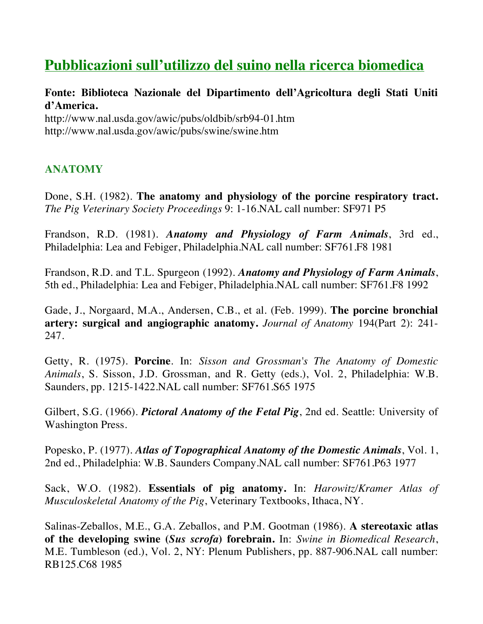# **Pubblicazioni sull'utilizzo del suino nella ricerca biomedica**

## **Fonte: Biblioteca Nazionale del Dipartimento dell'Agricoltura degli Stati Uniti d'America.**

http://www.nal.usda.gov/awic/pubs/oldbib/srb94-01.htm http://www.nal.usda.gov/awic/pubs/swine/swine.htm

### **ANATOMY**

Done, S.H. (1982). **The anatomy and physiology of the porcine respiratory tract.** *The Pig Veterinary Society Proceedings* 9: 1-16.NAL call number: SF971 P5

Frandson, R.D. (1981). *Anatomy and Physiology of Farm Animals*, 3rd ed., Philadelphia: Lea and Febiger, Philadelphia.NAL call number: SF761.F8 1981

Frandson, R.D. and T.L. Spurgeon (1992). *Anatomy and Physiology of Farm Animals*, 5th ed., Philadelphia: Lea and Febiger, Philadelphia.NAL call number: SF761.F8 1992

Gade, J., Norgaard, M.A., Andersen, C.B., et al. (Feb. 1999). **The porcine bronchial artery: surgical and angiographic anatomy.** *Journal of Anatomy* 194(Part 2): 241- 247.

Getty, R. (1975). **Porcine**. In: *Sisson and Grossman's The Anatomy of Domestic Animals*, S. Sisson, J.D. Grossman, and R. Getty (eds.), Vol. 2, Philadelphia: W.B. Saunders, pp. 1215-1422.NAL call number: SF761.S65 1975

Gilbert, S.G. (1966). *Pictoral Anatomy of the Fetal Pig*, 2nd ed. Seattle: University of Washington Press.

Popesko, P. (1977). *Atlas of Topographical Anatomy of the Domestic Animals*, Vol. 1, 2nd ed., Philadelphia: W.B. Saunders Company.NAL call number: SF761.P63 1977

Sack, W.O. (1982). **Essentials of pig anatomy.** In: *Harowitz/Kramer Atlas of Musculoskeletal Anatomy of the Pig*, Veterinary Textbooks, Ithaca, NY.

Salinas-Zeballos, M.E., G.A. Zeballos, and P.M. Gootman (1986). **A stereotaxic atlas of the developing swine (***Sus scrofa***) forebrain.** In: *Swine in Biomedical Research*, M.E. Tumbleson (ed.), Vol. 2, NY: Plenum Publishers, pp. 887-906.NAL call number: RB125.C68 1985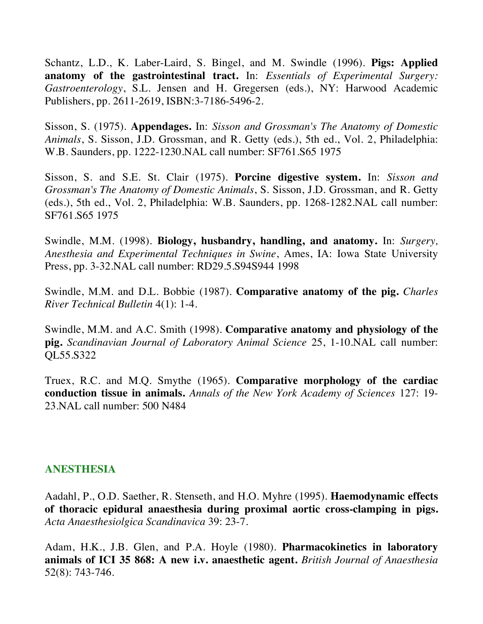Schantz, L.D., K. Laber-Laird, S. Bingel, and M. Swindle (1996). **Pigs: Applied anatomy of the gastrointestinal tract.** In: *Essentials of Experimental Surgery: Gastroenterology*, S.L. Jensen and H. Gregersen (eds.), NY: Harwood Academic Publishers, pp. 2611-2619, ISBN:3-7186-5496-2.

Sisson, S. (1975). **Appendages.** In: *Sisson and Grossman's The Anatomy of Domestic Animals*, S. Sisson, J.D. Grossman, and R. Getty (eds.), 5th ed., Vol. 2, Philadelphia: W.B. Saunders, pp. 1222-1230.NAL call number: SF761.S65 1975

Sisson, S. and S.E. St. Clair (1975). **Porcine digestive system.** In: *Sisson and Grossman's The Anatomy of Domestic Animals*, S. Sisson, J.D. Grossman, and R. Getty (eds.), 5th ed., Vol. 2, Philadelphia: W.B. Saunders, pp. 1268-1282.NAL call number: SF761.S65 1975

Swindle, M.M. (1998). **Biology, husbandry, handling, and anatomy.** In: *Surgery, Anesthesia and Experimental Techniques in Swine*, Ames, IA: Iowa State University Press, pp. 3-32.NAL call number: RD29.5.S94S944 1998

Swindle, M.M. and D.L. Bobbie (1987). **Comparative anatomy of the pig.** *Charles River Technical Bulletin* 4(1): 1-4.

Swindle, M.M. and A.C. Smith (1998). **Comparative anatomy and physiology of the pig.** *Scandinavian Journal of Laboratory Animal Science* 25, 1-10.NAL call number: QL55.S322

Truex, R.C. and M.Q. Smythe (1965). **Comparative morphology of the cardiac conduction tissue in animals.** *Annals of the New York Academy of Sciences* 127: 19- 23.NAL call number: 500 N484

#### **ANESTHESIA**

Aadahl, P., O.D. Saether, R. Stenseth, and H.O. Myhre (1995). **Haemodynamic effects of thoracic epidural anaesthesia during proximal aortic cross-clamping in pigs.**  *Acta Anaesthesiolgica Scandinavica* 39: 23-7.

Adam, H.K., J.B. Glen, and P.A. Hoyle (1980). **Pharmacokinetics in laboratory animals of ICI 35 868: A new i.v. anaesthetic agent.** *British Journal of Anaesthesia* 52(8): 743-746.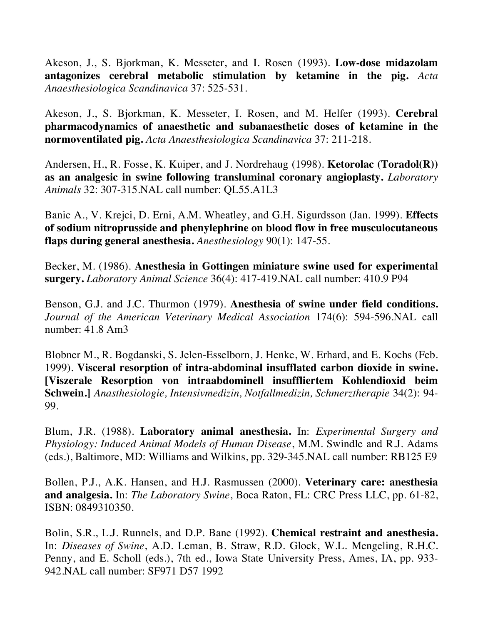Akeson, J., S. Bjorkman, K. Messeter, and I. Rosen (1993). **Low-dose midazolam antagonizes cerebral metabolic stimulation by ketamine in the pig.** *Acta Anaesthesiologica Scandinavica* 37: 525-531.

Akeson, J., S. Bjorkman, K. Messeter, I. Rosen, and M. Helfer (1993). **Cerebral pharmacodynamics of anaesthetic and subanaesthetic doses of ketamine in the normoventilated pig.** *Acta Anaesthesiologica Scandinavica* 37: 211-218.

Andersen, H., R. Fosse, K. Kuiper, and J. Nordrehaug (1998). **Ketorolac (Toradol(R)) as an analgesic in swine following transluminal coronary angioplasty.** *Laboratory Animals* 32: 307-315.NAL call number: QL55.A1L3

Banic A., V. Krejci, D. Erni, A.M. Wheatley, and G.H. Sigurdsson (Jan. 1999). **Effects of sodium nitroprusside and phenylephrine on blood flow in free musculocutaneous flaps during general anesthesia.** *Anesthesiology* 90(1): 147-55.

Becker, M. (1986). **Anesthesia in Gottingen miniature swine used for experimental surgery.** *Laboratory Animal Science* 36(4): 417-419.NAL call number: 410.9 P94

Benson, G.J. and J.C. Thurmon (1979). **Anesthesia of swine under field conditions.** *Journal of the American Veterinary Medical Association* 174(6): 594-596.NAL call number: 41.8 Am3

Blobner M., R. Bogdanski, S. Jelen-Esselborn, J. Henke, W. Erhard, and E. Kochs (Feb. 1999). **Visceral resorption of intra-abdominal insufflated carbon dioxide in swine. [Viszerale Resorption von intraabdominell insuffliertem Kohlendioxid beim Schwein.]** *Anasthesiologie, Intensivmedizin, Notfallmedizin, Schmerztherapie* 34(2): 94- 99.

Blum, J.R. (1988). **Laboratory animal anesthesia.** In: *Experimental Surgery and Physiology: Induced Animal Models of Human Disease*, M.M. Swindle and R.J. Adams (eds.), Baltimore, MD: Williams and Wilkins, pp. 329-345.NAL call number: RB125 E9

Bollen, P.J., A.K. Hansen, and H.J. Rasmussen (2000). **Veterinary care: anesthesia and analgesia.** In: *The Laboratory Swine*, Boca Raton, FL: CRC Press LLC, pp. 61-82, ISBN: 0849310350.

Bolin, S.R., L.J. Runnels, and D.P. Bane (1992). **Chemical restraint and anesthesia.** In: *Diseases of Swine*, A.D. Leman, B. Straw, R.D. Glock, W.L. Mengeling, R.H.C. Penny, and E. Scholl (eds.), 7th ed., Iowa State University Press, Ames, IA, pp. 933- 942.NAL call number: SF971 D57 1992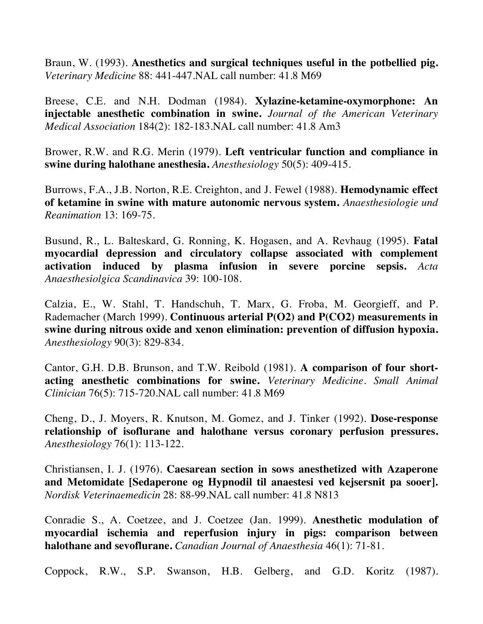Braun, W. (1993). **Anesthetics and surgical techniques useful in the potbellied pig.**  *Veterinary Medicine* 88: 441-447.NAL call number: 41.8 M69

Breese, C.E. and N.H. Dodman (1984). **Xylazine-ketamine-oxymorphone: An injectable anesthetic combination in swine.** *Journal of the American Veterinary Medical Association* 184(2): 182-183.NAL call number: 41.8 Am3

Brower, R.W. and R.G. Merin (1979). **Left ventricular function and compliance in swine during halothane anesthesia.** *Anesthesiology* 50(5): 409-415.

Burrows, F.A., J.B. Norton, R.E. Creighton, and J. Fewel (1988). **Hemodynamic effect of ketamine in swine with mature autonomic nervous system.** *Anaesthesiologie und Reanimation* 13: 169-75.

Busund, R., L. Balteskard, G. Ronning, K. Hogasen, and A. Revhaug (1995). **Fatal myocardial depression and circulatory collapse associated with complement activation induced by plasma infusion in severe porcine sepsis.** *Acta Anaesthesiolgica Scandinavica* 39: 100-108.

Calzia, E., W. Stahl, T. Handschuh, T. Marx, G. Froba, M. Georgieff, and P. Rademacher (March 1999). **Continuous arterial P(O2) and P(CO2) measurements in swine during nitrous oxide and xenon elimination: prevention of diffusion hypoxia.** *Anesthesiology* 90(3): 829-834.

Cantor, G.H. D.B. Brunson, and T.W. Reibold (1981). **A comparison of four shortacting anesthetic combinations for swine.** *Veterinary Medicine. Small Animal Clinician* 76(5): 715-720.NAL call number: 41.8 M69

Cheng, D., J. Moyers, R. Knutson, M. Gomez, and J. Tinker (1992). **Dose-response relationship of isoflurane and halothane versus coronary perfusion pressures.** *Anesthesiology* 76(1): 113-122.

Christiansen, I. J. (1976). **Caesarean section in sows anesthetized with Azaperone and Metomidate [Sedaperone og Hypnodil til anaestesi ved kejsersnit pa sooer].**  *Nordisk Veterinaemedicin* 28: 88-99.NAL call number: 41.8 N813

Conradie S., A. Coetzee, and J. Coetzee (Jan. 1999). **Anesthetic modulation of myocardial ischemia and reperfusion injury in pigs: comparison between halothane and sevoflurane.** *Canadian Journal of Anaesthesia* 46(1): 71-81.

Coppock, R.W., S.P. Swanson, H.B. Gelberg, and G.D. Koritz (1987).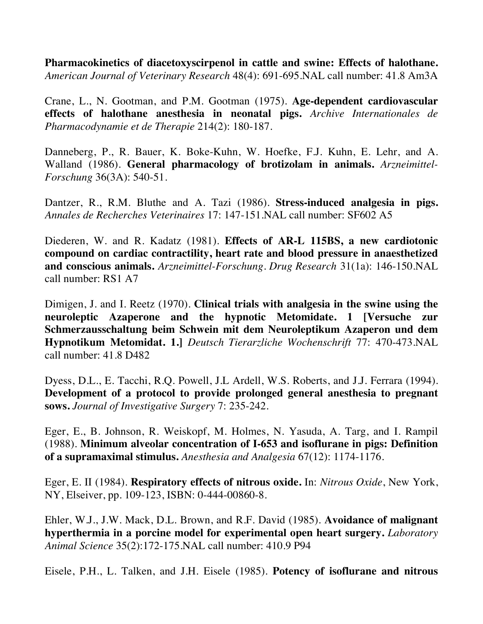**Pharmacokinetics of diacetoxyscirpenol in cattle and swine: Effects of halothane.** *American Journal of Veterinary Research* 48(4): 691-695.NAL call number: 41.8 Am3A

Crane, L., N. Gootman, and P.M. Gootman (1975). **Age-dependent cardiovascular effects of halothane anesthesia in neonatal pigs.** *Archive Internationales de Pharmacodynamie et de Therapie* 214(2): 180-187.

Danneberg, P., R. Bauer, K. Boke-Kuhn, W. Hoefke, F.J. Kuhn, E. Lehr, and A. Walland (1986). **General pharmacology of brotizolam in animals.** *Arzneimittel-Forschung* 36(3A): 540-51.

Dantzer, R., R.M. Bluthe and A. Tazi (1986). **Stress-induced analgesia in pigs.**  *Annales de Recherches Veterinaires* 17: 147-151.NAL call number: SF602 A5

Diederen, W. and R. Kadatz (1981). **Effects of AR-L 115BS, a new cardiotonic compound on cardiac contractility, heart rate and blood pressure in anaesthetized and conscious animals.** *Arzneimittel-Forschung. Drug Research* 31(1a): 146-150.NAL call number: RS1 A7

Dimigen, J. and I. Reetz (1970). **Clinical trials with analgesia in the swine using the neuroleptic Azaperone and the hypnotic Metomidate. 1 [Versuche zur Schmerzausschaltung beim Schwein mit dem Neuroleptikum Azaperon und dem Hypnotikum Metomidat. 1.]** *Deutsch Tierarzliche Wochenschrift* 77: 470-473.NAL call number: 41.8 D482

Dyess, D.L., E. Tacchi, R.Q. Powell, J.L Ardell, W.S. Roberts, and J.J. Ferrara (1994). **Development of a protocol to provide prolonged general anesthesia to pregnant sows.** *Journal of Investigative Surgery* 7: 235-242.

Eger, E., B. Johnson, R. Weiskopf, M. Holmes, N. Yasuda, A. Targ, and I. Rampil (1988). **Minimum alveolar concentration of I-653 and isoflurane in pigs: Definition of a supramaximal stimulus.** *Anesthesia and Analgesia* 67(12): 1174-1176.

Eger, E. II (1984). **Respiratory effects of nitrous oxide.** In: *Nitrous Oxide*, New York, NY, Elseiver, pp. 109-123, ISBN: 0-444-00860-8.

Ehler, W.J., J.W. Mack, D.L. Brown, and R.F. David (1985). **Avoidance of malignant hyperthermia in a porcine model for experimental open heart surgery.** *Laboratory Animal Science* 35(2):172-175.NAL call number: 410.9 P94

Eisele, P.H., L. Talken, and J.H. Eisele (1985). **Potency of isoflurane and nitrous**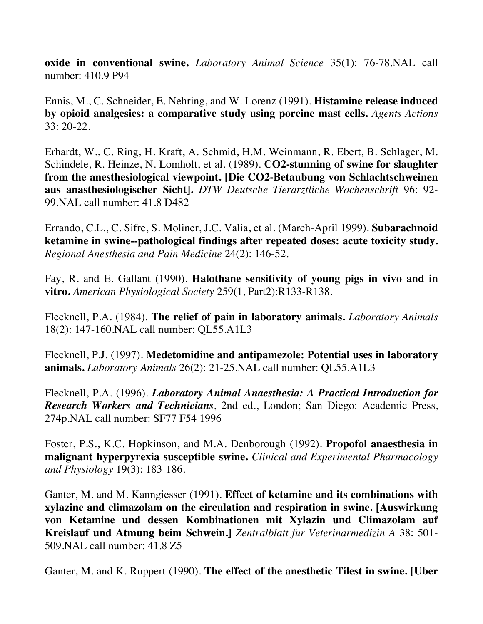**oxide in conventional swine.** *Laboratory Animal Science* 35(1): 76-78.NAL call number: 410.9 P94

Ennis, M., C. Schneider, E. Nehring, and W. Lorenz (1991). **Histamine release induced by opioid analgesics: a comparative study using porcine mast cells.** *Agents Actions* 33: 20-22.

Erhardt, W., C. Ring, H. Kraft, A. Schmid, H.M. Weinmann, R. Ebert, B. Schlager, M. Schindele, R. Heinze, N. Lomholt, et al. (1989). **CO2-stunning of swine for slaughter from the anesthesiological viewpoint. [Die CO2-Betaubung von Schlachtschweinen aus anasthesiologischer Sicht].** *DTW Deutsche Tierarztliche Wochenschrift* 96: 92- 99.NAL call number: 41.8 D482

Errando, C.L., C. Sifre, S. Moliner, J.C. Valia, et al. (March-April 1999). **Subarachnoid ketamine in swine--pathological findings after repeated doses: acute toxicity study.** *Regional Anesthesia and Pain Medicine* 24(2): 146-52.

Fay, R. and E. Gallant (1990). **Halothane sensitivity of young pigs in vivo and in vitro.** *American Physiological Society* 259(1, Part2):R133-R138.

Flecknell, P.A. (1984). **The relief of pain in laboratory animals.** *Laboratory Animals* 18(2): 147-160.NAL call number: QL55.A1L3

Flecknell, P.J. (1997). **Medetomidine and antipamezole: Potential uses in laboratory animals.** *Laboratory Animals* 26(2): 21-25.NAL call number: QL55.A1L3

Flecknell, P.A. (1996). *Laboratory Animal Anaesthesia: A Practical Introduction for Research Workers and Technicians*, 2nd ed., London; San Diego: Academic Press, 274p.NAL call number: SF77 F54 1996

Foster, P.S., K.C. Hopkinson, and M.A. Denborough (1992). **Propofol anaesthesia in malignant hyperpyrexia susceptible swine.** *Clinical and Experimental Pharmacology and Physiology* 19(3): 183-186.

Ganter, M. and M. Kanngiesser (1991). **Effect of ketamine and its combinations with xylazine and climazolam on the circulation and respiration in swine. [Auswirkung von Ketamine und dessen Kombinationen mit Xylazin und Climazolam auf Kreislauf und Atmung beim Schwein.]** *Zentralblatt fur Veterinarmedizin A* 38: 501- 509.NAL call number: 41.8 Z5

Ganter, M. and K. Ruppert (1990). **The effect of the anesthetic Tilest in swine. [Uber**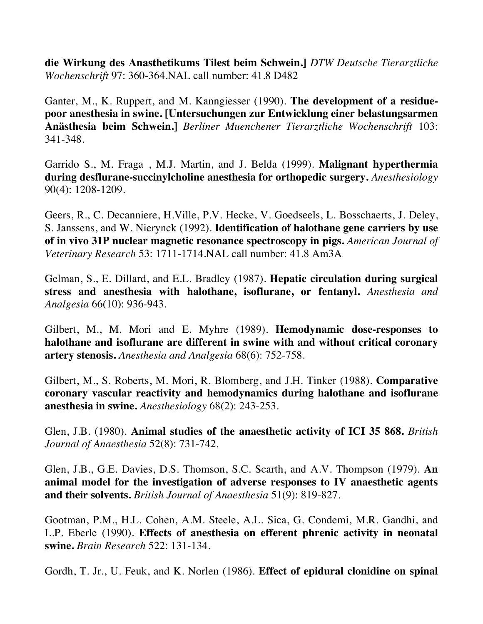**die Wirkung des Anasthetikums Tilest beim Schwein.]** *DTW Deutsche Tierarztliche Wochenschrift* 97: 360-364.NAL call number: 41.8 D482

Ganter, M., K. Ruppert, and M. Kanngiesser (1990). **The development of a residuepoor anesthesia in swine. [Untersuchungen zur Entwicklung einer belastungsarmen Anästhesia beim Schwein.]** *Berliner Muenchener Tierarztliche Wochenschrift* 103: 341-348.

Garrido S., M. Fraga , M.J. Martin, and J. Belda (1999). **Malignant hyperthermia during desflurane-succinylcholine anesthesia for orthopedic surgery.** *Anesthesiology* 90(4): 1208-1209.

Geers, R., C. Decanniere, H.Ville, P.V. Hecke, V. Goedseels, L. Bosschaerts, J. Deley, S. Janssens, and W. Nierynck (1992). **Identification of halothane gene carriers by use of in vivo 31P nuclear magnetic resonance spectroscopy in pigs.** *American Journal of Veterinary Research* 53: 1711-1714.NAL call number: 41.8 Am3A

Gelman, S., E. Dillard, and E.L. Bradley (1987). **Hepatic circulation during surgical stress and anesthesia with halothane, isoflurane, or fentanyl.** *Anesthesia and Analgesia* 66(10): 936-943.

Gilbert, M., M. Mori and E. Myhre (1989). **Hemodynamic dose-responses to halothane and isoflurane are different in swine with and without critical coronary artery stenosis.** *Anesthesia and Analgesia* 68(6): 752-758.

Gilbert, M., S. Roberts, M. Mori, R. Blomberg, and J.H. Tinker (1988). **Comparative coronary vascular reactivity and hemodynamics during halothane and isoflurane anesthesia in swine.** *Anesthesiology* 68(2): 243-253.

Glen, J.B. (1980). **Animal studies of the anaesthetic activity of ICI 35 868.** *British Journal of Anaesthesia* 52(8): 731-742.

Glen, J.B., G.E. Davies, D.S. Thomson, S.C. Scarth, and A.V. Thompson (1979). **An animal model for the investigation of adverse responses to IV anaesthetic agents and their solvents.** *British Journal of Anaesthesia* 51(9): 819-827.

Gootman, P.M., H.L. Cohen, A.M. Steele, A.L. Sica, G. Condemi, M.R. Gandhi, and L.P. Eberle (1990). **Effects of anesthesia on efferent phrenic activity in neonatal swine.** *Brain Research* 522: 131-134.

Gordh, T. Jr., U. Feuk, and K. Norlen (1986). **Effect of epidural clonidine on spinal**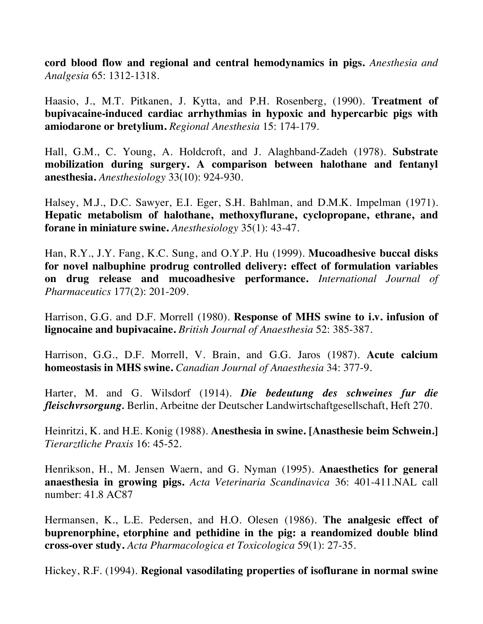**cord blood flow and regional and central hemodynamics in pigs.** *Anesthesia and Analgesia* 65: 1312-1318.

Haasio, J., M.T. Pitkanen, J. Kytta, and P.H. Rosenberg, (1990). **Treatment of bupivacaine-induced cardiac arrhythmias in hypoxic and hypercarbic pigs with amiodarone or bretylium.** *Regional Anesthesia* 15: 174-179.

Hall, G.M., C. Young, A. Holdcroft, and J. Alaghband-Zadeh (1978). **Substrate mobilization during surgery. A comparison between halothane and fentanyl anesthesia.** *Anesthesiology* 33(10): 924-930.

Halsey, M.J., D.C. Sawyer, E.I. Eger, S.H. Bahlman, and D.M.K. Impelman (1971). **Hepatic metabolism of halothane, methoxyflurane, cyclopropane, ethrane, and forane in miniature swine.** *Anesthesiology* 35(1): 43-47.

Han, R.Y., J.Y. Fang, K.C. Sung, and O.Y.P. Hu (1999). **Mucoadhesive buccal disks for novel nalbuphine prodrug controlled delivery: effect of formulation variables on drug release and mucoadhesive performance.** *International Journal of Pharmaceutics* 177(2): 201-209.

Harrison, G.G. and D.F. Morrell (1980). **Response of MHS swine to i.v. infusion of lignocaine and bupivacaine.** *British Journal of Anaesthesia* 52: 385-387.

Harrison, G.G., D.F. Morrell, V. Brain, and G.G. Jaros (1987). **Acute calcium homeostasis in MHS swine.** *Canadian Journal of Anaesthesia* 34: 377-9.

Harter, M. and G. Wilsdorf (1914). *Die bedeutung des schweines fur die fleischvrsorgung.* Berlin, Arbeitne der Deutscher Landwirtschaftgesellschaft, Heft 270.

Heinritzi, K. and H.E. Konig (1988). **Anesthesia in swine. [Anasthesie beim Schwein.]** *Tierarztliche Praxis* 16: 45-52.

Henrikson, H., M. Jensen Waern, and G. Nyman (1995). **Anaesthetics for general anaesthesia in growing pigs.** *Acta Veterinaria Scandinavica* 36: 401-411.NAL call number: 41.8 AC87

Hermansen, K., L.E. Pedersen, and H.O. Olesen (1986). **The analgesic effect of buprenorphine, etorphine and pethidine in the pig: a reandomized double blind cross-over study.** *Acta Pharmacologica et Toxicologica* 59(1): 27-35.

Hickey, R.F. (1994). **Regional vasodilating properties of isoflurane in normal swine**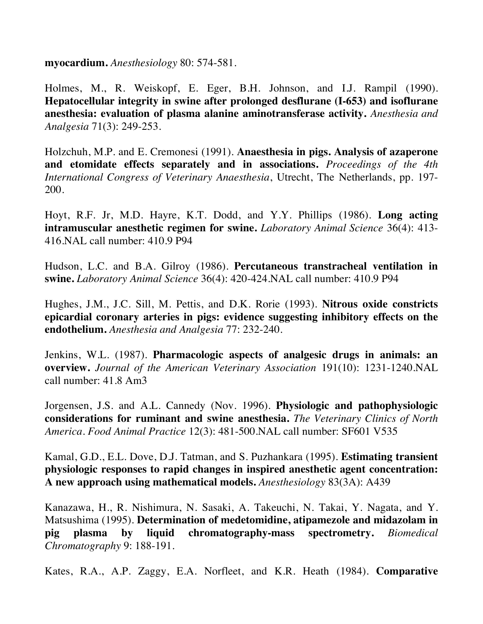**myocardium.** *Anesthesiology* 80: 574-581.

Holmes, M., R. Weiskopf, E. Eger, B.H. Johnson, and I.J. Rampil (1990). **Hepatocellular integrity in swine after prolonged desflurane (I-653) and isoflurane anesthesia: evaluation of plasma alanine aminotransferase activity.** *Anesthesia and Analgesia* 71(3): 249-253.

Holzchuh, M.P. and E. Cremonesi (1991). **Anaesthesia in pigs. Analysis of azaperone and etomidate effects separately and in associations.** *Proceedings of the 4th International Congress of Veterinary Anaesthesia*, Utrecht, The Netherlands, pp. 197- 200.

Hoyt, R.F. Jr, M.D. Hayre, K.T. Dodd, and Y.Y. Phillips (1986). **Long acting intramuscular anesthetic regimen for swine.** *Laboratory Animal Science* 36(4): 413- 416.NAL call number: 410.9 P94

Hudson, L.C. and B.A. Gilroy (1986). **Percutaneous transtracheal ventilation in swine.** *Laboratory Animal Science* 36(4): 420-424.NAL call number: 410.9 P94

Hughes, J.M., J.C. Sill, M. Pettis, and D.K. Rorie (1993). **Nitrous oxide constricts epicardial coronary arteries in pigs: evidence suggesting inhibitory effects on the endothelium.** *Anesthesia and Analgesia* 77: 232-240.

Jenkins, W.L. (1987). **Pharmacologic aspects of analgesic drugs in animals: an overview.** *Journal of the American Veterinary Association* 191(10): 1231-1240.NAL call number: 41.8 Am3

Jorgensen, J.S. and A.L. Cannedy (Nov. 1996). **Physiologic and pathophysiologic considerations for ruminant and swine anesthesia.** *The Veterinary Clinics of North America. Food Animal Practice* 12(3): 481-500.NAL call number: SF601 V535

Kamal, G.D., E.L. Dove, D.J. Tatman, and S. Puzhankara (1995). **Estimating transient physiologic responses to rapid changes in inspired anesthetic agent concentration: A new approach using mathematical models.** *Anesthesiology* 83(3A): A439

Kanazawa, H., R. Nishimura, N. Sasaki, A. Takeuchi, N. Takai, Y. Nagata, and Y. Matsushima (1995). **Determination of medetomidine, atipamezole and midazolam in pig plasma by liquid chromatography-mass spectrometry.** *Biomedical Chromatography* 9: 188-191.

Kates, R.A., A.P. Zaggy, E.A. Norfleet, and K.R. Heath (1984). **Comparative**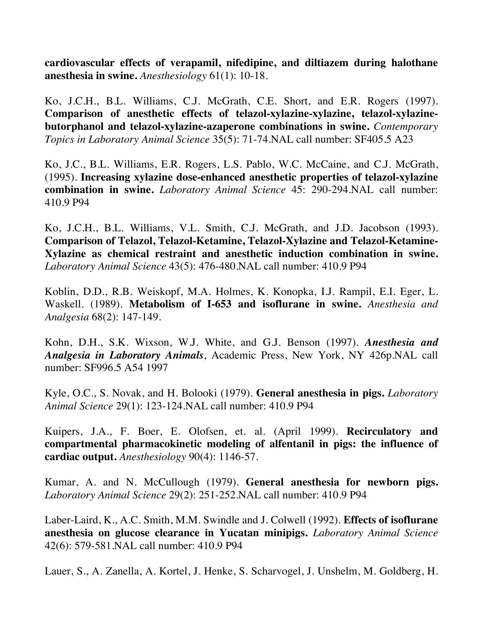**cardiovascular effects of verapamil, nifedipine, and diltiazem during halothane anesthesia in swine.** *Anesthesiology* 61(1): 10-18.

Ko, J.C.H., B.L. Williams, C.J. McGrath, C.E. Short, and E.R. Rogers (1997). **Comparison of anesthetic effects of telazol-xylazine-xylazine, telazol-xylazinebutorphanol and telazol-xylazine-azaperone combinations in swine.** *Contemporary Topics in Laboratory Animal Science* 35(5): 71-74.NAL call number: SF405.5 A23

Ko, J.C., B.L. Williams, E.R. Rogers, L.S. Pablo, W.C. McCaine, and C.J. McGrath, (1995). **Increasing xylazine dose-enhanced anesthetic properties of telazol-xylazine combination in swine.** *Laboratory Animal Science* 45: 290-294.NAL call number: 410.9 P94

Ko, J.C.H., B.L. Williams, V.L. Smith, C.J. McGrath, and J.D. Jacobson (1993). **Comparison of Telazol, Telazol-Ketamine, Telazol-Xylazine and Telazol-Ketamine-Xylazine as chemical restraint and anesthetic induction combination in swine.**  *Laboratory Animal Science* 43(5): 476-480.NAL call number: 410.9 P94

Koblin, D.D., R.B. Weiskopf, M.A. Holmes, K. Konopka, I.J. Rampil, E.I. Eger, L. Waskell. (1989). **Metabolism of I-653 and isoflurane in swine.** *Anesthesia and Analgesia* 68(2): 147-149.

Kohn, D.H., S.K. Wixson, W.J. White, and G.J. Benson (1997). *Anesthesia and Analgesia in Laboratory Animals*, Academic Press, New York, NY 426p.NAL call number: SF996.5 A54 1997

Kyle, O.C., S. Novak, and H. Bolooki (1979). **General anesthesia in pigs.** *Laboratory Animal Science* 29(1): 123-124.NAL call number: 410.9 P94

Kuipers, J.A., F. Boer, E. Olofsen, et. al. (April 1999). **Recirculatory and compartmental pharmacokinetic modeling of alfentanil in pigs: the influence of cardiac output.** *Anesthesiology* 90(4): 1146-57.

Kumar, A. and N. McCullough (1979). **General anesthesia for newborn pigs.**  *Laboratory Animal Science* 29(2): 251-252.NAL call number: 410.9 P94

Laber-Laird, K., A.C. Smith, M.M. Swindle and J. Colwell (1992). **Effects of isoflurane anesthesia on glucose clearance in Yucatan minipigs.** *Laboratory Animal Science* 42(6): 579-581.NAL call number: 410.9 P94

Lauer, S., A. Zanella, A. Kortel, J. Henke, S. Scharvogel, J. Unshelm, M. Goldberg, H.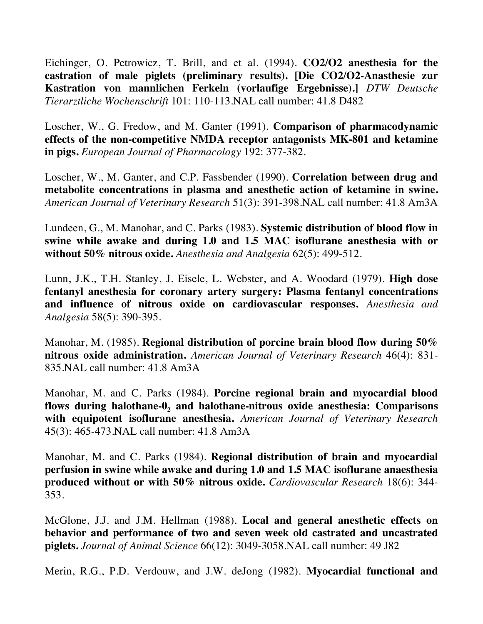Eichinger, O. Petrowicz, T. Brill, and et al. (1994). **CO2/O2 anesthesia for the castration of male piglets (preliminary results). [Die CO2/O2-Anasthesie zur Kastration von mannlichen Ferkeln (vorlaufige Ergebnisse).]** *DTW Deutsche Tierarztliche Wochenschrift* 101: 110-113.NAL call number: 41.8 D482

Loscher, W., G. Fredow, and M. Ganter (1991). **Comparison of pharmacodynamic effects of the non-competitive NMDA receptor antagonists MK-801 and ketamine in pigs.** *European Journal of Pharmacology* 192: 377-382.

Loscher, W., M. Ganter, and C.P. Fassbender (1990). **Correlation between drug and metabolite concentrations in plasma and anesthetic action of ketamine in swine.** *American Journal of Veterinary Research* 51(3): 391-398.NAL call number: 41.8 Am3A

Lundeen, G., M. Manohar, and C. Parks (1983). **Systemic distribution of blood flow in swine while awake and during 1.0 and 1.5 MAC isoflurane anesthesia with or without 50% nitrous oxide.** *Anesthesia and Analgesia* 62(5): 499-512.

Lunn, J.K., T.H. Stanley, J. Eisele, L. Webster, and A. Woodard (1979). **High dose fentanyl anesthesia for coronary artery surgery: Plasma fentanyl concentrations and influence of nitrous oxide on cardiovascular responses.** *Anesthesia and Analgesia* 58(5): 390-395.

Manohar, M. (1985). **Regional distribution of porcine brain blood flow during 50% nitrous oxide administration.** *American Journal of Veterinary Research* 46(4): 831- 835.NAL call number: 41.8 Am3A

Manohar, M. and C. Parks (1984). **Porcine regional brain and myocardial blood**  flows during halothane-0, and halothane-nitrous oxide anesthesia: Comparisons **with equipotent isoflurane anesthesia.** *American Journal of Veterinary Research* 45(3): 465-473.NAL call number: 41.8 Am3A

Manohar, M. and C. Parks (1984). **Regional distribution of brain and myocardial perfusion in swine while awake and during 1.0 and 1.5 MAC isoflurane anaesthesia produced without or with 50% nitrous oxide.** *Cardiovascular Research* 18(6): 344- 353.

McGlone, J.J. and J.M. Hellman (1988). **Local and general anesthetic effects on behavior and performance of two and seven week old castrated and uncastrated piglets.** *Journal of Animal Science* 66(12): 3049-3058.NAL call number: 49 J82

Merin, R.G., P.D. Verdouw, and J.W. deJong (1982). **Myocardial functional and**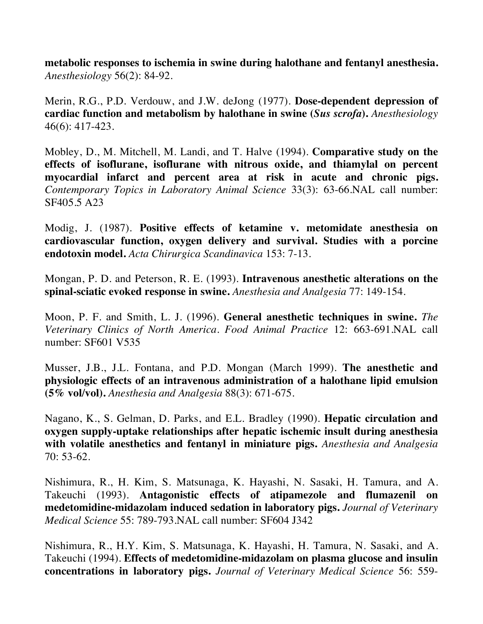**metabolic responses to ischemia in swine during halothane and fentanyl anesthesia.**  *Anesthesiology* 56(2): 84-92.

Merin, R.G., P.D. Verdouw, and J.W. deJong (1977). **Dose-dependent depression of cardiac function and metabolism by halothane in swine (***Sus scrofa***).** *Anesthesiology* 46(6): 417-423.

Mobley, D., M. Mitchell, M. Landi, and T. Halve (1994). **Comparative study on the effects of isoflurane, isoflurane with nitrous oxide, and thiamylal on percent myocardial infarct and percent area at risk in acute and chronic pigs.**  *Contemporary Topics in Laboratory Animal Science* 33(3): 63-66.NAL call number: SF405.5 A23

Modig, J. (1987). **Positive effects of ketamine v. metomidate anesthesia on cardiovascular function, oxygen delivery and survival. Studies with a porcine endotoxin model.** *Acta Chirurgica Scandinavica* 153: 7-13.

Mongan, P. D. and Peterson, R. E. (1993). **Intravenous anesthetic alterations on the spinal-sciatic evoked response in swine.** *Anesthesia and Analgesia* 77: 149-154.

Moon, P. F. and Smith, L. J. (1996). **General anesthetic techniques in swine.** *The Veterinary Clinics of North America. Food Animal Practice* 12: 663-691.NAL call number: SF601 V535

Musser, J.B., J.L. Fontana, and P.D. Mongan (March 1999). **The anesthetic and physiologic effects of an intravenous administration of a halothane lipid emulsion (5% vol/vol).** *Anesthesia and Analgesia* 88(3): 671-675.

Nagano, K., S. Gelman, D. Parks, and E.L. Bradley (1990). **Hepatic circulation and oxygen supply-uptake relationships after hepatic ischemic insult during anesthesia with volatile anesthetics and fentanyl in miniature pigs.** *Anesthesia and Analgesia* 70: 53-62.

Nishimura, R., H. Kim, S. Matsunaga, K. Hayashi, N. Sasaki, H. Tamura, and A. Takeuchi (1993). **Antagonistic effects of atipamezole and flumazenil on medetomidine-midazolam induced sedation in laboratory pigs.** *Journal of Veterinary Medical Science* 55: 789-793.NAL call number: SF604 J342

Nishimura, R., H.Y. Kim, S. Matsunaga, K. Hayashi, H. Tamura, N. Sasaki, and A. Takeuchi (1994). **Effects of medetomidine-midazolam on plasma glucose and insulin concentrations in laboratory pigs.** *Journal of Veterinary Medical Science* 56: 559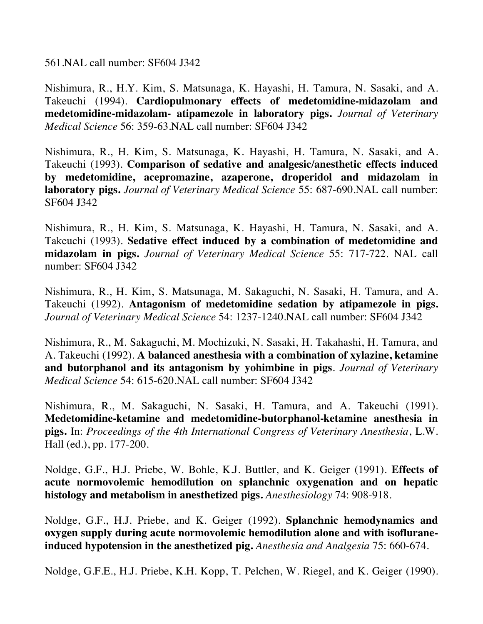561.NAL call number: SF604 J342

Nishimura, R., H.Y. Kim, S. Matsunaga, K. Hayashi, H. Tamura, N. Sasaki, and A. Takeuchi (1994). **Cardiopulmonary effects of medetomidine-midazolam and medetomidine-midazolam- atipamezole in laboratory pigs.** *Journal of Veterinary Medical Science* 56: 359-63.NAL call number: SF604 J342

Nishimura, R., H. Kim, S. Matsunaga, K. Hayashi, H. Tamura, N. Sasaki, and A. Takeuchi (1993). **Comparison of sedative and analgesic/anesthetic effects induced by medetomidine, acepromazine, azaperone, droperidol and midazolam in laboratory pigs.** *Journal of Veterinary Medical Science* 55: 687-690.NAL call number: SF604 J342

Nishimura, R., H. Kim, S. Matsunaga, K. Hayashi, H. Tamura, N. Sasaki, and A. Takeuchi (1993). **Sedative effect induced by a combination of medetomidine and midazolam in pigs.** *Journal of Veterinary Medical Science* 55: 717-722. NAL call number: SF604 J342

Nishimura, R., H. Kim, S. Matsunaga, M. Sakaguchi, N. Sasaki, H. Tamura, and A. Takeuchi (1992). **Antagonism of medetomidine sedation by atipamezole in pigs.**  *Journal of Veterinary Medical Science* 54: 1237-1240.NAL call number: SF604 J342

Nishimura, R., M. Sakaguchi, M. Mochizuki, N. Sasaki, H. Takahashi, H. Tamura, and A. Takeuchi (1992). **A balanced anesthesia with a combination of xylazine, ketamine and butorphanol and its antagonism by yohimbine in pigs**. *Journal of Veterinary Medical Science* 54: 615-620.NAL call number: SF604 J342

Nishimura, R., M. Sakaguchi, N. Sasaki, H. Tamura, and A. Takeuchi (1991). **Medetomidine-ketamine and medetomidine-butorphanol-ketamine anesthesia in pigs.** In: *Proceedings of the 4th International Congress of Veterinary Anesthesia*, L.W. Hall (ed.), pp. 177-200.

Noldge, G.F., H.J. Priebe, W. Bohle, K.J. Buttler, and K. Geiger (1991). **Effects of acute normovolemic hemodilution on splanchnic oxygenation and on hepatic histology and metabolism in anesthetized pigs.** *Anesthesiology* 74: 908-918.

Noldge, G.F., H.J. Priebe, and K. Geiger (1992). **Splanchnic hemodynamics and oxygen supply during acute normovolemic hemodilution alone and with isofluraneinduced hypotension in the anesthetized pig.** *Anesthesia and Analgesia* 75: 660-674.

Noldge, G.F.E., H.J. Priebe, K.H. Kopp, T. Pelchen, W. Riegel, and K. Geiger (1990).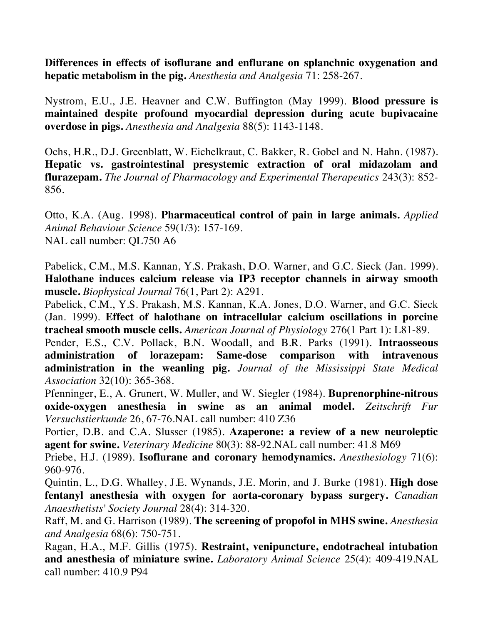**Differences in effects of isoflurane and enflurane on splanchnic oxygenation and hepatic metabolism in the pig.** *Anesthesia and Analgesia* 71: 258-267.

Nystrom, E.U., J.E. Heavner and C.W. Buffington (May 1999). **Blood pressure is maintained despite profound myocardial depression during acute bupivacaine overdose in pigs.** *Anesthesia and Analgesia* 88(5): 1143-1148.

Ochs, H.R., D.J. Greenblatt, W. Eichelkraut, C. Bakker, R. Gobel and N. Hahn. (1987). **Hepatic vs. gastrointestinal presystemic extraction of oral midazolam and flurazepam.** *The Journal of Pharmacology and Experimental Therapeutics* 243(3): 852- 856.

Otto, K.A. (Aug. 1998). **Pharmaceutical control of pain in large animals.** *Applied Animal Behaviour Science* 59(1/3): 157-169. NAL call number: QL750 A6

Pabelick, C.M., M.S. Kannan, Y.S. Prakash, D.O. Warner, and G.C. Sieck (Jan. 1999). **Halothane induces calcium release via IP3 receptor channels in airway smooth muscle.** *Biophysical Journal* 76(1, Part 2): A291.

Pabelick, C.M., Y.S. Prakash, M.S. Kannan, K.A. Jones, D.O. Warner, and G.C. Sieck (Jan. 1999). **Effect of halothane on intracellular calcium oscillations in porcine tracheal smooth muscle cells.** *American Journal of Physiology* 276(1 Part 1): L81-89.

Pender, E.S., C.V. Pollack, B.N. Woodall, and B.R. Parks (1991). **Intraosseous administration of lorazepam: Same-dose comparison with intravenous administration in the weanling pig.** *Journal of the Mississippi State Medical Association* 32(10): 365-368.

Pfenninger, E., A. Grunert, W. Muller, and W. Siegler (1984). **Buprenorphine-nitrous oxide-oxygen anesthesia in swine as an animal model.** *Zeitschrift Fur Versuchstierkunde* 26, 67-76.NAL call number: 410 Z36

Portier, D.B. and C.A. Slusser (1985). **Azaperone: a review of a new neuroleptic agent for swine.** *Veterinary Medicine* 80(3): 88-92.NAL call number: 41.8 M69

Priebe, H.J. (1989). **Isoflurane and coronary hemodynamics.** *Anesthesiology* 71(6): 960-976.

Quintin, L., D.G. Whalley, J.E. Wynands, J.E. Morin, and J. Burke (1981). **High dose fentanyl anesthesia with oxygen for aorta-coronary bypass surgery.** *Canadian Anaesthetists' Society Journal* 28(4): 314-320.

Raff, M. and G. Harrison (1989). **The screening of propofol in MHS swine.** *Anesthesia and Analgesia* 68(6): 750-751.

Ragan, H.A., M.F. Gillis (1975). **Restraint, venipuncture, endotracheal intubation and anesthesia of miniature swine.** *Laboratory Animal Science* 25(4): 409-419.NAL call number: 410.9 P94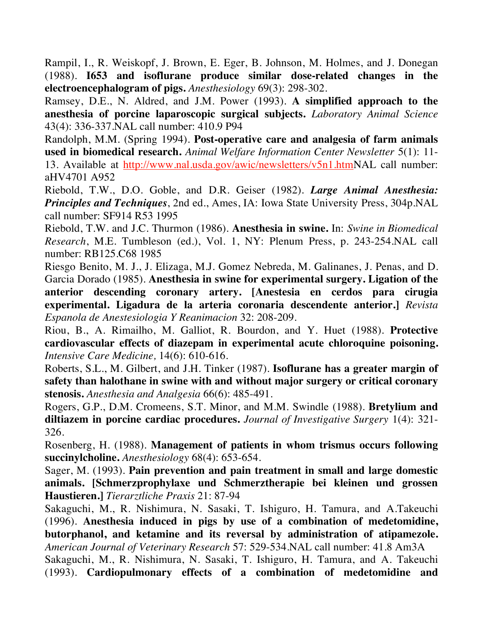Rampil, I., R. Weiskopf, J. Brown, E. Eger, B. Johnson, M. Holmes, and J. Donegan (1988). **I653 and isoflurane produce similar dose-related changes in the electroencephalogram of pigs.** *Anesthesiology* 69(3): 298-302.

Ramsey, D.E., N. Aldred, and J.M. Power (1993). **A simplified approach to the anesthesia of porcine laparoscopic surgical subjects.** *Laboratory Animal Science*  43(4): 336-337.NAL call number: 410.9 P94

Randolph, M.M. (Spring 1994). **Post-operative care and analgesia of farm animals used in biomedical research.** *Animal Welfare Information Center Newsletter* 5(1): 11- 13. Available at http://www.nal.usda.gov/awic/newsletters/v5n1.htmNAL call number: aHV4701 A952

Riebold, T.W., D.O. Goble, and D.R. Geiser (1982). *Large Animal Anesthesia: Principles and Techniques*, 2nd ed., Ames, IA: Iowa State University Press, 304p.NAL call number: SF914 R53 1995

Riebold, T.W. and J.C. Thurmon (1986). **Anesthesia in swine.** In: *Swine in Biomedical Research*, M.E. Tumbleson (ed.), Vol. 1, NY: Plenum Press, p. 243-254.NAL call number: RB125.C68 1985

Riesgo Benito, M. J., J. Elizaga, M.J. Gomez Nebreda, M. Galinanes, J. Penas, and D. Garcia Dorado (1985). **Anesthesia in swine for experimental surgery. Ligation of the anterior descending coronary artery. [Anestesia en cerdos para cirugia experimental. Ligadura de la arteria coronaria descendente anterior.]** *Revista Espanola de Anestesiologia Y Reanimacion* 32: 208-209.

Riou, B., A. Rimailho, M. Galliot, R. Bourdon, and Y. Huet (1988). **Protective cardiovascular effects of diazepam in experimental acute chloroquine poisoning.**  *Intensive Care Medicine,* 14(6): 610-616.

Roberts, S.L., M. Gilbert, and J.H. Tinker (1987). **Isoflurane has a greater margin of safety than halothane in swine with and without major surgery or critical coronary stenosis.** *Anesthesia and Analgesia* 66(6): 485-491.

Rogers, G.P., D.M. Cromeens, S.T. Minor, and M.M. Swindle (1988). **Bretylium and diltiazem in porcine cardiac procedures.** *Journal of Investigative Surgery* 1(4): 321- 326.

Rosenberg, H. (1988). **Management of patients in whom trismus occurs following succinylcholine.** *Anesthesiology* 68(4): 653-654.

Sager, M. (1993). **Pain prevention and pain treatment in small and large domestic animals. [Schmerzprophylaxe und Schmerztherapie bei kleinen und grossen Haustieren.]** *Tierarztliche Praxis* 21: 87-94

Sakaguchi, M., R. Nishimura, N. Sasaki, T. Ishiguro, H. Tamura, and A.Takeuchi (1996). **Anesthesia induced in pigs by use of a combination of medetomidine, butorphanol, and ketamine and its reversal by administration of atipamezole.**  *American Journal of Veterinary Research* 57: 529-534.NAL call number: 41.8 Am3A

Sakaguchi, M., R. Nishimura, N. Sasaki, T. Ishiguro, H. Tamura, and A. Takeuchi (1993). **Cardiopulmonary effects of a combination of medetomidine and**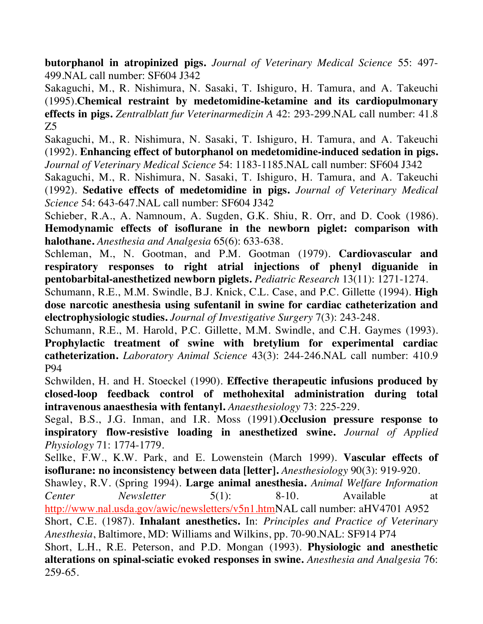**butorphanol in atropinized pigs.** *Journal of Veterinary Medical Science* 55: 497- 499.NAL call number: SF604 J342

Sakaguchi, M., R. Nishimura, N. Sasaki, T. Ishiguro, H. Tamura, and A. Takeuchi (1995).**Chemical restraint by medetomidine-ketamine and its cardiopulmonary effects in pigs.** *Zentralblatt fur Veterinarmedizin A* 42: 293-299.NAL call number: 41.8 Z5

Sakaguchi, M., R. Nishimura, N. Sasaki, T. Ishiguro, H. Tamura, and A. Takeuchi (1992). **Enhancing effect of butorphanol on medetomidine-induced sedation in pigs.**  *Journal of Veterinary Medical Science* 54: 1183-1185.NAL call number: SF604 J342

Sakaguchi, M., R. Nishimura, N. Sasaki, T. Ishiguro, H. Tamura, and A. Takeuchi (1992). **Sedative effects of medetomidine in pigs.** *Journal of Veterinary Medical Science* 54: 643-647.NAL call number: SF604 J342

Schieber, R.A., A. Namnoum, A. Sugden, G.K. Shiu, R. Orr, and D. Cook (1986). **Hemodynamic effects of isoflurane in the newborn piglet: comparison with halothane.** *Anesthesia and Analgesia* 65(6): 633-638.

Schleman, M., N. Gootman, and P.M. Gootman (1979). **Cardiovascular and respiratory responses to right atrial injections of phenyl diguanide in pentobarbital-anesthetized newborn piglets.** *Pediatric Research* 13(11): 1271-1274.

Schumann, R.E., M.M. Swindle, B.J. Knick, C.L. Case, and P.C. Gillette (1994). **High dose narcotic anesthesia using sufentanil in swine for cardiac catheterization and electrophysiologic studies.** *Journal of Investigative Surgery* 7(3): 243-248.

Schumann, R.E., M. Harold, P.C. Gillette, M.M. Swindle, and C.H. Gaymes (1993). **Prophylactic treatment of swine with bretylium for experimental cardiac catheterization.** *Laboratory Animal Science* 43(3): 244-246.NAL call number: 410.9 P94

Schwilden, H. and H. Stoeckel (1990). **Effective therapeutic infusions produced by closed-loop feedback control of methohexital administration during total intravenous anaesthesia with fentanyl.** *Anaesthesiology* 73: 225-229.

Segal, B.S., J.G. Inman, and I.R. Moss (1991).**Occlusion pressure response to inspiratory flow-resistive loading in anesthetized swine.** *Journal of Applied Physiology* 71: 1774-1779.

Sellke, F.W., K.W. Park, and E. Lowenstein (March 1999). **Vascular effects of isoflurane: no inconsistency between data [letter].** *Anesthesiology* 90(3): 919-920.

Shawley, R.V. (Spring 1994). **Large animal anesthesia.** *Animal Welfare Information Center Newsletter* 5(1): 8-10. Available at http://www.nal.usda.gov/awic/newsletters/v5n1.htmNAL call number: aHV4701 A952

Short, C.E. (1987). **Inhalant anesthetics.** In: *Principles and Practice of Veterinary Anesthesia*, Baltimore, MD: Williams and Wilkins, pp. 70-90.NAL: SF914 P74

Short, L.H., R.E. Peterson, and P.D. Mongan (1993). **Physiologic and anesthetic alterations on spinal-sciatic evoked responses in swine.** *Anesthesia and Analgesia* 76: 259-65.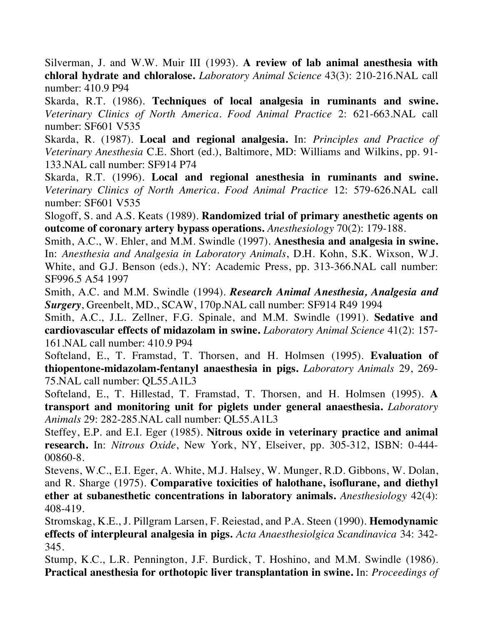Silverman, J. and W.W. Muir III (1993). **A review of lab animal anesthesia with chloral hydrate and chloralose.** *Laboratory Animal Science* 43(3): 210-216.NAL call number: 410.9 P94

Skarda, R.T. (1986). **Techniques of local analgesia in ruminants and swine.**  *Veterinary Clinics of North America. Food Animal Practice* 2: 621-663.NAL call number: SF601 V535

Skarda, R. (1987). **Local and regional analgesia.** In: *Principles and Practice of Veterinary Anesthesia* C.E. Short (ed.), Baltimore, MD: Williams and Wilkins, pp. 91- 133.NAL call number: SF914 P74

Skarda, R.T. (1996). **Local and regional anesthesia in ruminants and swine.**  *Veterinary Clinics of North America. Food Animal Practice* 12: 579-626.NAL call number: SF601 V535

Slogoff, S. and A.S. Keats (1989). **Randomized trial of primary anesthetic agents on outcome of coronary artery bypass operations.** *Anesthesiology* 70(2): 179-188.

Smith, A.C., W. Ehler, and M.M. Swindle (1997). **Anesthesia and analgesia in swine.** In: *Anesthesia and Analgesia in Laboratory Animals*, D.H. Kohn, S.K. Wixson, W.J. White, and G.J. Benson (eds.), NY: Academic Press, pp. 313-366.NAL call number: SF996.5 A54 1997

Smith, A.C. and M.M. Swindle (1994). *Research Animal Anesthesia, Analgesia and Surgery*, Greenbelt, MD., SCAW, 170p.NAL call number: SF914 R49 1994

Smith, A.C., J.L. Zellner, F.G. Spinale, and M.M. Swindle (1991). **Sedative and cardiovascular effects of midazolam in swine.** *Laboratory Animal Science* 41(2): 157- 161.NAL call number: 410.9 P94

Softeland, E., T. Framstad, T. Thorsen, and H. Holmsen (1995). **Evaluation of thiopentone-midazolam-fentanyl anaesthesia in pigs.** *Laboratory Animals* 29, 269- 75.NAL call number: QL55.A1L3

Softeland, E., T. Hillestad, T. Framstad, T. Thorsen, and H. Holmsen (1995). **A transport and monitoring unit for piglets under general anaesthesia.** *Laboratory Animals* 29: 282-285.NAL call number: QL55.A1L3

Steffey, E.P. and E.I. Eger (1985). **Nitrous oxide in veterinary practice and animal research.** In: *Nitrous Oxide*, New York, NY, Elseiver, pp. 305-312, ISBN: 0-444- 00860-8.

Stevens, W.C., E.I. Eger, A. White, M.J. Halsey, W. Munger, R.D. Gibbons, W. Dolan, and R. Sharge (1975). **Comparative toxicities of halothane, isoflurane, and diethyl ether at subanesthetic concentrations in laboratory animals.** *Anesthesiology* 42(4): 408-419.

Stromskag, K.E., J. Pillgram Larsen, F. Reiestad, and P.A. Steen (1990). **Hemodynamic effects of interpleural analgesia in pigs.** *Acta Anaesthesiolgica Scandinavica* 34: 342- 345.

Stump, K.C., L.R. Pennington, J.F. Burdick, T. Hoshino, and M.M. Swindle (1986). **Practical anesthesia for orthotopic liver transplantation in swine.** In: *Proceedings of*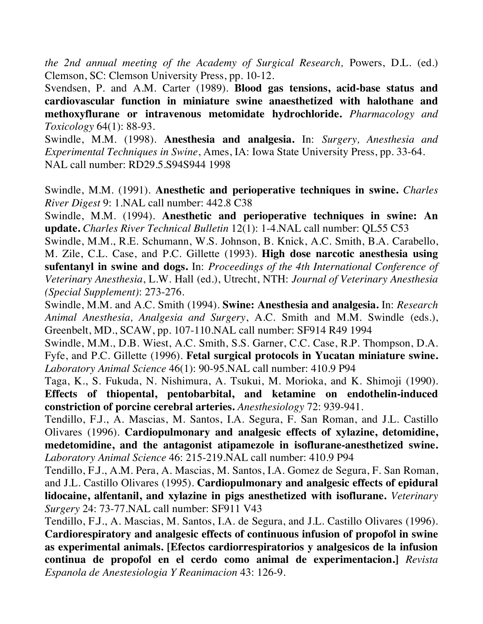*the 2nd annual meeting of the Academy of Surgical Research,* Powers, D.L. (ed.) Clemson, SC: Clemson University Press, pp. 10-12.

Svendsen, P. and A.M. Carter (1989). **Blood gas tensions, acid-base status and cardiovascular function in miniature swine anaesthetized with halothane and methoxyflurane or intravenous metomidate hydrochloride.** *Pharmacology and Toxicology* 64(1): 88-93.

Swindle, M.M. (1998). **Anesthesia and analgesia.** In: *Surgery, Anesthesia and Experimental Techniques in Swine*, Ames, IA: Iowa State University Press, pp. 33-64. NAL call number: RD29.5.S94S944 1998

Swindle, M.M. (1991). **Anesthetic and perioperative techniques in swine.** *Charles River Digest* 9: 1.NAL call number: 442.8 C38

Swindle, M.M. (1994). **Anesthetic and perioperative techniques in swine: An update.** *Charles River Technical Bulletin* 12(1): 1-4.NAL call number: QL55 C53

Swindle, M.M., R.E. Schumann, W.S. Johnson, B. Knick, A.C. Smith, B.A. Carabello, M. Zile, C.L. Case, and P.C. Gillette (1993). **High dose narcotic anesthesia using sufentanyl in swine and dogs.** In: *Proceedings of the 4th International Conference of Veterinary Anesthesia*, L.W. Hall (ed.), Utrecht, NTH: *Journal of Veterinary Anesthesia (Special Supplement)*: 273-276.

Swindle, M.M. and A.C. Smith (1994). **Swine: Anesthesia and analgesia.** In: *Research Animal Anesthesia, Analgesia and Surgery*, A.C. Smith and M.M. Swindle (eds.), Greenbelt, MD., SCAW, pp. 107-110.NAL call number: SF914 R49 1994

Swindle, M.M., D.B. Wiest, A.C. Smith, S.S. Garner, C.C. Case, R.P. Thompson, D.A. Fyfe, and P.C. Gillette (1996). **Fetal surgical protocols in Yucatan miniature swine.**  *Laboratory Animal Science* 46(1): 90-95.NAL call number: 410.9 P94

Taga, K., S. Fukuda, N. Nishimura, A. Tsukui, M. Morioka, and K. Shimoji (1990). **Effects of thiopental, pentobarbital, and ketamine on endothelin-induced constriction of porcine cerebral arteries.** *Anesthesiology* 72: 939-941.

Tendillo, F.J., A. Mascias, M. Santos, I.A. Segura, F. San Roman, and J.L. Castillo Olivares (1996). **Cardiopulmonary and analgesic effects of xylazine, detomidine, medetomidine, and the antagonist atipamezole in isoflurane-anesthetized swine.**  *Laboratory Animal Science* 46: 215-219.NAL call number: 410.9 P94

Tendillo, F.J., A.M. Pera, A. Mascias, M. Santos, I.A. Gomez de Segura, F. San Roman, and J.L. Castillo Olivares (1995). **Cardiopulmonary and analgesic effects of epidural lidocaine, alfentanil, and xylazine in pigs anesthetized with isoflurane.** *Veterinary Surgery* 24: 73-77.NAL call number: SF911 V43

Tendillo, F.J., A. Mascias, M. Santos, I.A. de Segura, and J.L. Castillo Olivares (1996). **Cardiorespiratory and analgesic effects of continuous infusion of propofol in swine as experimental animals. [Efectos cardiorrespiratorios y analgesicos de la infusion continua de propofol en el cerdo como animal de experimentacion.]** *Revista Espanola de Anestesiologia Y Reanimacion* 43: 126-9.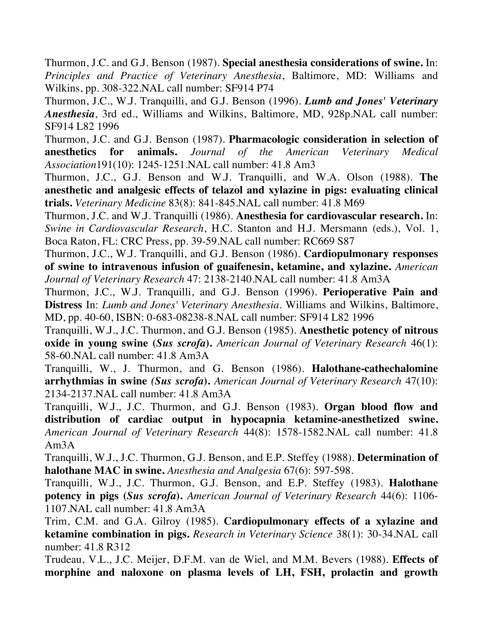Thurmon, J.C. and G.J. Benson (1987). **Special anesthesia considerations of swine.** In: *Principles and Practice of Veterinary Anesthesia*, Baltimore, MD: Williams and Wilkins, pp. 308-322.NAL call number: SF914 P74

Thurmon, J.C., W.J. Tranquilli, and G.J. Benson (1996). *Lumb and Jones' Veterinary Anesthesia*, 3rd ed., Williams and Wilkins, Baltimore, MD, 928p.NAL call number: SF914 L82 1996

Thurmon, J.C. and G.J. Benson (1987). **Pharmacologic consideration in selection of anesthetics for animals.** *Journal of the American Veterinary Medical Association*191(10): 1245-1251.NAL call number: 41.8 Am3

Thurmon, J.C., G.J. Benson and W.J. Tranquilli, and W.A. Olson (1988). **The anesthetic and analgesic effects of telazol and xylazine in pigs: evaluating clinical trials.** *Veterinary Medicine* 83(8): 841-845.NAL call number: 41.8 M69

Thurmon, J.C. and W.J. Tranquilli (1986). **Anesthesia for cardiovascular research.** In: *Swine in Cardiovascular Research*, H.C. Stanton and H.J. Mersmann (eds.), Vol. 1, Boca Raton, FL: CRC Press, pp. 39-59.NAL call number: RC669 S87

Thurmon, J.C., W.J. Tranquilli, and G.J. Benson (1986). **Cardiopulmonary responses of swine to intravenous infusion of guaifenesin, ketamine, and xylazine.** *American Journal of Veterinary Research* 47: 2138-2140.NAL call number: 41.8 Am3A

Thurmon, J.C., W.J. Tranquilli, and G.J. Benson (1996). **Perioperative Pain and Distress** In: *Lumb and Jones' Veterinary Anesthesia*. Williams and Wilkins, Baltimore, MD, pp. 40-60, ISBN: 0-683-08238-8.NAL call number: SF914 L82 1996

Tranquilli, W.J., J.C. Thurmon, and G.J. Benson (1985). **Anesthetic potency of nitrous oxide in young swine (***Sus scrofa***).** *American Journal of Veterinary Research* 46(1): 58-60.NAL call number: 41.8 Am3A

Tranquilli, W., J. Thurmon, and G. Benson (1986). **Halothane-cathechalomine arrhythmias in swine** *(Sus scrofa***).** *American Journal of Veterinary Research* 47(10): 2134-2137.NAL call number: 41.8 Am3A

Tranquilli, W.J., J.C. Thurmon, and G.J. Benson (1983). **Organ blood flow and distribution of cardiac output in hypocapnia ketamine-anesthetized swine.**  *American Journal of Veterinary Research* 44(8): 1578-1582.NAL call number: 41.8 Am3A

Tranquilli, W.J., J.C. Thurmon, G.J. Benson, and E.P. Steffey (1988). **Determination of halothane MAC in swine.** *Anesthesia and Analgesia* 67(6): 597-598.

Tranquilli, W.J., J.C. Thurmon, G.J. Benson, and E.P. Steffey (1983). **Halothane potency in pigs (***Sus scrofa***).** *American Journal of Veterinary Research* 44(6): 1106- 1107.NAL call number: 41.8 Am3A

Trim, C.M. and G.A. Gilroy (1985). **Cardiopulmonary effects of a xylazine and ketamine combination in pigs.** *Research in Veterinary Science* 38(1): 30-34.NAL call number: 41.8 R312

Trudeau, V.L., J.C. Meijer, D.F.M. van de Wiel, and M.M. Bevers (1988). **Effects of morphine and naloxone on plasma levels of LH, FSH, prolactin and growth**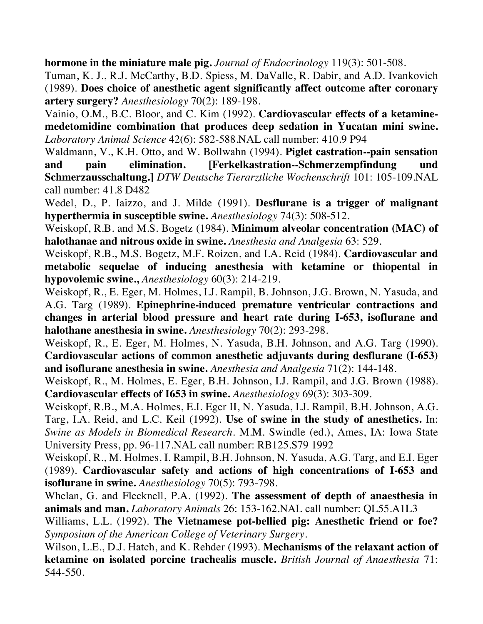**hormone in the miniature male pig.** *Journal of Endocrinology* 119(3): 501-508.

Tuman, K. J., R.J. McCarthy, B.D. Spiess, M. DaValle, R. Dabir, and A.D. Ivankovich (1989). **Does choice of anesthetic agent significantly affect outcome after coronary artery surgery?** *Anesthesiology* 70(2): 189-198.

Vainio, O.M., B.C. Bloor, and C. Kim (1992). **Cardiovascular effects of a ketaminemedetomidine combination that produces deep sedation in Yucatan mini swine.** *Laboratory Animal Science* 42(6): 582-588.NAL call number: 410.9 P94

Waldmann, V., K.H. Otto, and W. Bollwahn (1994). **Piglet castration--pain sensation and pain elimination. [Ferkelkastration--Schmerzempfindung und Schmerzausschaltung.]** *DTW Deutsche Tierarztliche Wochenschrift* 101: 105-109.NAL call number: 41.8 D482

Wedel, D., P. Iaizzo, and J. Milde (1991). **Desflurane is a trigger of malignant hyperthermia in susceptible swine.** *Anesthesiology* 74(3): 508-512.

Weiskopf, R.B. and M.S. Bogetz (1984). **Minimum alveolar concentration (MAC) of halothanae and nitrous oxide in swine.** *Anesthesia and Analgesia* 63: 529.

Weiskopf, R.B., M.S. Bogetz, M.F. Roizen, and I.A. Reid (1984). **Cardiovascular and metabolic sequelae of inducing anesthesia with ketamine or thiopental in hypovolemic swine.,** *Anesthesiology* 60(3): 214-219.

Weiskopf, R., E. Eger, M. Holmes, I.J. Rampil, B. Johnson, J.G. Brown, N. Yasuda, and A.G. Targ (1989). **Epinephrine-induced premature ventricular contractions and changes in arterial blood pressure and heart rate during I-653, isoflurane and halothane anesthesia in swine.** *Anesthesiology* 70(2): 293-298.

Weiskopf, R., E. Eger, M. Holmes, N. Yasuda, B.H. Johnson, and A.G. Targ (1990). **Cardiovascular actions of common anesthetic adjuvants during desflurane (I-653) and isoflurane anesthesia in swine.** *Anesthesia and Analgesia* 71(2): 144-148.

Weiskopf, R., M. Holmes, E. Eger, B.H. Johnson, I.J. Rampil, and J.G. Brown (1988). **Cardiovascular effects of I653 in swine.** *Anesthesiology* 69(3): 303-309.

Weiskopf, R.B., M.A. Holmes, E.I. Eger II, N. Yasuda, I.J. Rampil, B.H. Johnson, A.G. Targ, I.A. Reid, and L.C. Keil (1992). **Use of swine in the study of anesthetics.** In: *Swine as Models in Biomedical Research*. M.M. Swindle (ed.), Ames, IA: Iowa State University Press, pp. 96-117.NAL call number: RB125.S79 1992

Weiskopf, R., M. Holmes, I. Rampil, B.H. Johnson, N. Yasuda, A.G. Targ, and E.I. Eger (1989). **Cardiovascular safety and actions of high concentrations of I-653 and isoflurane in swine.** *Anesthesiology* 70(5): 793-798.

Whelan, G. and Flecknell, P.A. (1992). **The assessment of depth of anaesthesia in animals and man.** *Laboratory Animals* 26: 153-162.NAL call number: QL55.A1L3

Williams, L.L. (1992). **The Vietnamese pot-bellied pig: Anesthetic friend or foe?** *Symposium of the American College of Veterinary Surgery*.

Wilson, L.E., D.J. Hatch, and K. Rehder (1993). **Mechanisms of the relaxant action of ketamine on isolated porcine trachealis muscle.** *British Journal of Anaesthesia* 71: 544-550.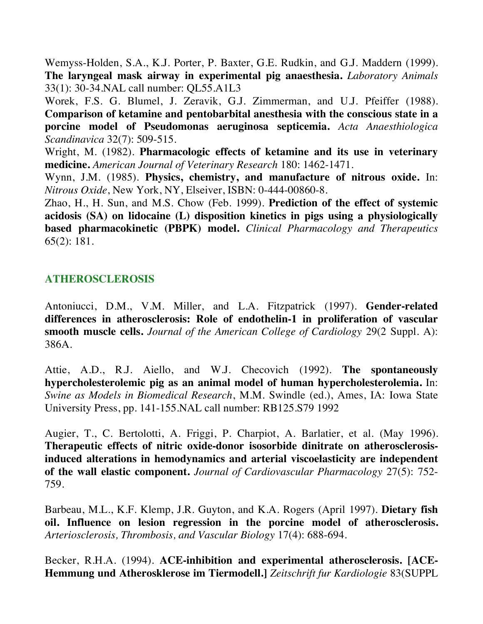Wemyss-Holden, S.A., K.J. Porter, P. Baxter, G.E. Rudkin, and G.J. Maddern (1999). **The laryngeal mask airway in experimental pig anaesthesia.** *Laboratory Animals* 33(1): 30-34.NAL call number: QL55.A1L3

Worek, F.S. G. Blumel, J. Zeravik, G.J. Zimmerman, and U.J. Pfeiffer (1988). **Comparison of ketamine and pentobarbital anesthesia with the conscious state in a porcine model of Pseudomonas aeruginosa septicemia.** *Acta Anaesthiologica Scandinavica* 32(7): 509-515.

Wright, M. (1982). **Pharmacologic effects of ketamine and its use in veterinary medicine.** *American Journal of Veterinary Research* 180: 1462-1471.

Wynn, J.M. (1985). **Physics, chemistry, and manufacture of nitrous oxide.** In: *Nitrous Oxide*, New York, NY, Elseiver, ISBN: 0-444-00860-8.

Zhao, H., H. Sun, and M.S. Chow (Feb. 1999). **Prediction of the effect of systemic acidosis (SA) on lidocaine (L) disposition kinetics in pigs using a physiologically based pharmacokinetic (PBPK) model.** *Clinical Pharmacology and Therapeutics* 65(2): 181.

### **ATHEROSCLEROSIS**

Antoniucci, D.M., V.M. Miller, and L.A. Fitzpatrick (1997). **Gender-related differences in atherosclerosis: Role of endothelin-1 in proliferation of vascular smooth muscle cells.** *Journal of the American College of Cardiology* 29(2 Suppl. A): 386A.

Attie, A.D., R.J. Aiello, and W.J. Checovich (1992). **The spontaneously hypercholesterolemic pig as an animal model of human hypercholesterolemia.** In: *Swine as Models in Biomedical Research*, M.M. Swindle (ed.), Ames, IA: Iowa State University Press, pp. 141-155.NAL call number: RB125.S79 1992

Augier, T., C. Bertolotti, A. Friggi, P. Charpiot, A. Barlatier, et al. (May 1996). **Therapeutic effects of nitric oxide-donor isosorbide dinitrate on atherosclerosisinduced alterations in hemodynamics and arterial viscoelasticity are independent of the wall elastic component.** *Journal of Cardiovascular Pharmacology* 27(5): 752- 759.

Barbeau, M.L., K.F. Klemp, J.R. Guyton, and K.A. Rogers (April 1997). **Dietary fish oil. Influence on lesion regression in the porcine model of atherosclerosis.** *Arteriosclerosis, Thrombosis, and Vascular Biology* 17(4): 688-694.

Becker, R.H.A. (1994). **ACE-inhibition and experimental atherosclerosis. [ACE-Hemmung und Atherosklerose im Tiermodell.]** *Zeitschrift fur Kardiologie* 83(SUPPL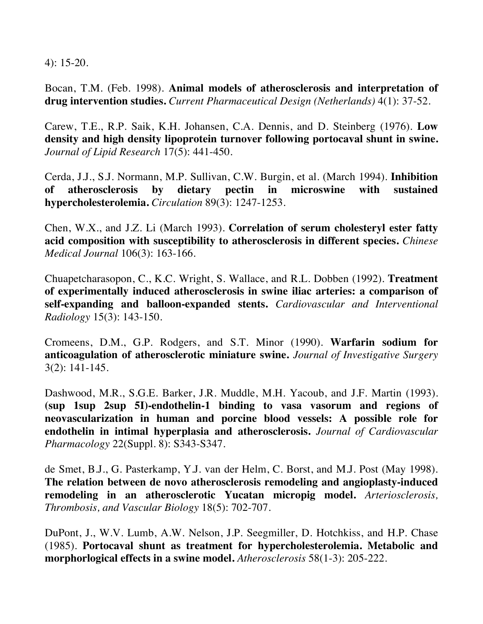4): 15-20.

Bocan, T.M. (Feb. 1998). **Animal models of atherosclerosis and interpretation of drug intervention studies.** *Current Pharmaceutical Design (Netherlands)* 4(1): 37-52.

Carew, T.E., R.P. Saik, K.H. Johansen, C.A. Dennis, and D. Steinberg (1976). **Low density and high density lipoprotein turnover following portocaval shunt in swine.**  *Journal of Lipid Research* 17(5): 441-450.

Cerda, J.J., S.J. Normann, M.P. Sullivan, C.W. Burgin, et al. (March 1994). **Inhibition of atherosclerosis by dietary pectin in microswine with sustained hypercholesterolemia.** *Circulation* 89(3): 1247-1253.

Chen, W.X., and J.Z. Li (March 1993). **Correlation of serum cholesteryl ester fatty acid composition with susceptibility to atherosclerosis in different species.** *Chinese Medical Journal* 106(3): 163-166.

Chuapetcharasopon, C., K.C. Wright, S. Wallace, and R.L. Dobben (1992). **Treatment of experimentally induced atherosclerosis in swine iliac arteries: a comparison of self-expanding and balloon-expanded stents.** *Cardiovascular and Interventional Radiology* 15(3): 143-150.

Cromeens, D.M., G.P. Rodgers, and S.T. Minor (1990). **Warfarin sodium for anticoagulation of atherosclerotic miniature swine.** *Journal of Investigative Surgery* 3(2): 141-145.

Dashwood, M.R., S.G.E. Barker, J.R. Muddle, M.H. Yacoub, and J.F. Martin (1993). **(sup 1sup 2sup 5I)-endothelin-1 binding to vasa vasorum and regions of neovascularization in human and porcine blood vessels: A possible role for endothelin in intimal hyperplasia and atherosclerosis.** *Journal of Cardiovascular Pharmacology* 22(Suppl. 8): S343-S347.

de Smet, B.J., G. Pasterkamp, Y.J. van der Helm, C. Borst, and M.J. Post (May 1998). **The relation between de novo atherosclerosis remodeling and angioplasty-induced remodeling in an atherosclerotic Yucatan micropig model.** *Arteriosclerosis, Thrombosis, and Vascular Biology* 18(5): 702-707.

DuPont, J., W.V. Lumb, A.W. Nelson, J.P. Seegmiller, D. Hotchkiss, and H.P. Chase (1985). **Portocaval shunt as treatment for hypercholesterolemia. Metabolic and morphorlogical effects in a swine model.** *Atherosclerosis* 58(1-3): 205-222.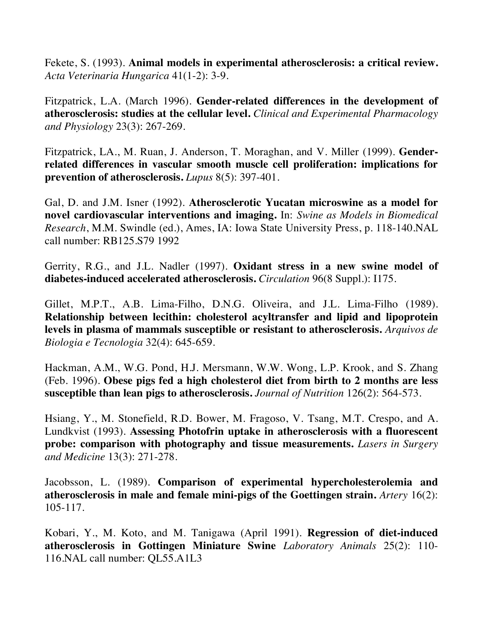Fekete, S. (1993). **Animal models in experimental atherosclerosis: a critical review.** *Acta Veterinaria Hungarica* 41(1-2): 3-9.

Fitzpatrick, L.A. (March 1996). **Gender-related differences in the development of atherosclerosis: studies at the cellular level.** *Clinical and Experimental Pharmacology and Physiology* 23(3): 267-269.

Fitzpatrick, LA., M. Ruan, J. Anderson, T. Moraghan, and V. Miller (1999). **Genderrelated differences in vascular smooth muscle cell proliferation: implications for prevention of atherosclerosis.** *Lupus* 8(5): 397-401.

Gal, D. and J.M. Isner (1992). **Atherosclerotic Yucatan microswine as a model for novel cardiovascular interventions and imaging.** In: *Swine as Models in Biomedical Research*, M.M. Swindle (ed.), Ames, IA: Iowa State University Press, p. 118-140.NAL call number: RB125.S79 1992

Gerrity, R.G., and J.L. Nadler (1997). **Oxidant stress in a new swine model of diabetes-induced accelerated atherosclerosis.** *Circulation* 96(8 Suppl.): I175.

Gillet, M.P.T., A.B. Lima-Filho, D.N.G. Oliveira, and J.L. Lima-Filho (1989). **Relationship between lecithin: cholesterol acyltransfer and lipid and lipoprotein levels in plasma of mammals susceptible or resistant to atherosclerosis.** *Arquivos de Biologia e Tecnologia* 32(4): 645-659.

Hackman, A.M., W.G. Pond, H.J. Mersmann, W.W. Wong, L.P. Krook, and S. Zhang (Feb. 1996). **Obese pigs fed a high cholesterol diet from birth to 2 months are less susceptible than lean pigs to atherosclerosis.** *Journal of Nutrition* 126(2): 564-573.

Hsiang, Y., M. Stonefield, R.D. Bower, M. Fragoso, V. Tsang, M.T. Crespo, and A. Lundkvist (1993). **Assessing Photofrin uptake in atherosclerosis with a fluorescent probe: comparison with photography and tissue measurements.** *Lasers in Surgery and Medicine* 13(3): 271-278.

Jacobsson, L. (1989). **Comparison of experimental hypercholesterolemia and atherosclerosis in male and female mini-pigs of the Goettingen strain.** *Artery* 16(2): 105-117.

Kobari, Y., M. Koto, and M. Tanigawa (April 1991). **Regression of diet-induced atherosclerosis in Gottingen Miniature Swine** *Laboratory Animals* 25(2): 110- 116.NAL call number: QL55.A1L3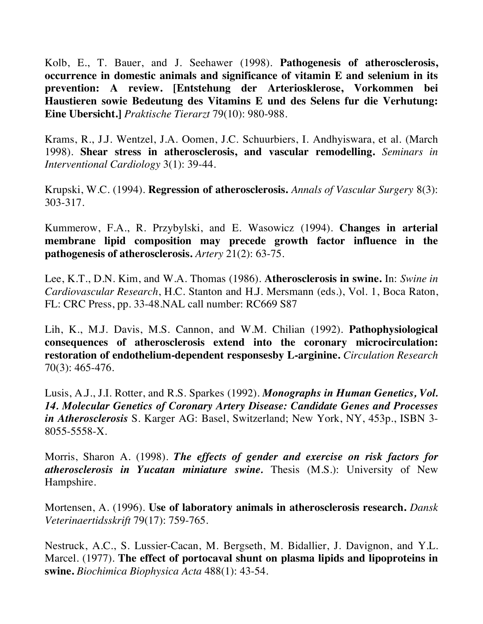Kolb, E., T. Bauer, and J. Seehawer (1998). **Pathogenesis of atherosclerosis, occurrence in domestic animals and significance of vitamin E and selenium in its prevention: A review. [Entstehung der Arteriosklerose, Vorkommen bei Haustieren sowie Bedeutung des Vitamins E und des Selens fur die Verhutung: Eine Ubersicht.]** *Praktische Tierarzt* 79(10): 980-988.

Krams, R., J.J. Wentzel, J.A. Oomen, J.C. Schuurbiers, I. Andhyiswara, et al. (March 1998). **Shear stress in atherosclerosis, and vascular remodelling.** *Seminars in Interventional Cardiology* 3(1): 39-44.

Krupski, W.C. (1994). **Regression of atherosclerosis.** *Annals of Vascular Surgery* 8(3): 303-317.

Kummerow, F.A., R. Przybylski, and E. Wasowicz (1994). **Changes in arterial membrane lipid composition may precede growth factor influence in the pathogenesis of atherosclerosis.** *Artery* 21(2): 63-75.

Lee, K.T., D.N. Kim, and W.A. Thomas (1986). **Atherosclerosis in swine.** In: *Swine in Cardiovascular Research*, H.C. Stanton and H.J. Mersmann (eds.), Vol. 1, Boca Raton, FL: CRC Press, pp. 33-48.NAL call number: RC669 S87

Lih, K., M.J. Davis, M.S. Cannon, and W.M. Chilian (1992). **Pathophysiological consequences of atherosclerosis extend into the coronary microcirculation: restoration of endothelium-dependent responsesby L-arginine.** *Circulation Research* 70(3): 465-476.

Lusis, A.J., J.I. Rotter, and R.S. Sparkes (1992). *Monographs in Human Genetics, Vol. 14. Molecular Genetics of Coronary Artery Disease: Candidate Genes and Processes in Atherosclerosis* S. Karger AG: Basel, Switzerland; New York, NY, 453p., ISBN 3- 8055-5558-X.

Morris, Sharon A. (1998). *The effects of gender and exercise on risk factors for atherosclerosis in Yucatan miniature swine.* Thesis (M.S.): University of New Hampshire.

Mortensen, A. (1996). **Use of laboratory animals in atherosclerosis research.** *Dansk Veterinaertidsskrift* 79(17): 759-765.

Nestruck, A.C., S. Lussier-Cacan, M. Bergseth, M. Bidallier, J. Davignon, and Y.L. Marcel. (1977). **The effect of portocaval shunt on plasma lipids and lipoproteins in swine.** *Biochimica Biophysica Acta* 488(1): 43-54.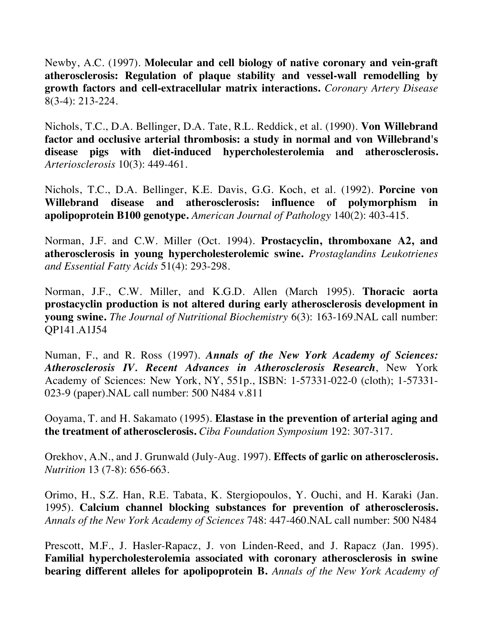Newby, A.C. (1997). **Molecular and cell biology of native coronary and vein-graft atherosclerosis: Regulation of plaque stability and vessel-wall remodelling by growth factors and cell-extracellular matrix interactions.** *Coronary Artery Disease* 8(3-4): 213-224.

Nichols, T.C., D.A. Bellinger, D.A. Tate, R.L. Reddick, et al. (1990). **Von Willebrand factor and occlusive arterial thrombosis: a study in normal and von Willebrand's disease pigs with diet-induced hypercholesterolemia and atherosclerosis.** *Arteriosclerosis* 10(3): 449-461.

Nichols, T.C., D.A. Bellinger, K.E. Davis, G.G. Koch, et al. (1992). **Porcine von Willebrand disease and atherosclerosis: influence of polymorphism in apolipoprotein B100 genotype.** *American Journal of Pathology* 140(2): 403-415.

Norman, J.F. and C.W. Miller (Oct. 1994). **Prostacyclin, thromboxane A2, and atherosclerosis in young hypercholesterolemic swine.** *Prostaglandins Leukotrienes and Essential Fatty Acids* 51(4): 293-298.

Norman, J.F., C.W. Miller, and K.G.D. Allen (March 1995). **Thoracic aorta prostacyclin production is not altered during early atherosclerosis development in young swine.** *The Journal of Nutritional Biochemistry* 6(3): 163-169.NAL call number: QP141.A1J54

Numan, F., and R. Ross (1997). *Annals of the New York Academy of Sciences: Atherosclerosis IV. Recent Advances in Atherosclerosis Research*, New York Academy of Sciences: New York, NY, 551p., ISBN: 1-57331-022-0 (cloth); 1-57331- 023-9 (paper).NAL call number: 500 N484 v.811

Ooyama, T. and H. Sakamato (1995). **Elastase in the prevention of arterial aging and the treatment of atherosclerosis.** *Ciba Foundation Symposium* 192: 307-317.

Orekhov, A.N., and J. Grunwald (July-Aug. 1997). **Effects of garlic on atherosclerosis.**  *Nutrition* 13 (7-8): 656-663.

Orimo, H., S.Z. Han, R.E. Tabata, K. Stergiopoulos, Y. Ouchi, and H. Karaki (Jan. 1995). **Calcium channel blocking substances for prevention of atherosclerosis.**  *Annals of the New York Academy of Sciences* 748: 447-460.NAL call number: 500 N484

Prescott, M.F., J. Hasler-Rapacz, J. von Linden-Reed, and J. Rapacz (Jan. 1995). **Familial hypercholesterolemia associated with coronary atherosclerosis in swine bearing different alleles for apolipoprotein B.** *Annals of the New York Academy of*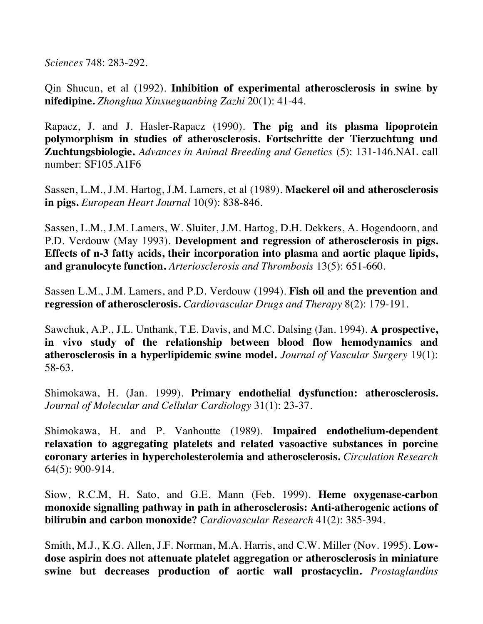*Sciences* 748: 283-292.

Qin Shucun, et al (1992). **Inhibition of experimental atherosclerosis in swine by nifedipine.** *Zhonghua Xinxueguanbing Zazhi* 20(1): 41-44.

Rapacz, J. and J. Hasler-Rapacz (1990). **The pig and its plasma lipoprotein polymorphism in studies of atherosclerosis. Fortschritte der Tierzuchtung und Zuchtungsbiologie.** *Advances in Animal Breeding and Genetics* (5): 131-146.NAL call number: SF105.A1F6

Sassen, L.M., J.M. Hartog, J.M. Lamers, et al (1989). **Mackerel oil and atherosclerosis in pigs.** *European Heart Journal* 10(9): 838-846.

Sassen, L.M., J.M. Lamers, W. Sluiter, J.M. Hartog, D.H. Dekkers, A. Hogendoorn, and P.D. Verdouw (May 1993). **Development and regression of atherosclerosis in pigs. Effects of n-3 fatty acids, their incorporation into plasma and aortic plaque lipids, and granulocyte function.** *Arteriosclerosis and Thrombosis* 13(5): 651-660.

Sassen L.M., J.M. Lamers, and P.D. Verdouw (1994). **Fish oil and the prevention and regression of atherosclerosis.** *Cardiovascular Drugs and Therapy* 8(2): 179-191.

Sawchuk, A.P., J.L. Unthank, T.E. Davis, and M.C. Dalsing (Jan. 1994). **A prospective, in vivo study of the relationship between blood flow hemodynamics and atherosclerosis in a hyperlipidemic swine model.** *Journal of Vascular Surgery* 19(1): 58-63.

Shimokawa, H. (Jan. 1999). **Primary endothelial dysfunction: atherosclerosis.**  *Journal of Molecular and Cellular Cardiology* 31(1): 23-37.

Shimokawa, H. and P. Vanhoutte (1989). **Impaired endothelium-dependent relaxation to aggregating platelets and related vasoactive substances in porcine coronary arteries in hypercholesterolemia and atherosclerosis.** *Circulation Research* 64(5): 900-914.

Siow, R.C.M, H. Sato, and G.E. Mann (Feb. 1999). **Heme oxygenase-carbon monoxide signalling pathway in path in atherosclerosis: Anti-atherogenic actions of bilirubin and carbon monoxide?** *Cardiovascular Research* 41(2): 385-394.

Smith, M.J., K.G. Allen, J.F. Norman, M.A. Harris, and C.W. Miller (Nov. 1995). **Lowdose aspirin does not attenuate platelet aggregation or atherosclerosis in miniature swine but decreases production of aortic wall prostacyclin.** *Prostaglandins*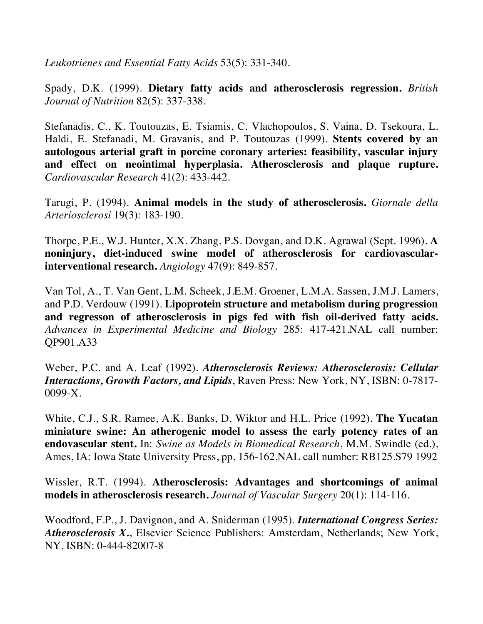*Leukotrienes and Essential Fatty Acids* 53(5): 331-340.

Spady, D.K. (1999). **Dietary fatty acids and atherosclerosis regression.** *British Journal of Nutrition* 82(5): 337-338.

Stefanadis, C., K. Toutouzas, E. Tsiamis, C. Vlachopoulos, S. Vaina, D. Tsekoura, L. Haldi, E. Stefanadi, M. Gravanis, and P. Toutouzas (1999). **Stents covered by an autologous arterial graft in porcine coronary arteries: feasibility, vascular injury and effect on neointimal hyperplasia. Atherosclerosis and plaque rupture.**  *Cardiovascular Research* 41(2): 433-442.

Tarugi, P. (1994). **Animal models in the study of atherosclerosis.** *Giornale della Arteriosclerosi* 19(3): 183-190.

Thorpe, P.E., W.J. Hunter, X.X. Zhang, P.S. Dovgan, and D.K. Agrawal (Sept. 1996). **A noninjury, diet-induced swine model of atherosclerosis for cardiovascularinterventional research.** *Angiology* 47(9): 849-857.

Van Tol, A., T. Van Gent, L.M. Scheek, J.E.M. Groener, L.M.A. Sassen, J.M.J. Lamers, and P.D. Verdouw (1991). **Lipoprotein structure and metabolism during progression and regresson of atherosclerosis in pigs fed with fish oil-derived fatty acids.**  *Advances in Experimental Medicine and Biology* 285: 417-421.NAL call number: QP901.A33

Weber, P.C. and A. Leaf (1992). *Atherosclerosis Reviews: Atherosclerosis: Cellular Interactions, Growth Factors, and Lipids*, Raven Press: New York, NY, ISBN: 0-7817- 0099-X.

White, C.J., S.R. Ramee, A.K. Banks, D. Wiktor and H.L. Price (1992). **The Yucatan miniature swine: An atherogenic model to assess the early potency rates of an endovascular stent.** In: *Swine as Models in Biomedical Research*, M.M. Swindle (ed.), Ames, IA: Iowa State University Press, pp. 156-162.NAL call number: RB125.S79 1992

Wissler, R.T. (1994). **Atherosclerosis: Advantages and shortcomings of animal models in atherosclerosis research.** *Journal of Vascular Surgery* 20(1): 114-116.

Woodford, F.P., J. Davignon, and A. Sniderman (1995). *International Congress Series: Atherosclerosis X.*, Elsevier Science Publishers: Amsterdam, Netherlands; New York, NY, ISBN: 0-444-82007-8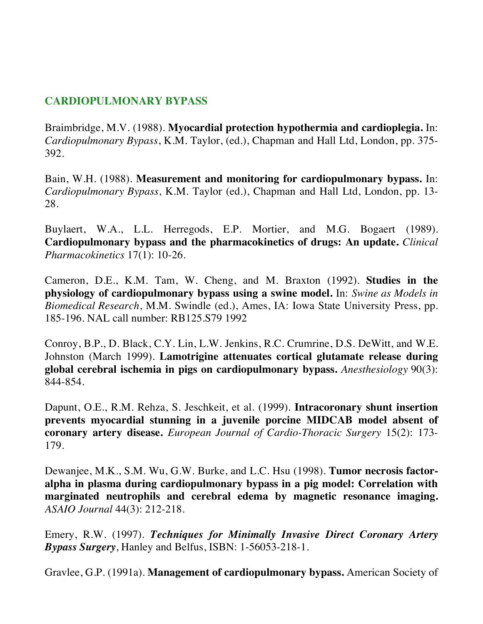# **CARDIOPULMONARY BYPASS**

Braimbridge, M.V. (1988). **Myocardial protection hypothermia and cardioplegia.** In: *Cardiopulmonary Bypass*, K.M. Taylor, (ed.), Chapman and Hall Ltd, London, pp. 375- 392.

Bain, W.H. (1988). **Measurement and monitoring for cardiopulmonary bypass.** In: *Cardiopulmonary Bypass*, K.M. Taylor (ed.), Chapman and Hall Ltd, London, pp. 13- 28.

Buylaert, W.A., L.L. Herregods, E.P. Mortier, and M.G. Bogaert (1989). **Cardiopulmonary bypass and the pharmacokinetics of drugs: An update.** *Clinical Pharmacokinetics* 17(1): 10-26.

Cameron, D.E., K.M. Tam, W. Cheng, and M. Braxton (1992). **Studies in the physiology of cardiopulmonary bypass using a swine model.** In: *Swine as Models in Biomedical Research*, M.M. Swindle (ed.), Ames, IA: Iowa State University Press, pp. 185-196. NAL call number: RB125.S79 1992

Conroy, B.P., D. Black, C.Y. Lin, L.W. Jenkins, R.C. Crumrine, D.S. DeWitt, and W.E. Johnston (March 1999). **Lamotrigine attenuates cortical glutamate release during global cerebral ischemia in pigs on cardiopulmonary bypass.** *Anesthesiology* 90(3): 844-854.

Dapunt, O.E., R.M. Rehza, S. Jeschkeit, et al. (1999). **Intracoronary shunt insertion prevents myocardial stunning in a juvenile porcine MIDCAB model absent of coronary artery disease.** *European Journal of Cardio-Thoracic Surgery* 15(2): 173- 179.

Dewanjee, M.K., S.M. Wu, G.W. Burke, and L.C. Hsu (1998). **Tumor necrosis factoralpha in plasma during cardiopulmonary bypass in a pig model: Correlation with marginated neutrophils and cerebral edema by magnetic resonance imaging.** *ASAIO Journal* 44(3): 212-218.

Emery, R.W. (1997). *Techniques for Minimally Invasive Direct Coronary Artery Bypass Surgery*, Hanley and Belfus, ISBN: 1-56053-218-1.

Gravlee, G.P. (1991a). **Management of cardiopulmonary bypass.** American Society of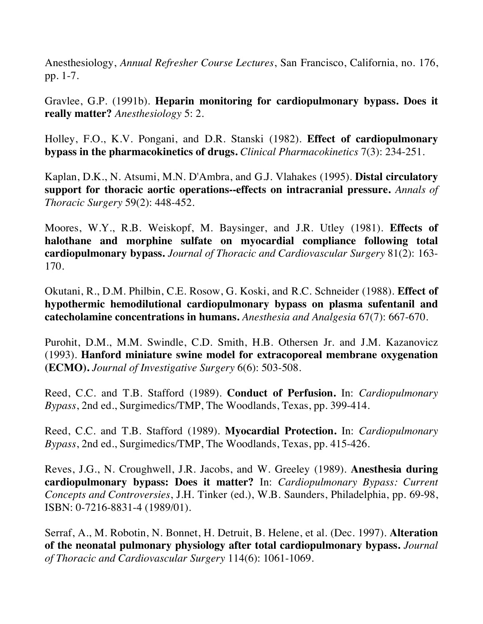Anesthesiology, *Annual Refresher Course Lectures*, San Francisco, California, no. 176, pp. 1-7.

Gravlee, G.P. (1991b). **Heparin monitoring for cardiopulmonary bypass. Does it really matter?** *Anesthesiology* 5: 2.

Holley, F.O., K.V. Pongani, and D.R. Stanski (1982). **Effect of cardiopulmonary bypass in the pharmacokinetics of drugs.** *Clinical Pharmacokinetics* 7(3): 234-251.

Kaplan, D.K., N. Atsumi, M.N. D'Ambra, and G.J. Vlahakes (1995). **Distal circulatory support for thoracic aortic operations--effects on intracranial pressure.** *Annals of Thoracic Surgery* 59(2): 448-452.

Moores, W.Y., R.B. Weiskopf, M. Baysinger, and J.R. Utley (1981). **Effects of halothane and morphine sulfate on myocardial compliance following total cardiopulmonary bypass.** *Journal of Thoracic and Cardiovascular Surgery* 81(2): 163- 170.

Okutani, R., D.M. Philbin, C.E. Rosow, G. Koski, and R.C. Schneider (1988). **Effect of hypothermic hemodilutional cardiopulmonary bypass on plasma sufentanil and catecholamine concentrations in humans.** *Anesthesia and Analgesia* 67(7): 667-670.

Purohit, D.M., M.M. Swindle, C.D. Smith, H.B. Othersen Jr. and J.M. Kazanovicz (1993). **Hanford miniature swine model for extracoporeal membrane oxygenation (ECMO).** *Journal of Investigative Surgery* 6(6): 503-508.

Reed, C.C. and T.B. Stafford (1989). **Conduct of Perfusion.** In: *Cardiopulmonary Bypass*, 2nd ed., Surgimedics/TMP, The Woodlands, Texas, pp. 399-414.

Reed, C.C. and T.B. Stafford (1989). **Myocardial Protection.** In: *Cardiopulmonary Bypass*, 2nd ed., Surgimedics/TMP, The Woodlands, Texas, pp. 415-426.

Reves, J.G., N. Croughwell, J.R. Jacobs, and W. Greeley (1989). **Anesthesia during cardiopulmonary bypass: Does it matter?** In: *Cardiopulmonary Bypass: Current Concepts and Controversies*, J.H. Tinker (ed.), W.B. Saunders, Philadelphia, pp. 69-98, ISBN: 0-7216-8831-4 (1989/01).

Serraf, A., M. Robotin, N. Bonnet, H. Detruit, B. Helene, et al. (Dec. 1997). **Alteration of the neonatal pulmonary physiology after total cardiopulmonary bypass.** *Journal of Thoracic and Cardiovascular Surgery* 114(6): 1061-1069.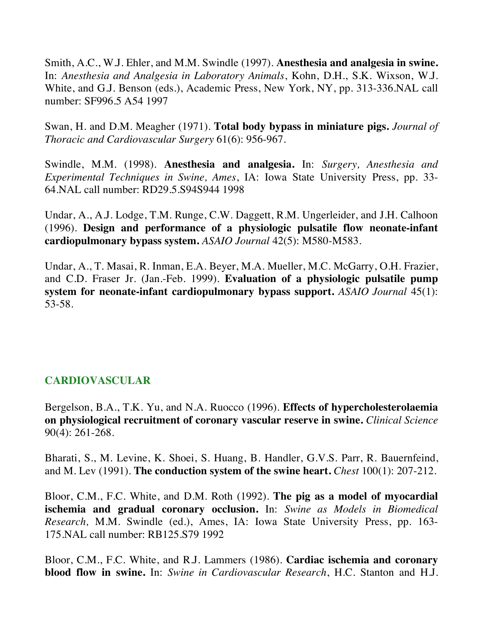Smith, A.C., W.J. Ehler, and M.M. Swindle (1997). **Anesthesia and analgesia in swine.** In: *Anesthesia and Analgesia in Laboratory Animals*, Kohn, D.H., S.K. Wixson, W.J. White, and G.J. Benson (eds.), Academic Press, New York, NY, pp. 313-336.NAL call number: SF996.5 A54 1997

Swan, H. and D.M. Meagher (1971). **Total body bypass in miniature pigs.** *Journal of Thoracic and Cardiovascular Surgery* 61(6): 956-967.

Swindle, M.M. (1998). **Anesthesia and analgesia.** In: *Surgery, Anesthesia and Experimental Techniques in Swine, Ames*, IA: Iowa State University Press, pp. 33- 64.NAL call number: RD29.5.S94S944 1998

Undar, A., A.J. Lodge, T.M. Runge, C.W. Daggett, R.M. Ungerleider, and J.H. Calhoon (1996). **Design and performance of a physiologic pulsatile flow neonate-infant cardiopulmonary bypass system.** *ASAIO Journal* 42(5): M580-M583.

Undar, A., T. Masai, R. Inman, E.A. Beyer, M.A. Mueller, M.C. McGarry, O.H. Frazier, and C.D. Fraser Jr. (Jan.-Feb. 1999). **Evaluation of a physiologic pulsatile pump system for neonate-infant cardiopulmonary bypass support.** *ASAIO Journal* 45(1): 53-58.

### **CARDIOVASCULAR**

Bergelson, B.A., T.K. Yu, and N.A. Ruocco (1996). **Effects of hypercholesterolaemia on physiological recruitment of coronary vascular reserve in swine.** *Clinical Science* 90(4): 261-268.

Bharati, S., M. Levine, K. Shoei, S. Huang, B. Handler, G.V.S. Parr, R. Bauernfeind, and M. Lev (1991). **The conduction system of the swine heart.** *Chest* 100(1): 207-212.

Bloor, C.M., F.C. White, and D.M. Roth (1992). **The pig as a model of myocardial ischemia and gradual coronary occlusion.** In: *Swine as Models in Biomedical Research,* M.M. Swindle (ed.), Ames, IA: Iowa State University Press, pp. 163- 175.NAL call number: RB125.S79 1992

Bloor, C.M., F.C. White, and R.J. Lammers (1986). **Cardiac ischemia and coronary blood flow in swine.** In: *Swine in Cardiovascular Research*, H.C. Stanton and H.J.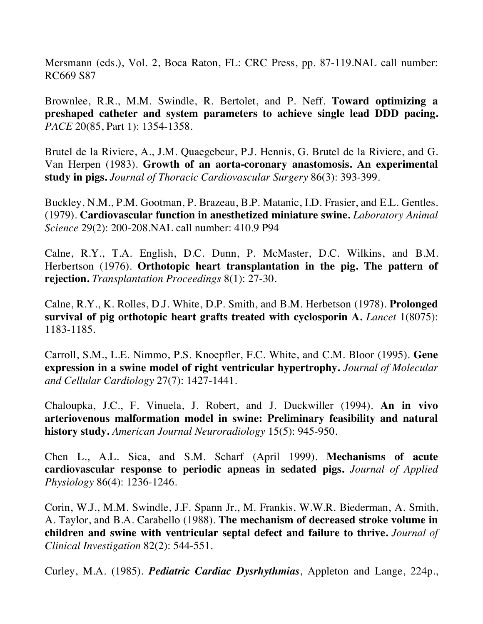Mersmann (eds.), Vol. 2, Boca Raton, FL: CRC Press, pp. 87-119.NAL call number: RC669 S87

Brownlee, R.R., M.M. Swindle, R. Bertolet, and P. Neff. **Toward optimizing a preshaped catheter and system parameters to achieve single lead DDD pacing.**  *PACE* 20(85, Part 1): 1354-1358.

Brutel de la Riviere, A., J.M. Quaegebeur, P.J. Hennis, G. Brutel de la Riviere, and G. Van Herpen (1983). **Growth of an aorta-coronary anastomosis. An experimental study in pigs.** *Journal of Thoracic Cardiovascular Surgery* 86(3): 393-399.

Buckley, N.M., P.M. Gootman, P. Brazeau, B.P. Matanic, I.D. Frasier, and E.L. Gentles. (1979). **Cardiovascular function in anesthetized miniature swine.** *Laboratory Animal Science* 29(2): 200-208.NAL call number: 410.9 P94

Calne, R.Y., T.A. English, D.C. Dunn, P. McMaster, D.C. Wilkins, and B.M. Herbertson (1976). **Orthotopic heart transplantation in the pig. The pattern of rejection.** *Transplantation Proceedings* 8(1): 27-30.

Calne, R.Y., K. Rolles, D.J. White, D.P. Smith, and B.M. Herbetson (1978). **Prolonged survival of pig orthotopic heart grafts treated with cyclosporin A.** *Lancet* 1(8075): 1183-1185.

Carroll, S.M., L.E. Nimmo, P.S. Knoepfler, F.C. White, and C.M. Bloor (1995). **Gene expression in a swine model of right ventricular hypertrophy.** *Journal of Molecular and Cellular Cardiology* 27(7): 1427-1441.

Chaloupka, J.C., F. Vinuela, J. Robert, and J. Duckwiller (1994). **An in vivo arteriovenous malformation model in swine: Preliminary feasibility and natural history study.** *American Journal Neuroradiology* 15(5): 945-950.

Chen L., A.L. Sica, and S.M. Scharf (April 1999). **Mechanisms of acute cardiovascular response to periodic apneas in sedated pigs.** *Journal of Applied Physiology* 86(4): 1236-1246.

Corin, W.J., M.M. Swindle, J.F. Spann Jr., M. Frankis, W.W.R. Biederman, A. Smith, A. Taylor, and B.A. Carabello (1988). **The mechanism of decreased stroke volume in children and swine with ventricular septal defect and failure to thrive.** *Journal of Clinical Investigation* 82(2): 544-551.

Curley, M.A. (1985). *Pediatric Cardiac Dysrhythmias*, Appleton and Lange, 224p.,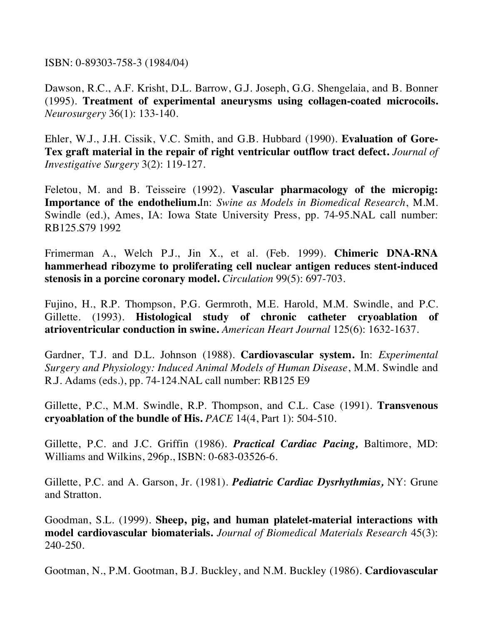ISBN: 0-89303-758-3 (1984/04)

Dawson, R.C., A.F. Krisht, D.L. Barrow, G.J. Joseph, G.G. Shengelaia, and B. Bonner (1995). **Treatment of experimental aneurysms using collagen-coated microcoils.**  *Neurosurgery* 36(1): 133-140.

Ehler, W.J., J.H. Cissik, V.C. Smith, and G.B. Hubbard (1990). **Evaluation of Gore-Tex graft material in the repair of right ventricular outflow tract defect.** *Journal of Investigative Surgery* 3(2): 119-127.

Feletou, M. and B. Teisseire (1992). **Vascular pharmacology of the micropig: Importance of the endothelium.**In: *Swine as Models in Biomedical Research*, M.M. Swindle (ed.), Ames, IA: Iowa State University Press, pp. 74-95.NAL call number: RB125.S79 1992

Frimerman A., Welch P.J., Jin X., et al. (Feb. 1999). **Chimeric DNA-RNA hammerhead ribozyme to proliferating cell nuclear antigen reduces stent-induced stenosis in a porcine coronary model.** *Circulation* 99(5): 697-703.

Fujino, H., R.P. Thompson, P.G. Germroth, M.E. Harold, M.M. Swindle, and P.C. Gillette. (1993). **Histological study of chronic catheter cryoablation of atrioventricular conduction in swine.** *American Heart Journal* 125(6): 1632-1637.

Gardner, T.J. and D.L. Johnson (1988). **Cardiovascular system.** In: *Experimental Surgery and Physiology: Induced Animal Models of Human Disease*, M.M. Swindle and R.J. Adams (eds.), pp. 74-124.NAL call number: RB125 E9

Gillette, P.C., M.M. Swindle, R.P. Thompson, and C.L. Case (1991). **Transvenous cryoablation of the bundle of His.** *PACE* 14(4, Part 1): 504-510.

Gillette, P.C. and J.C. Griffin (1986). *Practical Cardiac Pacing,* Baltimore, MD: Williams and Wilkins, 296p., ISBN: 0-683-03526-6.

Gillette, P.C. and A. Garson, Jr. (1981). *Pediatric Cardiac Dysrhythmias,* NY: Grune and Stratton.

Goodman, S.L. (1999). **Sheep, pig, and human platelet-material interactions with model cardiovascular biomaterials.** *Journal of Biomedical Materials Research* 45(3): 240-250.

Gootman, N., P.M. Gootman, B.J. Buckley, and N.M. Buckley (1986). **Cardiovascular**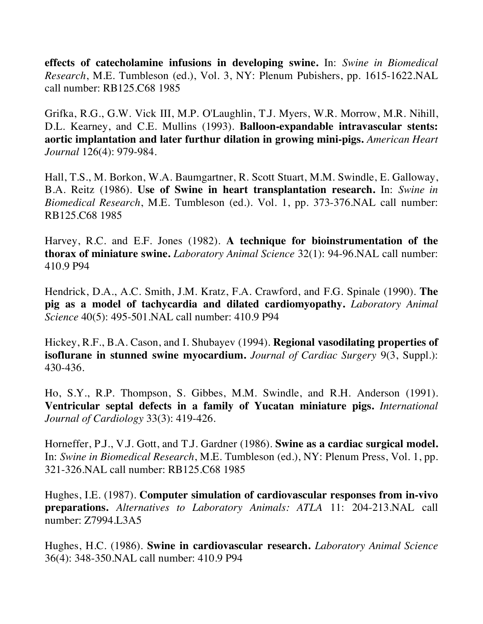**effects of catecholamine infusions in developing swine.** In: *Swine in Biomedical Research*, M.E. Tumbleson (ed.), Vol. 3, NY: Plenum Pubishers, pp. 1615-1622.NAL call number: RB125.C68 1985

Grifka, R.G., G.W. Vick III, M.P. O'Laughlin, T.J. Myers, W.R. Morrow, M.R. Nihill, D.L. Kearney, and C.E. Mullins (1993). **Balloon-expandable intravascular stents: aortic implantation and later furthur dilation in growing mini-pigs.** *American Heart Journal* 126(4): 979-984.

Hall, T.S., M. Borkon, W.A. Baumgartner, R. Scott Stuart, M.M. Swindle, E. Galloway, B.A. Reitz (1986). **Use of Swine in heart transplantation research.** In: *Swine in Biomedical Research*, M.E. Tumbleson (ed.). Vol. 1, pp. 373-376.NAL call number: RB125.C68 1985

Harvey, R.C. and E.F. Jones (1982). **A technique for bioinstrumentation of the thorax of miniature swine.** *Laboratory Animal Science* 32(1): 94-96.NAL call number: 410.9 P94

Hendrick, D.A., A.C. Smith, J.M. Kratz, F.A. Crawford, and F.G. Spinale (1990). **The pig as a model of tachycardia and dilated cardiomyopathy.** *Laboratory Animal Science* 40(5): 495-501.NAL call number: 410.9 P94

Hickey, R.F., B.A. Cason, and I. Shubayev (1994). **Regional vasodilating properties of isoflurane in stunned swine myocardium.** *Journal of Cardiac Surgery* 9(3, Suppl.): 430-436.

Ho, S.Y., R.P. Thompson, S. Gibbes, M.M. Swindle, and R.H. Anderson (1991). **Ventricular septal defects in a family of Yucatan miniature pigs.** *International Journal of Cardiology* 33(3): 419-426.

Horneffer, P.J., V.J. Gott, and T.J. Gardner (1986). **Swine as a cardiac surgical model.** In: *Swine in Biomedical Research*, M.E. Tumbleson (ed.), NY: Plenum Press, Vol. 1, pp. 321-326.NAL call number: RB125.C68 1985

Hughes, I.E. (1987). **Computer simulation of cardiovascular responses from in-vivo preparations.** *Alternatives to Laboratory Animals: ATLA* 11: 204-213.NAL call number: Z7994.L3A5

Hughes, H.C. (1986). **Swine in cardiovascular research.** *Laboratory Animal Science* 36(4): 348-350.NAL call number: 410.9 P94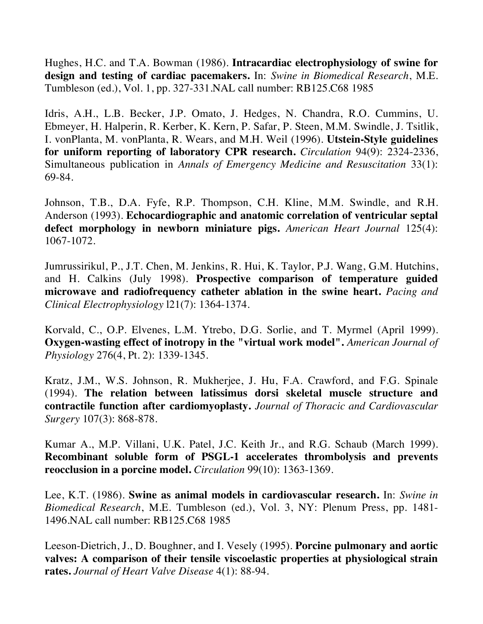Hughes, H.C. and T.A. Bowman (1986). **Intracardiac electrophysiology of swine for design and testing of cardiac pacemakers.** In: *Swine in Biomedical Research*, M.E. Tumbleson (ed.), Vol. 1, pp. 327-331.NAL call number: RB125.C68 1985

Idris, A.H., L.B. Becker, J.P. Omato, J. Hedges, N. Chandra, R.O. Cummins, U. Ebmeyer, H. Halperin, R. Kerber, K. Kern, P. Safar, P. Steen, M.M. Swindle, J. Tsitlik, I. vonPlanta, M. vonPlanta, R. Wears, and M.H. Weil (1996). **Utstein-Style guidelines for uniform reporting of laboratory CPR research.** *Circulation* 94(9): 2324-2336, Simultaneous publication in *Annals of Emergency Medicine and Resuscitation* 33(1): 69-84.

Johnson, T.B., D.A. Fyfe, R.P. Thompson, C.H. Kline, M.M. Swindle, and R.H. Anderson (1993). **Echocardiographic and anatomic correlation of ventricular septal defect morphology in newborn miniature pigs.** *American Heart Journal* 125(4): 1067-1072.

Jumrussirikul, P., J.T. Chen, M. Jenkins, R. Hui, K. Taylor, P.J. Wang, G.M. Hutchins, and H. Calkins (July 1998). **Prospective comparison of temperature guided microwave and radiofrequency catheter ablation in the swine heart.** *Pacing and Clinical Electrophysiology* l21(7): 1364-1374.

Korvald, C., O.P. Elvenes, L.M. Ytrebo, D.G. Sorlie, and T. Myrmel (April 1999). **Oxygen-wasting effect of inotropy in the "virtual work model".** *American Journal of Physiology* 276(4, Pt. 2): 1339-1345.

Kratz, J.M., W.S. Johnson, R. Mukherjee, J. Hu, F.A. Crawford, and F.G. Spinale (1994). **The relation between latissimus dorsi skeletal muscle structure and contractile function after cardiomyoplasty.** *Journal of Thoracic and Cardiovascular Surgery* 107(3): 868-878.

Kumar A., M.P. Villani, U.K. Patel, J.C. Keith Jr., and R.G. Schaub (March 1999). **Recombinant soluble form of PSGL-1 accelerates thrombolysis and prevents reocclusion in a porcine model.** *Circulation* 99(10): 1363-1369.

Lee, K.T. (1986). **Swine as animal models in cardiovascular research.** In: *Swine in Biomedical Research*, M.E. Tumbleson (ed.), Vol. 3, NY: Plenum Press, pp. 1481- 1496.NAL call number: RB125.C68 1985

Leeson-Dietrich, J., D. Boughner, and I. Vesely (1995). **Porcine pulmonary and aortic valves: A comparison of their tensile viscoelastic properties at physiological strain rates.** *Journal of Heart Valve Disease* 4(1): 88-94.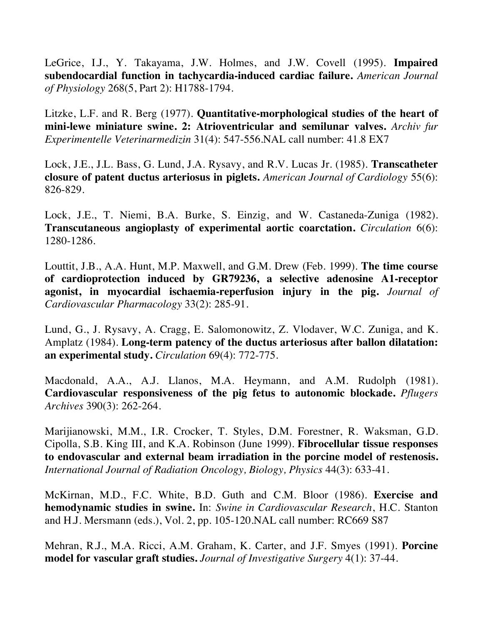LeGrice, I.J., Y. Takayama, J.W. Holmes, and J.W. Covell (1995). **Impaired subendocardial function in tachycardia-induced cardiac failure.** *American Journal of Physiology* 268(5, Part 2): H1788-1794.

Litzke, L.F. and R. Berg (1977). **Quantitative-morphological studies of the heart of mini-lewe miniature swine. 2: Atrioventricular and semilunar valves.** *Archiv fur Experimentelle Veterinarmedizin* 31(4): 547-556.NAL call number: 41.8 EX7

Lock, J.E., J.L. Bass, G. Lund, J.A. Rysavy, and R.V. Lucas Jr. (1985). **Transcatheter closure of patent ductus arteriosus in piglets.** *American Journal of Cardiology* 55(6): 826-829.

Lock, J.E., T. Niemi, B.A. Burke, S. Einzig, and W. Castaneda-Zuniga (1982). **Transcutaneous angioplasty of experimental aortic coarctation.** *Circulation* 6(6): 1280-1286.

Louttit, J.B., A.A. Hunt, M.P. Maxwell, and G.M. Drew (Feb. 1999). **The time course of cardioprotection induced by GR79236, a selective adenosine A1-receptor agonist, in myocardial ischaemia-reperfusion injury in the pig.** *Journal of Cardiovascular Pharmacology* 33(2): 285-91.

Lund, G., J. Rysavy, A. Cragg, E. Salomonowitz, Z. Vlodaver, W.C. Zuniga, and K. Amplatz (1984). **Long-term patency of the ductus arteriosus after ballon dilatation: an experimental study.** *Circulation* 69(4): 772-775.

Macdonald, A.A., A.J. Llanos, M.A. Heymann, and A.M. Rudolph (1981). **Cardiovascular responsiveness of the pig fetus to autonomic blockade.** *Pflugers Archives* 390(3): 262-264.

Marijianowski, M.M., I.R. Crocker, T. Styles, D.M. Forestner, R. Waksman, G.D. Cipolla, S.B. King III, and K.A. Robinson (June 1999). **Fibrocellular tissue responses to endovascular and external beam irradiation in the porcine model of restenosis.** *International Journal of Radiation Oncology, Biology, Physics* 44(3): 633-41.

McKirnan, M.D., F.C. White, B.D. Guth and C.M. Bloor (1986). **Exercise and hemodynamic studies in swine.** In: *Swine in Cardiovascular Research*, H.C. Stanton and H.J. Mersmann (eds.), Vol. 2, pp. 105-120.NAL call number: RC669 S87

Mehran, R.J., M.A. Ricci, A.M. Graham, K. Carter, and J.F. Smyes (1991). **Porcine model for vascular graft studies.** *Journal of Investigative Surgery* 4(1): 37-44.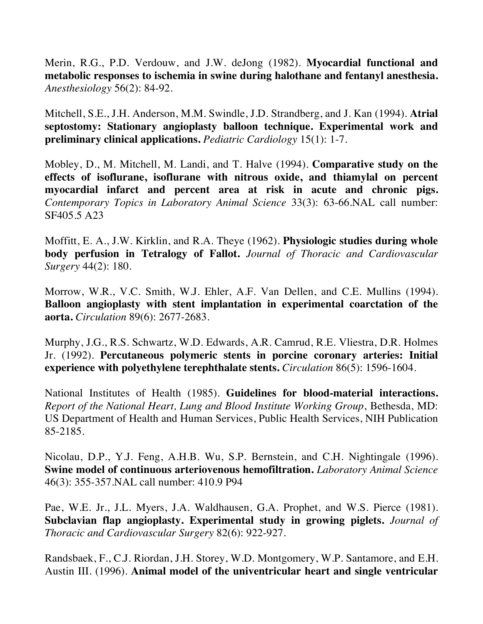Merin, R.G., P.D. Verdouw, and J.W. deJong (1982). **Myocardial functional and metabolic responses to ischemia in swine during halothane and fentanyl anesthesia.** *Anesthesiology* 56(2): 84-92.

Mitchell, S.E., J.H. Anderson, M.M. Swindle, J.D. Strandberg, and J. Kan (1994). **Atrial septostomy: Stationary angioplasty balloon technique. Experimental work and preliminary clinical applications.** *Pediatric Cardiology* 15(1): 1-7.

Mobley, D., M. Mitchell, M. Landi, and T. Halve (1994). **Comparative study on the effects of isoflurane, isoflurane with nitrous oxide, and thiamylal on percent myocardial infarct and percent area at risk in acute and chronic pigs.** *Contemporary Topics in Laboratory Animal Science* 33(3): 63-66.NAL call number: SF405.5 A23

Moffitt, E. A., J.W. Kirklin, and R.A. Theye (1962). **Physiologic studies during whole body perfusion in Tetralogy of Fallot.** *Journal of Thoracic and Cardiovascular Surgery* 44(2): 180.

Morrow, W.R., V.C. Smith, W.J. Ehler, A.F. Van Dellen, and C.E. Mullins (1994). **Balloon angioplasty with stent implantation in experimental coarctation of the aorta.** *Circulation* 89(6): 2677-2683.

Murphy, J.G., R.S. Schwartz, W.D. Edwards, A.R. Camrud, R.E. Vliestra, D.R. Holmes Jr. (1992). **Percutaneous polymeric stents in porcine coronary arteries: Initial experience with polyethylene terephthalate stents.** *Circulation* 86(5): 1596-1604.

National Institutes of Health (1985). **Guidelines for blood-material interactions.** *Report of the National Heart, Lung and Blood Institute Working Group*, Bethesda, MD: US Department of Health and Human Services, Public Health Services, NIH Publication 85-2185.

Nicolau, D.P., Y.J. Feng, A.H.B. Wu, S.P. Bernstein, and C.H. Nightingale (1996). **Swine model of continuous arteriovenous hemofiltration.** *Laboratory Animal Science* 46(3): 355-357.NAL call number: 410.9 P94

Pae, W.E. Jr., J.L. Myers, J.A. Waldhausen, G.A. Prophet, and W.S. Pierce (1981). **Subclavian flap angioplasty. Experimental study in growing piglets.** *Journal of Thoracic and Cardiovascular Surgery* 82(6): 922-927.

Randsbaek, F., C.J. Riordan, J.H. Storey, W.D. Montgomery, W.P. Santamore, and E.H. Austin III. (1996). **Animal model of the univentricular heart and single ventricular**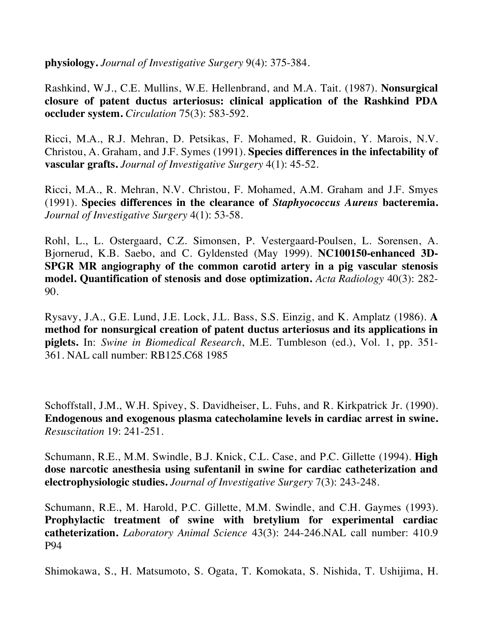**physiology.** *Journal of Investigative Surgery* 9(4): 375-384.

Rashkind, W.J., C.E. Mullins, W.E. Hellenbrand, and M.A. Tait. (1987). **Nonsurgical closure of patent ductus arteriosus: clinical application of the Rashkind PDA occluder system.** *Circulation* 75(3): 583-592.

Ricci, M.A., R.J. Mehran, D. Petsikas, F. Mohamed, R. Guidoin, Y. Marois, N.V. Christou, A. Graham, and J.F. Symes (1991). **Species differences in the infectability of vascular grafts.** *Journal of Investigative Surgery* 4(1): 45-52.

Ricci, M.A., R. Mehran, N.V. Christou, F. Mohamed, A.M. Graham and J.F. Smyes (1991). **Species differences in the clearance of** *Staphyococcus Aureus* **bacteremia.**  *Journal of Investigative Surgery* 4(1): 53-58.

Rohl, L., L. Ostergaard, C.Z. Simonsen, P. Vestergaard-Poulsen, L. Sorensen, A. Bjornerud, K.B. Saebo, and C. Gyldensted (May 1999). **NC100150-enhanced 3D-SPGR MR angiography of the common carotid artery in a pig vascular stenosis model. Quantification of stenosis and dose optimization.** *Acta Radiology* 40(3): 282- 90.

Rysavy, J.A., G.E. Lund, J.E. Lock, J.L. Bass, S.S. Einzig, and K. Amplatz (1986). **A method for nonsurgical creation of patent ductus arteriosus and its applications in piglets.** In: *Swine in Biomedical Research*, M.E. Tumbleson (ed.), Vol. 1, pp. 351- 361. NAL call number: RB125.C68 1985

Schoffstall, J.M., W.H. Spivey, S. Davidheiser, L. Fuhs, and R. Kirkpatrick Jr. (1990). **Endogenous and exogenous plasma catecholamine levels in cardiac arrest in swine.**  *Resuscitation* 19: 241-251.

Schumann, R.E., M.M. Swindle, B.J. Knick, C.L. Case, and P.C. Gillette (1994). **High dose narcotic anesthesia using sufentanil in swine for cardiac catheterization and electrophysiologic studies.** *Journal of Investigative Surgery* 7(3): 243-248.

Schumann, R.E., M. Harold, P.C. Gillette, M.M. Swindle, and C.H. Gaymes (1993). **Prophylactic treatment of swine with bretylium for experimental cardiac catheterization.** *Laboratory Animal Science* 43(3): 244-246.NAL call number: 410.9 P94

Shimokawa, S., H. Matsumoto, S. Ogata, T. Komokata, S. Nishida, T. Ushijima, H.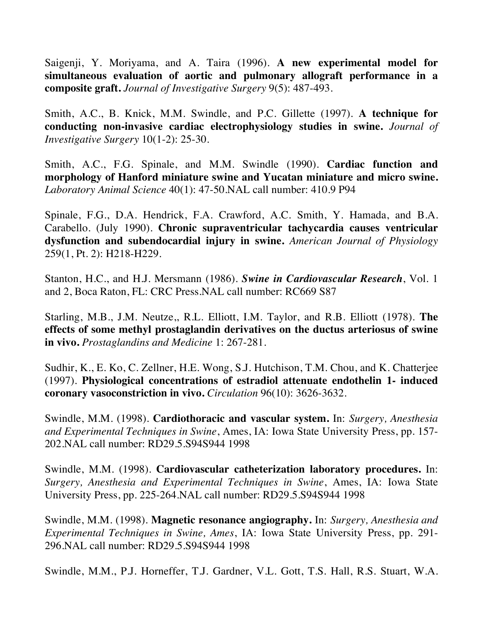Saigenji, Y. Moriyama, and A. Taira (1996). **A new experimental model for simultaneous evaluation of aortic and pulmonary allograft performance in a composite graft.** *Journal of Investigative Surgery* 9(5): 487-493.

Smith, A.C., B. Knick, M.M. Swindle, and P.C. Gillette (1997). **A technique for conducting non-invasive cardiac electrophysiology studies in swine.** *Journal of Investigative Surgery* 10(1-2): 25-30.

Smith, A.C., F.G. Spinale, and M.M. Swindle (1990). **Cardiac function and morphology of Hanford miniature swine and Yucatan miniature and micro swine.**  *Laboratory Animal Science* 40(1): 47-50.NAL call number: 410.9 P94

Spinale, F.G., D.A. Hendrick, F.A. Crawford, A.C. Smith, Y. Hamada, and B.A. Carabello. (July 1990). **Chronic supraventricular tachycardia causes ventricular dysfunction and subendocardial injury in swine.** *American Journal of Physiology* 259(1, Pt. 2): H218-H229.

Stanton, H.C., and H.J. Mersmann (1986). *Swine in Cardiovascular Research*, Vol. 1 and 2, Boca Raton, FL: CRC Press.NAL call number: RC669 S87

Starling, M.B., J.M. Neutze,, R.L. Elliott, I.M. Taylor, and R.B. Elliott (1978). **The effects of some methyl prostaglandin derivatives on the ductus arteriosus of swine in vivo.** *Prostaglandins and Medicine* 1: 267-281.

Sudhir, K., E. Ko, C. Zellner, H.E. Wong, S.J. Hutchison, T.M. Chou, and K. Chatterjee (1997). **Physiological concentrations of estradiol attenuate endothelin 1- induced coronary vasoconstriction in vivo.** *Circulation* 96(10): 3626-3632.

Swindle, M.M. (1998). **Cardiothoracic and vascular system.** In: *Surgery, Anesthesia and Experimental Techniques in Swine*, Ames, IA: Iowa State University Press, pp. 157- 202.NAL call number: RD29.5.S94S944 1998

Swindle, M.M. (1998). **Cardiovascular catheterization laboratory procedures.** In: *Surgery, Anesthesia and Experimental Techniques in Swine*, Ames, IA: Iowa State University Press, pp. 225-264.NAL call number: RD29.5.S94S944 1998

Swindle, M.M. (1998). **Magnetic resonance angiography.** In: *Surgery, Anesthesia and Experimental Techniques in Swine, Ames*, IA: Iowa State University Press, pp. 291- 296.NAL call number: RD29.5.S94S944 1998

Swindle, M.M., P.J. Horneffer, T.J. Gardner, V.L. Gott, T.S. Hall, R.S. Stuart, W.A.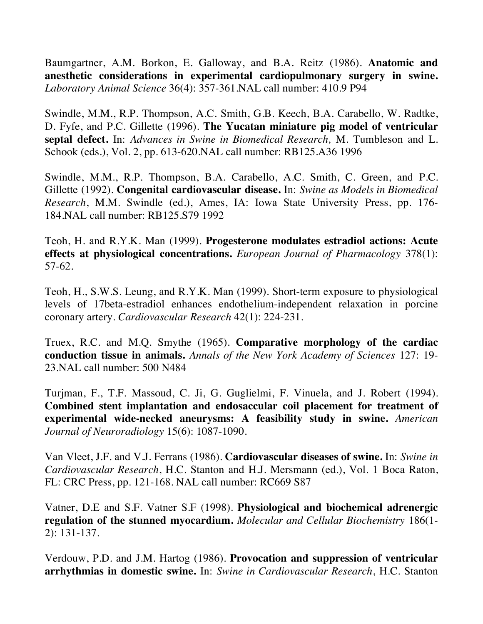Baumgartner, A.M. Borkon, E. Galloway, and B.A. Reitz (1986). **Anatomic and anesthetic considerations in experimental cardiopulmonary surgery in swine.**  *Laboratory Animal Science* 36(4): 357-361.NAL call number: 410.9 P94

Swindle, M.M., R.P. Thompson, A.C. Smith, G.B. Keech, B.A. Carabello, W. Radtke, D. Fyfe, and P.C. Gillette (1996). **The Yucatan miniature pig model of ventricular septal defect.** In: *Advances in Swine in Biomedical Research,* M. Tumbleson and L. Schook (eds.), Vol. 2, pp. 613-620.NAL call number: RB125.A36 1996

Swindle, M.M., R.P. Thompson, B.A. Carabello, A.C. Smith, C. Green, and P.C. Gillette (1992). **Congenital cardiovascular disease.** In: *Swine as Models in Biomedical Research*, M.M. Swindle (ed.), Ames, IA: Iowa State University Press, pp. 176- 184.NAL call number: RB125.S79 1992

Teoh, H. and R.Y.K. Man (1999). **Progesterone modulates estradiol actions: Acute effects at physiological concentrations.** *European Journal of Pharmacology* 378(1): 57-62.

Teoh, H., S.W.S. Leung, and R.Y.K. Man (1999). Short-term exposure to physiological levels of 17beta-estradiol enhances endothelium-independent relaxation in porcine coronary artery. *Cardiovascular Research* 42(1): 224-231.

Truex, R.C. and M.Q. Smythe (1965). **Comparative morphology of the cardiac conduction tissue in animals.** *Annals of the New York Academy of Sciences* 127: 19- 23.NAL call number: 500 N484

Turjman, F., T.F. Massoud, C. Ji, G. Guglielmi, F. Vinuela, and J. Robert (1994). **Combined stent implantation and endosaccular coil placement for treatment of experimental wide-necked aneurysms: A feasibility study in swine.** *American Journal of Neuroradiology* 15(6): 1087-1090.

Van Vleet, J.F. and V.J. Ferrans (1986). **Cardiovascular diseases of swine.** In: *Swine in Cardiovascular Research*, H.C. Stanton and H.J. Mersmann (ed.), Vol. 1 Boca Raton, FL: CRC Press, pp. 121-168. NAL call number: RC669 S87

Vatner, D.E and S.F. Vatner S.F (1998). **Physiological and biochemical adrenergic regulation of the stunned myocardium.** *Molecular and Cellular Biochemistry* 186(1- 2): 131-137.

Verdouw, P.D. and J.M. Hartog (1986). **Provocation and suppression of ventricular arrhythmias in domestic swine.** In: *Swine in Cardiovascular Research*, H.C. Stanton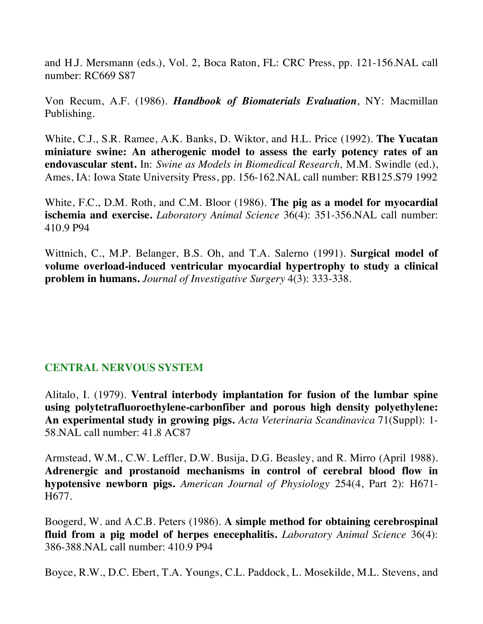and H.J. Mersmann (eds.), Vol. 2, Boca Raton, FL: CRC Press, pp. 121-156.NAL call number: RC669 S87

Von Recum, A.F. (1986). *Handbook of Biomaterials Evaluation*, NY: Macmillan Publishing.

White, C.J., S.R. Ramee, A.K. Banks, D. Wiktor, and H.L. Price (1992). **The Yucatan miniature swine: An atherogenic model to assess the early potency rates of an endovascular stent.** In: *Swine as Models in Biomedical Research,* M.M. Swindle (ed.), Ames, IA: Iowa State University Press, pp. 156-162.NAL call number: RB125.S79 1992

White, F.C., D.M. Roth, and C.M. Bloor (1986). **The pig as a model for myocardial ischemia and exercise.** *Laboratory Animal Science* 36(4): 351-356.NAL call number: 410.9 P94

Wittnich, C., M.P. Belanger, B.S. Oh, and T.A. Salerno (1991). **Surgical model of volume overload-induced ventricular myocardial hypertrophy to study a clinical problem in humans.** *Journal of Investigative Surgery* 4(3): 333-338.

# **CENTRAL NERVOUS SYSTEM**

Alitalo, I. (1979). **Ventral interbody implantation for fusion of the lumbar spine using polytetrafluoroethylene-carbonfiber and porous high density polyethylene: An experimental study in growing pigs.** *Acta Veterinaria Scandinavica* 71(Suppl): 1- 58.NAL call number: 41.8 AC87

Armstead, W.M., C.W. Leffler, D.W. Busija, D.G. Beasley, and R. Mirro (April 1988). **Adrenergic and prostanoid mechanisms in control of cerebral blood flow in hypotensive newborn pigs.** *American Journal of Physiology* 254(4, Part 2): H671- H677.

Boogerd, W. and A.C.B. Peters (1986). **A simple method for obtaining cerebrospinal fluid from a pig model of herpes enecephalitis.** *Laboratory Animal Science* 36(4): 386-388.NAL call number: 410.9 P94

Boyce, R.W., D.C. Ebert, T.A. Youngs, C.L. Paddock, L. Mosekilde, M.L. Stevens, and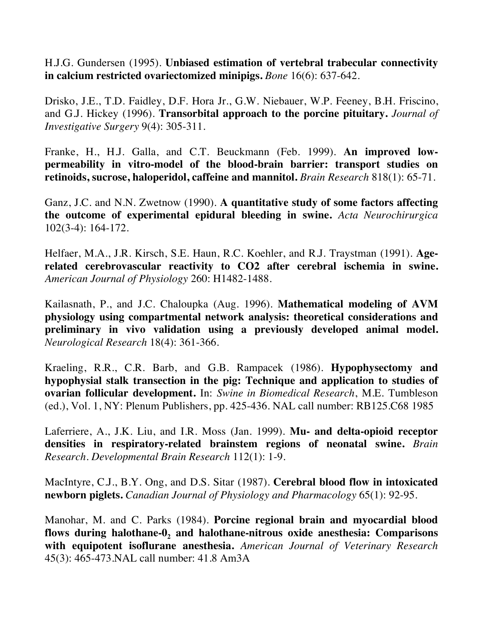H.J.G. Gundersen (1995). **Unbiased estimation of vertebral trabecular connectivity in calcium restricted ovariectomized minipigs.** *Bone* 16(6): 637-642.

Drisko, J.E., T.D. Faidley, D.F. Hora Jr., G.W. Niebauer, W.P. Feeney, B.H. Friscino, and G.J. Hickey (1996). **Transorbital approach to the porcine pituitary.** *Journal of Investigative Surgery* 9(4): 305-311.

Franke, H., H.J. Galla, and C.T. Beuckmann (Feb. 1999). **An improved lowpermeability in vitro-model of the blood-brain barrier: transport studies on retinoids, sucrose, haloperidol, caffeine and mannitol.** *Brain Research* 818(1): 65-71.

Ganz, J.C. and N.N. Zwetnow (1990). **A quantitative study of some factors affecting the outcome of experimental epidural bleeding in swine.** *Acta Neurochirurgica* 102(3-4): 164-172.

Helfaer, M.A., J.R. Kirsch, S.E. Haun, R.C. Koehler, and R.J. Traystman (1991). **Agerelated cerebrovascular reactivity to CO2 after cerebral ischemia in swine.**  *American Journal of Physiology* 260: H1482-1488.

Kailasnath, P., and J.C. Chaloupka (Aug. 1996). **Mathematical modeling of AVM physiology using compartmental network analysis: theoretical considerations and preliminary in vivo validation using a previously developed animal model.** *Neurological Research* 18(4): 361-366.

Kraeling, R.R., C.R. Barb, and G.B. Rampacek (1986). **Hypophysectomy and hypophysial stalk transection in the pig: Technique and application to studies of ovarian follicular development.** In: *Swine in Biomedical Research*, M.E. Tumbleson (ed.), Vol. 1, NY: Plenum Publishers, pp. 425-436. NAL call number: RB125.C68 1985

Laferriere, A., J.K. Liu, and I.R. Moss (Jan. 1999). **Mu- and delta-opioid receptor densities in respiratory-related brainstem regions of neonatal swine.** *Brain Research. Developmental Brain Research* 112(1): 1-9.

MacIntyre, C.J., B.Y. Ong, and D.S. Sitar (1987). **Cerebral blood flow in intoxicated newborn piglets.** *Canadian Journal of Physiology and Pharmacology* 65(1): 92-95.

Manohar, M. and C. Parks (1984). **Porcine regional brain and myocardial blood**  flows during halothane-0, and halothane-nitrous oxide anesthesia: Comparisons **with equipotent isoflurane anesthesia.** *American Journal of Veterinary Research* 45(3): 465-473.NAL call number: 41.8 Am3A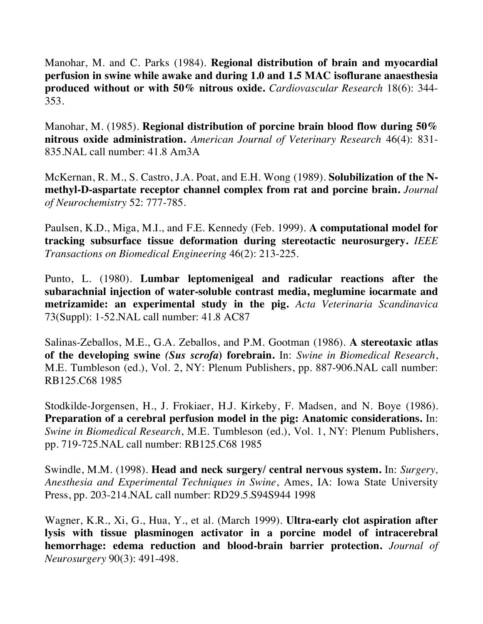Manohar, M. and C. Parks (1984). **Regional distribution of brain and myocardial perfusion in swine while awake and during 1.0 and 1.5 MAC isoflurane anaesthesia produced without or with 50% nitrous oxide.** *Cardiovascular Research* 18(6): 344- 353.

Manohar, M. (1985). **Regional distribution of porcine brain blood flow during 50% nitrous oxide administration.** *American Journal of Veterinary Research* 46(4): 831- 835.NAL call number: 41.8 Am3A

McKernan, R. M., S. Castro, J.A. Poat, and E.H. Wong (1989). **Solubilization of the Nmethyl-D-aspartate receptor channel complex from rat and porcine brain.** *Journal of Neurochemistry* 52: 777-785.

Paulsen, K.D., Miga, M.I., and F.E. Kennedy (Feb. 1999). **A computational model for tracking subsurface tissue deformation during stereotactic neurosurgery.** *IEEE Transactions on Biomedical Engineering* 46(2): 213-225.

Punto, L. (1980). **Lumbar leptomenigeal and radicular reactions after the subarachnial injection of water-soluble contrast media, meglumine iocarmate and metrizamide: an experimental study in the pig.** *Acta Veterinaria Scandinavica* 73(Suppl): 1-52.NAL call number: 41.8 AC87

Salinas-Zeballos, M.E., G.A. Zeballos, and P.M. Gootman (1986). **A stereotaxic atlas of the developing swine** *(Sus scrofa***) forebrain.** In: *Swine in Biomedical Research*, M.E. Tumbleson (ed.), Vol. 2, NY: Plenum Publishers, pp. 887-906.NAL call number: RB125.C68 1985

Stodkilde-Jorgensen, H., J. Frokiaer, H.J. Kirkeby, F. Madsen, and N. Boye (1986). **Preparation of a cerebral perfusion model in the pig: Anatomic considerations.** In: *Swine in Biomedical Research*, M.E. Tumbleson (ed.), Vol. 1, NY: Plenum Publishers, pp. 719-725.NAL call number: RB125.C68 1985

Swindle, M.M. (1998). **Head and neck surgery/ central nervous system.** In: *Surgery, Anesthesia and Experimental Techniques in Swine*, Ames, IA: Iowa State University Press, pp. 203-214.NAL call number: RD29.5.S94S944 1998

Wagner, K.R., Xi, G., Hua, Y., et al. (March 1999). **Ultra-early clot aspiration after lysis with tissue plasminogen activator in a porcine model of intracerebral hemorrhage: edema reduction and blood-brain barrier protection.** *Journal of Neurosurgery* 90(3): 491-498.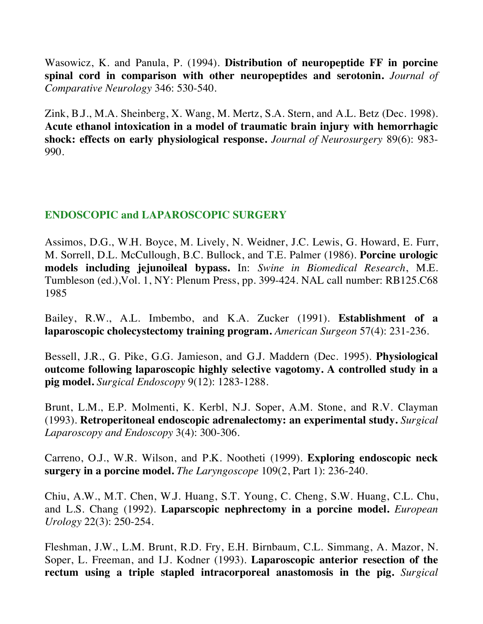Wasowicz, K. and Panula, P. (1994). **Distribution of neuropeptide FF in porcine spinal cord in comparison with other neuropeptides and serotonin.** *Journal of Comparative Neurology* 346: 530-540.

Zink, B.J., M.A. Sheinberg, X. Wang, M. Mertz, S.A. Stern, and A.L. Betz (Dec. 1998). **Acute ethanol intoxication in a model of traumatic brain injury with hemorrhagic shock: effects on early physiological response.** *Journal of Neurosurgery* 89(6): 983- 990.

# **ENDOSCOPIC and LAPAROSCOPIC SURGERY**

Assimos, D.G., W.H. Boyce, M. Lively, N. Weidner, J.C. Lewis, G. Howard, E. Furr, M. Sorrell, D.L. McCullough, B.C. Bullock, and T.E. Palmer (1986). **Porcine urologic models including jejunoileal bypass.** In: *Swine in Biomedical Research*, M.E. Tumbleson (ed.),Vol. 1, NY: Plenum Press, pp. 399-424. NAL call number: RB125.C68 1985

Bailey, R.W., A.L. Imbembo, and K.A. Zucker (1991). **Establishment of a laparoscopic cholecystectomy training program.** *American Surgeon* 57(4): 231-236.

Bessell, J.R., G. Pike, G.G. Jamieson, and G.J. Maddern (Dec. 1995). **Physiological outcome following laparoscopic highly selective vagotomy. A controlled study in a pig model.** *Surgical Endoscopy* 9(12): 1283-1288.

Brunt, L.M., E.P. Molmenti, K. Kerbl, N.J. Soper, A.M. Stone, and R.V. Clayman (1993). **Retroperitoneal endoscopic adrenalectomy: an experimental study.** *Surgical Laparoscopy and Endoscopy* 3(4): 300-306.

Carreno, O.J., W.R. Wilson, and P.K. Nootheti (1999). **Exploring endoscopic neck surgery in a porcine model.** *The Laryngoscope* 109(2, Part 1): 236-240.

Chiu, A.W., M.T. Chen, W.J. Huang, S.T. Young, C. Cheng, S.W. Huang, C.L. Chu, and L.S. Chang (1992). **Laparscopic nephrectomy in a porcine model.** *European Urology* 22(3): 250-254.

Fleshman, J.W., L.M. Brunt, R.D. Fry, E.H. Birnbaum, C.L. Simmang, A. Mazor, N. Soper, L. Freeman, and I.J. Kodner (1993). **Laparoscopic anterior resection of the rectum using a triple stapled intracorporeal anastomosis in the pig.** *Surgical*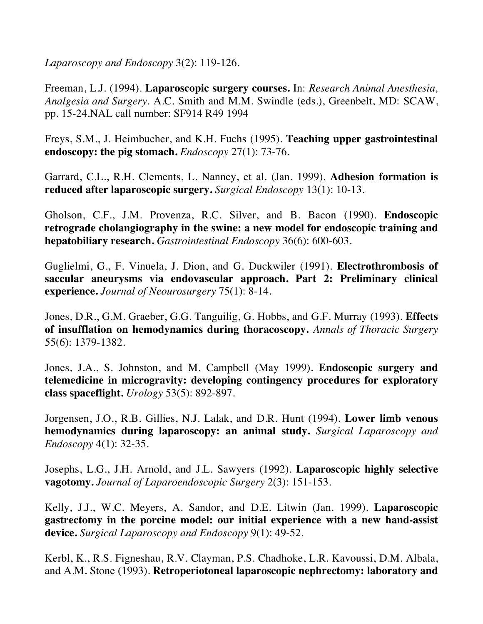*Laparoscopy and Endoscopy* 3(2): 119-126.

Freeman, L.J. (1994). **Laparoscopic surgery courses.** In: *Research Animal Anesthesia, Analgesia and Surgery.* A.C. Smith and M.M. Swindle (eds.), Greenbelt, MD: SCAW, pp. 15-24.NAL call number: SF914 R49 1994

Freys, S.M., J. Heimbucher, and K.H. Fuchs (1995). **Teaching upper gastrointestinal endoscopy: the pig stomach.** *Endoscopy* 27(1): 73-76.

Garrard, C.L., R.H. Clements, L. Nanney, et al. (Jan. 1999). **Adhesion formation is reduced after laparoscopic surgery.** *Surgical Endoscopy* 13(1): 10-13.

Gholson, C.F., J.M. Provenza, R.C. Silver, and B. Bacon (1990). **Endoscopic retrograde cholangiography in the swine: a new model for endoscopic training and hepatobiliary research.** *Gastrointestinal Endoscopy* 36(6): 600-603.

Guglielmi, G., F. Vinuela, J. Dion, and G. Duckwiler (1991). **Electrothrombosis of saccular aneurysms via endovascular approach. Part 2: Preliminary clinical experience.** *Journal of Neourosurgery* 75(1): 8-14.

Jones, D.R., G.M. Graeber, G.G. Tanguilig, G. Hobbs, and G.F. Murray (1993). **Effects of insufflation on hemodynamics during thoracoscopy.** *Annals of Thoracic Surgery* 55(6): 1379-1382.

Jones, J.A., S. Johnston, and M. Campbell (May 1999). **Endoscopic surgery and telemedicine in microgravity: developing contingency procedures for exploratory class spaceflight.** *Urology* 53(5): 892-897.

Jorgensen, J.O., R.B. Gillies, N.J. Lalak, and D.R. Hunt (1994). **Lower limb venous hemodynamics during laparoscopy: an animal study.** *Surgical Laparoscopy and Endoscopy* 4(1): 32-35.

Josephs, L.G., J.H. Arnold, and J.L. Sawyers (1992). **Laparoscopic highly selective vagotomy.** *Journal of Laparoendoscopic Surgery* 2(3): 151-153.

Kelly, J.J., W.C. Meyers, A. Sandor, and D.E. Litwin (Jan. 1999). **Laparoscopic gastrectomy in the porcine model: our initial experience with a new hand-assist device.** *Surgical Laparoscopy and Endoscopy* 9(1): 49-52.

Kerbl, K., R.S. Figneshau, R.V. Clayman, P.S. Chadhoke, L.R. Kavoussi, D.M. Albala, and A.M. Stone (1993). **Retroperiotoneal laparoscopic nephrectomy: laboratory and**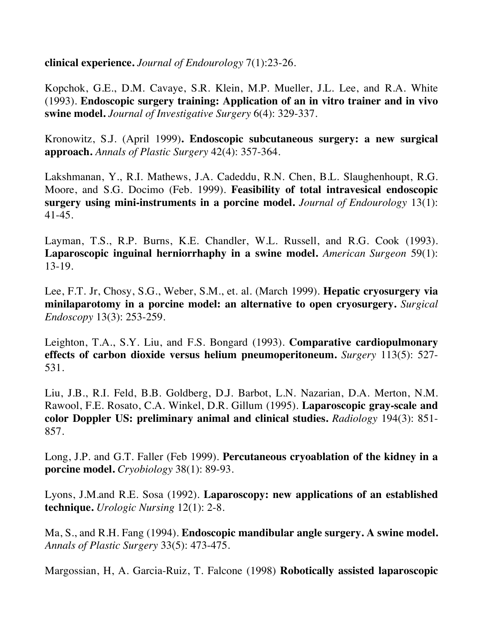**clinical experience.** *Journal of Endourology* 7(1):23-26.

Kopchok, G.E., D.M. Cavaye, S.R. Klein, M.P. Mueller, J.L. Lee, and R.A. White (1993). **Endoscopic surgery training: Application of an in vitro trainer and in vivo swine model.** *Journal of Investigative Surgery* 6(4): 329-337.

Kronowitz, S.J. (April 1999)**. Endoscopic subcutaneous surgery: a new surgical approach.** *Annals of Plastic Surgery* 42(4): 357-364.

Lakshmanan, Y., R.I. Mathews, J.A. Cadeddu, R.N. Chen, B.L. Slaughenhoupt, R.G. Moore, and S.G. Docimo (Feb. 1999). **Feasibility of total intravesical endoscopic surgery using mini-instruments in a porcine model.** *Journal of Endourology* 13(1): 41-45.

Layman, T.S., R.P. Burns, K.E. Chandler, W.L. Russell, and R.G. Cook (1993). **Laparoscopic inguinal herniorrhaphy in a swine model.** *American Surgeon* 59(1): 13-19.

Lee, F.T. Jr, Chosy, S.G., Weber, S.M., et. al. (March 1999). **Hepatic cryosurgery via minilaparotomy in a porcine model: an alternative to open cryosurgery.** *Surgical Endoscopy* 13(3): 253-259.

Leighton, T.A., S.Y. Liu, and F.S. Bongard (1993). **Comparative cardiopulmonary effects of carbon dioxide versus helium pneumoperitoneum.** *Surgery* 113(5): 527- 531.

Liu, J.B., R.I. Feld, B.B. Goldberg, D.J. Barbot, L.N. Nazarian, D.A. Merton, N.M. Rawool, F.E. Rosato, C.A. Winkel, D.R. Gillum (1995). **Laparoscopic gray-scale and color Doppler US: preliminary animal and clinical studies.** *Radiology* 194(3): 851- 857.

Long, J.P. and G.T. Faller (Feb 1999). **Percutaneous cryoablation of the kidney in a porcine model.** *Cryobiology* 38(1): 89-93.

Lyons, J.M.and R.E. Sosa (1992). **Laparoscopy: new applications of an established technique.** *Urologic Nursing* 12(1): 2-8.

Ma, S., and R.H. Fang (1994). **Endoscopic mandibular angle surgery. A swine model.** *Annals of Plastic Surgery* 33(5): 473-475.

Margossian, H, A. Garcia-Ruiz, T. Falcone (1998) **Robotically assisted laparoscopic**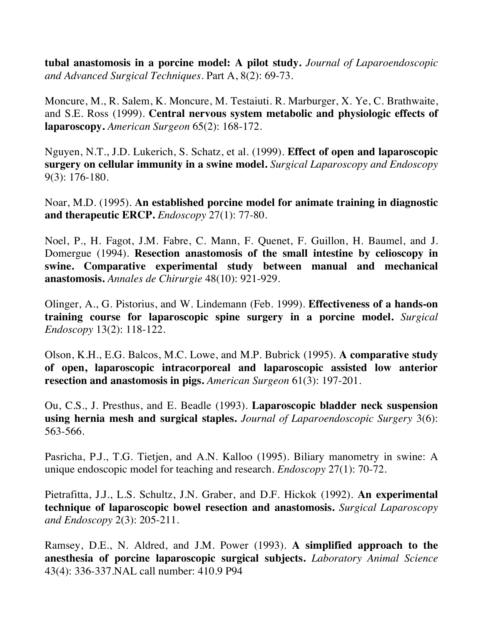**tubal anastomosis in a porcine model: A pilot study.** *Journal of Laparoendoscopic and Advanced Surgical Techniques*. Part A, 8(2): 69-73.

Moncure, M., R. Salem, K. Moncure, M. Testaiuti. R. Marburger, X. Ye, C. Brathwaite, and S.E. Ross (1999). **Central nervous system metabolic and physiologic effects of laparoscopy.** *American Surgeon* 65(2): 168-172.

Nguyen, N.T., J.D. Lukerich, S. Schatz, et al. (1999). **Effect of open and laparoscopic surgery on cellular immunity in a swine model.** *Surgical Laparoscopy and Endoscopy* 9(3): 176-180.

Noar, M.D. (1995). **An established porcine model for animate training in diagnostic and therapeutic ERCP.** *Endoscopy* 27(1): 77-80.

Noel, P., H. Fagot, J.M. Fabre, C. Mann, F. Quenet, F. Guillon, H. Baumel, and J. Domergue (1994). **Resection anastomosis of the small intestine by celioscopy in swine. Comparative experimental study between manual and mechanical anastomosis.** *Annales de Chirurgie* 48(10): 921-929.

Olinger, A., G. Pistorius, and W. Lindemann (Feb. 1999). **Effectiveness of a hands-on training course for laparoscopic spine surgery in a porcine model.** *Surgical Endoscopy* 13(2): 118-122.

Olson, K.H., E.G. Balcos, M.C. Lowe, and M.P. Bubrick (1995). **A comparative study of open, laparoscopic intracorporeal and laparoscopic assisted low anterior resection and anastomosis in pigs.** *American Surgeon* 61(3): 197-201.

Ou, C.S., J. Presthus, and E. Beadle (1993). **Laparoscopic bladder neck suspension using hernia mesh and surgical staples.** *Journal of Laparoendoscopic Surgery* 3(6): 563-566.

Pasricha, P.J., T.G. Tietjen, and A.N. Kalloo (1995). Biliary manometry in swine: A unique endoscopic model for teaching and research. *Endoscopy* 27(1): 70-72.

Pietrafitta, J.J., L.S. Schultz, J.N. Graber, and D.F. Hickok (1992). **An experimental technique of laparoscopic bowel resection and anastomosis.** *Surgical Laparoscopy and Endoscopy* 2(3): 205-211.

Ramsey, D.E., N. Aldred, and J.M. Power (1993). **A simplified approach to the anesthesia of porcine laparoscopic surgical subjects.** *Laboratory Animal Science* 43(4): 336-337.NAL call number: 410.9 P94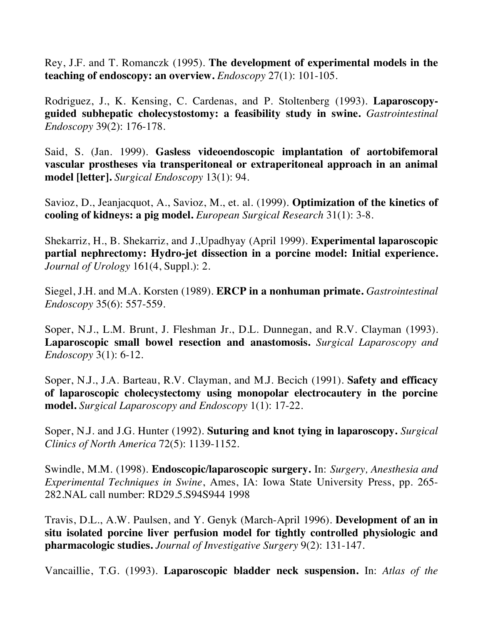Rey, J.F. and T. Romanczk (1995). **The development of experimental models in the teaching of endoscopy: an overview.** *Endoscopy* 27(1): 101-105.

Rodriguez, J., K. Kensing, C. Cardenas, and P. Stoltenberg (1993). **Laparoscopyguided subhepatic cholecystostomy: a feasibility study in swine.** *Gastrointestinal Endoscopy* 39(2): 176-178.

Said, S. (Jan. 1999). **Gasless videoendoscopic implantation of aortobifemoral vascular prostheses via transperitoneal or extraperitoneal approach in an animal model [letter].** *Surgical Endoscopy* 13(1): 94.

Savioz, D., Jeanjacquot, A., Savioz, M., et. al. (1999). **Optimization of the kinetics of cooling of kidneys: a pig model.** *European Surgical Research* 31(1): 3-8.

Shekarriz, H., B. Shekarriz, and J.,Upadhyay (April 1999). **Experimental laparoscopic partial nephrectomy: Hydro-jet dissection in a porcine model: Initial experience.** *Journal of Urology* 161(4, Suppl.): 2.

Siegel, J.H. and M.A. Korsten (1989). **ERCP in a nonhuman primate.** *Gastrointestinal Endoscopy* 35(6): 557-559.

Soper, N.J., L.M. Brunt, J. Fleshman Jr., D.L. Dunnegan, and R.V. Clayman (1993). **Laparoscopic small bowel resection and anastomosis.** *Surgical Laparoscopy and Endoscopy* 3(1): 6-12.

Soper, N.J., J.A. Barteau, R.V. Clayman, and M.J. Becich (1991). **Safety and efficacy of laparoscopic cholecystectomy using monopolar electrocautery in the porcine model.** *Surgical Laparoscopy and Endoscopy* 1(1): 17-22.

Soper, N.J. and J.G. Hunter (1992). **Suturing and knot tying in laparoscopy.** *Surgical Clinics of North America* 72(5): 1139-1152.

Swindle, M.M. (1998). **Endoscopic/laparoscopic surgery.** In: *Surgery, Anesthesia and Experimental Techniques in Swine*, Ames, IA: Iowa State University Press, pp. 265- 282.NAL call number: RD29.5.S94S944 1998

Travis, D.L., A.W. Paulsen, and Y. Genyk (March-April 1996). **Development of an in situ isolated porcine liver perfusion model for tightly controlled physiologic and pharmacologic studies.** *Journal of Investigative Surgery* 9(2): 131-147.

Vancaillie, T.G. (1993). **Laparoscopic bladder neck suspension.** In: *Atlas of the*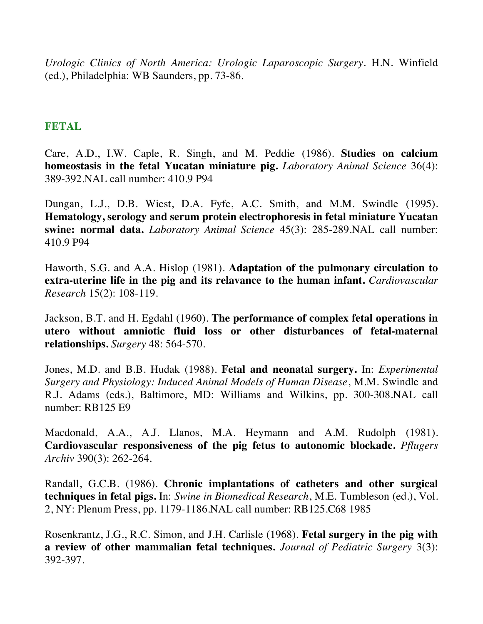*Urologic Clinics of North America: Urologic Laparoscopic Surgery.* H.N. Winfield (ed.), Philadelphia: WB Saunders, pp. 73-86.

#### **FETAL**

Care, A.D., I.W. Caple, R. Singh, and M. Peddie (1986). **Studies on calcium homeostasis in the fetal Yucatan miniature pig.** *Laboratory Animal Science* 36(4): 389-392.NAL call number: 410.9 P94

Dungan, L.J., D.B. Wiest, D.A. Fyfe, A.C. Smith, and M.M. Swindle (1995). **Hematology, serology and serum protein electrophoresis in fetal miniature Yucatan swine: normal data.** *Laboratory Animal Science* 45(3): 285-289.NAL call number: 410.9 P94

Haworth, S.G. and A.A. Hislop (1981). **Adaptation of the pulmonary circulation to extra-uterine life in the pig and its relavance to the human infant.** *Cardiovascular Research* 15(2): 108-119.

Jackson, B.T. and H. Egdahl (1960). **The performance of complex fetal operations in utero without amniotic fluid loss or other disturbances of fetal-maternal relationships.** *Surgery* 48: 564-570.

Jones, M.D. and B.B. Hudak (1988). **Fetal and neonatal surgery.** In: *Experimental Surgery and Physiology: Induced Animal Models of Human Disease*, M.M. Swindle and R.J. Adams (eds.), Baltimore, MD: Williams and Wilkins, pp. 300-308.NAL call number: RB125 E9

Macdonald, A.A., A.J. Llanos, M.A. Heymann and A.M. Rudolph (1981). **Cardiovascular responsiveness of the pig fetus to autonomic blockade.** *Pflugers Archiv* 390(3): 262-264.

Randall, G.C.B. (1986). **Chronic implantations of catheters and other surgical techniques in fetal pigs.** In: *Swine in Biomedical Research*, M.E. Tumbleson (ed.), Vol. 2, NY: Plenum Press, pp. 1179-1186.NAL call number: RB125.C68 1985

Rosenkrantz, J.G., R.C. Simon, and J.H. Carlisle (1968). **Fetal surgery in the pig with a review of other mammalian fetal techniques.** *Journal of Pediatric Surgery* 3(3): 392-397.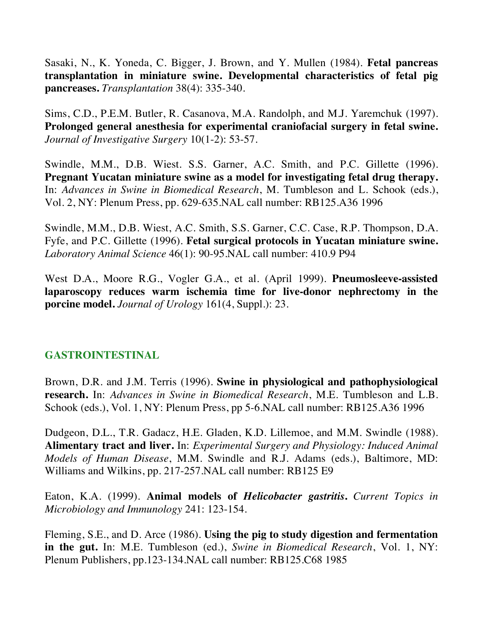Sasaki, N., K. Yoneda, C. Bigger, J. Brown, and Y. Mullen (1984). **Fetal pancreas transplantation in miniature swine. Developmental characteristics of fetal pig pancreases.** *Transplantation* 38(4): 335-340.

Sims, C.D., P.E.M. Butler, R. Casanova, M.A. Randolph, and M.J. Yaremchuk (1997). **Prolonged general anesthesia for experimental craniofacial surgery in fetal swine.** *Journal of Investigative Surgery* 10(1-2): 53-57.

Swindle, M.M., D.B. Wiest. S.S. Garner, A.C. Smith, and P.C. Gillette (1996). **Pregnant Yucatan miniature swine as a model for investigating fetal drug therapy.** In: *Advances in Swine in Biomedical Research*, M. Tumbleson and L. Schook (eds.), Vol. 2, NY: Plenum Press, pp. 629-635.NAL call number: RB125.A36 1996

Swindle, M.M., D.B. Wiest, A.C. Smith, S.S. Garner, C.C. Case, R.P. Thompson, D.A. Fyfe, and P.C. Gillette (1996). **Fetal surgical protocols in Yucatan miniature swine.** *Laboratory Animal Science* 46(1): 90-95.NAL call number: 410.9 P94

West D.A., Moore R.G., Vogler G.A., et al. (April 1999). **Pneumosleeve-assisted laparoscopy reduces warm ischemia time for live-donor nephrectomy in the porcine model.** *Journal of Urology* 161(4, Suppl.): 23.

# **GASTROINTESTINAL**

Brown, D.R. and J.M. Terris (1996). **Swine in physiological and pathophysiological research.** In: *Advances in Swine in Biomedical Research*, M.E. Tumbleson and L.B. Schook (eds.), Vol. 1, NY: Plenum Press, pp 5-6.NAL call number: RB125.A36 1996

Dudgeon, D.L., T.R. Gadacz, H.E. Gladen, K.D. Lillemoe, and M.M. Swindle (1988). **Alimentary tract and liver.** In: *Experimental Surgery and Physiology: Induced Animal Models of Human Disease*, M.M. Swindle and R.J. Adams (eds.), Baltimore, MD: Williams and Wilkins, pp. 217-257.NAL call number: RB125 E9

Eaton, K.A. (1999). **Animal models of** *Helicobacter gastritis***.** *Current Topics in Microbiology and Immunology* 241: 123-154.

Fleming, S.E., and D. Arce (1986). **Using the pig to study digestion and fermentation in the gut.** In: M.E. Tumbleson (ed.), *Swine in Biomedical Research*, Vol. 1, NY: Plenum Publishers, pp.123-134.NAL call number: RB125.C68 1985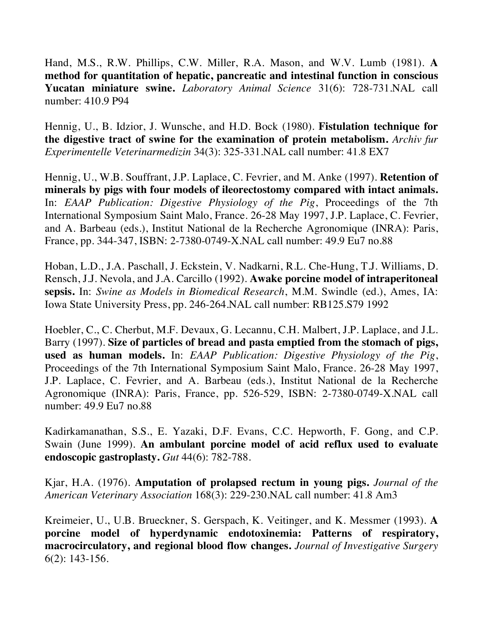Hand, M.S., R.W. Phillips, C.W. Miller, R.A. Mason, and W.V. Lumb (1981). **A method for quantitation of hepatic, pancreatic and intestinal function in conscious Yucatan miniature swine.** *Laboratory Animal Science* 31(6): 728-731.NAL call number: 410.9 P94

Hennig, U., B. Idzior, J. Wunsche, and H.D. Bock (1980). **Fistulation technique for the digestive tract of swine for the examination of protein metabolism.** *Archiv fur Experimentelle Veterinarmedizin* 34(3): 325-331.NAL call number: 41.8 EX7

Hennig, U., W.B. Souffrant, J.P. Laplace, C. Fevrier, and M. Anke (1997). **Retention of minerals by pigs with four models of ileorectostomy compared with intact animals.** In: *EAAP Publication: Digestive Physiology of the Pig*, Proceedings of the 7th International Symposium Saint Malo, France. 26-28 May 1997, J.P. Laplace, C. Fevrier, and A. Barbeau (eds.), Institut National de la Recherche Agronomique (INRA): Paris, France, pp. 344-347, ISBN: 2-7380-0749-X.NAL call number: 49.9 Eu7 no.88

Hoban, L.D., J.A. Paschall, J. Eckstein, V. Nadkarni, R.L. Che-Hung, T.J. Williams, D. Rensch, J.J. Nevola, and J.A. Carcillo (1992). **Awake porcine model of intraperitoneal sepsis.** In: *Swine as Models in Biomedical Research*, M.M. Swindle (ed.), Ames, IA: Iowa State University Press, pp. 246-264.NAL call number: RB125.S79 1992

Hoebler, C., C. Cherbut, M.F. Devaux, G. Lecannu, C.H. Malbert, J.P. Laplace, and J.L. Barry (1997). **Size of particles of bread and pasta emptied from the stomach of pigs, used as human models.** In: *EAAP Publication: Digestive Physiology of the Pig*, Proceedings of the 7th International Symposium Saint Malo, France. 26-28 May 1997, J.P. Laplace, C. Fevrier, and A. Barbeau (eds.), Institut National de la Recherche Agronomique (INRA): Paris, France, pp. 526-529, ISBN: 2-7380-0749-X.NAL call number: 49.9 Eu7 no.88

Kadirkamanathan, S.S., E. Yazaki, D.F. Evans, C.C. Hepworth, F. Gong, and C.P. Swain (June 1999). **An ambulant porcine model of acid reflux used to evaluate endoscopic gastroplasty.** *Gut* 44(6): 782-788.

Kjar, H.A. (1976). **Amputation of prolapsed rectum in young pigs.** *Journal of the American Veterinary Association* 168(3): 229-230.NAL call number: 41.8 Am3

Kreimeier, U., U.B. Brueckner, S. Gerspach, K. Veitinger, and K. Messmer (1993). **A porcine model of hyperdynamic endotoxinemia: Patterns of respiratory, macrocirculatory, and regional blood flow changes.** *Journal of Investigative Surgery* 6(2): 143-156.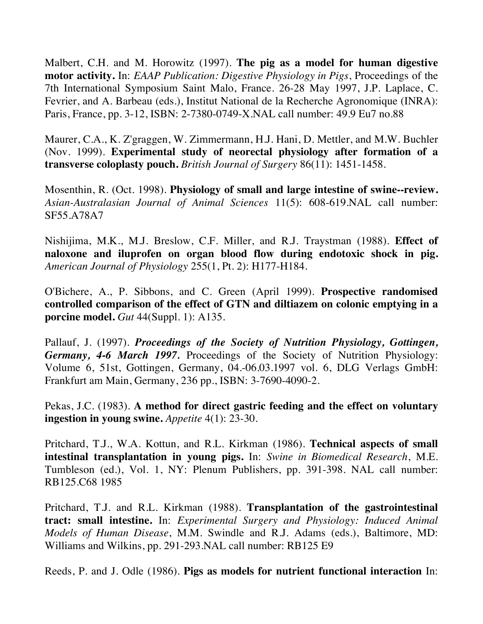Malbert, C.H. and M. Horowitz (1997). **The pig as a model for human digestive motor activity.** In: *EAAP Publication: Digestive Physiology in Pigs*, Proceedings of the 7th International Symposium Saint Malo, France. 26-28 May 1997, J.P. Laplace, C. Fevrier, and A. Barbeau (eds.), Institut National de la Recherche Agronomique (INRA): Paris, France, pp. 3-12, ISBN: 2-7380-0749-X.NAL call number: 49.9 Eu7 no.88

Maurer, C.A., K. Z'graggen, W. Zimmermann, H.J. Hani, D. Mettler, and M.W. Buchler (Nov. 1999). **Experimental study of neorectal physiology after formation of a transverse coloplasty pouch.** *British Journal of Surgery* 86(11): 1451-1458.

Mosenthin, R. (Oct. 1998). **Physiology of small and large intestine of swine--review.**  *Asian-Australasian Journal of Animal Sciences* 11(5): 608-619.NAL call number: SF55.A78A7

Nishijima, M.K., M.J. Breslow, C.F. Miller, and R.J. Traystman (1988). **Effect of naloxone and iluprofen on organ blood flow during endotoxic shock in pig.** *American Journal of Physiology* 255(1, Pt. 2): H177-H184.

O'Bichere, A., P. Sibbons, and C. Green (April 1999). **Prospective randomised controlled comparison of the effect of GTN and diltiazem on colonic emptying in a porcine model.** *Gut* 44(Suppl. 1): A135.

Pallauf, J. (1997). *Proceedings of the Society of Nutrition Physiology, Gottingen, Germany, 4-6 March 1997.* Proceedings of the Society of Nutrition Physiology: Volume 6, 51st, Gottingen, Germany, 04.-06.03.1997 vol. 6, DLG Verlags GmbH: Frankfurt am Main, Germany, 236 pp., ISBN: 3-7690-4090-2.

Pekas, J.C. (1983). **A method for direct gastric feeding and the effect on voluntary ingestion in young swine.** *Appetite* 4(1): 23-30.

Pritchard, T.J., W.A. Kottun, and R.L. Kirkman (1986). **Technical aspects of small intestinal transplantation in young pigs.** In: *Swine in Biomedical Research*, M.E. Tumbleson (ed.), Vol. 1, NY: Plenum Publishers, pp. 391-398. NAL call number: RB125.C68 1985

Pritchard, T.J. and R.L. Kirkman (1988). **Transplantation of the gastrointestinal tract: small intestine.** In: *Experimental Surgery and Physiology: Induced Animal Models of Human Disease*, M.M. Swindle and R.J. Adams (eds.), Baltimore, MD: Williams and Wilkins, pp. 291-293.NAL call number: RB125 E9

Reeds, P. and J. Odle (1986). **Pigs as models for nutrient functional interaction** In: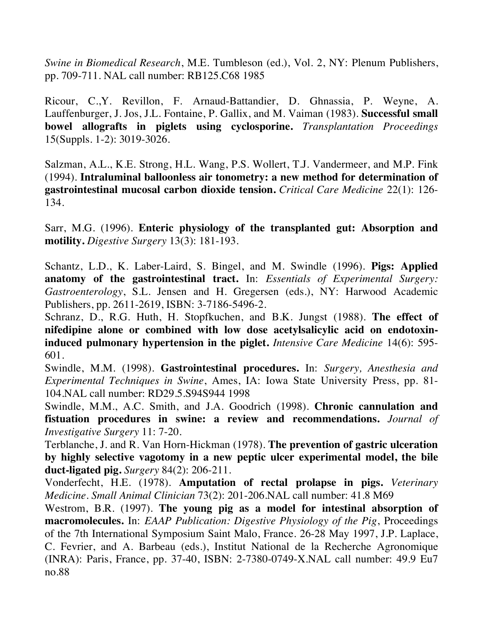*Swine in Biomedical Research*, M.E. Tumbleson (ed.), Vol. 2, NY: Plenum Publishers, pp. 709-711. NAL call number: RB125.C68 1985

Ricour, C.,Y. Revillon, F. Arnaud-Battandier, D. Ghnassia, P. Weyne, A. Lauffenburger, J. Jos, J.L. Fontaine, P. Gallix, and M. Vaiman (1983). **Successful small bowel allografts in piglets using cyclosporine.** *Transplantation Proceedings* 15(Suppls. 1-2): 3019-3026.

Salzman, A.L., K.E. Strong, H.L. Wang, P.S. Wollert, T.J. Vandermeer, and M.P. Fink (1994). **Intraluminal balloonless air tonometry: a new method for determination of gastrointestinal mucosal carbon dioxide tension.** *Critical Care Medicine* 22(1): 126- 134.

Sarr, M.G. (1996). **Enteric physiology of the transplanted gut: Absorption and motility.** *Digestive Surgery* 13(3): 181-193.

Schantz, L.D., K. Laber-Laird, S. Bingel, and M. Swindle (1996). **Pigs: Applied anatomy of the gastrointestinal tract.** In: *Essentials of Experimental Surgery: Gastroenterology*, S.L. Jensen and H. Gregersen (eds.), NY: Harwood Academic Publishers, pp. 2611-2619, ISBN: 3-7186-5496-2.

Schranz, D., R.G. Huth, H. Stopfkuchen, and B.K. Jungst (1988). **The effect of nifedipine alone or combined with low dose acetylsalicylic acid on endotoxininduced pulmonary hypertension in the piglet.** *Intensive Care Medicine* 14(6): 595- 601.

Swindle, M.M. (1998). **Gastrointestinal procedures.** In: *Surgery, Anesthesia and Experimental Techniques in Swine*, Ames, IA: Iowa State University Press, pp. 81- 104.NAL call number: RD29.5.S94S944 1998

Swindle, M.M., A.C. Smith, and J.A. Goodrich (1998). **Chronic cannulation and fistuation procedures in swine: a review and recommendations.** *Journal of Investigative Surgery* 11: 7-20.

Terblanche, J. and R. Van Horn-Hickman (1978). **The prevention of gastric ulceration by highly selective vagotomy in a new peptic ulcer experimental model, the bile duct-ligated pig.** *Surgery* 84(2): 206-211.

Vonderfecht, H.E. (1978). **Amputation of rectal prolapse in pigs.** *Veterinary Medicine. Small Animal Clinician* 73(2): 201-206.NAL call number: 41.8 M69

Westrom, B.R. (1997). **The young pig as a model for intestinal absorption of macromolecules.** In: *EAAP Publication: Digestive Physiology of the Pig*, Proceedings of the 7th International Symposium Saint Malo, France. 26-28 May 1997, J.P. Laplace, C. Fevrier, and A. Barbeau (eds.), Institut National de la Recherche Agronomique (INRA): Paris, France, pp. 37-40, ISBN: 2-7380-0749-X.NAL call number: 49.9 Eu7 no.88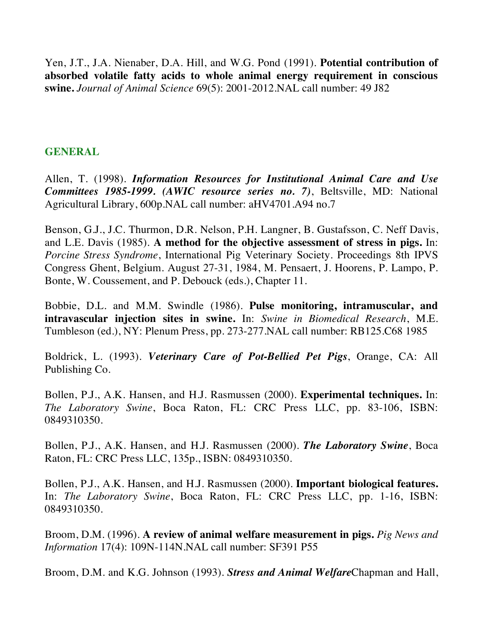Yen, J.T., J.A. Nienaber, D.A. Hill, and W.G. Pond (1991). **Potential contribution of absorbed volatile fatty acids to whole animal energy requirement in conscious swine.** *Journal of Animal Science* 69(5): 2001-2012.NAL call number: 49 J82

# **GENERAL**

Allen, T. (1998). *Information Resources for Institutional Animal Care and Use Committees 1985-1999. (AWIC resource series no. 7)*, Beltsville, MD: National Agricultural Library, 600p.NAL call number: aHV4701.A94 no.7

Benson, G.J., J.C. Thurmon, D.R. Nelson, P.H. Langner, B. Gustafsson, C. Neff Davis, and L.E. Davis (1985). **A method for the objective assessment of stress in pigs.** In: *Porcine Stress Syndrome*, International Pig Veterinary Society. Proceedings 8th IPVS Congress Ghent, Belgium. August 27-31, 1984, M. Pensaert, J. Hoorens, P. Lampo, P. Bonte, W. Coussement, and P. Debouck (eds.), Chapter 11.

Bobbie, D.L. and M.M. Swindle (1986). **Pulse monitoring, intramuscular, and intravascular injection sites in swine.** In: *Swine in Biomedical Research*, M.E. Tumbleson (ed.), NY: Plenum Press, pp. 273-277.NAL call number: RB125.C68 1985

Boldrick, L. (1993). *Veterinary Care of Pot-Bellied Pet Pigs*, Orange, CA: All Publishing Co.

Bollen, P.J., A.K. Hansen, and H.J. Rasmussen (2000). **Experimental techniques.** In: *The Laboratory Swine*, Boca Raton, FL: CRC Press LLC, pp. 83-106, ISBN: 0849310350.

Bollen, P.J., A.K. Hansen, and H.J. Rasmussen (2000). *The Laboratory Swine*, Boca Raton, FL: CRC Press LLC, 135p., ISBN: 0849310350.

Bollen, P.J., A.K. Hansen, and H.J. Rasmussen (2000). **Important biological features.** In: *The Laboratory Swine*, Boca Raton, FL: CRC Press LLC, pp. 1-16, ISBN: 0849310350.

Broom, D.M. (1996). **A review of animal welfare measurement in pigs.** *Pig News and Information* 17(4): 109N-114N.NAL call number: SF391 P55

Broom, D.M. and K.G. Johnson (1993). *Stress and Animal Welfare*Chapman and Hall,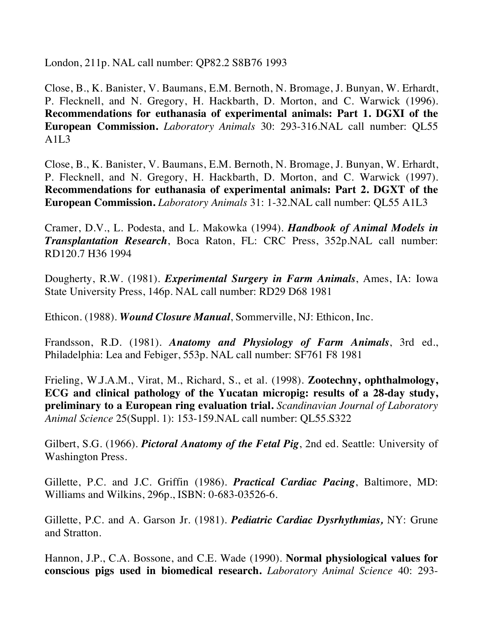London, 211p. NAL call number: QP82.2 S8B76 1993

Close, B., K. Banister, V. Baumans, E.M. Bernoth, N. Bromage, J. Bunyan, W. Erhardt, P. Flecknell, and N. Gregory, H. Hackbarth, D. Morton, and C. Warwick (1996). **Recommendations for euthanasia of experimental animals: Part 1. DGXI of the European Commission.** *Laboratory Animals* 30: 293-316.NAL call number: QL55  $A1L3$ 

Close, B., K. Banister, V. Baumans, E.M. Bernoth, N. Bromage, J. Bunyan, W. Erhardt, P. Flecknell, and N. Gregory, H. Hackbarth, D. Morton, and C. Warwick (1997). **Recommendations for euthanasia of experimental animals: Part 2. DGXT of the European Commission.** *Laboratory Animals* 31: 1-32.NAL call number: QL55 A1L3

Cramer, D.V., L. Podesta, and L. Makowka (1994). *Handbook of Animal Models in Transplantation Research*, Boca Raton, FL: CRC Press, 352p.NAL call number: RD120.7 H36 1994

Dougherty, R.W. (1981). *Experimental Surgery in Farm Animals*, Ames, IA: Iowa State University Press, 146p. NAL call number: RD29 D68 1981

Ethicon. (1988). *Wound Closure Manual*, Sommerville, NJ: Ethicon, Inc.

Frandsson, R.D. (1981). *Anatomy and Physiology of Farm Animals*, 3rd ed., Philadelphia: Lea and Febiger, 553p. NAL call number: SF761 F8 1981

Frieling, W.J.A.M., Virat, M., Richard, S., et al. (1998). **Zootechny, ophthalmology, ECG and clinical pathology of the Yucatan micropig: results of a 28-day study, preliminary to a European ring evaluation trial.** *Scandinavian Journal of Laboratory Animal Science* 25(Suppl. 1): 153-159.NAL call number: QL55.S322

Gilbert, S.G. (1966). *Pictoral Anatomy of the Fetal Pig*, 2nd ed. Seattle: University of Washington Press.

Gillette, P.C. and J.C. Griffin (1986). *Practical Cardiac Pacing*, Baltimore, MD: Williams and Wilkins, 296p., ISBN: 0-683-03526-6.

Gillette, P.C. and A. Garson Jr. (1981). *Pediatric Cardiac Dysrhythmias,* NY: Grune and Stratton.

Hannon, J.P., C.A. Bossone, and C.E. Wade (1990). **Normal physiological values for conscious pigs used in biomedical research.** *Laboratory Animal Science* 40: 293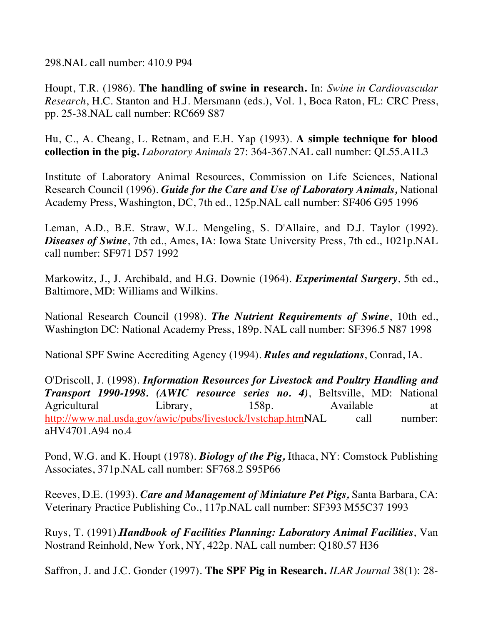298.NAL call number: 410.9 P94

Houpt, T.R. (1986). **The handling of swine in research.** In: *Swine in Cardiovascular Research*, H.C. Stanton and H.J. Mersmann (eds.), Vol. 1, Boca Raton, FL: CRC Press, pp. 25-38.NAL call number: RC669 S87

Hu, C., A. Cheang, L. Retnam, and E.H. Yap (1993). **A simple technique for blood collection in the pig.** *Laboratory Animals* 27: 364-367.NAL call number: QL55.A1L3

Institute of Laboratory Animal Resources, Commission on Life Sciences, National Research Council (1996). *Guide for the Care and Use of Laboratory Animals,* National Academy Press, Washington, DC, 7th ed., 125p.NAL call number: SF406 G95 1996

Leman, A.D., B.E. Straw, W.L. Mengeling, S. D'Allaire, and D.J. Taylor (1992). *Diseases of Swine*, 7th ed., Ames, IA: Iowa State University Press, 7th ed., 1021p.NAL call number: SF971 D57 1992

Markowitz, J., J. Archibald, and H.G. Downie (1964). *Experimental Surgery*, 5th ed., Baltimore, MD: Williams and Wilkins.

National Research Council (1998). *The Nutrient Requirements of Swine*, 10th ed., Washington DC: National Academy Press, 189p. NAL call number: SF396.5 N87 1998

National SPF Swine Accrediting Agency (1994). *Rules and regulations*, Conrad, IA.

O'Driscoll, J. (1998). *Information Resources for Livestock and Poultry Handling and Transport 1990-1998. (AWIC resource series no. 4)*, Beltsville, MD: National Agricultural Library, 158p. Available at http://www.nal.usda.gov/awic/pubs/livestock/lvstchap.htmNAL call number: aHV4701.A94 no.4

Pond, W.G. and K. Houpt (1978). *Biology of the Pig,* Ithaca, NY: Comstock Publishing Associates, 371p.NAL call number: SF768.2 S95P66

Reeves, D.E. (1993). *Care and Management of Miniature Pet Pigs,* Santa Barbara, CA: Veterinary Practice Publishing Co., 117p.NAL call number: SF393 M55C37 1993

Ruys, T. (1991).*Handbook of Facilities Planning: Laboratory Animal Facilities*, Van Nostrand Reinhold, New York, NY, 422p. NAL call number: Q180.57 H36

Saffron, J. and J.C. Gonder (1997). **The SPF Pig in Research.** *ILAR Journal* 38(1): 28-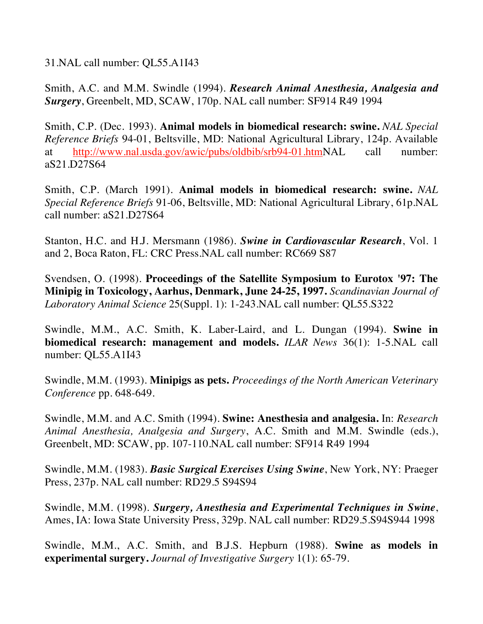31.NAL call number: QL55.A1I43

Smith, A.C. and M.M. Swindle (1994). *Research Animal Anesthesia, Analgesia and Surgery*, Greenbelt, MD, SCAW, 170p. NAL call number: SF914 R49 1994

Smith, C.P. (Dec. 1993). **Animal models in biomedical research: swine.** *NAL Special Reference Briefs* 94-01, Beltsville, MD: National Agricultural Library, 124p. Available at http://www.nal.usda.gov/awic/pubs/oldbib/srb94-01.htmNAL call number: aS21.D27S64

Smith, C.P. (March 1991). **Animal models in biomedical research: swine.** *NAL Special Reference Briefs* 91-06, Beltsville, MD: National Agricultural Library, 61p.NAL call number: aS21.D27S64

Stanton, H.C. and H.J. Mersmann (1986). *Swine in Cardiovascular Research*, Vol. 1 and 2, Boca Raton, FL: CRC Press.NAL call number: RC669 S87

Svendsen, O. (1998). **Proceedings of the Satellite Symposium to Eurotox '97: The Minipig in Toxicology, Aarhus, Denmark, June 24-25, 1997.** *Scandinavian Journal of Laboratory Animal Science* 25(Suppl. 1): 1-243.NAL call number: QL55.S322

Swindle, M.M., A.C. Smith, K. Laber-Laird, and L. Dungan (1994). **Swine in biomedical research: management and models.** *ILAR News* 36(1): 1-5.NAL call number: QL55.A1I43

Swindle, M.M. (1993). **Minipigs as pets.** *Proceedings of the North American Veterinary Conference* pp. 648-649.

Swindle, M.M. and A.C. Smith (1994). **Swine: Anesthesia and analgesia.** In: *Research Animal Anesthesia, Analgesia and Surgery*, A.C. Smith and M.M. Swindle (eds.), Greenbelt, MD: SCAW, pp. 107-110.NAL call number: SF914 R49 1994

Swindle, M.M. (1983). *Basic Surgical Exercises Using Swine*, New York, NY: Praeger Press, 237p. NAL call number: RD29.5 S94S94

Swindle, M.M. (1998). *Surgery, Anesthesia and Experimental Techniques in Swine*, Ames, IA: Iowa State University Press, 329p. NAL call number: RD29.5.S94S944 1998

Swindle, M.M., A.C. Smith, and B.J.S. Hepburn (1988). **Swine as models in experimental surgery.** *Journal of Investigative Surgery* 1(1): 65-79.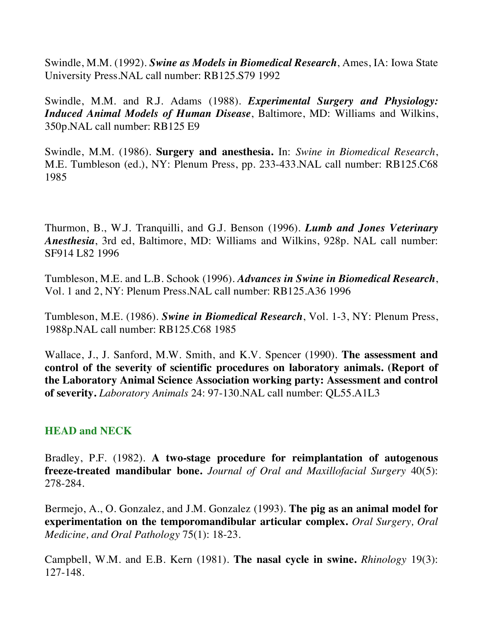Swindle, M.M. (1992). *Swine as Models in Biomedical Research*, Ames, IA: Iowa State University Press.NAL call number: RB125.S79 1992

Swindle, M.M. and R.J. Adams (1988). *Experimental Surgery and Physiology: Induced Animal Models of Human Disease*, Baltimore, MD: Williams and Wilkins, 350p.NAL call number: RB125 E9

Swindle, M.M. (1986). **Surgery and anesthesia.** In: *Swine in Biomedical Research*, M.E. Tumbleson (ed.), NY: Plenum Press, pp. 233-433.NAL call number: RB125.C68 1985

Thurmon, B., W.J. Tranquilli, and G.J. Benson (1996). *Lumb and Jones Veterinary Anesthesia*, 3rd ed, Baltimore, MD: Williams and Wilkins, 928p. NAL call number: SF914 L82 1996

Tumbleson, M.E. and L.B. Schook (1996). *Advances in Swine in Biomedical Research*, Vol. 1 and 2, NY: Plenum Press.NAL call number: RB125.A36 1996

Tumbleson, M.E. (1986). *Swine in Biomedical Research*, Vol. 1-3, NY: Plenum Press, 1988p.NAL call number: RB125.C68 1985

Wallace, J., J. Sanford, M.W. Smith, and K.V. Spencer (1990). **The assessment and control of the severity of scientific procedures on laboratory animals. (Report of the Laboratory Animal Science Association working party: Assessment and control of severity.** *Laboratory Animals* 24: 97-130.NAL call number: QL55.A1L3

# **HEAD and NECK**

Bradley, P.F. (1982). **A two-stage procedure for reimplantation of autogenous freeze-treated mandibular bone.** *Journal of Oral and Maxillofacial Surgery* 40(5): 278-284.

Bermejo, A., O. Gonzalez, and J.M. Gonzalez (1993). **The pig as an animal model for experimentation on the temporomandibular articular complex.** *Oral Surgery, Oral Medicine, and Oral Pathology* 75(1): 18-23.

Campbell, W.M. and E.B. Kern (1981). **The nasal cycle in swine.** *Rhinology* 19(3): 127-148.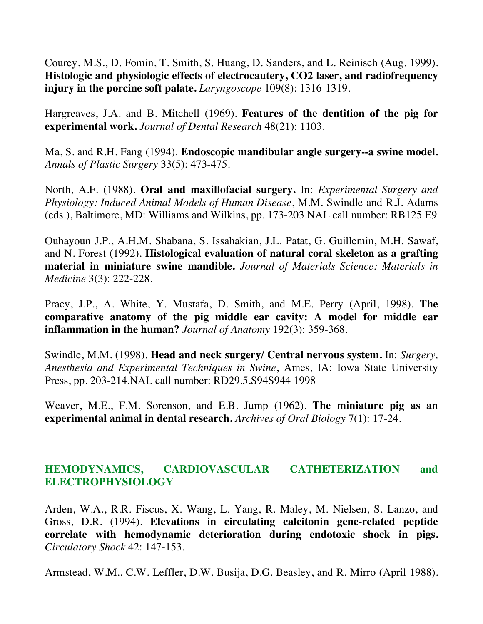Courey, M.S., D. Fomin, T. Smith, S. Huang, D. Sanders, and L. Reinisch (Aug. 1999). **Histologic and physiologic effects of electrocautery, CO2 laser, and radiofrequency injury in the porcine soft palate.** *Laryngoscope* 109(8): 1316-1319.

Hargreaves, J.A. and B. Mitchell (1969). **Features of the dentition of the pig for experimental work.** *Journal of Dental Research* 48(21): 1103.

Ma, S. and R.H. Fang (1994). **Endoscopic mandibular angle surgery--a swine model.**  *Annals of Plastic Surgery* 33(5): 473-475.

North, A.F. (1988). **Oral and maxillofacial surgery.** In: *Experimental Surgery and Physiology: Induced Animal Models of Human Disease*, M.M. Swindle and R.J. Adams (eds.), Baltimore, MD: Williams and Wilkins, pp. 173-203.NAL call number: RB125 E9

Ouhayoun J.P., A.H.M. Shabana, S. Issahakian, J.L. Patat, G. Guillemin, M.H. Sawaf, and N. Forest (1992). **Histological evaluation of natural coral skeleton as a grafting material in miniature swine mandible.** *Journal of Materials Science: Materials in Medicine* 3(3): 222-228.

Pracy, J.P., A. White, Y. Mustafa, D. Smith, and M.E. Perry (April, 1998). **The comparative anatomy of the pig middle ear cavity: A model for middle ear inflammation in the human?** *Journal of Anatomy* 192(3): 359-368.

Swindle, M.M. (1998). **Head and neck surgery/ Central nervous system.** In: *Surgery, Anesthesia and Experimental Techniques in Swine*, Ames, IA: Iowa State University Press, pp. 203-214.NAL call number: RD29.5.S94S944 1998

Weaver, M.E., F.M. Sorenson, and E.B. Jump (1962). **The miniature pig as an experimental animal in dental research.** *Archives of Oral Biology* 7(1): 17-24.

# **HEMODYNAMICS, CARDIOVASCULAR CATHETERIZATION and ELECTROPHYSIOLOGY**

Arden, W.A., R.R. Fiscus, X. Wang, L. Yang, R. Maley, M. Nielsen, S. Lanzo, and Gross, D.R. (1994). **Elevations in circulating calcitonin gene-related peptide correlate with hemodynamic deterioration during endotoxic shock in pigs.**  *Circulatory Shock* 42: 147-153.

Armstead, W.M., C.W. Leffler, D.W. Busija, D.G. Beasley, and R. Mirro (April 1988).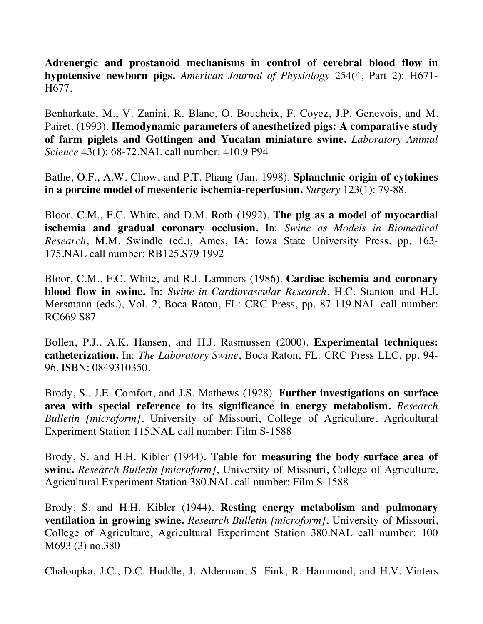**Adrenergic and prostanoid mechanisms in control of cerebral blood flow in hypotensive newborn pigs.** *American Journal of Physiology* 254(4, Part 2): H671- H677.

Benharkate, M., V. Zanini, R. Blanc, O. Boucheix, F. Coyez, J.P. Genevois, and M. Pairet. (1993). **Hemodynamic parameters of anesthetized pigs: A comparative study of farm piglets and Gottingen and Yucatan miniature swine.** *Laboratory Animal Science* 43(1): 68-72.NAL call number: 410.9 P94

Bathe, O.F., A.W. Chow, and P.T. Phang (Jan. 1998). **Splanchnic origin of cytokines in a porcine model of mesenteric ischemia-reperfusion.** *Surgery* 123(1): 79-88.

Bloor, C.M., F.C. White, and D.M. Roth (1992). **The pig as a model of myocardial ischemia and gradual coronary occlusion.** In: *Swine as Models in Biomedical Research*, M.M. Swindle (ed.), Ames, IA: Iowa State University Press, pp. 163- 175.NAL call number: RB125.S79 1992

Bloor, C.M., F.C. White, and R.J. Lammers (1986). **Cardiac ischemia and coronary blood flow in swine.** In: *Swine in Cardiovascular Research*, H.C. Stanton and H.J. Mersmann (eds.), Vol. 2, Boca Raton, FL: CRC Press, pp. 87-119.NAL call number: RC669 S87

Bollen, P.J., A.K. Hansen, and H.J. Rasmussen (2000). **Experimental techniques: catheterization.** In: *The Laboratory Swine*, Boca Raton, FL: CRC Press LLC, pp. 94- 96, ISBN: 0849310350.

Brody, S., J.E. Comfort, and J.S. Mathews (1928). **Further investigations on surface area with special reference to its significance in energy metabolism.** *Research Bulletin [microform]*, University of Missouri, College of Agriculture, Agricultural Experiment Station 115.NAL call number: Film S-1588

Brody, S. and H.H. Kibler (1944). **Table for measuring the body surface area of swine.** *Research Bulletin [microform]*, University of Missouri, College of Agriculture, Agricultural Experiment Station 380.NAL call number: Film S-1588

Brody, S. and H.H. Kibler (1944). **Resting energy metabolism and pulmonary ventilation in growing swine.** *Research Bulletin [microform]*, University of Missouri, College of Agriculture, Agricultural Experiment Station 380.NAL call number: 100 M693 (3) no.380

Chaloupka, J.C., D.C. Huddle, J. Alderman, S. Fink, R. Hammond, and H.V. Vinters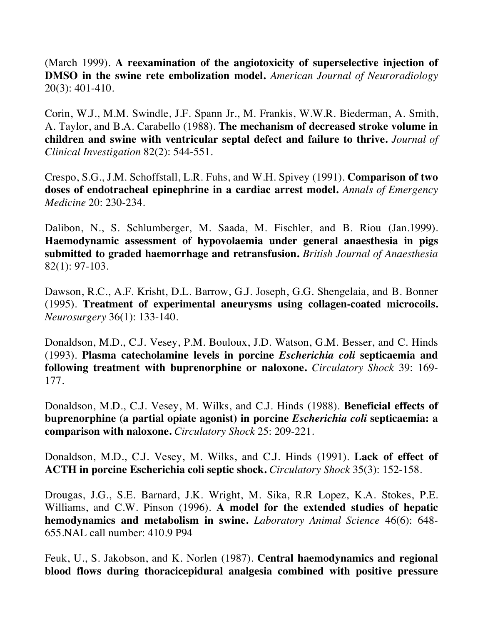(March 1999). **A reexamination of the angiotoxicity of superselective injection of DMSO in the swine rete embolization model.** *American Journal of Neuroradiology* 20(3): 401-410.

Corin, W.J., M.M. Swindle, J.F. Spann Jr., M. Frankis, W.W.R. Biederman, A. Smith, A. Taylor, and B.A. Carabello (1988). **The mechanism of decreased stroke volume in children and swine with ventricular septal defect and failure to thrive.** *Journal of Clinical Investigation* 82(2): 544-551.

Crespo, S.G., J.M. Schoffstall, L.R. Fuhs, and W.H. Spivey (1991). **Comparison of two doses of endotracheal epinephrine in a cardiac arrest model.** *Annals of Emergency Medicine* 20: 230-234.

Dalibon, N., S. Schlumberger, M. Saada, M. Fischler, and B. Riou (Jan.1999). **Haemodynamic assessment of hypovolaemia under general anaesthesia in pigs submitted to graded haemorrhage and retransfusion.** *British Journal of Anaesthesia* 82(1): 97-103.

Dawson, R.C., A.F. Krisht, D.L. Barrow, G.J. Joseph, G.G. Shengelaia, and B. Bonner (1995). **Treatment of experimental aneurysms using collagen-coated microcoils.** *Neurosurgery* 36(1): 133-140.

Donaldson, M.D., C.J. Vesey, P.M. Bouloux, J.D. Watson, G.M. Besser, and C. Hinds (1993). **Plasma catecholamine levels in porcine** *Escherichia coli* **septicaemia and following treatment with buprenorphine or naloxone.** *Circulatory Shock* 39: 169- 177.

Donaldson, M.D., C.J. Vesey, M. Wilks, and C.J. Hinds (1988). **Beneficial effects of buprenorphine (a partial opiate agonist) in porcine** *Escherichia coli* **septicaemia: a comparison with naloxone.** *Circulatory Shock* 25: 209-221.

Donaldson, M.D., C.J. Vesey, M. Wilks, and C.J. Hinds (1991). **Lack of effect of ACTH in porcine Escherichia coli septic shock.** *Circulatory Shock* 35(3): 152-158.

Drougas, J.G., S.E. Barnard, J.K. Wright, M. Sika, R.R Lopez, K.A. Stokes, P.E. Williams, and C.W. Pinson (1996). **A model for the extended studies of hepatic hemodynamics and metabolism in swine.** *Laboratory Animal Science* 46(6): 648- 655.NAL call number: 410.9 P94

Feuk, U., S. Jakobson, and K. Norlen (1987). **Central haemodynamics and regional blood flows during thoracicepidural analgesia combined with positive pressure**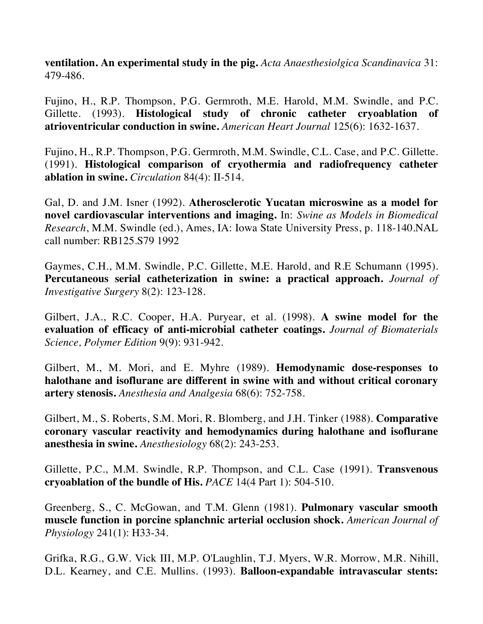**ventilation. An experimental study in the pig.** *Acta Anaesthesiolgica Scandinavica* 31: 479-486.

Fujino, H., R.P. Thompson, P.G. Germroth, M.E. Harold, M.M. Swindle, and P.C. Gillette. (1993). **Histological study of chronic catheter cryoablation of atrioventricular conduction in swine.** *American Heart Journal* 125(6): 1632-1637.

Fujino, H., R.P. Thompson, P.G. Germroth, M.M. Swindle, C.L. Case, and P.C. Gillette. (1991). **Histological comparison of cryothermia and radiofrequency catheter ablation in swine.** *Circulation* 84(4): II-514.

Gal, D. and J.M. Isner (1992). **Atherosclerotic Yucatan microswine as a model for novel cardiovascular interventions and imaging.** In: *Swine as Models in Biomedical Research*, M.M. Swindle (ed.), Ames, IA: Iowa State University Press, p. 118-140.NAL call number: RB125.S79 1992

Gaymes, C.H., M.M. Swindle, P.C. Gillette, M.E. Harold, and R.E Schumann (1995). **Percutaneous serial catheterization in swine: a practical approach.** *Journal of Investigative Surgery* 8(2): 123-128.

Gilbert, J.A., R.C. Cooper, H.A. Puryear, et al. (1998). **A swine model for the evaluation of efficacy of anti-microbial catheter coatings.** *Journal of Biomaterials Science, Polymer Edition* 9(9): 931-942.

Gilbert, M., M. Mori, and E. Myhre (1989). **Hemodynamic dose-responses to halothane and isoflurane are different in swine with and without critical coronary artery stenosis.** *Anesthesia and Analgesia* 68(6): 752-758.

Gilbert, M., S. Roberts, S.M. Mori, R. Blomberg, and J.H. Tinker (1988). **Comparative coronary vascular reactivity and hemodynamics during halothane and isoflurane anesthesia in swine.** *Anesthesiology* 68(2): 243-253.

Gillette, P.C., M.M. Swindle, R.P. Thompson, and C.L. Case (1991). **Transvenous cryoablation of the bundle of His.** *PACE* 14(4 Part 1): 504-510.

Greenberg, S., C. McGowan, and T.M. Glenn (1981). **Pulmonary vascular smooth muscle function in porcine splanchnic arterial occlusion shock.** *American Journal of Physiology* 241(1): H33-34.

Grifka, R.G., G.W. Vick III, M.P. O'Laughlin, T.J. Myers, W.R. Morrow, M.R. Nihill, D.L. Kearney, and C.E. Mullins. (1993). **Balloon-expandable intravascular stents:**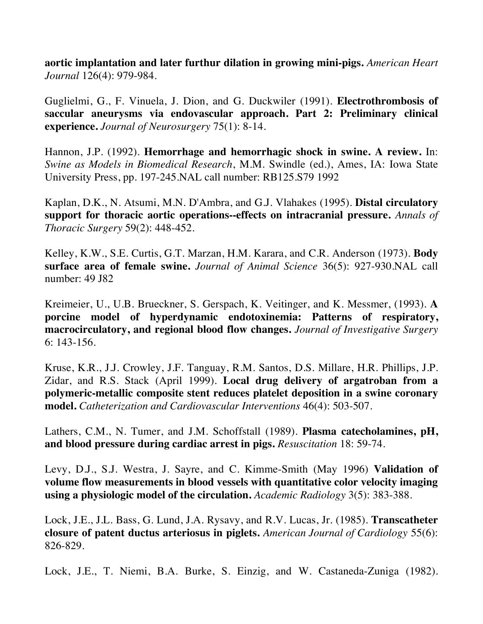**aortic implantation and later furthur dilation in growing mini-pigs.** *American Heart Journal* 126(4): 979-984.

Guglielmi, G., F. Vinuela, J. Dion, and G. Duckwiler (1991). **Electrothrombosis of saccular aneurysms via endovascular approach. Part 2: Preliminary clinical experience.** *Journal of Neurosurgery* 75(1): 8-14.

Hannon, J.P. (1992). **Hemorrhage and hemorrhagic shock in swine. A review.** In: *Swine as Models in Biomedical Research*, M.M. Swindle (ed.), Ames, IA: Iowa State University Press, pp. 197-245.NAL call number: RB125.S79 1992

Kaplan, D.K., N. Atsumi, M.N. D'Ambra, and G.J. Vlahakes (1995). **Distal circulatory support for thoracic aortic operations--effects on intracranial pressure.** *Annals of Thoracic Surgery* 59(2): 448-452.

Kelley, K.W., S.E. Curtis, G.T. Marzan, H.M. Karara, and C.R. Anderson (1973). **Body surface area of female swine.** *Journal of Animal Science* 36(5): 927-930.NAL call number: 49 J82

Kreimeier, U., U.B. Brueckner, S. Gerspach, K. Veitinger, and K. Messmer, (1993). **A porcine model of hyperdynamic endotoxinemia: Patterns of respiratory, macrocirculatory, and regional blood flow changes.** *Journal of Investigative Surgery* 6: 143-156.

Kruse, K.R., J.J. Crowley, J.F. Tanguay, R.M. Santos, D.S. Millare, H.R. Phillips, J.P. Zidar, and R.S. Stack (April 1999). **Local drug delivery of argatroban from a polymeric-metallic composite stent reduces platelet deposition in a swine coronary model.** *Catheterization and Cardiovascular Interventions* 46(4): 503-507.

Lathers, C.M., N. Tumer, and J.M. Schoffstall (1989). **Plasma catecholamines, pH, and blood pressure during cardiac arrest in pigs.** *Resuscitation* 18: 59-74.

Levy, D.J., S.J. Westra, J. Sayre, and C. Kimme-Smith (May 1996) **Validation of volume flow measurements in blood vessels with quantitative color velocity imaging using a physiologic model of the circulation.** *Academic Radiology* 3(5): 383-388.

Lock, J.E., J.L. Bass, G. Lund, J.A. Rysavy, and R.V. Lucas, Jr. (1985). **Transcatheter closure of patent ductus arteriosus in piglets.** *American Journal of Cardiology* 55(6): 826-829.

Lock, J.E., T. Niemi, B.A. Burke, S. Einzig, and W. Castaneda-Zuniga (1982).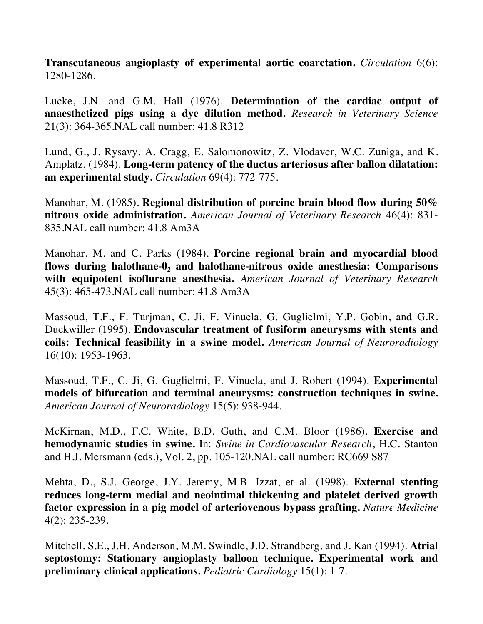**Transcutaneous angioplasty of experimental aortic coarctation.** *Circulation* 6(6): 1280-1286.

Lucke, J.N. and G.M. Hall (1976). **Determination of the cardiac output of anaesthetized pigs using a dye dilution method.** *Research in Veterinary Science* 21(3): 364-365.NAL call number: 41.8 R312

Lund, G., J. Rysavy, A. Cragg, E. Salomonowitz, Z. Vlodaver, W.C. Zuniga, and K. Amplatz. (1984). **Long-term patency of the ductus arteriosus after ballon dilatation: an experimental study.** *Circulation* 69(4): 772-775.

Manohar, M. (1985). **Regional distribution of porcine brain blood flow during 50% nitrous oxide administration.** *American Journal of Veterinary Research* 46(4): 831- 835.NAL call number: 41.8 Am3A

Manohar, M. and C. Parks (1984). **Porcine regional brain and myocardial blood flows during halothane-0, and halothane-nitrous oxide anesthesia: Comparisons with equipotent isoflurane anesthesia.** *American Journal of Veterinary Research* 45(3): 465-473.NAL call number: 41.8 Am3A

Massoud, T.F., F. Turjman, C. Ji, F. Vinuela, G. Guglielmi, Y.P. Gobin, and G.R. Duckwiller (1995). **Endovascular treatment of fusiform aneurysms with stents and coils: Technical feasibility in a swine model.** *American Journal of Neuroradiology* 16(10): 1953-1963.

Massoud, T.F., C. Ji, G. Guglielmi, F. Vinuela, and J. Robert (1994). **Experimental models of bifurcation and terminal aneurysms: construction techniques in swine.**  *American Journal of Neuroradiology* 15(5): 938-944.

McKirnan, M.D., F.C. White, B.D. Guth, and C.M. Bloor (1986). **Exercise and hemodynamic studies in swine.** In: *Swine in Cardiovascular Research*, H.C. Stanton and H.J. Mersmann (eds.), Vol. 2, pp. 105-120.NAL call number: RC669 S87

Mehta, D., S.J. George, J.Y. Jeremy, M.B. Izzat, et al. (1998). **External stenting reduces long-term medial and neointimal thickening and platelet derived growth factor expression in a pig model of arteriovenous bypass grafting.** *Nature Medicine* 4(2): 235-239.

Mitchell, S.E., J.H. Anderson, M.M. Swindle, J.D. Strandberg, and J. Kan (1994). **Atrial septostomy: Stationary angioplasty balloon technique. Experimental work and preliminary clinical applications.** *Pediatric Cardiology* 15(1): 1-7.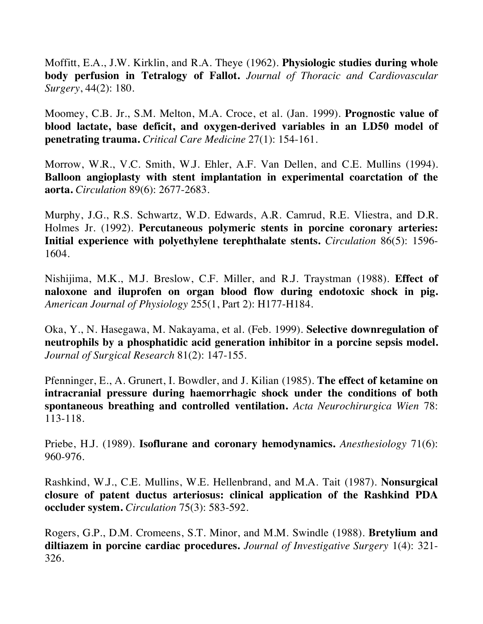Moffitt, E.A., J.W. Kirklin, and R.A. Theye (1962). **Physiologic studies during whole body perfusion in Tetralogy of Fallot.** *Journal of Thoracic and Cardiovascular Surgery*, 44(2): 180.

Moomey, C.B. Jr., S.M. Melton, M.A. Croce, et al. (Jan. 1999). **Prognostic value of blood lactate, base deficit, and oxygen-derived variables in an LD50 model of penetrating trauma.** *Critical Care Medicine* 27(1): 154-161.

Morrow, W.R., V.C. Smith, W.J. Ehler, A.F. Van Dellen, and C.E. Mullins (1994). **Balloon angioplasty with stent implantation in experimental coarctation of the aorta.** *Circulation* 89(6): 2677-2683.

Murphy, J.G., R.S. Schwartz, W.D. Edwards, A.R. Camrud, R.E. Vliestra, and D.R. Holmes Jr. (1992). **Percutaneous polymeric stents in porcine coronary arteries: Initial experience with polyethylene terephthalate stents.** *Circulation* 86(5): 1596- 1604.

Nishijima, M.K., M.J. Breslow, C.F. Miller, and R.J. Traystman (1988). **Effect of naloxone and iluprofen on organ blood flow during endotoxic shock in pig.**  *American Journal of Physiology* 255(1, Part 2): H177-H184.

Oka, Y., N. Hasegawa, M. Nakayama, et al. (Feb. 1999). **Selective downregulation of neutrophils by a phosphatidic acid generation inhibitor in a porcine sepsis model.** *Journal of Surgical Research* 81(2): 147-155.

Pfenninger, E., A. Grunert, I. Bowdler, and J. Kilian (1985). **The effect of ketamine on intracranial pressure during haemorrhagic shock under the conditions of both spontaneous breathing and controlled ventilation.** *Acta Neurochirurgica Wien* 78: 113-118.

Priebe, H.J. (1989). **Isoflurane and coronary hemodynamics.** *Anesthesiology* 71(6): 960-976.

Rashkind, W.J., C.E. Mullins, W.E. Hellenbrand, and M.A. Tait (1987). **Nonsurgical closure of patent ductus arteriosus: clinical application of the Rashkind PDA occluder system.** *Circulation* 75(3): 583-592.

Rogers, G.P., D.M. Cromeens, S.T. Minor, and M.M. Swindle (1988). **Bretylium and diltiazem in porcine cardiac procedures.** *Journal of Investigative Surgery* 1(4): 321- 326.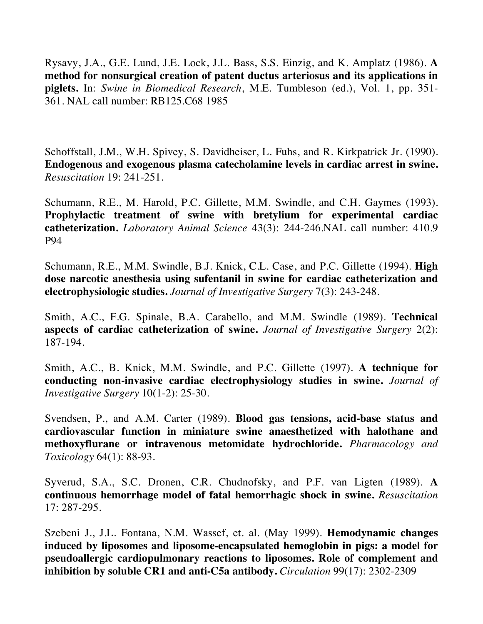Rysavy, J.A., G.E. Lund, J.E. Lock, J.L. Bass, S.S. Einzig, and K. Amplatz (1986). **A method for nonsurgical creation of patent ductus arteriosus and its applications in piglets.** In: *Swine in Biomedical Research*, M.E. Tumbleson (ed.), Vol. 1, pp. 351- 361. NAL call number: RB125.C68 1985

Schoffstall, J.M., W.H. Spivey, S. Davidheiser, L. Fuhs, and R. Kirkpatrick Jr. (1990). **Endogenous and exogenous plasma catecholamine levels in cardiac arrest in swine.**  *Resuscitation* 19: 241-251.

Schumann, R.E., M. Harold, P.C. Gillette, M.M. Swindle, and C.H. Gaymes (1993). **Prophylactic treatment of swine with bretylium for experimental cardiac catheterization.** *Laboratory Animal Science* 43(3): 244-246.NAL call number: 410.9 P94

Schumann, R.E., M.M. Swindle, B.J. Knick, C.L. Case, and P.C. Gillette (1994). **High dose narcotic anesthesia using sufentanil in swine for cardiac catheterization and electrophysiologic studies.** *Journal of Investigative Surgery* 7(3): 243-248.

Smith, A.C., F.G. Spinale, B.A. Carabello, and M.M. Swindle (1989). **Technical aspects of cardiac catheterization of swine.** *Journal of Investigative Surgery* 2(2): 187-194.

Smith, A.C., B. Knick, M.M. Swindle, and P.C. Gillette (1997). **A technique for conducting non-invasive cardiac electrophysiology studies in swine.** *Journal of Investigative Surgery* 10(1-2): 25-30.

Svendsen, P., and A.M. Carter (1989). **Blood gas tensions, acid-base status and cardiovascular function in miniature swine anaesthetized with halothane and methoxyflurane or intravenous metomidate hydrochloride.** *Pharmacology and Toxicology* 64(1): 88-93.

Syverud, S.A., S.C. Dronen, C.R. Chudnofsky, and P.F. van Ligten (1989). **A continuous hemorrhage model of fatal hemorrhagic shock in swine.** *Resuscitation* 17: 287-295.

Szebeni J., J.L. Fontana, N.M. Wassef, et. al. (May 1999). **Hemodynamic changes induced by liposomes and liposome-encapsulated hemoglobin in pigs: a model for pseudoallergic cardiopulmonary reactions to liposomes. Role of complement and inhibition by soluble CR1 and anti-C5a antibody.** *Circulation* 99(17): 2302-2309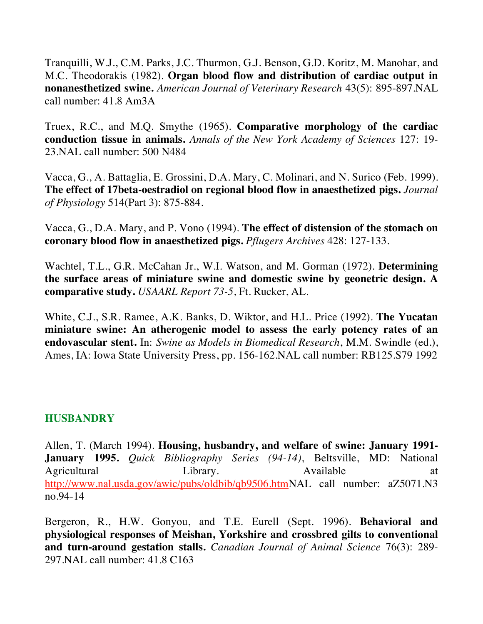Tranquilli, W.J., C.M. Parks, J.C. Thurmon, G.J. Benson, G.D. Koritz, M. Manohar, and M.C. Theodorakis (1982). **Organ blood flow and distribution of cardiac output in nonanesthetized swine.** *American Journal of Veterinary Research* 43(5): 895-897.NAL call number: 41.8 Am3A

Truex, R.C., and M.Q. Smythe (1965). **Comparative morphology of the cardiac conduction tissue in animals.** *Annals of the New York Academy of Sciences* 127: 19- 23.NAL call number: 500 N484

Vacca, G., A. Battaglia, E. Grossini, D.A. Mary, C. Molinari, and N. Surico (Feb. 1999). **The effect of 17beta-oestradiol on regional blood flow in anaesthetized pigs.** *Journal of Physiology* 514(Part 3): 875-884.

Vacca, G., D.A. Mary, and P. Vono (1994). **The effect of distension of the stomach on coronary blood flow in anaesthetized pigs.** *Pflugers Archives* 428: 127-133.

Wachtel, T.L., G.R. McCahan Jr., W.I. Watson, and M. Gorman (1972). **Determining the surface areas of miniature swine and domestic swine by geonetric design. A comparative study.** *USAARL Report 73-5*, Ft. Rucker, AL.

White, C.J., S.R. Ramee, A.K. Banks, D. Wiktor, and H.L. Price (1992). **The Yucatan miniature swine: An atherogenic model to assess the early potency rates of an endovascular stent.** In: *Swine as Models in Biomedical Research*, M.M. Swindle (ed.), Ames, IA: Iowa State University Press, pp. 156-162.NAL call number: RB125.S79 1992

#### **HUSBANDRY**

Allen, T. (March 1994). **Housing, husbandry, and welfare of swine: January 1991- January 1995.** *Quick Bibliography Series (94-14)*, Beltsville, MD: National Agricultural Library. Available at http://www.nal.usda.gov/awic/pubs/oldbib/qb9506.htmNAL call number: aZ5071.N3 no.94-14

Bergeron, R., H.W. Gonyou, and T.E. Eurell (Sept. 1996). **Behavioral and physiological responses of Meishan, Yorkshire and crossbred gilts to conventional and turn-around gestation stalls.** *Canadian Journal of Animal Science* 76(3): 289- 297.NAL call number: 41.8 C163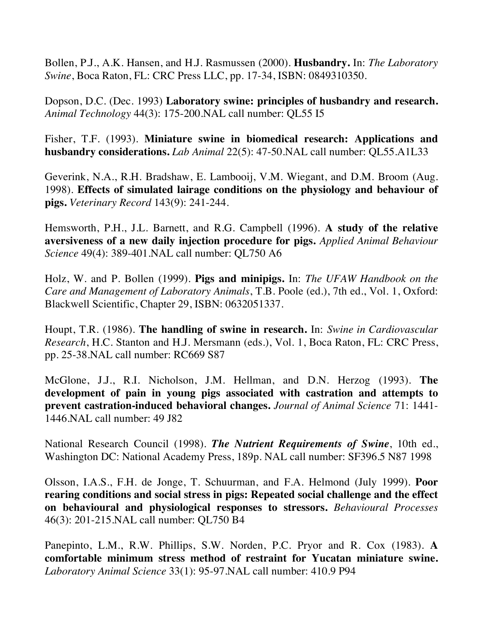Bollen, P.J., A.K. Hansen, and H.J. Rasmussen (2000). **Husbandry.** In: *The Laboratory Swine*, Boca Raton, FL: CRC Press LLC, pp. 17-34, ISBN: 0849310350.

Dopson, D.C. (Dec. 1993) **Laboratory swine: principles of husbandry and research.**  *Animal Technology* 44(3): 175-200.NAL call number: QL55 I5

Fisher, T.F. (1993). **Miniature swine in biomedical research: Applications and husbandry considerations.** *Lab Animal* 22(5): 47-50.NAL call number: QL55.A1L33

Geverink, N.A., R.H. Bradshaw, E. Lambooij, V.M. Wiegant, and D.M. Broom (Aug. 1998). **Effects of simulated lairage conditions on the physiology and behaviour of pigs.** *Veterinary Record* 143(9): 241-244.

Hemsworth, P.H., J.L. Barnett, and R.G. Campbell (1996). **A study of the relative aversiveness of a new daily injection procedure for pigs.** *Applied Animal Behaviour Science* 49(4): 389-401.NAL call number: QL750 A6

Holz, W. and P. Bollen (1999). **Pigs and minipigs.** In: *The UFAW Handbook on the Care and Management of Laboratory Animals*, T.B. Poole (ed.), 7th ed., Vol. 1, Oxford: Blackwell Scientific, Chapter 29, ISBN: 0632051337.

Houpt, T.R. (1986). **The handling of swine in research.** In: *Swine in Cardiovascular Research*, H.C. Stanton and H.J. Mersmann (eds.), Vol. 1, Boca Raton, FL: CRC Press, pp. 25-38.NAL call number: RC669 S87

McGlone, J.J., R.I. Nicholson, J.M. Hellman, and D.N. Herzog (1993). **The development of pain in young pigs associated with castration and attempts to prevent castration-induced behavioral changes.** *Journal of Animal Science* 71: 1441- 1446.NAL call number: 49 J82

National Research Council (1998). *The Nutrient Requirements of Swine*, 10th ed., Washington DC: National Academy Press, 189p. NAL call number: SF396.5 N87 1998

Olsson, I.A.S., F.H. de Jonge, T. Schuurman, and F.A. Helmond (July 1999). **Poor rearing conditions and social stress in pigs: Repeated social challenge and the effect on behavioural and physiological responses to stressors.** *Behavioural Processes* 46(3): 201-215.NAL call number: QL750 B4

Panepinto, L.M., R.W. Phillips, S.W. Norden, P.C. Pryor and R. Cox (1983). **A comfortable minimum stress method of restraint for Yucatan miniature swine.**  *Laboratory Animal Science* 33(1): 95-97.NAL call number: 410.9 P94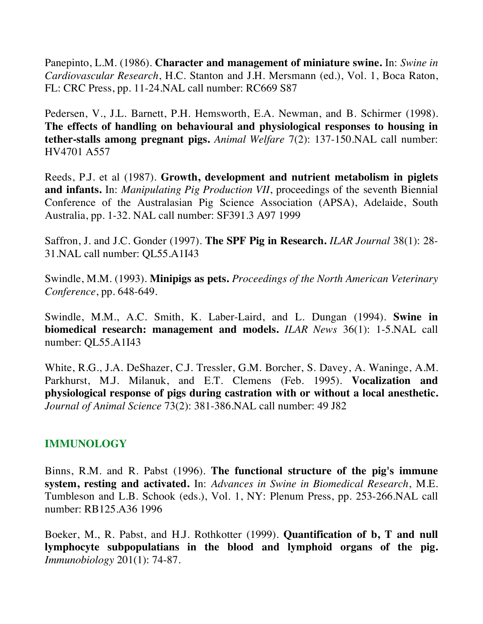Panepinto, L.M. (1986). **Character and management of miniature swine.** In: *Swine in Cardiovascular Research*, H.C. Stanton and J.H. Mersmann (ed.), Vol. 1, Boca Raton, FL: CRC Press, pp. 11-24.NAL call number: RC669 S87

Pedersen, V., J.L. Barnett, P.H. Hemsworth, E.A. Newman, and B. Schirmer (1998). **The effects of handling on behavioural and physiological responses to housing in tether-stalls among pregnant pigs.** *Animal Welfare* 7(2): 137-150.NAL call number: HV4701 A557

Reeds, P.J. et al (1987). **Growth, development and nutrient metabolism in piglets and infants.** In: *Manipulating Pig Production VII*, proceedings of the seventh Biennial Conference of the Australasian Pig Science Association (APSA), Adelaide, South Australia, pp. 1-32. NAL call number: SF391.3 A97 1999

Saffron, J. and J.C. Gonder (1997). **The SPF Pig in Research.** *ILAR Journal* 38(1): 28- 31.NAL call number: QL55.A1I43

Swindle, M.M. (1993). **Minipigs as pets.** *Proceedings of the North American Veterinary Conference*, pp. 648-649.

Swindle, M.M., A.C. Smith, K. Laber-Laird, and L. Dungan (1994). **Swine in biomedical research: management and models.** *ILAR News* 36(1): 1-5.NAL call number: QL55.A1I43

White, R.G., J.A. DeShazer, C.J. Tressler, G.M. Borcher, S. Davey, A. Waninge, A.M. Parkhurst, M.J. Milanuk, and E.T. Clemens (Feb. 1995). **Vocalization and physiological response of pigs during castration with or without a local anesthetic.** *Journal of Animal Science* 73(2): 381-386.NAL call number: 49 J82

# **IMMUNOLOGY**

Binns, R.M. and R. Pabst (1996). **The functional structure of the pig's immune system, resting and activated.** In: *Advances in Swine in Biomedical Research*, M.E. Tumbleson and L.B. Schook (eds.), Vol. 1, NY: Plenum Press, pp. 253-266.NAL call number: RB125.A36 1996

Boeker, M., R. Pabst, and H.J. Rothkotter (1999). **Quantification of b, T and null lymphocyte subpopulatians in the blood and lymphoid organs of the pig.** *Immunobiology* 201(1): 74-87.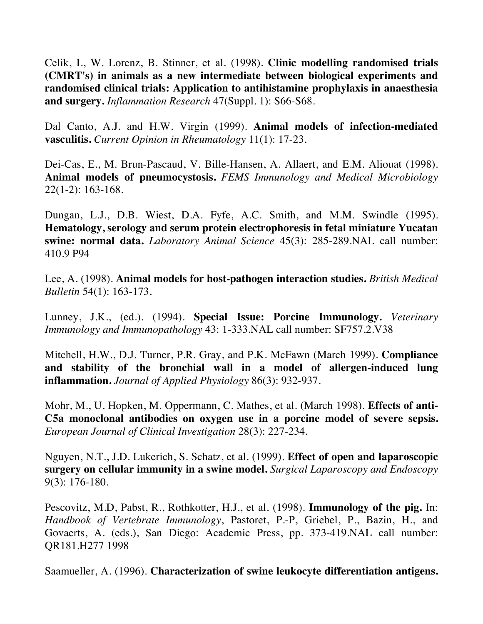Celik, I., W. Lorenz, B. Stinner, et al. (1998). **Clinic modelling randomised trials (CMRT's) in animals as a new intermediate between biological experiments and randomised clinical trials: Application to antihistamine prophylaxis in anaesthesia and surgery.** *Inflammation Research* 47(Suppl. 1): S66-S68.

Dal Canto, A.J. and H.W. Virgin (1999). **Animal models of infection-mediated vasculitis.** *Current Opinion in Rheumatology* 11(1): 17-23.

Dei-Cas, E., M. Brun-Pascaud, V. Bille-Hansen, A. Allaert, and E.M. Aliouat (1998). **Animal models of pneumocystosis.** *FEMS Immunology and Medical Microbiology* 22(1-2): 163-168.

Dungan, L.J., D.B. Wiest, D.A. Fyfe, A.C. Smith, and M.M. Swindle (1995). **Hematology, serology and serum protein electrophoresis in fetal miniature Yucatan swine: normal data.** *Laboratory Animal Science* 45(3): 285-289.NAL call number: 410.9 P94

Lee, A. (1998). **Animal models for host-pathogen interaction studies.** *British Medical Bulletin* 54(1): 163-173.

Lunney, J.K., (ed.). (1994). **Special Issue: Porcine Immunology.** *Veterinary Immunology and Immunopathology* 43: 1-333.NAL call number: SF757.2.V38

Mitchell, H.W., D.J. Turner, P.R. Gray, and P.K. McFawn (March 1999). **Compliance and stability of the bronchial wall in a model of allergen-induced lung inflammation.** *Journal of Applied Physiology* 86(3): 932-937.

Mohr, M., U. Hopken, M. Oppermann, C. Mathes, et al. (March 1998). **Effects of anti-C5a monoclonal antibodies on oxygen use in a porcine model of severe sepsis.** *European Journal of Clinical Investigation* 28(3): 227-234.

Nguyen, N.T., J.D. Lukerich, S. Schatz, et al. (1999). **Effect of open and laparoscopic surgery on cellular immunity in a swine model.** *Surgical Laparoscopy and Endoscopy* 9(3): 176-180.

Pescovitz, M.D, Pabst, R., Rothkotter, H.J., et al. (1998). **Immunology of the pig.** In: *Handbook of Vertebrate Immunology*, Pastoret, P.-P, Griebel, P., Bazin, H., and Govaerts, A. (eds.), San Diego: Academic Press, pp. 373-419.NAL call number: QR181.H277 1998

Saamueller, A. (1996). **Characterization of swine leukocyte differentiation antigens.**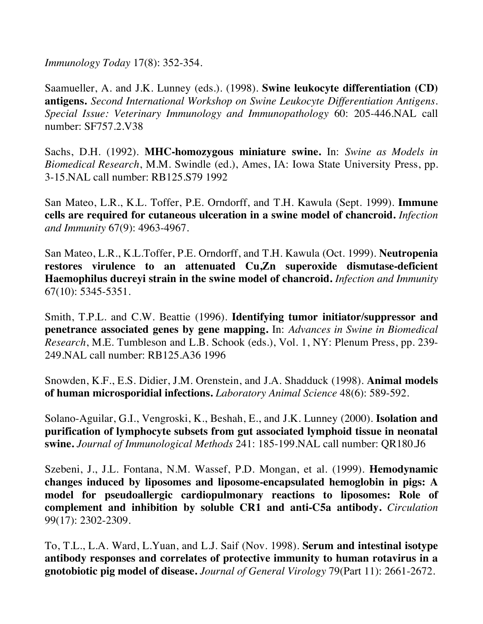*Immunology Today* 17(8): 352-354.

Saamueller, A. and J.K. Lunney (eds.). (1998). **Swine leukocyte differentiation (CD) antigens.** *Second International Workshop on Swine Leukocyte Differentiation Antigens. Special Issue: Veterinary Immunology and Immunopathology* 60: 205-446.NAL call number: SF757.2.V38

Sachs, D.H. (1992). **MHC-homozygous miniature swine.** In: *Swine as Models in Biomedical Research*, M.M. Swindle (ed.), Ames, IA: Iowa State University Press, pp. 3-15.NAL call number: RB125.S79 1992

San Mateo, L.R., K.L. Toffer, P.E. Orndorff, and T.H. Kawula (Sept. 1999). **Immune cells are required for cutaneous ulceration in a swine model of chancroid.** *Infection and Immunity* 67(9): 4963-4967.

San Mateo, L.R., K.L.Toffer, P.E. Orndorff, and T.H. Kawula (Oct. 1999). **Neutropenia restores virulence to an attenuated Cu,Zn superoxide dismutase-deficient Haemophilus ducreyi strain in the swine model of chancroid.** *Infection and Immunity* 67(10): 5345-5351.

Smith, T.P.L. and C.W. Beattie (1996). **Identifying tumor initiator/suppressor and penetrance associated genes by gene mapping.** In: *Advances in Swine in Biomedical Research*, M.E. Tumbleson and L.B. Schook (eds.), Vol. 1, NY: Plenum Press, pp. 239- 249.NAL call number: RB125.A36 1996

Snowden, K.F., E.S. Didier, J.M. Orenstein, and J.A. Shadduck (1998). **Animal models of human microsporidial infections.** *Laboratory Animal Science* 48(6): 589-592.

Solano-Aguilar, G.I., Vengroski, K., Beshah, E., and J.K. Lunney (2000). **Isolation and purification of lymphocyte subsets from gut associated lymphoid tissue in neonatal swine.** *Journal of Immunological Methods* 241: 185-199.NAL call number: QR180.J6

Szebeni, J., J.L. Fontana, N.M. Wassef, P.D. Mongan, et al. (1999). **Hemodynamic changes induced by liposomes and liposome-encapsulated hemoglobin in pigs: A model for pseudoallergic cardiopulmonary reactions to liposomes: Role of complement and inhibition by soluble CR1 and anti-C5a antibody.** *Circulation* 99(17): 2302-2309.

To, T.L., L.A. Ward, L.Yuan, and L.J. Saif (Nov. 1998). **Serum and intestinal isotype antibody responses and correlates of protective immunity to human rotavirus in a gnotobiotic pig model of disease.** *Journal of General Virology* 79(Part 11): 2661-2672.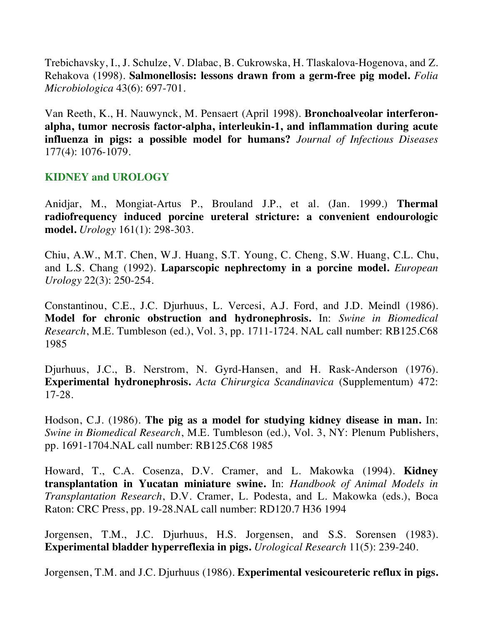Trebichavsky, I., J. Schulze, V. Dlabac, B. Cukrowska, H. Tlaskalova-Hogenova, and Z. Rehakova (1998). **Salmonellosis: lessons drawn from a germ-free pig model.** *Folia Microbiologica* 43(6): 697-701.

Van Reeth, K., H. Nauwynck, M. Pensaert (April 1998). **Bronchoalveolar interferonalpha, tumor necrosis factor-alpha, interleukin-1, and inflammation during acute influenza in pigs: a possible model for humans?** *Journal of Infectious Diseases* 177(4): 1076-1079.

# **KIDNEY and UROLOGY**

Anidjar, M., Mongiat-Artus P., Brouland J.P., et al. (Jan. 1999.) **Thermal radiofrequency induced porcine ureteral stricture: a convenient endourologic model.** *Urology* 161(1): 298-303.

Chiu, A.W., M.T. Chen, W.J. Huang, S.T. Young, C. Cheng, S.W. Huang, C.L. Chu, and L.S. Chang (1992). **Laparscopic nephrectomy in a porcine model.** *European Urology* 22(3): 250-254.

Constantinou, C.E., J.C. Djurhuus, L. Vercesi, A.J. Ford, and J.D. Meindl (1986). **Model for chronic obstruction and hydronephrosis.** In: *Swine in Biomedical Research*, M.E. Tumbleson (ed.), Vol. 3, pp. 1711-1724. NAL call number: RB125.C68 1985

Djurhuus, J.C., B. Nerstrom, N. Gyrd-Hansen, and H. Rask-Anderson (1976). **Experimental hydronephrosis.** *Acta Chirurgica Scandinavica* (Supplementum) 472: 17-28.

Hodson, C.J. (1986). **The pig as a model for studying kidney disease in man.** In: *Swine in Biomedical Research*, M.E. Tumbleson (ed.), Vol. 3, NY: Plenum Publishers, pp. 1691-1704.NAL call number: RB125.C68 1985

Howard, T., C.A. Cosenza, D.V. Cramer, and L. Makowka (1994). **Kidney transplantation in Yucatan miniature swine.** In: *Handbook of Animal Models in Transplantation Research*, D.V. Cramer, L. Podesta, and L. Makowka (eds.), Boca Raton: CRC Press, pp. 19-28.NAL call number: RD120.7 H36 1994

Jorgensen, T.M., J.C. Djurhuus, H.S. Jorgensen, and S.S. Sorensen (1983). **Experimental bladder hyperreflexia in pigs.** *Urological Research* 11(5): 239-240.

Jorgensen, T.M. and J.C. Djurhuus (1986). **Experimental vesicoureteric reflux in pigs.**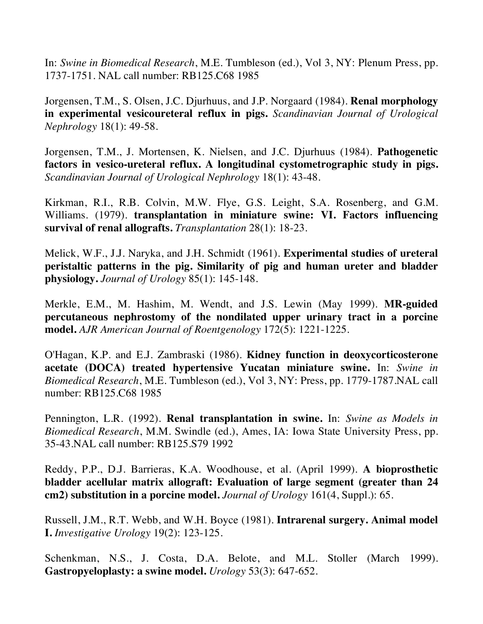In: *Swine in Biomedical Research*, M.E. Tumbleson (ed.), Vol 3, NY: Plenum Press, pp. 1737-1751. NAL call number: RB125.C68 1985

Jorgensen, T.M., S. Olsen, J.C. Djurhuus, and J.P. Norgaard (1984). **Renal morphology in experimental vesicoureteral reflux in pigs.** *Scandinavian Journal of Urological Nephrology* 18(1): 49-58.

Jorgensen, T.M., J. Mortensen, K. Nielsen, and J.C. Djurhuus (1984). **Pathogenetic factors in vesico-ureteral reflux. A longitudinal cystometrographic study in pigs.** *Scandinavian Journal of Urological Nephrology* 18(1): 43-48.

Kirkman, R.I., R.B. Colvin, M.W. Flye, G.S. Leight, S.A. Rosenberg, and G.M. Williams. (1979). **transplantation in miniature swine: VI. Factors influencing survival of renal allografts.** *Transplantation* 28(1): 18-23.

Melick, W.F., J.J. Naryka, and J.H. Schmidt (1961). **Experimental studies of ureteral peristaltic patterns in the pig. Similarity of pig and human ureter and bladder physiology.** *Journal of Urology* 85(1): 145-148.

Merkle, E.M., M. Hashim, M. Wendt, and J.S. Lewin (May 1999). **MR-guided percutaneous nephrostomy of the nondilated upper urinary tract in a porcine model.** *AJR American Journal of Roentgenology* 172(5): 1221-1225.

O'Hagan, K.P. and E.J. Zambraski (1986). **Kidney function in deoxycorticosterone acetate (DOCA) treated hypertensive Yucatan miniature swine.** In: *Swine in Biomedical Research*, M.E. Tumbleson (ed.), Vol 3, NY: Press, pp. 1779-1787.NAL call number: RB125.C68 1985

Pennington, L.R. (1992). **Renal transplantation in swine.** In: *Swine as Models in Biomedical Research*, M.M. Swindle (ed.), Ames, IA: Iowa State University Press, pp. 35-43.NAL call number: RB125.S79 1992

Reddy, P.P., D.J. Barrieras, K.A. Woodhouse, et al. (April 1999). **A bioprosthetic bladder acellular matrix allograft: Evaluation of large segment (greater than 24 cm2) substitution in a porcine model.** *Journal of Urology* 161(4, Suppl.): 65.

Russell, J.M., R.T. Webb, and W.H. Boyce (1981). **Intrarenal surgery. Animal model I.** *Investigative Urology* 19(2): 123-125.

Schenkman, N.S., J. Costa, D.A. Belote, and M.L. Stoller (March 1999). **Gastropyeloplasty: a swine model.** *Urology* 53(3): 647-652.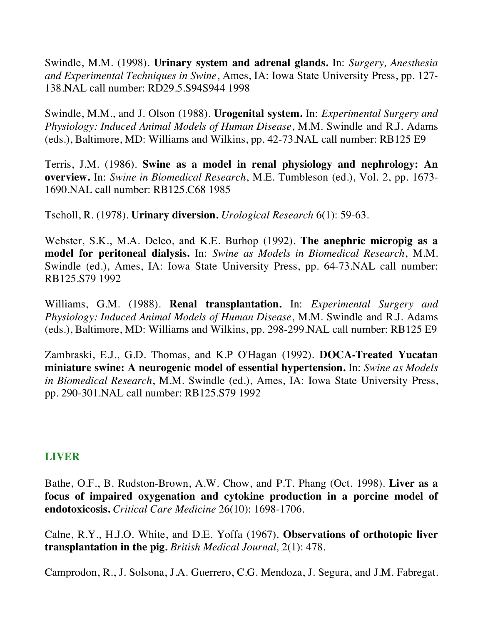Swindle, M.M. (1998). **Urinary system and adrenal glands.** In: *Surgery, Anesthesia and Experimental Techniques in Swine*, Ames, IA: Iowa State University Press, pp. 127- 138.NAL call number: RD29.5.S94S944 1998

Swindle, M.M., and J. Olson (1988). **Urogenital system.** In: *Experimental Surgery and Physiology: Induced Animal Models of Human Disease*, M.M. Swindle and R.J. Adams (eds.), Baltimore, MD: Williams and Wilkins, pp. 42-73.NAL call number: RB125 E9

Terris, J.M. (1986). **Swine as a model in renal physiology and nephrology: An overview.** In: *Swine in Biomedical Research*, M.E. Tumbleson (ed.), Vol. 2, pp. 1673- 1690.NAL call number: RB125.C68 1985

Tscholl, R. (1978). **Urinary diversion.** *Urological Research* 6(1): 59-63.

Webster, S.K., M.A. Deleo, and K.E. Burhop (1992). **The anephric micropig as a model for peritoneal dialysis.** In: *Swine as Models in Biomedical Research*, M.M. Swindle (ed.), Ames, IA: Iowa State University Press, pp. 64-73.NAL call number: RB125.S79 1992

Williams, G.M. (1988). **Renal transplantation.** In: *Experimental Surgery and Physiology: Induced Animal Models of Human Disease*, M.M. Swindle and R.J. Adams (eds.), Baltimore, MD: Williams and Wilkins, pp. 298-299.NAL call number: RB125 E9

Zambraski, E.J., G.D. Thomas, and K.P O'Hagan (1992). **DOCA-Treated Yucatan miniature swine: A neurogenic model of essential hypertension.** In: *Swine as Models in Biomedical Research*, M.M. Swindle (ed.), Ames, IA: Iowa State University Press, pp. 290-301.NAL call number: RB125.S79 1992

## **LIVER**

Bathe, O.F., B. Rudston-Brown, A.W. Chow, and P.T. Phang (Oct. 1998). **Liver as a focus of impaired oxygenation and cytokine production in a porcine model of endotoxicosis.** *Critical Care Medicine* 26(10): 1698-1706.

Calne, R.Y., H.J.O. White, and D.E. Yoffa (1967). **Observations of orthotopic liver transplantation in the pig.** *British Medical Journal,* 2(1): 478.

Camprodon, R., J. Solsona, J.A. Guerrero, C.G. Mendoza, J. Segura, and J.M. Fabregat.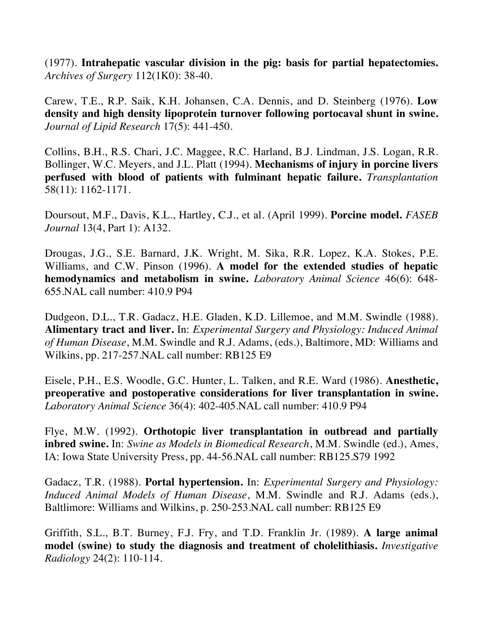(1977). **Intrahepatic vascular division in the pig: basis for partial hepatectomies.**  *Archives of Surgery* 112(1K0): 38-40.

Carew, T.E., R.P. Saik, K.H. Johansen, C.A. Dennis, and D. Steinberg (1976). **Low density and high density lipoprotein turnover following portocaval shunt in swine.** *Journal of Lipid Research* 17(5): 441-450.

Collins, B.H., R.S. Chari, J.C. Maggee, R.C. Harland, B.J. Lindman, J.S. Logan, R.R. Bollinger, W.C. Meyers, and J.L. Platt (1994). **Mechanisms of injury in porcine livers perfused with blood of patients with fulminant hepatic failure.** *Transplantation* 58(11): 1162-1171.

Doursout, M.F., Davis, K.L., Hartley, C.J., et al. (April 1999). **Porcine model.** *FASEB Journal* 13(4, Part 1): A132.

Drougas, J.G., S.E. Barnard, J.K. Wright, M. Sika, R.R. Lopez, K.A. Stokes, P.E. Williams, and C.W. Pinson (1996). **A model for the extended studies of hepatic hemodynamics and metabolism in swine.** *Laboratory Animal Science* 46(6): 648- 655.NAL call number: 410.9 P94

Dudgeon, D.L., T.R. Gadacz, H.E. Gladen, K.D. Lillemoe, and M.M. Swindle (1988). **Alimentary tract and liver.** In: *Experimental Surgery and Physiology: Induced Animal of Human Disease*, M.M. Swindle and R.J. Adams, (eds.), Baltimore, MD: Williams and Wilkins, pp. 217-257.NAL call number: RB125 E9

Eisele, P.H., E.S. Woodle, G.C. Hunter, L. Talken, and R.E. Ward (1986). **Anesthetic, preoperative and postoperative considerations for liver transplantation in swine.** *Laboratory Animal Science* 36(4): 402-405.NAL call number: 410.9 P94

Flye, M.W. (1992). **Orthotopic liver transplantation in outbread and partially inbred swine.** In: *Swine as Models in Biomedical Research*, M.M. Swindle (ed.), Ames, IA: Iowa State University Press, pp. 44-56.NAL call number: RB125.S79 1992

Gadacz, T.R. (1988). **Portal hypertension.** In: *Experimental Surgery and Physiology: Induced Animal Models of Human Disease*, M.M. Swindle and R.J. Adams (eds.), Baltlimore: Williams and Wilkins, p. 250-253.NAL call number: RB125 E9

Griffith, S.L., B.T. Burney, F.J. Fry, and T.D. Franklin Jr. (1989). **A large animal model (swine) to study the diagnosis and treatment of cholelithiasis.** *Investigative Radiology* 24(2): 110-114.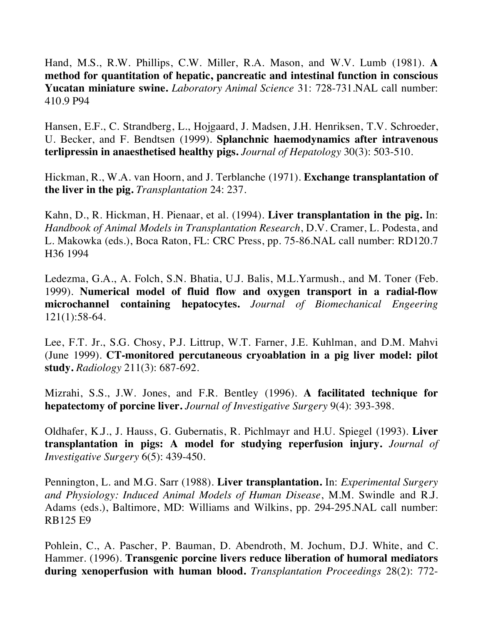Hand, M.S., R.W. Phillips, C.W. Miller, R.A. Mason, and W.V. Lumb (1981). **A method for quantitation of hepatic, pancreatic and intestinal function in conscious Yucatan miniature swine.** *Laboratory Animal Science* 31: 728-731.NAL call number: 410.9 P94

Hansen, E.F., C. Strandberg, L., Hojgaard, J. Madsen, J.H. Henriksen, T.V. Schroeder, U. Becker, and F. Bendtsen (1999). **Splanchnic haemodynamics after intravenous terlipressin in anaesthetised healthy pigs.** *Journal of Hepatology* 30(3): 503-510.

Hickman, R., W.A. van Hoorn, and J. Terblanche (1971). **Exchange transplantation of the liver in the pig.** *Transplantation* 24: 237.

Kahn, D., R. Hickman, H. Pienaar, et al. (1994). **Liver transplantation in the pig.** In: *Handbook of Animal Models in Transplantation Research*, D.V. Cramer, L. Podesta, and L. Makowka (eds.), Boca Raton, FL: CRC Press, pp. 75-86.NAL call number: RD120.7 H36 1994

Ledezma, G.A., A. Folch, S.N. Bhatia, U.J. Balis, M.L.Yarmush., and M. Toner (Feb. 1999). **Numerical model of fluid flow and oxygen transport in a radial-flow microchannel containing hepatocytes.** *Journal of Biomechanical Engeering* 121(1):58-64.

Lee, F.T. Jr., S.G. Chosy, P.J. Littrup, W.T. Farner, J.E. Kuhlman, and D.M. Mahvi (June 1999). **CT-monitored percutaneous cryoablation in a pig liver model: pilot study.** *Radiology* 211(3): 687-692.

Mizrahi, S.S., J.W. Jones, and F.R. Bentley (1996). **A facilitated technique for hepatectomy of porcine liver.** *Journal of Investigative Surgery* 9(4): 393-398.

Oldhafer, K.J., J. Hauss, G. Gubernatis, R. Pichlmayr and H.U. Spiegel (1993). **Liver transplantation in pigs: A model for studying reperfusion injury.** *Journal of Investigative Surgery* 6(5): 439-450.

Pennington, L. and M.G. Sarr (1988). **Liver transplantation.** In: *Experimental Surgery and Physiology: Induced Animal Models of Human Disease*, M.M. Swindle and R.J. Adams (eds.), Baltimore, MD: Williams and Wilkins, pp. 294-295.NAL call number: RB125 E9

Pohlein, C., A. Pascher, P. Bauman, D. Abendroth, M. Jochum, D.J. White, and C. Hammer. (1996). **Transgenic porcine livers reduce liberation of humoral mediators during xenoperfusion with human blood.** *Transplantation Proceedings* 28(2): 772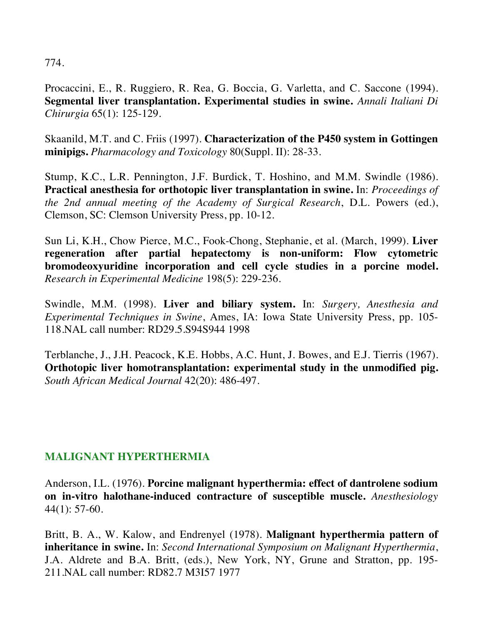774.

Procaccini, E., R. Ruggiero, R. Rea, G. Boccia, G. Varletta, and C. Saccone (1994). **Segmental liver transplantation. Experimental studies in swine.** *Annali Italiani Di Chirurgia* 65(1): 125-129.

Skaanild, M.T. and C. Friis (1997). **Characterization of the P450 system in Gottingen minipigs.** *Pharmacology and Toxicology* 80(Suppl. II): 28-33.

Stump, K.C., L.R. Pennington, J.F. Burdick, T. Hoshino, and M.M. Swindle (1986). **Practical anesthesia for orthotopic liver transplantation in swine.** In: *Proceedings of the 2nd annual meeting of the Academy of Surgical Research*, D.L. Powers (ed.), Clemson, SC: Clemson University Press, pp. 10-12.

Sun Li, K.H., Chow Pierce, M.C., Fook-Chong, Stephanie, et al. (March, 1999). **Liver regeneration after partial hepatectomy is non-uniform: Flow cytometric bromodeoxyuridine incorporation and cell cycle studies in a porcine model.** *Research in Experimental Medicine* 198(5): 229-236.

Swindle, M.M. (1998). **Liver and biliary system.** In: *Surgery, Anesthesia and Experimental Techniques in Swine*, Ames, IA: Iowa State University Press, pp. 105- 118.NAL call number: RD29.5.S94S944 1998

Terblanche, J., J.H. Peacock, K.E. Hobbs, A.C. Hunt, J. Bowes, and E.J. Tierris (1967). **Orthotopic liver homotransplantation: experimental study in the unmodified pig.**  *South African Medical Journal* 42(20): 486-497.

## **MALIGNANT HYPERTHERMIA**

Anderson, I.L. (1976). **Porcine malignant hyperthermia: effect of dantrolene sodium on in-vitro halothane-induced contracture of susceptible muscle.** *Anesthesiology* 44(1): 57-60.

Britt, B. A., W. Kalow, and Endrenyel (1978). **Malignant hyperthermia pattern of inheritance in swine.** In: *Second International Symposium on Malignant Hyperthermia*, J.A. Aldrete and B.A. Britt, (eds.), New York, NY, Grune and Stratton, pp. 195- 211.NAL call number: RD82.7 M3I57 1977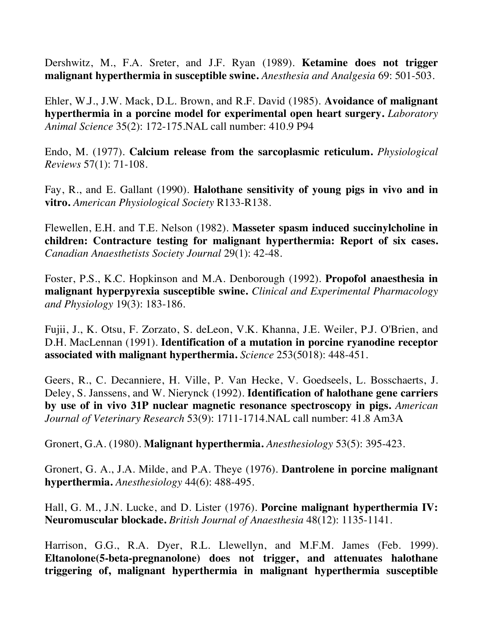Dershwitz, M., F.A. Sreter, and J.F. Ryan (1989). **Ketamine does not trigger malignant hyperthermia in susceptible swine.** *Anesthesia and Analgesia* 69: 501-503.

Ehler, W.J., J.W. Mack, D.L. Brown, and R.F. David (1985). **Avoidance of malignant hyperthermia in a porcine model for experimental open heart surgery.** *Laboratory Animal Science* 35(2): 172-175.NAL call number: 410.9 P94

Endo, M. (1977). **Calcium release from the sarcoplasmic reticulum.** *Physiological Reviews* 57(1): 71-108.

Fay, R., and E. Gallant (1990). **Halothane sensitivity of young pigs in vivo and in vitro.** *American Physiological Society* R133-R138.

Flewellen, E.H. and T.E. Nelson (1982). **Masseter spasm induced succinylcholine in children: Contracture testing for malignant hyperthermia: Report of six cases.**  *Canadian Anaesthetists Society Journal* 29(1): 42-48.

Foster, P.S., K.C. Hopkinson and M.A. Denborough (1992). **Propofol anaesthesia in malignant hyperpyrexia susceptible swine.** *Clinical and Experimental Pharmacology and Physiology* 19(3): 183-186.

Fujii, J., K. Otsu, F. Zorzato, S. deLeon, V.K. Khanna, J.E. Weiler, P.J. O'Brien, and D.H. MacLennan (1991). **Identification of a mutation in porcine ryanodine receptor associated with malignant hyperthermia.** *Science* 253(5018): 448-451.

Geers, R., C. Decanniere, H. Ville, P. Van Hecke, V. Goedseels, L. Bosschaerts, J. Deley, S. Janssens, and W. Nierynck (1992). **Identification of halothane gene carriers by use of in vivo 31P nuclear magnetic resonance spectroscopy in pigs.** *American Journal of Veterinary Research* 53(9): 1711-1714.NAL call number: 41.8 Am3A

Gronert, G.A. (1980). **Malignant hyperthermia.** *Anesthesiology* 53(5): 395-423.

Gronert, G. A., J.A. Milde, and P.A. Theye (1976). **Dantrolene in porcine malignant hyperthermia.** *Anesthesiology* 44(6): 488-495.

Hall, G. M., J.N. Lucke, and D. Lister (1976). **Porcine malignant hyperthermia IV: Neuromuscular blockade.** *British Journal of Anaesthesia* 48(12): 1135-1141.

Harrison, G.G., R.A. Dyer, R.L. Llewellyn, and M.F.M. James (Feb. 1999). **Eltanolone(5-beta-pregnanolone) does not trigger, and attenuates halothane triggering of, malignant hyperthermia in malignant hyperthermia susceptible**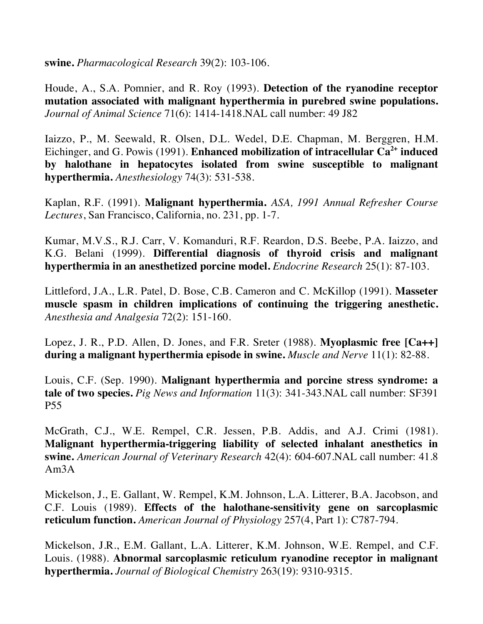**swine.** *Pharmacological Research* 39(2): 103-106.

Houde, A., S.A. Pomnier, and R. Roy (1993). **Detection of the ryanodine receptor mutation associated with malignant hyperthermia in purebred swine populations.**  *Journal of Animal Science* 71(6): 1414-1418.NAL call number: 49 J82

Iaizzo, P., M. Seewald, R. Olsen, D.L. Wedel, D.E. Chapman, M. Berggren, H.M. Eichinger, and G. Powis (1991). **Enhanced mobilization of intracellular Ca<sup>2+</sup> induced by halothane in hepatocytes isolated from swine susceptible to malignant hyperthermia.** *Anesthesiology* 74(3): 531-538.

Kaplan, R.F. (1991). **Malignant hyperthermia.** *ASA, 1991 Annual Refresher Course Lectures*, San Francisco, California, no. 231, pp. 1-7.

Kumar, M.V.S., R.J. Carr, V. Komanduri, R.F. Reardon, D.S. Beebe, P.A. Iaizzo, and K.G. Belani (1999). **Differential diagnosis of thyroid crisis and malignant hyperthermia in an anesthetized porcine model.** *Endocrine Research* 25(1): 87-103.

Littleford, J.A., L.R. Patel, D. Bose, C.B. Cameron and C. McKillop (1991). **Masseter muscle spasm in children implications of continuing the triggering anesthetic.**  *Anesthesia and Analgesia* 72(2): 151-160.

Lopez, J. R., P.D. Allen, D. Jones, and F.R. Sreter (1988). **Myoplasmic free [Ca++] during a malignant hyperthermia episode in swine.** *Muscle and Nerve* 11(1): 82-88.

Louis, C.F. (Sep. 1990). **Malignant hyperthermia and porcine stress syndrome: a tale of two species.** *Pig News and Information* 11(3): 341-343.NAL call number: SF391 P55

McGrath, C.J., W.E. Rempel, C.R. Jessen, P.B. Addis, and A.J. Crimi (1981). **Malignant hyperthermia-triggering liability of selected inhalant anesthetics in swine.** *American Journal of Veterinary Research* 42(4): 604-607.NAL call number: 41.8 Am3A

Mickelson, J., E. Gallant, W. Rempel, K.M. Johnson, L.A. Litterer, B.A. Jacobson, and C.F. Louis (1989). **Effects of the halothane-sensitivity gene on sarcoplasmic reticulum function.** *American Journal of Physiology* 257(4, Part 1): C787-794.

Mickelson, J.R., E.M. Gallant, L.A. Litterer, K.M. Johnson, W.E. Rempel, and C.F. Louis. (1988). **Abnormal sarcoplasmic reticulum ryanodine receptor in malignant hyperthermia.** *Journal of Biological Chemistry* 263(19): 9310-9315.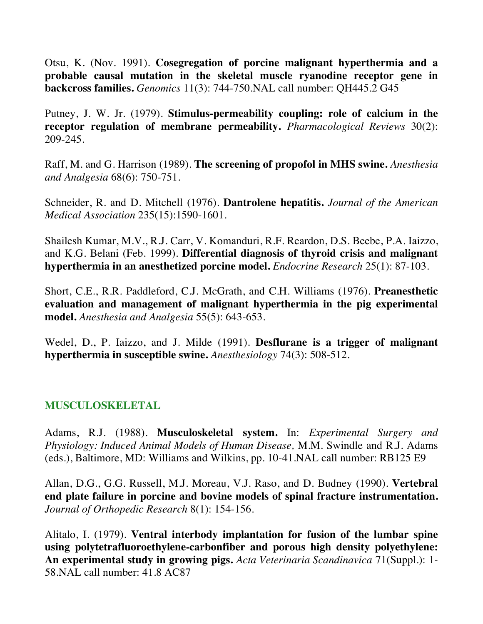Otsu, K. (Nov. 1991). **Cosegregation of porcine malignant hyperthermia and a probable causal mutation in the skeletal muscle ryanodine receptor gene in backcross families.** *Genomics* 11(3): 744-750.NAL call number: QH445.2 G45

Putney, J. W. Jr. (1979). **Stimulus-permeability coupling: role of calcium in the receptor regulation of membrane permeability.** *Pharmacological Reviews* 30(2): 209-245.

Raff, M. and G. Harrison (1989). **The screening of propofol in MHS swine.** *Anesthesia and Analgesia* 68(6): 750-751.

Schneider, R. and D. Mitchell (1976). **Dantrolene hepatitis.** *Journal of the American Medical Association* 235(15):1590-1601.

Shailesh Kumar, M.V., R.J. Carr, V. Komanduri, R.F. Reardon, D.S. Beebe, P.A. Iaizzo, and K.G. Belani (Feb. 1999). **Differential diagnosis of thyroid crisis and malignant hyperthermia in an anesthetized porcine model.** *Endocrine Research* 25(1): 87-103.

Short, C.E., R.R. Paddleford, C.J. McGrath, and C.H. Williams (1976). **Preanesthetic evaluation and management of malignant hyperthermia in the pig experimental model.** *Anesthesia and Analgesia* 55(5): 643-653.

Wedel, D., P. Iaizzo, and J. Milde (1991). **Desflurane is a trigger of malignant hyperthermia in susceptible swine.** *Anesthesiology* 74(3): 508-512.

## **MUSCULOSKELETAL**

Adams, R.J. (1988). **Musculoskeletal system.** In: *Experimental Surgery and Physiology: Induced Animal Models of Human Disease,* M.M. Swindle and R.J. Adams (eds.), Baltimore, MD: Williams and Wilkins, pp. 10-41.NAL call number: RB125 E9

Allan, D.G., G.G. Russell, M.J. Moreau, V.J. Raso, and D. Budney (1990). **Vertebral end plate failure in porcine and bovine models of spinal fracture instrumentation.**  *Journal of Orthopedic Research* 8(1): 154-156.

Alitalo, I. (1979). **Ventral interbody implantation for fusion of the lumbar spine using polytetrafluoroethylene-carbonfiber and porous high density polyethylene: An experimental study in growing pigs.** *Acta Veterinaria Scandinavica* 71(Suppl.): 1- 58.NAL call number: 41.8 AC87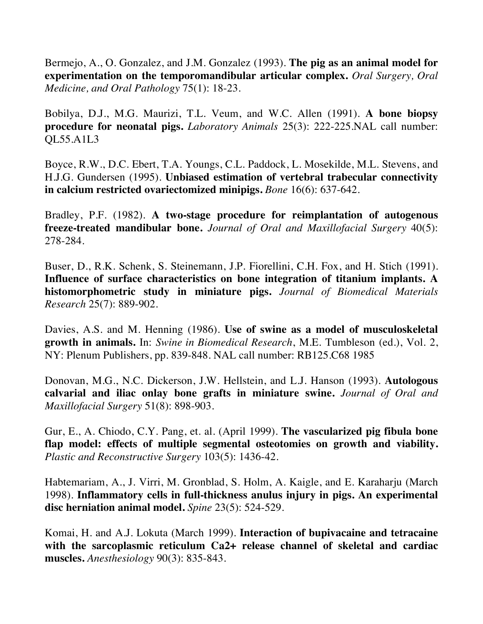Bermejo, A., O. Gonzalez, and J.M. Gonzalez (1993). **The pig as an animal model for experimentation on the temporomandibular articular complex.** *Oral Surgery, Oral Medicine, and Oral Pathology* 75(1): 18-23.

Bobilya, D.J., M.G. Maurizi, T.L. Veum, and W.C. Allen (1991). **A bone biopsy procedure for neonatal pigs.** *Laboratory Animals* 25(3): 222-225.NAL call number: QL55.A1L3

Boyce, R.W., D.C. Ebert, T.A. Youngs, C.L. Paddock, L. Mosekilde, M.L. Stevens, and H.J.G. Gundersen (1995). **Unbiased estimation of vertebral trabecular connectivity in calcium restricted ovariectomized minipigs.** *Bone* 16(6): 637-642.

Bradley, P.F. (1982). **A two-stage procedure for reimplantation of autogenous freeze-treated mandibular bone.** *Journal of Oral and Maxillofacial Surgery* 40(5): 278-284.

Buser, D., R.K. Schenk, S. Steinemann, J.P. Fiorellini, C.H. Fox, and H. Stich (1991). **Influence of surface characteristics on bone integration of titanium implants. A histomorphometric study in miniature pigs.** *Journal of Biomedical Materials Research* 25(7): 889-902.

Davies, A.S. and M. Henning (1986). **Use of swine as a model of musculoskeletal growth in animals.** In: *Swine in Biomedical Research*, M.E. Tumbleson (ed.), Vol. 2, NY: Plenum Publishers, pp. 839-848. NAL call number: RB125.C68 1985

Donovan, M.G., N.C. Dickerson, J.W. Hellstein, and L.J. Hanson (1993). **Autologous calvarial and iliac onlay bone grafts in miniature swine.** *Journal of Oral and Maxillofacial Surgery* 51(8): 898-903.

Gur, E., A. Chiodo, C.Y. Pang, et. al. (April 1999). **The vascularized pig fibula bone flap model: effects of multiple segmental osteotomies on growth and viability.** *Plastic and Reconstructive Surgery* 103(5): 1436-42.

Habtemariam, A., J. Virri, M. Gronblad, S. Holm, A. Kaigle, and E. Karaharju (March 1998). **Inflammatory cells in full-thickness anulus injury in pigs. An experimental disc herniation animal model.** *Spine* 23(5): 524-529.

Komai, H. and A.J. Lokuta (March 1999). **Interaction of bupivacaine and tetracaine with the sarcoplasmic reticulum Ca2+ release channel of skeletal and cardiac muscles.** *Anesthesiology* 90(3): 835-843.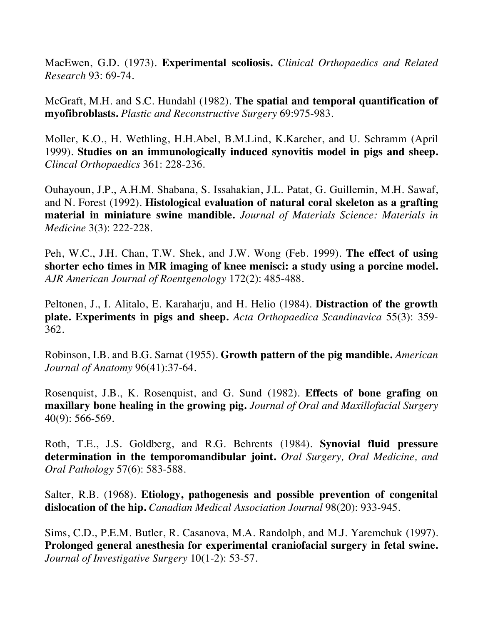MacEwen, G.D. (1973). **Experimental scoliosis.** *Clinical Orthopaedics and Related Research* 93: 69-74.

McGraft, M.H. and S.C. Hundahl (1982). **The spatial and temporal quantification of myofibroblasts.** *Plastic and Reconstructive Surgery* 69:975-983.

Moller, K.O., H. Wethling, H.H.Abel, B.M.Lind, K.Karcher, and U. Schramm (April 1999). **Studies on an immunologically induced synovitis model in pigs and sheep.**  *Clincal Orthopaedics* 361: 228-236.

Ouhayoun, J.P., A.H.M. Shabana, S. Issahakian, J.L. Patat, G. Guillemin, M.H. Sawaf, and N. Forest (1992). **Histological evaluation of natural coral skeleton as a grafting material in miniature swine mandible.** *Journal of Materials Science: Materials in Medicine* 3(3): 222-228.

Peh, W.C., J.H. Chan, T.W. Shek, and J.W. Wong (Feb. 1999). **The effect of using shorter echo times in MR imaging of knee menisci: a study using a porcine model.** *AJR American Journal of Roentgenology* 172(2): 485-488.

Peltonen, J., I. Alitalo, E. Karaharju, and H. Helio (1984). **Distraction of the growth plate. Experiments in pigs and sheep.** *Acta Orthopaedica Scandinavica* 55(3): 359- 362.

Robinson, I.B. and B.G. Sarnat (1955). **Growth pattern of the pig mandible.** *American Journal of Anatomy* 96(41):37-64.

Rosenquist, J.B., K. Rosenquist, and G. Sund (1982). **Effects of bone grafing on maxillary bone healing in the growing pig.** *Journal of Oral and Maxillofacial Surgery* 40(9): 566-569.

Roth, T.E., J.S. Goldberg, and R.G. Behrents (1984). **Synovial fluid pressure determination in the temporomandibular joint.** *Oral Surgery, Oral Medicine, and Oral Pathology* 57(6): 583-588.

Salter, R.B. (1968). **Etiology, pathogenesis and possible prevention of congenital dislocation of the hip.** *Canadian Medical Association Journal* 98(20): 933-945.

Sims, C.D., P.E.M. Butler, R. Casanova, M.A. Randolph, and M.J. Yaremchuk (1997). **Prolonged general anesthesia for experimental craniofacial surgery in fetal swine.**  *Journal of Investigative Surgery* 10(1-2): 53-57.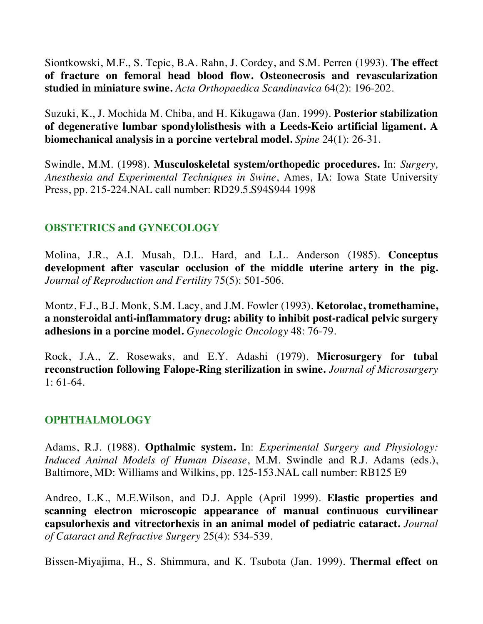Siontkowski, M.F., S. Tepic, B.A. Rahn, J. Cordey, and S.M. Perren (1993). **The effect of fracture on femoral head blood flow. Osteonecrosis and revascularization studied in miniature swine.** *Acta Orthopaedica Scandinavica* 64(2): 196-202.

Suzuki, K., J. Mochida M. Chiba, and H. Kikugawa (Jan. 1999). **Posterior stabilization of degenerative lumbar spondylolisthesis with a Leeds-Keio artificial ligament. A biomechanical analysis in a porcine vertebral model.** *Spine* 24(1): 26-31.

Swindle, M.M. (1998). **Musculoskeletal system/orthopedic procedures.** In: *Surgery, Anesthesia and Experimental Techniques in Swine*, Ames, IA: Iowa State University Press, pp. 215-224.NAL call number: RD29.5.S94S944 1998

## **OBSTETRICS and GYNECOLOGY**

Molina, J.R., A.I. Musah, D.L. Hard, and L.L. Anderson (1985). **Conceptus development after vascular occlusion of the middle uterine artery in the pig.**  *Journal of Reproduction and Fertility* 75(5): 501-506.

Montz, F.J., B.J. Monk, S.M. Lacy, and J.M. Fowler (1993). **Ketorolac, tromethamine, a nonsteroidal anti-inflammatory drug: ability to inhibit post-radical pelvic surgery adhesions in a porcine model.** *Gynecologic Oncology* 48: 76-79.

Rock, J.A., Z. Rosewaks, and E.Y. Adashi (1979). **Microsurgery for tubal reconstruction following Falope-Ring sterilization in swine.** *Journal of Microsurgery* 1: 61-64.

## **OPHTHALMOLOGY**

Adams, R.J. (1988). **Opthalmic system.** In: *Experimental Surgery and Physiology: Induced Animal Models of Human Disease*, M.M. Swindle and R.J. Adams (eds.), Baltimore, MD: Williams and Wilkins, pp. 125-153.NAL call number: RB125 E9

Andreo, L.K., M.E.Wilson, and D.J. Apple (April 1999). **Elastic properties and scanning electron microscopic appearance of manual continuous curvilinear capsulorhexis and vitrectorhexis in an animal model of pediatric cataract.** *Journal of Cataract and Refractive Surgery* 25(4): 534-539.

Bissen-Miyajima, H., S. Shimmura, and K. Tsubota (Jan. 1999). **Thermal effect on**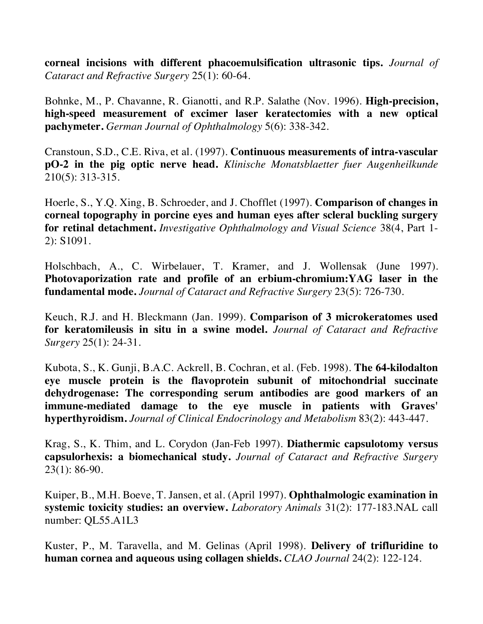**corneal incisions with different phacoemulsification ultrasonic tips.** *Journal of Cataract and Refractive Surgery* 25(1): 60-64.

Bohnke, M., P. Chavanne, R. Gianotti, and R.P. Salathe (Nov. 1996). **High-precision, high-speed measurement of excimer laser keratectomies with a new optical pachymeter.** *German Journal of Ophthalmology* 5(6): 338-342.

Cranstoun, S.D., C.E. Riva, et al. (1997). **Continuous measurements of intra-vascular pO-2 in the pig optic nerve head.** *Klinische Monatsblaetter fuer Augenheilkunde* 210(5): 313-315.

Hoerle, S., Y.Q. Xing, B. Schroeder, and J. Chofflet (1997). **Comparison of changes in corneal topography in porcine eyes and human eyes after scleral buckling surgery for retinal detachment.** *Investigative Ophthalmology and Visual Science* 38(4, Part 1- 2): S1091.

Holschbach, A., C. Wirbelauer, T. Kramer, and J. Wollensak (June 1997). **Photovaporization rate and profile of an erbium-chromium:YAG laser in the fundamental mode.** *Journal of Cataract and Refractive Surgery* 23(5): 726-730.

Keuch, R.J. and H. Bleckmann (Jan. 1999). **Comparison of 3 microkeratomes used for keratomileusis in situ in a swine model.** *Journal of Cataract and Refractive Surgery* 25(1): 24-31.

Kubota, S., K. Gunji, B.A.C. Ackrell, B. Cochran, et al. (Feb. 1998). **The 64-kilodalton eye muscle protein is the flavoprotein subunit of mitochondrial succinate dehydrogenase: The corresponding serum antibodies are good markers of an immune-mediated damage to the eye muscle in patients with Graves' hyperthyroidism.** *Journal of Clinical Endocrinology and Metabolism* 83(2): 443-447.

Krag, S., K. Thim, and L. Corydon (Jan-Feb 1997). **Diathermic capsulotomy versus capsulorhexis: a biomechanical study.** *Journal of Cataract and Refractive Surgery* 23(1): 86-90.

Kuiper, B., M.H. Boeve, T. Jansen, et al. (April 1997). **Ophthalmologic examination in systemic toxicity studies: an overview.** *Laboratory Animals* 31(2): 177-183.NAL call number: QL55.A1L3

Kuster, P., M. Taravella, and M. Gelinas (April 1998). **Delivery of trifluridine to human cornea and aqueous using collagen shields.** *CLAO Journal* 24(2): 122-124.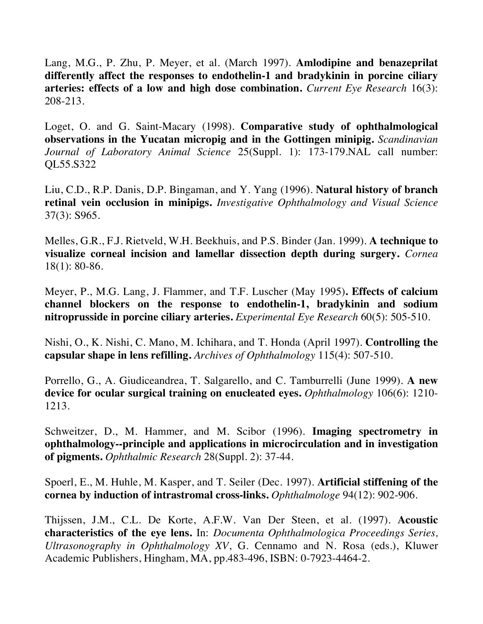Lang, M.G., P. Zhu, P. Meyer, et al. (March 1997). **Amlodipine and benazeprilat differently affect the responses to endothelin-1 and bradykinin in porcine ciliary arteries: effects of a low and high dose combination.** *Current Eye Research* 16(3): 208-213.

Loget, O. and G. Saint-Macary (1998). **Comparative study of ophthalmological observations in the Yucatan micropig and in the Gottingen minipig.** *Scandinavian Journal of Laboratory Animal Science* 25(Suppl. 1): 173-179.NAL call number: QL55.S322

Liu, C.D., R.P. Danis, D.P. Bingaman, and Y. Yang (1996). **Natural history of branch retinal vein occlusion in minipigs.** *Investigative Ophthalmology and Visual Science* 37(3): S965.

Melles, G.R., F.J. Rietveld, W.H. Beekhuis, and P.S. Binder (Jan. 1999). **A technique to visualize corneal incision and lamellar dissection depth during surgery.** *Cornea*  18(1): 80-86.

Meyer, P., M.G. Lang, J. Flammer, and T.F. Luscher (May 1995)**. Effects of calcium channel blockers on the response to endothelin-1, bradykinin and sodium nitroprusside in porcine ciliary arteries.** *Experimental Eye Research* 60(5): 505-510.

Nishi, O., K. Nishi, C. Mano, M. Ichihara, and T. Honda (April 1997). **Controlling the capsular shape in lens refilling.** *Archives of Ophthalmology* 115(4): 507-510.

Porrello, G., A. Giudiceandrea, T. Salgarello, and C. Tamburrelli (June 1999). **A new device for ocular surgical training on enucleated eyes.** *Ophthalmology* 106(6): 1210- 1213.

Schweitzer, D., M. Hammer, and M. Scibor (1996). **Imaging spectrometry in ophthalmology--principle and applications in microcirculation and in investigation of pigments.** *Ophthalmic Research* 28(Suppl. 2): 37-44.

Spoerl, E., M. Huhle, M. Kasper, and T. Seiler (Dec. 1997). **Artificial stiffening of the cornea by induction of intrastromal cross-links.** *Ophthalmologe* 94(12): 902-906.

Thijssen, J.M., C.L. De Korte, A.F.W. Van Der Steen, et al. (1997). **Acoustic characteristics of the eye lens.** In: *Documenta Ophthalmologica Proceedings Series, Ultrasonography in Ophthalmology XV*, G. Cennamo and N. Rosa (eds.), Kluwer Academic Publishers, Hingham, MA, pp.483-496, ISBN: 0-7923-4464-2.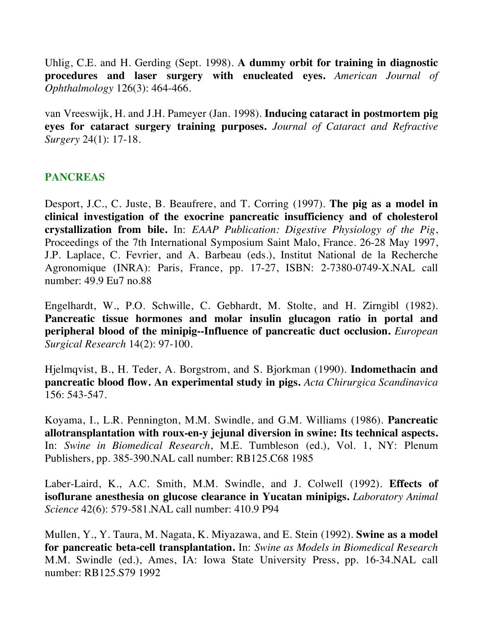Uhlig, C.E. and H. Gerding (Sept. 1998). **A dummy orbit for training in diagnostic procedures and laser surgery with enucleated eyes.** *American Journal of Ophthalmology* 126(3): 464-466.

van Vreeswijk, H. and J.H. Pameyer (Jan. 1998). **Inducing cataract in postmortem pig eyes for cataract surgery training purposes.** *Journal of Cataract and Refractive Surgery* 24(1): 17-18.

# **PANCREAS**

Desport, J.C., C. Juste, B. Beaufrere, and T. Corring (1997). **The pig as a model in clinical investigation of the exocrine pancreatic insufficiency and of cholesterol crystallization from bile.** In: *EAAP Publication: Digestive Physiology of the Pig*, Proceedings of the 7th International Symposium Saint Malo, France. 26-28 May 1997, J.P. Laplace, C. Fevrier, and A. Barbeau (eds.), Institut National de la Recherche Agronomique (INRA): Paris, France, pp. 17-27, ISBN: 2-7380-0749-X.NAL call number: 49.9 Eu7 no.88

Engelhardt, W., P.O. Schwille, C. Gebhardt, M. Stolte, and H. Zirngibl (1982). **Pancreatic tissue hormones and molar insulin glucagon ratio in portal and peripheral blood of the minipig--Influence of pancreatic duct occlusion.** *European Surgical Research* 14(2): 97-100.

Hjelmqvist, B., H. Teder, A. Borgstrom, and S. Bjorkman (1990). **Indomethacin and pancreatic blood flow. An experimental study in pigs.** *Acta Chirurgica Scandinavica* 156: 543-547.

Koyama, I., L.R. Pennington, M.M. Swindle, and G.M. Williams (1986). **Pancreatic allotransplantation with roux-en-y jejunal diversion in swine: Its technical aspects.**  In: *Swine in Biomedical Research*, M.E. Tumbleson (ed.), Vol. 1, NY: Plenum Publishers, pp. 385-390.NAL call number: RB125.C68 1985

Laber-Laird, K., A.C. Smith, M.M. Swindle, and J. Colwell (1992). **Effects of isoflurane anesthesia on glucose clearance in Yucatan minipigs.** *Laboratory Animal Science* 42(6): 579-581.NAL call number: 410.9 P94

Mullen, Y., Y. Taura, M. Nagata, K. Miyazawa, and E. Stein (1992). **Swine as a model for pancreatic beta-cell transplantation.** In: *Swine as Models in Biomedical Research* M.M. Swindle (ed.), Ames, IA: Iowa State University Press, pp. 16-34.NAL call number: RB125.S79 1992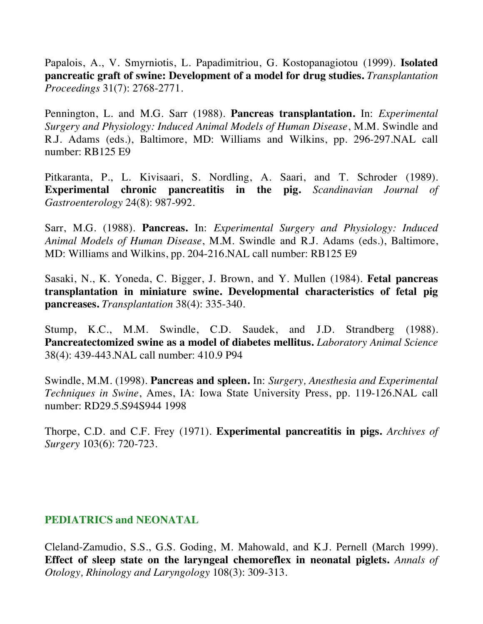Papalois, A., V. Smyrniotis, L. Papadimitriou, G. Kostopanagiotou (1999). **Isolated pancreatic graft of swine: Development of a model for drug studies.** *Transplantation Proceedings* 31(7): 2768-2771.

Pennington, L. and M.G. Sarr (1988). **Pancreas transplantation.** In: *Experimental Surgery and Physiology: Induced Animal Models of Human Disease*, M.M. Swindle and R.J. Adams (eds.), Baltimore, MD: Williams and Wilkins, pp. 296-297.NAL call number: RB125 E9

Pitkaranta, P., L. Kivisaari, S. Nordling, A. Saari, and T. Schroder (1989). **Experimental chronic pancreatitis in the pig.** *Scandinavian Journal of Gastroenterology* 24(8): 987-992.

Sarr, M.G. (1988). **Pancreas.** In: *Experimental Surgery and Physiology: Induced Animal Models of Human Disease*, M.M. Swindle and R.J. Adams (eds.), Baltimore, MD: Williams and Wilkins, pp. 204-216.NAL call number: RB125 E9

Sasaki, N., K. Yoneda, C. Bigger, J. Brown, and Y. Mullen (1984). **Fetal pancreas transplantation in miniature swine. Developmental characteristics of fetal pig pancreases.** *Transplantation* 38(4): 335-340.

Stump, K.C., M.M. Swindle, C.D. Saudek, and J.D. Strandberg (1988). **Pancreatectomized swine as a model of diabetes mellitus.** *Laboratory Animal Science* 38(4): 439-443.NAL call number: 410.9 P94

Swindle, M.M. (1998). **Pancreas and spleen.** In: *Surgery, Anesthesia and Experimental Techniques in Swine*, Ames, IA: Iowa State University Press, pp. 119-126.NAL call number: RD29.5.S94S944 1998

Thorpe, C.D. and C.F. Frey (1971). **Experimental pancreatitis in pigs.** *Archives of Surgery* 103(6): 720-723.

### **PEDIATRICS and NEONATAL**

Cleland-Zamudio, S.S., G.S. Goding, M. Mahowald, and K.J. Pernell (March 1999). **Effect of sleep state on the laryngeal chemoreflex in neonatal piglets.** *Annals of Otology, Rhinology and Laryngology* 108(3): 309-313.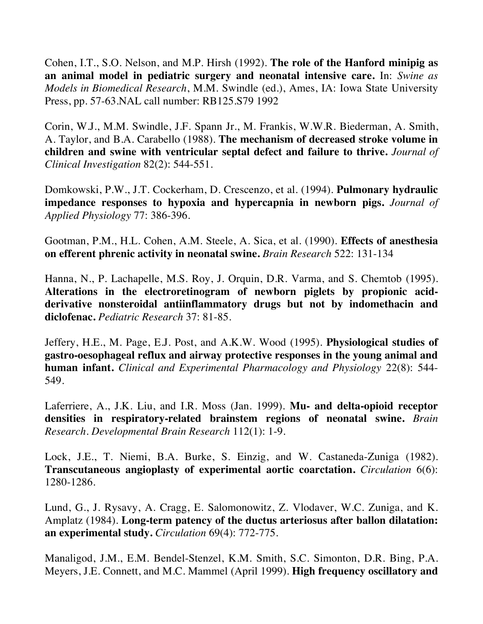Cohen, I.T., S.O. Nelson, and M.P. Hirsh (1992). **The role of the Hanford minipig as an animal model in pediatric surgery and neonatal intensive care.** In: *Swine as Models in Biomedical Research*, M.M. Swindle (ed.), Ames, IA: Iowa State University Press, pp. 57-63.NAL call number: RB125.S79 1992

Corin, W.J., M.M. Swindle, J.F. Spann Jr., M. Frankis, W.W.R. Biederman, A. Smith, A. Taylor, and B.A. Carabello (1988). **The mechanism of decreased stroke volume in children and swine with ventricular septal defect and failure to thrive.** *Journal of Clinical Investigation* 82(2): 544-551.

Domkowski, P.W., J.T. Cockerham, D. Crescenzo, et al. (1994). **Pulmonary hydraulic impedance responses to hypoxia and hypercapnia in newborn pigs.** *Journal of Applied Physiology* 77: 386-396.

Gootman, P.M., H.L. Cohen, A.M. Steele, A. Sica, et al. (1990). **Effects of anesthesia on efferent phrenic activity in neonatal swine.** *Brain Research* 522: 131-134

Hanna, N., P. Lachapelle, M.S. Roy, J. Orquin, D.R. Varma, and S. Chemtob (1995). **Alterations in the electroretinogram of newborn piglets by propionic acidderivative nonsteroidal antiinflammatory drugs but not by indomethacin and diclofenac.** *Pediatric Research* 37: 81-85.

Jeffery, H.E., M. Page, E.J. Post, and A.K.W. Wood (1995). **Physiological studies of gastro-oesophageal reflux and airway protective responses in the young animal and human infant.** *Clinical and Experimental Pharmacology and Physiology* 22(8): 544- 549.

Laferriere, A., J.K. Liu, and I.R. Moss (Jan. 1999). **Mu- and delta-opioid receptor densities in respiratory-related brainstem regions of neonatal swine.** *Brain Research. Developmental Brain Research* 112(1): 1-9.

Lock, J.E., T. Niemi, B.A. Burke, S. Einzig, and W. Castaneda-Zuniga (1982). **Transcutaneous angioplasty of experimental aortic coarctation.** *Circulation* 6(6): 1280-1286.

Lund, G., J. Rysavy, A. Cragg, E. Salomonowitz, Z. Vlodaver, W.C. Zuniga, and K. Amplatz (1984). **Long-term patency of the ductus arteriosus after ballon dilatation: an experimental study.** *Circulation* 69(4): 772-775.

Manaligod, J.M., E.M. Bendel-Stenzel, K.M. Smith, S.C. Simonton, D.R. Bing, P.A. Meyers, J.E. Connett, and M.C. Mammel (April 1999). **High frequency oscillatory and**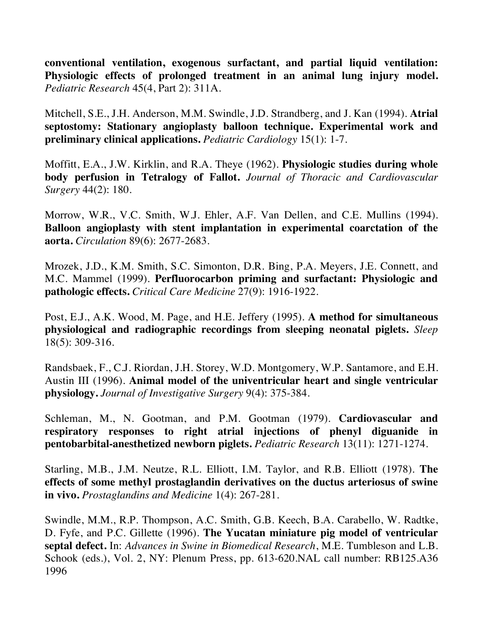**conventional ventilation, exogenous surfactant, and partial liquid ventilation: Physiologic effects of prolonged treatment in an animal lung injury model.**  *Pediatric Research* 45(4, Part 2): 311A.

Mitchell, S.E., J.H. Anderson, M.M. Swindle, J.D. Strandberg, and J. Kan (1994). **Atrial septostomy: Stationary angioplasty balloon technique. Experimental work and preliminary clinical applications.** *Pediatric Cardiology* 15(1): 1-7.

Moffitt, E.A., J.W. Kirklin, and R.A. Theye (1962). **Physiologic studies during whole body perfusion in Tetralogy of Fallot.** *Journal of Thoracic and Cardiovascular Surgery* 44(2): 180.

Morrow, W.R., V.C. Smith, W.J. Ehler, A.F. Van Dellen, and C.E. Mullins (1994). **Balloon angioplasty with stent implantation in experimental coarctation of the aorta.** *Circulation* 89(6): 2677-2683.

Mrozek, J.D., K.M. Smith, S.C. Simonton, D.R. Bing, P.A. Meyers, J.E. Connett, and M.C. Mammel (1999). **Perfluorocarbon priming and surfactant: Physiologic and pathologic effects.** *Critical Care Medicine* 27(9): 1916-1922.

Post, E.J., A.K. Wood, M. Page, and H.E. Jeffery (1995). **A method for simultaneous physiological and radiographic recordings from sleeping neonatal piglets.** *Sleep* 18(5): 309-316.

Randsbaek, F., C.J. Riordan, J.H. Storey, W.D. Montgomery, W.P. Santamore, and E.H. Austin III (1996). **Animal model of the univentricular heart and single ventricular physiology.** *Journal of Investigative Surgery* 9(4): 375-384.

Schleman, M., N. Gootman, and P.M. Gootman (1979). **Cardiovascular and respiratory responses to right atrial injections of phenyl diguanide in pentobarbital-anesthetized newborn piglets.** *Pediatric Research* 13(11): 1271-1274.

Starling, M.B., J.M. Neutze, R.L. Elliott, I.M. Taylor, and R.B. Elliott (1978). **The effects of some methyl prostaglandin derivatives on the ductus arteriosus of swine in vivo.** *Prostaglandins and Medicine* 1(4): 267-281.

Swindle, M.M., R.P. Thompson, A.C. Smith, G.B. Keech, B.A. Carabello, W. Radtke, D. Fyfe, and P.C. Gillette (1996). **The Yucatan miniature pig model of ventricular septal defect.** In: *Advances in Swine in Biomedical Research*, M.E. Tumbleson and L.B. Schook (eds.), Vol. 2, NY: Plenum Press, pp. 613-620.NAL call number: RB125.A36 1996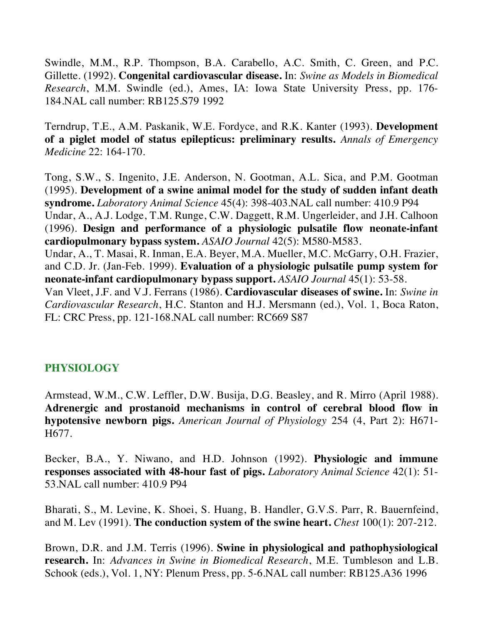Swindle, M.M., R.P. Thompson, B.A. Carabello, A.C. Smith, C. Green, and P.C. Gillette. (1992). **Congenital cardiovascular disease.** In: *Swine as Models in Biomedical Research*, M.M. Swindle (ed.), Ames, IA: Iowa State University Press, pp. 176- 184.NAL call number: RB125.S79 1992

Terndrup, T.E., A.M. Paskanik, W.E. Fordyce, and R.K. Kanter (1993). **Development of a piglet model of status epilepticus: preliminary results.** *Annals of Emergency Medicine* 22: 164-170.

Tong, S.W., S. Ingenito, J.E. Anderson, N. Gootman, A.L. Sica, and P.M. Gootman (1995). **Development of a swine animal model for the study of sudden infant death syndrome.** *Laboratory Animal Science* 45(4): 398-403.NAL call number: 410.9 P94 Undar, A., A.J. Lodge, T.M. Runge, C.W. Daggett, R.M. Ungerleider, and J.H. Calhoon (1996). **Design and performance of a physiologic pulsatile flow neonate-infant cardiopulmonary bypass system.** *ASAIO Journal* 42(5): M580-M583. Undar, A., T. Masai, R. Inman, E.A. Beyer, M.A. Mueller, M.C. McGarry, O.H. Frazier,

and C.D. Jr. (Jan-Feb. 1999). **Evaluation of a physiologic pulsatile pump system for neonate-infant cardiopulmonary bypass support.** *ASAIO Journal* 45(1): 53-58.

Van Vleet, J.F. and V.J. Ferrans (1986). **Cardiovascular diseases of swine.** In: *Swine in Cardiovascular Research*, H.C. Stanton and H.J. Mersmann (ed.), Vol. 1, Boca Raton, FL: CRC Press, pp. 121-168.NAL call number: RC669 S87

## **PHYSIOLOGY**

Armstead, W.M., C.W. Leffler, D.W. Busija, D.G. Beasley, and R. Mirro (April 1988). **Adrenergic and prostanoid mechanisms in control of cerebral blood flow in hypotensive newborn pigs.** *American Journal of Physiology* 254 (4, Part 2): H671- H677.

Becker, B.A., Y. Niwano, and H.D. Johnson (1992). **Physiologic and immune responses associated with 48-hour fast of pigs.** *Laboratory Animal Science* 42(1): 51- 53.NAL call number: 410.9 P94

Bharati, S., M. Levine, K. Shoei, S. Huang, B. Handler, G.V.S. Parr, R. Bauernfeind, and M. Lev (1991). **The conduction system of the swine heart.** *Chest* 100(1): 207-212.

Brown, D.R. and J.M. Terris (1996). **Swine in physiological and pathophysiological research.** In: *Advances in Swine in Biomedical Research*, M.E. Tumbleson and L.B. Schook (eds.), Vol. 1, NY: Plenum Press, pp. 5-6.NAL call number: RB125.A36 1996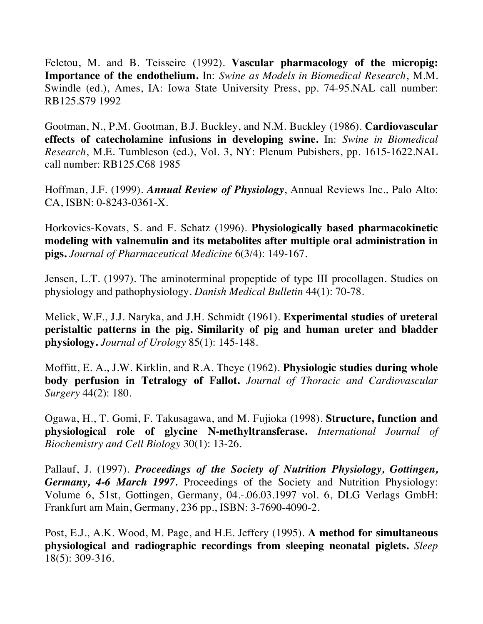Feletou, M. and B. Teisseire (1992). **Vascular pharmacology of the micropig: Importance of the endothelium.** In: *Swine as Models in Biomedical Research*, M.M. Swindle (ed.), Ames, IA: Iowa State University Press, pp. 74-95.NAL call number: RB125.S79 1992

Gootman, N., P.M. Gootman, B.J. Buckley, and N.M. Buckley (1986). **Cardiovascular effects of catecholamine infusions in developing swine.** In: *Swine in Biomedical Research*, M.E. Tumbleson (ed.), Vol. 3, NY: Plenum Pubishers, pp. 1615-1622.NAL call number: RB125.C68 1985

Hoffman, J.F. (1999). *Annual Review of Physiology*, Annual Reviews Inc., Palo Alto: CA, ISBN: 0-8243-0361-X.

Horkovics-Kovats, S. and F. Schatz (1996). **Physiologically based pharmacokinetic modeling with valnemulin and its metabolites after multiple oral administration in pigs.** *Journal of Pharmaceutical Medicine* 6(3/4): 149-167.

Jensen, L.T. (1997). The aminoterminal propeptide of type III procollagen. Studies on physiology and pathophysiology. *Danish Medical Bulletin* 44(1): 70-78.

Melick, W.F., J.J. Naryka, and J.H. Schmidt (1961). **Experimental studies of ureteral peristaltic patterns in the pig. Similarity of pig and human ureter and bladder physiology.** *Journal of Urology* 85(1): 145-148.

Moffitt, E. A., J.W. Kirklin, and R.A. Theye (1962). **Physiologic studies during whole body perfusion in Tetralogy of Fallot.** *Journal of Thoracic and Cardiovascular Surgery* 44(2): 180.

Ogawa, H., T. Gomi, F. Takusagawa, and M. Fujioka (1998). **Structure, function and physiological role of glycine N-methyltransferase.** *International Journal of Biochemistry and Cell Biology* 30(1): 13-26.

Pallauf, J. (1997). *Proceedings of the Society of Nutrition Physiology, Gottingen, Germany, 4-6 March 1997.* Proceedings of the Society and Nutrition Physiology: Volume 6, 51st, Gottingen, Germany, 04.-.06.03.1997 vol. 6, DLG Verlags GmbH: Frankfurt am Main, Germany, 236 pp., ISBN: 3-7690-4090-2.

Post, E.J., A.K. Wood, M. Page, and H.E. Jeffery (1995). **A method for simultaneous physiological and radiographic recordings from sleeping neonatal piglets.** *Sleep* 18(5): 309-316.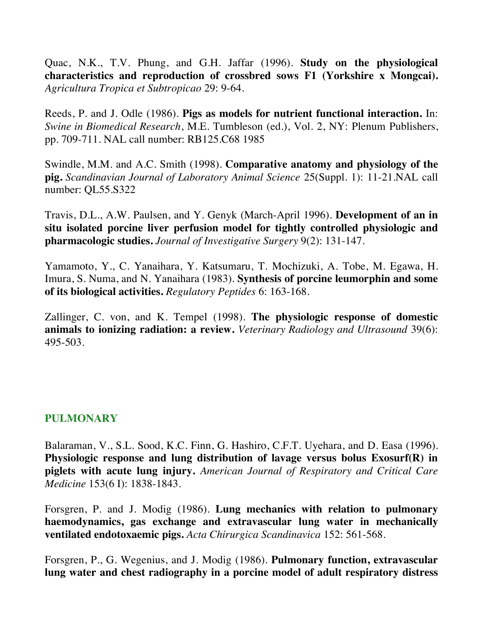Quac, N.K., T.V. Phung, and G.H. Jaffar (1996). **Study on the physiological characteristics and reproduction of crossbred sows F1 (Yorkshire x Mongcai).**  *Agricultura Tropica et Subtropicao* 29: 9-64.

Reeds, P. and J. Odle (1986). **Pigs as models for nutrient functional interaction.** In: *Swine in Biomedical Research*, M.E. Tumbleson (ed.), Vol. 2, NY: Plenum Publishers, pp. 709-711. NAL call number: RB125.C68 1985

Swindle, M.M. and A.C. Smith (1998). **Comparative anatomy and physiology of the pig.** *Scandinavian Journal of Laboratory Animal Science* 25(Suppl. 1): 11-21.NAL call number: QL55.S322

Travis, D.L., A.W. Paulsen, and Y. Genyk (March-April 1996). **Development of an in situ isolated porcine liver perfusion model for tightly controlled physiologic and pharmacologic studies.** *Journal of Investigative Surgery* 9(2): 131-147.

Yamamoto, Y., C. Yanaihara, Y. Katsumaru, T. Mochizuki, A. Tobe, M. Egawa, H. Imura, S. Numa, and N. Yanaihara (1983). **Synthesis of porcine leumorphin and some of its biological activities.** *Regulatory Peptides* 6: 163-168.

Zallinger, C. von, and K. Tempel (1998). **The physiologic response of domestic animals to ionizing radiation: a review.** *Veterinary Radiology and Ultrasound* 39(6): 495-503.

## **PULMONARY**

Balaraman, V., S.L. Sood, K.C. Finn, G. Hashiro, C.F.T. Uyehara, and D. Easa (1996). **Physiologic response and lung distribution of lavage versus bolus Exosurf(R) in piglets with acute lung injury.** *American Journal of Respiratory and Critical Care Medicine* 153(6 I): 1838-1843.

Forsgren, P. and J. Modig (1986). **Lung mechanics with relation to pulmonary haemodynamics, gas exchange and extravascular lung water in mechanically ventilated endotoxaemic pigs.** *Acta Chirurgica Scandinavica* 152: 561-568.

Forsgren, P., G. Wegenius, and J. Modig (1986). **Pulmonary function, extravascular lung water and chest radiography in a porcine model of adult respiratory distress**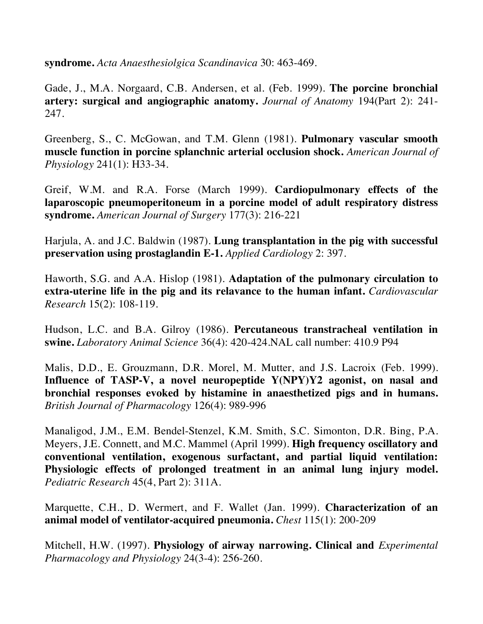**syndrome.** *Acta Anaesthesiolgica Scandinavica* 30: 463-469.

Gade, J., M.A. Norgaard, C.B. Andersen, et al. (Feb. 1999). **The porcine bronchial artery: surgical and angiographic anatomy.** *Journal of Anatomy* 194(Part 2): 241- 247.

Greenberg, S., C. McGowan, and T.M. Glenn (1981). **Pulmonary vascular smooth muscle function in porcine splanchnic arterial occlusion shock.** *American Journal of Physiology* 241(1): H33-34.

Greif, W.M. and R.A. Forse (March 1999). **Cardiopulmonary effects of the laparoscopic pneumoperitoneum in a porcine model of adult respiratory distress syndrome.** *American Journal of Surgery* 177(3): 216-221

Harjula, A. and J.C. Baldwin (1987). **Lung transplantation in the pig with successful preservation using prostaglandin E-1.** *Applied Cardiology* 2: 397.

Haworth, S.G. and A.A. Hislop (1981). **Adaptation of the pulmonary circulation to extra-uterine life in the pig and its relavance to the human infant.** *Cardiovascular Research* 15(2): 108-119.

Hudson, L.C. and B.A. Gilroy (1986). **Percutaneous transtracheal ventilation in swine.** *Laboratory Animal Science* 36(4): 420-424.NAL call number: 410.9 P94

Malis, D.D., E. Grouzmann, D.R. Morel, M. Mutter, and J.S. Lacroix (Feb. 1999). **Influence of TASP-V, a novel neuropeptide Y(NPY)Y2 agonist, on nasal and bronchial responses evoked by histamine in anaesthetized pigs and in humans.** *British Journal of Pharmacology* 126(4): 989-996

Manaligod, J.M., E.M. Bendel-Stenzel, K.M. Smith, S.C. Simonton, D.R. Bing, P.A. Meyers, J.E. Connett, and M.C. Mammel (April 1999). **High frequency oscillatory and conventional ventilation, exogenous surfactant, and partial liquid ventilation: Physiologic effects of prolonged treatment in an animal lung injury model.** *Pediatric Research* 45(4, Part 2): 311A.

Marquette, C.H., D. Wermert, and F. Wallet (Jan. 1999). **Characterization of an animal model of ventilator-acquired pneumonia.** *Chest* 115(1): 200-209

Mitchell, H.W. (1997). **Physiology of airway narrowing. Clinical and** *Experimental Pharmacology and Physiology* 24(3-4): 256-260.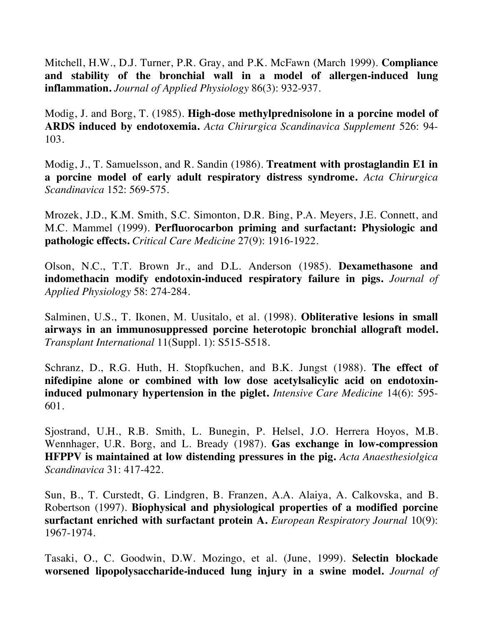Mitchell, H.W., D.J. Turner, P.R. Gray, and P.K. McFawn (March 1999). **Compliance and stability of the bronchial wall in a model of allergen-induced lung inflammation.** *Journal of Applied Physiology* 86(3): 932-937.

Modig, J. and Borg, T. (1985). **High-dose methylprednisolone in a porcine model of ARDS induced by endotoxemia.** *Acta Chirurgica Scandinavica Supplement* 526: 94- 103.

Modig, J., T. Samuelsson, and R. Sandin (1986). **Treatment with prostaglandin E1 in a porcine model of early adult respiratory distress syndrome.** *Acta Chirurgica Scandinavica* 152: 569-575.

Mrozek, J.D., K.M. Smith, S.C. Simonton, D.R. Bing, P.A. Meyers, J.E. Connett, and M.C. Mammel (1999). **Perfluorocarbon priming and surfactant: Physiologic and pathologic effects.** *Critical Care Medicine* 27(9): 1916-1922.

Olson, N.C., T.T. Brown Jr., and D.L. Anderson (1985). **Dexamethasone and indomethacin modify endotoxin-induced respiratory failure in pigs.** *Journal of Applied Physiology* 58: 274-284.

Salminen, U.S., T. Ikonen, M. Uusitalo, et al. (1998). **Obliterative lesions in small airways in an immunosuppressed porcine heterotopic bronchial allograft model.** *Transplant International* 11(Suppl. 1): S515-S518.

Schranz, D., R.G. Huth, H. Stopfkuchen, and B.K. Jungst (1988). **The effect of nifedipine alone or combined with low dose acetylsalicylic acid on endotoxininduced pulmonary hypertension in the piglet.** *Intensive Care Medicine* 14(6): 595- 601.

Sjostrand, U.H., R.B. Smith, L. Bunegin, P. Helsel, J.O. Herrera Hoyos, M.B. Wennhager, U.R. Borg, and L. Bready (1987). **Gas exchange in low-compression HFPPV is maintained at low distending pressures in the pig.** *Acta Anaesthesiolgica Scandinavica* 31: 417-422.

Sun, B., T. Curstedt, G. Lindgren, B. Franzen, A.A. Alaiya, A. Calkovska, and B. Robertson (1997). **Biophysical and physiological properties of a modified porcine surfactant enriched with surfactant protein A.** *European Respiratory Journal* 10(9): 1967-1974.

Tasaki, O., C. Goodwin, D.W. Mozingo, et al. (June, 1999). **Selectin blockade worsened lipopolysaccharide-induced lung injury in a swine model.** *Journal of*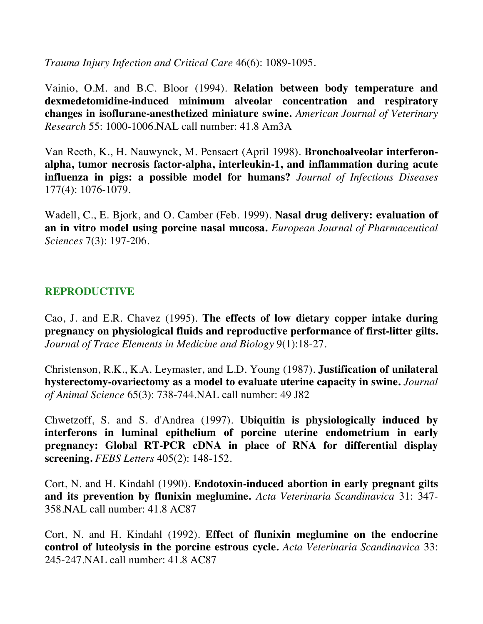*Trauma Injury Infection and Critical Care* 46(6): 1089-1095.

Vainio, O.M. and B.C. Bloor (1994). **Relation between body temperature and dexmedetomidine-induced minimum alveolar concentration and respiratory changes in isoflurane-anesthetized miniature swine.** *American Journal of Veterinary Research* 55: 1000-1006.NAL call number: 41.8 Am3A

Van Reeth, K., H. Nauwynck, M. Pensaert (April 1998). **Bronchoalveolar interferonalpha, tumor necrosis factor-alpha, interleukin-1, and inflammation during acute influenza in pigs: a possible model for humans?** *Journal of Infectious Diseases* 177(4): 1076-1079.

Wadell, C., E. Bjork, and O. Camber (Feb. 1999). **Nasal drug delivery: evaluation of an in vitro model using porcine nasal mucosa.** *European Journal of Pharmaceutical Sciences* 7(3): 197-206.

## **REPRODUCTIVE**

Cao, J. and E.R. Chavez (1995). **The effects of low dietary copper intake during pregnancy on physiological fluids and reproductive performance of first-litter gilts.**  *Journal of Trace Elements in Medicine and Biology* 9(1):18-27.

Christenson, R.K., K.A. Leymaster, and L.D. Young (1987). **Justification of unilateral hysterectomy-ovariectomy as a model to evaluate uterine capacity in swine.** *Journal of Animal Science* 65(3): 738-744.NAL call number: 49 J82

Chwetzoff, S. and S. d'Andrea (1997). **Ubiquitin is physiologically induced by interferons in luminal epithelium of porcine uterine endometrium in early pregnancy: Global RT-PCR cDNA in place of RNA for differential display screening.** *FEBS Letters* 405(2): 148-152.

Cort, N. and H. Kindahl (1990). **Endotoxin-induced abortion in early pregnant gilts and its prevention by flunixin meglumine.** *Acta Veterinaria Scandinavica* 31: 347- 358.NAL call number: 41.8 AC87

Cort, N. and H. Kindahl (1992). **Effect of flunixin meglumine on the endocrine control of luteolysis in the porcine estrous cycle.** *Acta Veterinaria Scandinavica* 33: 245-247.NAL call number: 41.8 AC87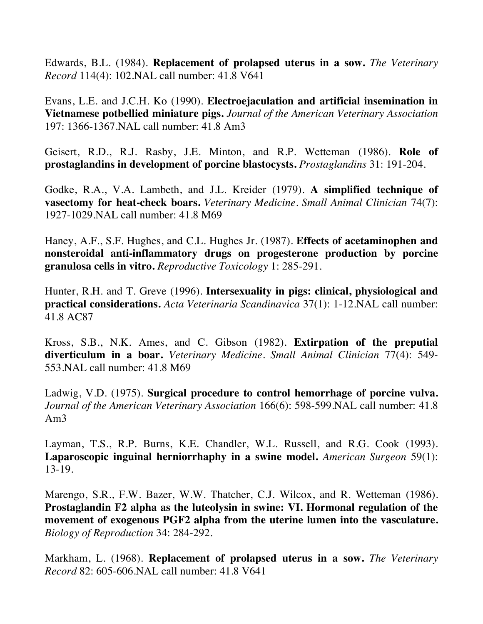Edwards, B.L. (1984). **Replacement of prolapsed uterus in a sow.** *The Veterinary Record* 114(4): 102.NAL call number: 41.8 V641

Evans, L.E. and J.C.H. Ko (1990). **Electroejaculation and artificial insemination in Vietnamese potbellied miniature pigs.** *Journal of the American Veterinary Association* 197: 1366-1367.NAL call number: 41.8 Am3

Geisert, R.D., R.J. Rasby, J.E. Minton, and R.P. Wetteman (1986). **Role of prostaglandins in development of porcine blastocysts.** *Prostaglandins* 31: 191-204.

Godke, R.A., V.A. Lambeth, and J.L. Kreider (1979). **A simplified technique of vasectomy for heat-check boars.** *Veterinary Medicine. Small Animal Clinician* 74(7): 1927-1029.NAL call number: 41.8 M69

Haney, A.F., S.F. Hughes, and C.L. Hughes Jr. (1987). **Effects of acetaminophen and nonsteroidal anti-inflammatory drugs on progesterone production by porcine granulosa cells in vitro.** *Reproductive Toxicology* 1: 285-291.

Hunter, R.H. and T. Greve (1996). **Intersexuality in pigs: clinical, physiological and practical considerations.** *Acta Veterinaria Scandinavica* 37(1): 1-12.NAL call number: 41.8 AC87

Kross, S.B., N.K. Ames, and C. Gibson (1982). **Extirpation of the preputial diverticulum in a boar.** *Veterinary Medicine. Small Animal Clinician* 77(4): 549- 553.NAL call number: 41.8 M69

Ladwig, V.D. (1975). **Surgical procedure to control hemorrhage of porcine vulva.**  *Journal of the American Veterinary Association* 166(6): 598-599.NAL call number: 41.8 Am3

Layman, T.S., R.P. Burns, K.E. Chandler, W.L. Russell, and R.G. Cook (1993). **Laparoscopic inguinal herniorrhaphy in a swine model.** *American Surgeon* 59(1): 13-19.

Marengo, S.R., F.W. Bazer, W.W. Thatcher, C.J. Wilcox, and R. Wetteman (1986). **Prostaglandin F2 alpha as the luteolysin in swine: VI. Hormonal regulation of the movement of exogenous PGF2 alpha from the uterine lumen into the vasculature.**  *Biology of Reproduction* 34: 284-292.

Markham, L. (1968). **Replacement of prolapsed uterus in a sow.** *The Veterinary Record* 82: 605-606.NAL call number: 41.8 V641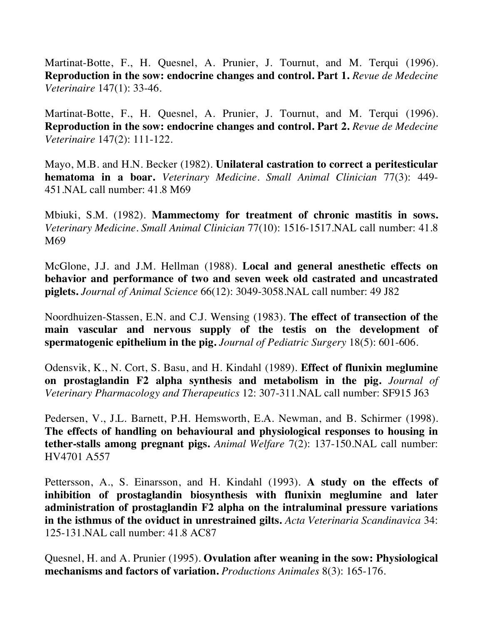Martinat-Botte, F., H. Quesnel, A. Prunier, J. Tournut, and M. Terqui (1996). **Reproduction in the sow: endocrine changes and control. Part 1.** *Revue de Medecine Veterinaire* 147(1): 33-46.

Martinat-Botte, F., H. Quesnel, A. Prunier, J. Tournut, and M. Terqui (1996). **Reproduction in the sow: endocrine changes and control. Part 2.** *Revue de Medecine Veterinaire* 147(2): 111-122.

Mayo, M.B. and H.N. Becker (1982). **Unilateral castration to correct a peritesticular hematoma in a boar.** *Veterinary Medicine. Small Animal Clinician* 77(3): 449- 451.NAL call number: 41.8 M69

Mbiuki, S.M. (1982). **Mammectomy for treatment of chronic mastitis in sows.**  *Veterinary Medicine. Small Animal Clinician* 77(10): 1516-1517.NAL call number: 41.8 M69

McGlone, J.J. and J.M. Hellman (1988). **Local and general anesthetic effects on behavior and performance of two and seven week old castrated and uncastrated piglets.** *Journal of Animal Science* 66(12): 3049-3058.NAL call number: 49 J82

Noordhuizen-Stassen, E.N. and C.J. Wensing (1983). **The effect of transection of the main vascular and nervous supply of the testis on the development of spermatogenic epithelium in the pig.** *Journal of Pediatric Surgery* 18(5): 601-606.

Odensvik, K., N. Cort, S. Basu, and H. Kindahl (1989). **Effect of flunixin meglumine on prostaglandin F2 alpha synthesis and metabolism in the pig.** *Journal of Veterinary Pharmacology and Therapeutics* 12: 307-311.NAL call number: SF915 J63

Pedersen, V., J.L. Barnett, P.H. Hemsworth, E.A. Newman, and B. Schirmer (1998). **The effects of handling on behavioural and physiological responses to housing in tether-stalls among pregnant pigs.** *Animal Welfare* 7(2): 137-150.NAL call number: HV4701 A557

Pettersson, A., S. Einarsson, and H. Kindahl (1993). **A study on the effects of inhibition of prostaglandin biosynthesis with flunixin meglumine and later administration of prostaglandin F2 alpha on the intraluminal pressure variations in the isthmus of the oviduct in unrestrained gilts.** *Acta Veterinaria Scandinavica* 34: 125-131.NAL call number: 41.8 AC87

Quesnel, H. and A. Prunier (1995). **Ovulation after weaning in the sow: Physiological mechanisms and factors of variation.** *Productions Animales* 8(3): 165-176.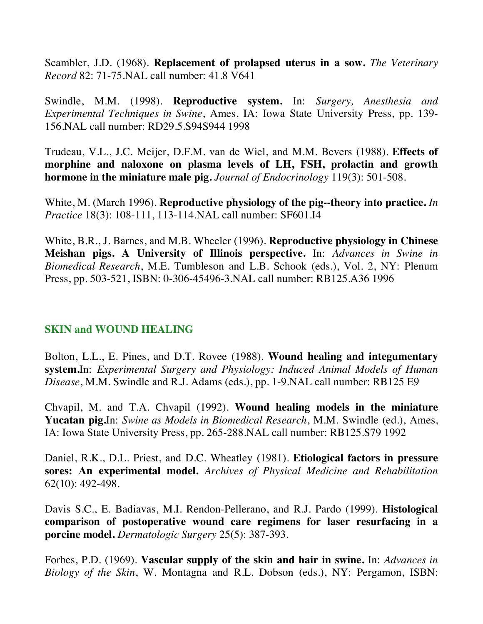Scambler, J.D. (1968). **Replacement of prolapsed uterus in a sow.** *The Veterinary Record* 82: 71-75.NAL call number: 41.8 V641

Swindle, M.M. (1998). **Reproductive system.** In: *Surgery, Anesthesia and Experimental Techniques in Swine*, Ames, IA: Iowa State University Press, pp. 139- 156.NAL call number: RD29.5.S94S944 1998

Trudeau, V.L., J.C. Meijer, D.F.M. van de Wiel, and M.M. Bevers (1988). **Effects of morphine and naloxone on plasma levels of LH, FSH, prolactin and growth hormone in the miniature male pig.** *Journal of Endocrinology* 119(3): 501-508.

White, M. (March 1996). **Reproductive physiology of the pig--theory into practice.** *In Practice* 18(3): 108-111, 113-114.NAL call number: SF601.I4

White, B.R., J. Barnes, and M.B. Wheeler (1996). **Reproductive physiology in Chinese Meishan pigs. A University of Illinois perspective.** In: *Advances in Swine in Biomedical Research*, M.E. Tumbleson and L.B. Schook (eds.), Vol. 2, NY: Plenum Press, pp. 503-521, ISBN: 0-306-45496-3.NAL call number: RB125.A36 1996

## **SKIN and WOUND HEALING**

Bolton, L.L., E. Pines, and D.T. Rovee (1988). **Wound healing and integumentary system.**In: *Experimental Surgery and Physiology: Induced Animal Models of Human Disease*, M.M. Swindle and R.J. Adams (eds.), pp. 1-9.NAL call number: RB125 E9

Chvapil, M. and T.A. Chvapil (1992). **Wound healing models in the miniature Yucatan pig.**In: *Swine as Models in Biomedical Research*, M.M. Swindle (ed.), Ames, IA: Iowa State University Press, pp. 265-288.NAL call number: RB125.S79 1992

Daniel, R.K., D.L. Priest, and D.C. Wheatley (1981). **Etiological factors in pressure sores: An experimental model.** *Archives of Physical Medicine and Rehabilitation*  62(10): 492-498.

Davis S.C., E. Badiavas, M.I. Rendon-Pellerano, and R.J. Pardo (1999). **Histological comparison of postoperative wound care regimens for laser resurfacing in a porcine model.** *Dermatologic Surgery* 25(5): 387-393.

Forbes, P.D. (1969). **Vascular supply of the skin and hair in swine.** In: *Advances in Biology of the Skin*, W. Montagna and R.L. Dobson (eds.), NY: Pergamon, ISBN: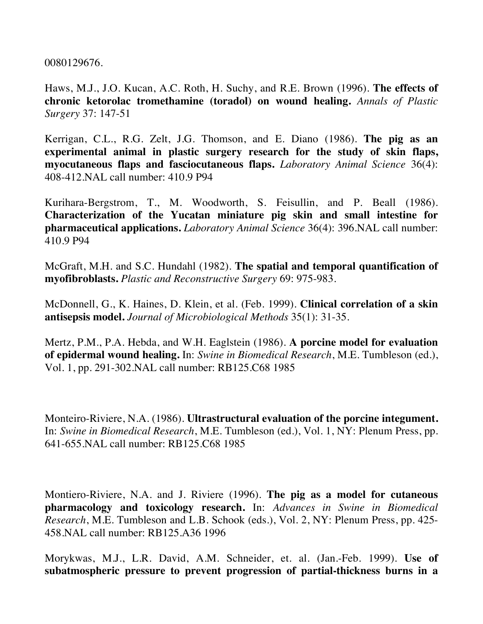0080129676.

Haws, M.J., J.O. Kucan, A.C. Roth, H. Suchy, and R.E. Brown (1996). **The effects of chronic ketorolac tromethamine (toradol) on wound healing.** *Annals of Plastic Surgery* 37: 147-51

Kerrigan, C.L., R.G. Zelt, J.G. Thomson, and E. Diano (1986). **The pig as an experimental animal in plastic surgery research for the study of skin flaps, myocutaneous flaps and fasciocutaneous flaps.** *Laboratory Animal Science* 36(4): 408-412.NAL call number: 410.9 P94

Kurihara-Bergstrom, T., M. Woodworth, S. Feisullin, and P. Beall (1986). **Characterization of the Yucatan miniature pig skin and small intestine for pharmaceutical applications.** *Laboratory Animal Science* 36(4): 396.NAL call number: 410.9 P94

McGraft, M.H. and S.C. Hundahl (1982). **The spatial and temporal quantification of myofibroblasts.** *Plastic and Reconstructive Surgery* 69: 975-983.

McDonnell, G., K. Haines, D. Klein, et al. (Feb. 1999). **Clinical correlation of a skin antisepsis model.** *Journal of Microbiological Methods* 35(1): 31-35.

Mertz, P.M., P.A. Hebda, and W.H. Eaglstein (1986). **A porcine model for evaluation of epidermal wound healing.** In: *Swine in Biomedical Research*, M.E. Tumbleson (ed.), Vol. 1, pp. 291-302.NAL call number: RB125.C68 1985

Monteiro-Riviere, N.A. (1986). **Ultrastructural evaluation of the porcine integument.** In: *Swine in Biomedical Research*, M.E. Tumbleson (ed.), Vol. 1, NY: Plenum Press, pp. 641-655.NAL call number: RB125.C68 1985

Montiero-Riviere, N.A. and J. Riviere (1996). **The pig as a model for cutaneous pharmacology and toxicology research.** In: *Advances in Swine in Biomedical Research*, M.E. Tumbleson and L.B. Schook (eds.), Vol. 2, NY: Plenum Press, pp. 425- 458.NAL call number: RB125.A36 1996

Morykwas, M.J., L.R. David, A.M. Schneider, et. al. (Jan.-Feb. 1999). **Use of subatmospheric pressure to prevent progression of partial-thickness burns in a**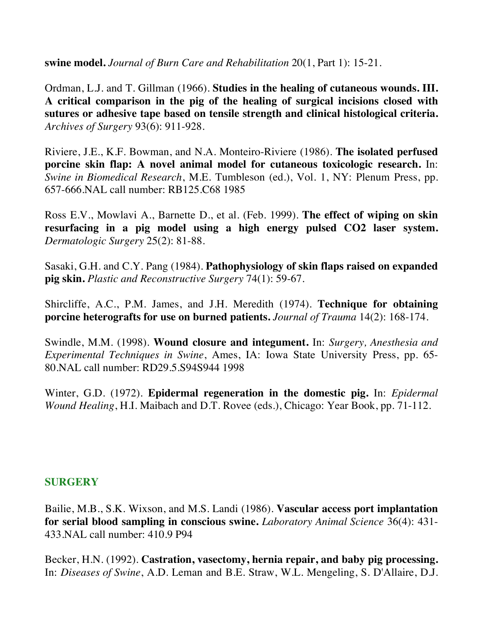**swine model.** *Journal of Burn Care and Rehabilitation* 20(1, Part 1): 15-21.

Ordman, L.J. and T. Gillman (1966). **Studies in the healing of cutaneous wounds. III. A critical comparison in the pig of the healing of surgical incisions closed with sutures or adhesive tape based on tensile strength and clinical histological criteria.** *Archives of Surgery* 93(6): 911-928.

Riviere, J.E., K.F. Bowman, and N.A. Monteiro-Riviere (1986). **The isolated perfused porcine skin flap: A novel animal model for cutaneous toxicologic research.** In: *Swine in Biomedical Research*, M.E. Tumbleson (ed.), Vol. 1, NY: Plenum Press, pp. 657-666.NAL call number: RB125.C68 1985

Ross E.V., Mowlavi A., Barnette D., et al. (Feb. 1999). **The effect of wiping on skin resurfacing in a pig model using a high energy pulsed CO2 laser system.** *Dermatologic Surgery* 25(2): 81-88.

Sasaki, G.H. and C.Y. Pang (1984). **Pathophysiology of skin flaps raised on expanded pig skin.** *Plastic and Reconstructive Surgery* 74(1): 59-67.

Shircliffe, A.C., P.M. James, and J.H. Meredith (1974). **Technique for obtaining porcine heterografts for use on burned patients.** *Journal of Trauma* 14(2): 168-174.

Swindle, M.M. (1998). **Wound closure and integument.** In: *Surgery, Anesthesia and Experimental Techniques in Swine*, Ames, IA: Iowa State University Press, pp. 65- 80.NAL call number: RD29.5.S94S944 1998

Winter, G.D. (1972). **Epidermal regeneration in the domestic pig.** In: *Epidermal Wound Healing*, H.I. Maibach and D.T. Rovee (eds.), Chicago: Year Book, pp. 71-112.

### **SURGERY**

Bailie, M.B., S.K. Wixson, and M.S. Landi (1986). **Vascular access port implantation for serial blood sampling in conscious swine.** *Laboratory Animal Science* 36(4): 431- 433.NAL call number: 410.9 P94

Becker, H.N. (1992). **Castration, vasectomy, hernia repair, and baby pig processing.** In: *Diseases of Swine*, A.D. Leman and B.E. Straw, W.L. Mengeling, S. D'Allaire, D.J.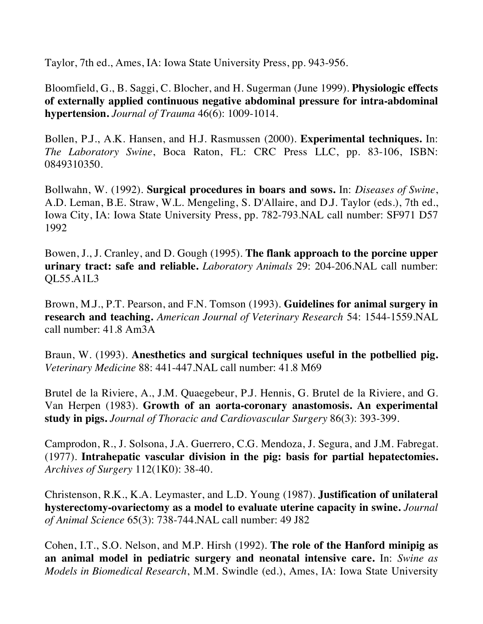Taylor, 7th ed., Ames, IA: Iowa State University Press, pp. 943-956.

Bloomfield, G., B. Saggi, C. Blocher, and H. Sugerman (June 1999). **Physiologic effects of externally applied continuous negative abdominal pressure for intra-abdominal hypertension.** *Journal of Trauma* 46(6): 1009-1014.

Bollen, P.J., A.K. Hansen, and H.J. Rasmussen (2000). **Experimental techniques.** In: *The Laboratory Swine*, Boca Raton, FL: CRC Press LLC, pp. 83-106, ISBN: 0849310350.

Bollwahn, W. (1992). **Surgical procedures in boars and sows.** In: *Diseases of Swine*, A.D. Leman, B.E. Straw, W.L. Mengeling, S. D'Allaire, and D.J. Taylor (eds.), 7th ed., Iowa City, IA: Iowa State University Press, pp. 782-793.NAL call number: SF971 D57 1992

Bowen, J., J. Cranley, and D. Gough (1995). **The flank approach to the porcine upper urinary tract: safe and reliable.** *Laboratory Animals* 29: 204-206.NAL call number: QL55.A1L3

Brown, M.J., P.T. Pearson, and F.N. Tomson (1993). **Guidelines for animal surgery in research and teaching.** *American Journal of Veterinary Research* 54: 1544-1559.NAL call number: 41.8 Am3A

Braun, W. (1993). **Anesthetics and surgical techniques useful in the potbellied pig.**  *Veterinary Medicine* 88: 441-447.NAL call number: 41.8 M69

Brutel de la Riviere, A., J.M. Quaegebeur, P.J. Hennis, G. Brutel de la Riviere, and G. Van Herpen (1983). **Growth of an aorta-coronary anastomosis. An experimental study in pigs.** *Journal of Thoracic and Cardiovascular Surgery* 86(3): 393-399.

Camprodon, R., J. Solsona, J.A. Guerrero, C.G. Mendoza, J. Segura, and J.M. Fabregat. (1977). **Intrahepatic vascular division in the pig: basis for partial hepatectomies.**  *Archives of Surgery* 112(1K0): 38-40.

Christenson, R.K., K.A. Leymaster, and L.D. Young (1987). **Justification of unilateral hysterectomy-ovariectomy as a model to evaluate uterine capacity in swine.** *Journal of Animal Science* 65(3): 738-744.NAL call number: 49 J82

Cohen, I.T., S.O. Nelson, and M.P. Hirsh (1992). **The role of the Hanford minipig as an animal model in pediatric surgery and neonatal intensive care.** In: *Swine as Models in Biomedical Research*, M.M. Swindle (ed.), Ames, IA: Iowa State University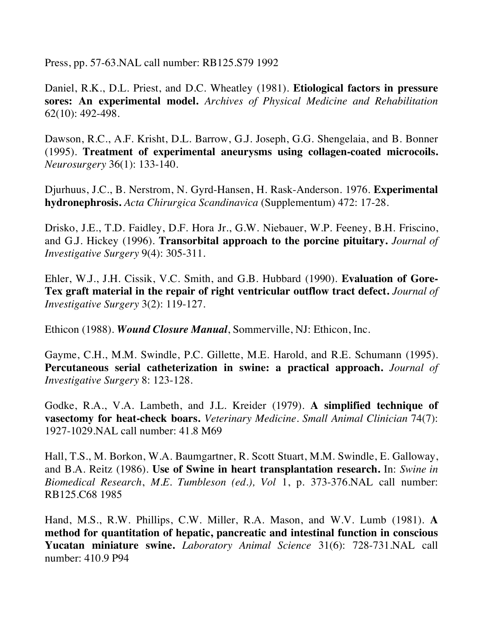Press, pp. 57-63.NAL call number: RB125.S79 1992

Daniel, R.K., D.L. Priest, and D.C. Wheatley (1981). **Etiological factors in pressure sores: An experimental model.** *Archives of Physical Medicine and Rehabilitation* 62(10): 492-498.

Dawson, R.C., A.F. Krisht, D.L. Barrow, G.J. Joseph, G.G. Shengelaia, and B. Bonner (1995). **Treatment of experimental aneurysms using collagen-coated microcoils.**  *Neurosurgery* 36(1): 133-140.

Djurhuus, J.C., B. Nerstrom, N. Gyrd-Hansen, H. Rask-Anderson. 1976. **Experimental hydronephrosis.** *Acta Chirurgica Scandinavica* (Supplementum) 472: 17-28.

Drisko, J.E., T.D. Faidley, D.F. Hora Jr., G.W. Niebauer, W.P. Feeney, B.H. Friscino, and G.J. Hickey (1996). **Transorbital approach to the porcine pituitary.** *Journal of Investigative Surgery* 9(4): 305-311.

Ehler, W.J., J.H. Cissik, V.C. Smith, and G.B. Hubbard (1990). **Evaluation of Gore-Tex graft material in the repair of right ventricular outflow tract defect.** *Journal of Investigative Surgery* 3(2): 119-127.

Ethicon (1988). *Wound Closure Manual*, Sommerville, NJ: Ethicon, Inc.

Gayme, C.H., M.M. Swindle, P.C. Gillette, M.E. Harold, and R.E. Schumann (1995). **Percutaneous serial catheterization in swine: a practical approach.** *Journal of Investigative Surgery* 8: 123-128.

Godke, R.A., V.A. Lambeth, and J.L. Kreider (1979). **A simplified technique of vasectomy for heat-check boars.** *Veterinary Medicine. Small Animal Clinician* 74(7): 1927-1029.NAL call number: 41.8 M69

Hall, T.S., M. Borkon, W.A. Baumgartner, R. Scott Stuart, M.M. Swindle, E. Galloway, and B.A. Reitz (1986). **Use of Swine in heart transplantation research.** In: *Swine in Biomedical Research*, *M.E. Tumbleson (ed.), Vol* 1, p. 373-376.NAL call number: RB125.C68 1985

Hand, M.S., R.W. Phillips, C.W. Miller, R.A. Mason, and W.V. Lumb (1981). **A method for quantitation of hepatic, pancreatic and intestinal function in conscious Yucatan miniature swine.** *Laboratory Animal Science* 31(6): 728-731.NAL call number: 410.9 P94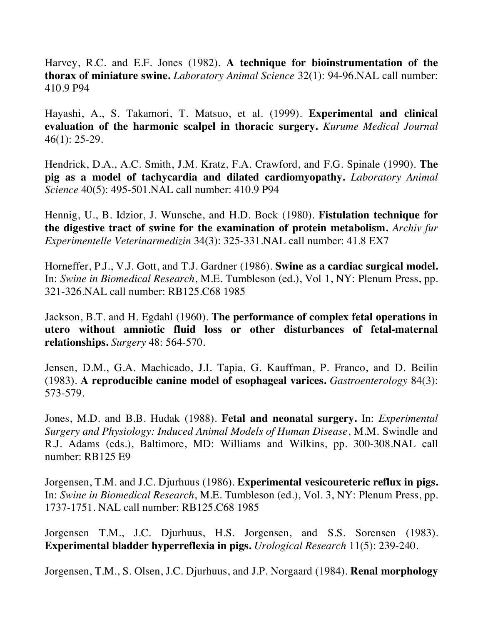Harvey, R.C. and E.F. Jones (1982). **A technique for bioinstrumentation of the thorax of miniature swine.** *Laboratory Animal Science* 32(1): 94-96.NAL call number: 410.9 P94

Hayashi, A., S. Takamori, T. Matsuo, et al. (1999). **Experimental and clinical evaluation of the harmonic scalpel in thoracic surgery.** *Kurume Medical Journal* 46(1): 25-29.

Hendrick, D.A., A.C. Smith, J.M. Kratz, F.A. Crawford, and F.G. Spinale (1990). **The pig as a model of tachycardia and dilated cardiomyopathy.** *Laboratory Animal Science* 40(5): 495-501.NAL call number: 410.9 P94

Hennig, U., B. Idzior, J. Wunsche, and H.D. Bock (1980). **Fistulation technique for the digestive tract of swine for the examination of protein metabolism.** *Archiv fur Experimentelle Veterinarmedizin* 34(3): 325-331.NAL call number: 41.8 EX7

Horneffer, P.J., V.J. Gott, and T.J. Gardner (1986). **Swine as a cardiac surgical model.**  In: *Swine in Biomedical Research*, M.E. Tumbleson (ed.), Vol 1, NY: Plenum Press, pp. 321-326.NAL call number: RB125.C68 1985

Jackson, B.T. and H. Egdahl (1960). **The performance of complex fetal operations in utero without amniotic fluid loss or other disturbances of fetal-maternal relationships.** *Surgery* 48: 564-570.

Jensen, D.M., G.A. Machicado, J.I. Tapia, G. Kauffman, P. Franco, and D. Beilin (1983). **A reproducible canine model of esophageal varices.** *Gastroenterology* 84(3): 573-579.

Jones, M.D. and B.B. Hudak (1988). **Fetal and neonatal surgery.** In: *Experimental Surgery and Physiology: Induced Animal Models of Human Disease*, M.M. Swindle and R.J. Adams (eds.), Baltimore, MD: Williams and Wilkins, pp. 300-308.NAL call number: RB125 E9

Jorgensen, T.M. and J.C. Djurhuus (1986). **Experimental vesicoureteric reflux in pigs.**  In: *Swine in Biomedical Research*, M.E. Tumbleson (ed.), Vol. 3, NY: Plenum Press, pp. 1737-1751. NAL call number: RB125.C68 1985

Jorgensen T.M., J.C. Djurhuus, H.S. Jorgensen, and S.S. Sorensen (1983). **Experimental bladder hyperreflexia in pigs.** *Urological Research* 11(5): 239-240.

Jorgensen, T.M., S. Olsen, J.C. Djurhuus, and J.P. Norgaard (1984). **Renal morphology**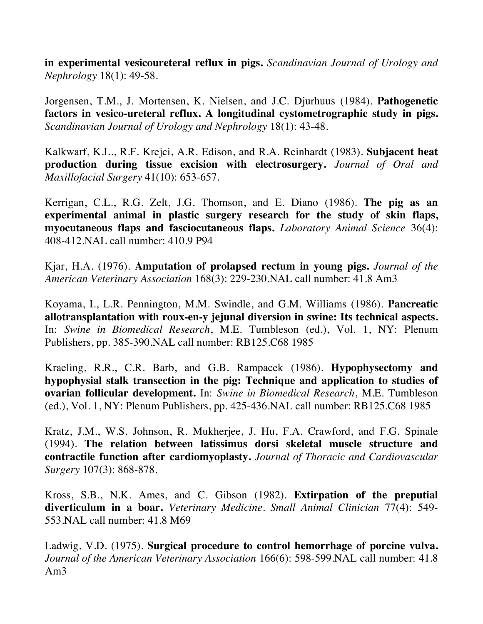**in experimental vesicoureteral reflux in pigs.** *Scandinavian Journal of Urology and Nephrology* 18(1): 49-58.

Jorgensen, T.M., J. Mortensen, K. Nielsen, and J.C. Djurhuus (1984). **Pathogenetic factors in vesico-ureteral reflux. A longitudinal cystometrographic study in pigs.**  *Scandinavian Journal of Urology and Nephrology* 18(1): 43-48.

Kalkwarf, K.L., R.F. Krejci, A.R. Edison, and R.A. Reinhardt (1983). **Subjacent heat production during tissue excision with electrosurgery.** *Journal of Oral and Maxillofacial Surgery* 41(10): 653-657.

Kerrigan, C.L., R.G. Zelt, J.G. Thomson, and E. Diano (1986). **The pig as an experimental animal in plastic surgery research for the study of skin flaps, myocutaneous flaps and fasciocutaneous flaps.** *Laboratory Animal Science* 36(4): 408-412.NAL call number: 410.9 P94

Kjar, H.A. (1976). **Amputation of prolapsed rectum in young pigs.** *Journal of the American Veterinary Association* 168(3): 229-230.NAL call number: 41.8 Am3

Koyama, I., L.R. Pennington, M.M. Swindle, and G.M. Williams (1986). **Pancreatic allotransplantation with roux-en-y jejunal diversion in swine: Its technical aspects.** In: *Swine in Biomedical Research*, M.E. Tumbleson (ed.), Vol. 1, NY: Plenum Publishers, pp. 385-390.NAL call number: RB125.C68 1985

Kraeling, R.R., C.R. Barb, and G.B. Rampacek (1986). **Hypophysectomy and hypophysial stalk transection in the pig: Technique and application to studies of ovarian follicular development.** In: *Swine in Biomedical Research*, M.E. Tumbleson (ed.), Vol. 1, NY: Plenum Publishers, pp. 425-436.NAL call number: RB125.C68 1985

Kratz, J.M., W.S. Johnson, R. Mukherjee, J. Hu, F.A. Crawford, and F.G. Spinale (1994). **The relation between latissimus dorsi skeletal muscle structure and contractile function after cardiomyoplasty.** *Journal of Thoracic and Cardiovascular Surgery* 107(3): 868-878.

Kross, S.B., N.K. Ames, and C. Gibson (1982). **Extirpation of the preputial diverticulum in a boar.** *Veterinary Medicine. Small Animal Clinician* 77(4): 549- 553.NAL call number: 41.8 M69

Ladwig, V.D. (1975). **Surgical procedure to control hemorrhage of porcine vulva.** *Journal of the American Veterinary Association* 166(6): 598-599.NAL call number: 41.8 Am3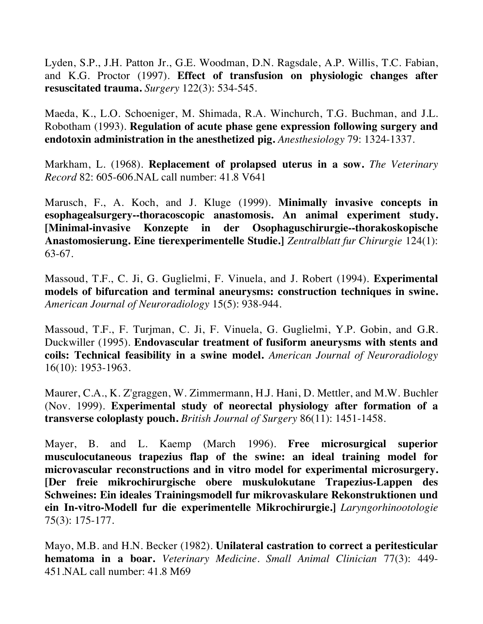Lyden, S.P., J.H. Patton Jr., G.E. Woodman, D.N. Ragsdale, A.P. Willis, T.C. Fabian, and K.G. Proctor (1997). **Effect of transfusion on physiologic changes after resuscitated trauma.** *Surgery* 122(3): 534-545.

Maeda, K., L.O. Schoeniger, M. Shimada, R.A. Winchurch, T.G. Buchman, and J.L. Robotham (1993). **Regulation of acute phase gene expression following surgery and endotoxin administration in the anesthetized pig.** *Anesthesiology* 79: 1324-1337.

Markham, L. (1968). **Replacement of prolapsed uterus in a sow.** *The Veterinary Record* 82: 605-606.NAL call number: 41.8 V641

Marusch, F., A. Koch, and J. Kluge (1999). **Minimally invasive concepts in esophagealsurgery--thoracoscopic anastomosis. An animal experiment study. [Minimal-invasive Konzepte in der Osophaguschirurgie--thorakoskopische Anastomosierung. Eine tierexperimentelle Studie.]** *Zentralblatt fur Chirurgie* 124(1): 63-67.

Massoud, T.F., C. Ji, G. Guglielmi, F. Vinuela, and J. Robert (1994). **Experimental models of bifurcation and terminal aneurysms: construction techniques in swine.**  *American Journal of Neuroradiology* 15(5): 938-944.

Massoud, T.F., F. Turjman, C. Ji, F. Vinuela, G. Guglielmi, Y.P. Gobin, and G.R. Duckwiller (1995). **Endovascular treatment of fusiform aneurysms with stents and coils: Technical feasibility in a swine model.** *American Journal of Neuroradiology* 16(10): 1953-1963.

Maurer, C.A., K. Z'graggen, W. Zimmermann, H.J. Hani, D. Mettler, and M.W. Buchler (Nov. 1999). **Experimental study of neorectal physiology after formation of a transverse coloplasty pouch.** *British Journal of Surgery* 86(11): 1451-1458.

Mayer, B. and L. Kaemp (March 1996). **Free microsurgical superior musculocutaneous trapezius flap of the swine: an ideal training model for microvascular reconstructions and in vitro model for experimental microsurgery. [Der freie mikrochirurgische obere muskulokutane Trapezius-Lappen des Schweines: Ein ideales Trainingsmodell fur mikrovaskulare Rekonstruktionen und ein In-vitro-Modell fur die experimentelle Mikrochirurgie.]** *Laryngorhinootologie* 75(3): 175-177.

Mayo, M.B. and H.N. Becker (1982). **Unilateral castration to correct a peritesticular hematoma in a boar.** *Veterinary Medicine. Small Animal Clinician* 77(3): 449- 451.NAL call number: 41.8 M69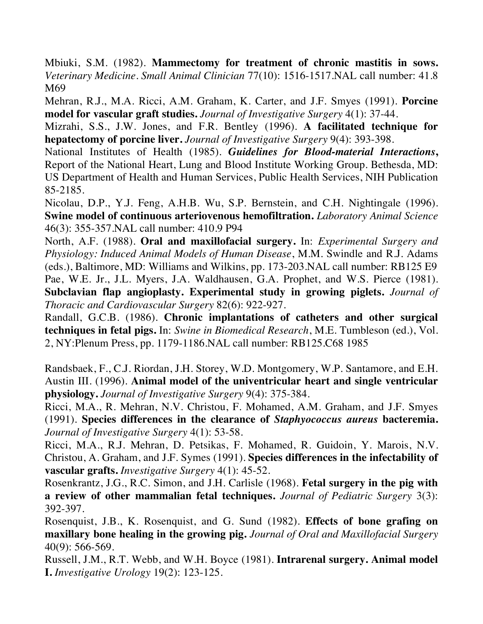Mbiuki, S.M. (1982). **Mammectomy for treatment of chronic mastitis in sows.**  *Veterinary Medicine. Small Animal Clinician* 77(10): 1516-1517.NAL call number: 41.8 M69

Mehran, R.J., M.A. Ricci, A.M. Graham, K. Carter, and J.F. Smyes (1991). **Porcine model for vascular graft studies.** *Journal of Investigative Surgery* 4(1): 37-44.

Mizrahi, S.S., J.W. Jones, and F.R. Bentley (1996). **A facilitated technique for hepatectomy of porcine liver.** *Journal of Investigative Surgery* 9(4): 393-398.

National Institutes of Health (1985). *Guidelines for Blood-material Interactions***,**  Report of the National Heart, Lung and Blood Institute Working Group. Bethesda, MD: US Department of Health and Human Services, Public Health Services, NIH Publication 85-2185.

Nicolau, D.P., Y.J. Feng, A.H.B. Wu, S.P. Bernstein, and C.H. Nightingale (1996). **Swine model of continuous arteriovenous hemofiltration.** *Laboratory Animal Science* 46(3): 355-357.NAL call number: 410.9 P94

North, A.F. (1988). **Oral and maxillofacial surgery.** In: *Experimental Surgery and Physiology: Induced Animal Models of Human Disease*, M.M. Swindle and R.J. Adams (eds.), Baltimore, MD: Williams and Wilkins, pp. 173-203.NAL call number: RB125 E9 Pae, W.E. Jr., J.L. Myers, J.A. Waldhausen, G.A. Prophet, and W.S. Pierce (1981). **Subclavian flap angioplasty. Experimental study in growing piglets.** *Journal of Thoracic and Cardiovascular Surgery* 82(6): 922-927.

Randall, G.C.B. (1986). **Chronic implantations of catheters and other surgical techniques in fetal pigs.** In: *Swine in Biomedical Research*, M.E. Tumbleson (ed.), Vol. 2, NY:Plenum Press, pp. 1179-1186.NAL call number: RB125.C68 1985

Randsbaek, F., C.J. Riordan, J.H. Storey, W.D. Montgomery, W.P. Santamore, and E.H. Austin III. (1996). **Animal model of the univentricular heart and single ventricular physiology.** *Journal of Investigative Surgery* 9(4): 375-384.

Ricci, M.A., R. Mehran, N.V. Christou, F. Mohamed, A.M. Graham, and J.F. Smyes (1991). **Species differences in the clearance of** *Staphyococcus aureus* **bacteremia.**  *Journal of Investigative Surgery* 4(1): 53-58.

Ricci, M.A., R.J. Mehran, D. Petsikas, F. Mohamed, R. Guidoin, Y. Marois, N.V. Christou, A. Graham, and J.F. Symes (1991). **Species differences in the infectability of vascular grafts.** *Investigative Surgery* 4(1): 45-52.

Rosenkrantz, J.G., R.C. Simon, and J.H. Carlisle (1968). **Fetal surgery in the pig with a review of other mammalian fetal techniques.** *Journal of Pediatric Surgery* 3(3): 392-397.

Rosenquist, J.B., K. Rosenquist, and G. Sund (1982). **Effects of bone grafing on maxillary bone healing in the growing pig.** *Journal of Oral and Maxillofacial Surgery* 40(9): 566-569.

Russell, J.M., R.T. Webb, and W.H. Boyce (1981). **Intrarenal surgery. Animal model I.** *Investigative Urology* 19(2): 123-125.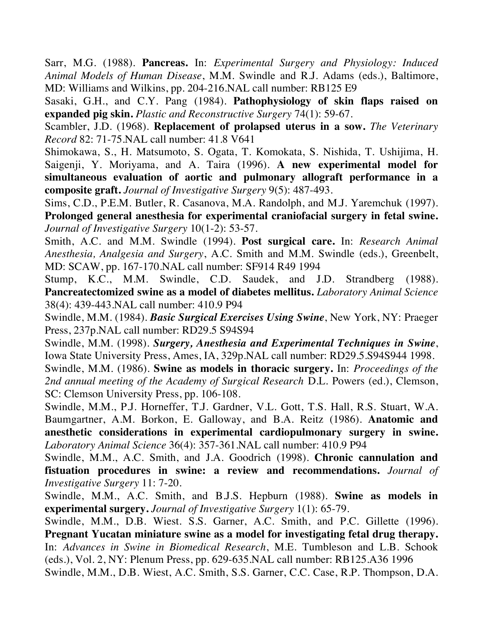Sarr, M.G. (1988). **Pancreas.** In: *Experimental Surgery and Physiology: Induced Animal Models of Human Disease*, M.M. Swindle and R.J. Adams (eds.), Baltimore, MD: Williams and Wilkins, pp. 204-216.NAL call number: RB125 E9

Sasaki, G.H., and C.Y. Pang (1984). **Pathophysiology of skin flaps raised on expanded pig skin.** *Plastic and Reconstructive Surgery* 74(1): 59-67.

Scambler, J.D. (1968). **Replacement of prolapsed uterus in a sow.** *The Veterinary Record* 82: 71-75.NAL call number: 41.8 V641

Shimokawa, S., H. Matsumoto, S. Ogata, T. Komokata, S. Nishida, T. Ushijima, H. Saigenji, Y. Moriyama, and A. Taira (1996). **A new experimental model for simultaneous evaluation of aortic and pulmonary allograft performance in a composite graft.** *Journal of Investigative Surgery* 9(5): 487-493.

Sims, C.D., P.E.M. Butler, R. Casanova, M.A. Randolph, and M.J. Yaremchuk (1997). **Prolonged general anesthesia for experimental craniofacial surgery in fetal swine.**  *Journal of Investigative Surgery* 10(1-2): 53-57.

Smith, A.C. and M.M. Swindle (1994). **Post surgical care.** In: *Research Animal Anesthesia, Analgesia and Surgery*, A.C. Smith and M.M. Swindle (eds.), Greenbelt, MD: SCAW, pp. 167-170.NAL call number: SF914 R49 1994

Stump, K.C., M.M. Swindle, C.D. Saudek, and J.D. Strandberg (1988). **Pancreatectomized swine as a model of diabetes mellitus.** *Laboratory Animal Science* 38(4): 439-443.NAL call number: 410.9 P94

Swindle, M.M. (1984). *Basic Surgical Exercises Using Swine*, New York, NY: Praeger Press, 237p.NAL call number: RD29.5 S94S94

Swindle, M.M. (1998). *Surgery, Anesthesia and Experimental Techniques in Swine*, Iowa State University Press, Ames, IA, 329p.NAL call number: RD29.5.S94S944 1998.

Swindle, M.M. (1986). **Swine as models in thoracic surgery.** In: *Proceedings of the 2nd annual meeting of the Academy of Surgical Research* D.L. Powers (ed.), Clemson, SC: Clemson University Press, pp. 106-108.

Swindle, M.M., P.J. Horneffer, T.J. Gardner, V.L. Gott, T.S. Hall, R.S. Stuart, W.A. Baumgartner, A.M. Borkon, E. Galloway, and B.A. Reitz (1986). **Anatomic and anesthetic considerations in experimental cardiopulmonary surgery in swine.** *Laboratory Animal Science* 36(4): 357-361.NAL call number: 410.9 P94

Swindle, M.M., A.C. Smith, and J.A. Goodrich (1998). **Chronic cannulation and fistuation procedures in swine: a review and recommendations.** *Journal of Investigative Surgery* 11: 7-20.

Swindle, M.M., A.C. Smith, and B.J.S. Hepburn (1988). **Swine as models in experimental surgery.** *Journal of Investigative Surgery* 1(1): 65-79.

Swindle, M.M., D.B. Wiest. S.S. Garner, A.C. Smith, and P.C. Gillette (1996). **Pregnant Yucatan miniature swine as a model for investigating fetal drug therapy.**  In: *Advances in Swine in Biomedical Research*, M.E. Tumbleson and L.B. Schook (eds.), Vol. 2, NY: Plenum Press, pp. 629-635.NAL call number: RB125.A36 1996 Swindle, M.M., D.B. Wiest, A.C. Smith, S.S. Garner, C.C. Case, R.P. Thompson, D.A.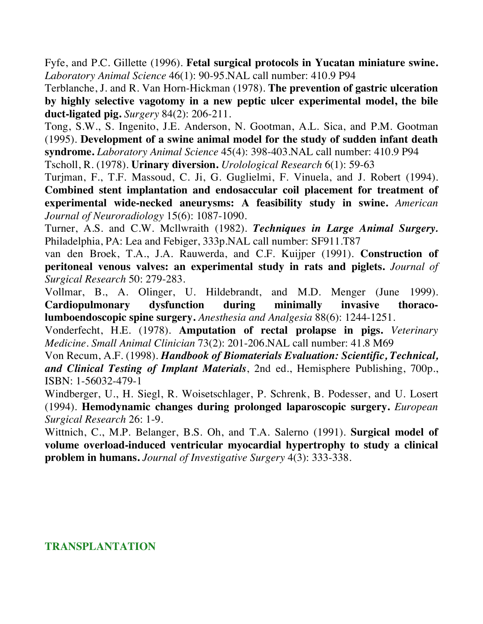Fyfe, and P.C. Gillette (1996). **Fetal surgical protocols in Yucatan miniature swine.** *Laboratory Animal Science* 46(1): 90-95.NAL call number: 410.9 P94

Terblanche, J. and R. Van Horn-Hickman (1978). **The prevention of gastric ulceration by highly selective vagotomy in a new peptic ulcer experimental model, the bile duct-ligated pig.** *Surgery* 84(2): 206-211.

Tong, S.W., S. Ingenito, J.E. Anderson, N. Gootman, A.L. Sica, and P.M. Gootman (1995). **Development of a swine animal model for the study of sudden infant death syndrome.** *Laboratory Animal Science* 45(4): 398-403.NAL call number: 410.9 P94

Tscholl, R. (1978). **Urinary diversion.** *Urolological Research* 6(1): 59-63

Turjman, F., T.F. Massoud, C. Ji, G. Guglielmi, F. Vinuela, and J. Robert (1994). **Combined stent implantation and endosaccular coil placement for treatment of experimental wide-necked aneurysms: A feasibility study in swine.** *American Journal of Neuroradiology* 15(6): 1087-1090.

Turner, A.S. and C.W. Mcllwraith (1982). *Techniques in Large Animal Surgery.* Philadelphia, PA: Lea and Febiger, 333p.NAL call number: SF911.T87

van den Broek, T.A., J.A. Rauwerda, and C.F. Kuijper (1991). **Construction of peritoneal venous valves: an experimental study in rats and piglets.** *Journal of Surgical Research* 50: 279-283.

Vollmar, B., A. Olinger, U. Hildebrandt, and M.D. Menger (June 1999). **Cardiopulmonary dysfunction during minimally invasive thoracolumboendoscopic spine surgery.** *Anesthesia and Analgesia* 88(6): 1244-1251.

Vonderfecht, H.E. (1978). **Amputation of rectal prolapse in pigs.** *Veterinary Medicine. Small Animal Clinician* 73(2): 201-206.NAL call number: 41.8 M69

Von Recum, A.F. (1998). *Handbook of Biomaterials Evaluation: Scientific, Technical, and Clinical Testing of Implant Materials*, 2nd ed., Hemisphere Publishing, 700p., ISBN: 1-56032-479-1

Windberger, U., H. Siegl, R. Woisetschlager, P. Schrenk, B. Podesser, and U. Losert (1994). **Hemodynamic changes during prolonged laparoscopic surgery.** *European Surgical Research* 26: 1-9.

Wittnich, C., M.P. Belanger, B.S. Oh, and T.A. Salerno (1991). **Surgical model of volume overload-induced ventricular myocardial hypertrophy to study a clinical problem in humans.** *Journal of Investigative Surgery* 4(3): 333-338.

## **TRANSPLANTATION**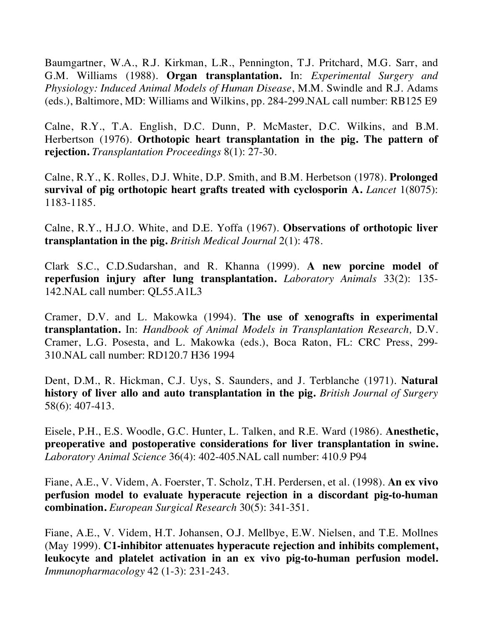Baumgartner, W.A., R.J. Kirkman, L.R., Pennington, T.J. Pritchard, M.G. Sarr, and G.M. Williams (1988). **Organ transplantation.** In: *Experimental Surgery and Physiology: Induced Animal Models of Human Disease*, M.M. Swindle and R.J. Adams (eds.), Baltimore, MD: Williams and Wilkins, pp. 284-299.NAL call number: RB125 E9

Calne, R.Y., T.A. English, D.C. Dunn, P. McMaster, D.C. Wilkins, and B.M. Herbertson (1976). **Orthotopic heart transplantation in the pig. The pattern of rejection.** *Transplantation Proceedings* 8(1): 27-30.

Calne, R.Y., K. Rolles, D.J. White, D.P. Smith, and B.M. Herbetson (1978). **Prolonged survival of pig orthotopic heart grafts treated with cyclosporin A.** *Lancet* 1(8075): 1183-1185.

Calne, R.Y., H.J.O. White, and D.E. Yoffa (1967). **Observations of orthotopic liver transplantation in the pig.** *British Medical Journal* 2(1): 478.

Clark S.C., C.D.Sudarshan, and R. Khanna (1999). **A new porcine model of reperfusion injury after lung transplantation.** *Laboratory Animals* 33(2): 135- 142.NAL call number: QL55.A1L3

Cramer, D.V. and L. Makowka (1994). **The use of xenografts in experimental transplantation.** In: *Handbook of Animal Models in Transplantation Research,* D.V. Cramer, L.G. Posesta, and L. Makowka (eds.), Boca Raton, FL: CRC Press, 299- 310.NAL call number: RD120.7 H36 1994

Dent, D.M., R. Hickman, C.J. Uys, S. Saunders, and J. Terblanche (1971). **Natural history of liver allo and auto transplantation in the pig.** *British Journal of Surgery* 58(6): 407-413.

Eisele, P.H., E.S. Woodle, G.C. Hunter, L. Talken, and R.E. Ward (1986). **Anesthetic, preoperative and postoperative considerations for liver transplantation in swine.**  *Laboratory Animal Science* 36(4): 402-405.NAL call number: 410.9 P94

Fiane, A.E., V. Videm, A. Foerster, T. Scholz, T.H. Perdersen, et al. (1998). **An ex vivo perfusion model to evaluate hyperacute rejection in a discordant pig-to-human combination.** *European Surgical Research* 30(5): 341-351.

Fiane, A.E., V. Videm, H.T. Johansen, O.J. Mellbye, E.W. Nielsen, and T.E. Mollnes (May 1999). **C1-inhibitor attenuates hyperacute rejection and inhibits complement, leukocyte and platelet activation in an ex vivo pig-to-human perfusion model.** *Immunopharmacology* 42 (1-3): 231-243.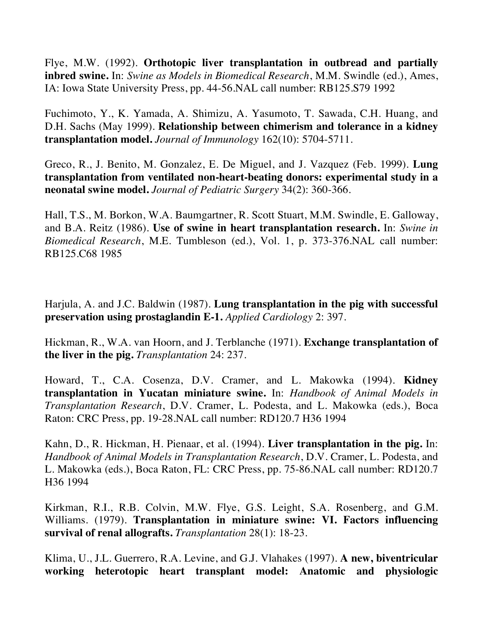Flye, M.W. (1992). **Orthotopic liver transplantation in outbread and partially inbred swine.** In: *Swine as Models in Biomedical Research*, M.M. Swindle (ed.), Ames, IA: Iowa State University Press, pp. 44-56.NAL call number: RB125.S79 1992

Fuchimoto, Y., K. Yamada, A. Shimizu, A. Yasumoto, T. Sawada, C.H. Huang, and D.H. Sachs (May 1999). **Relationship between chimerism and tolerance in a kidney transplantation model.** *Journal of Immunology* 162(10): 5704-5711.

Greco, R., J. Benito, M. Gonzalez, E. De Miguel, and J. Vazquez (Feb. 1999). **Lung transplantation from ventilated non-heart-beating donors: experimental study in a neonatal swine model.** *Journal of Pediatric Surgery* 34(2): 360-366.

Hall, T.S., M. Borkon, W.A. Baumgartner, R. Scott Stuart, M.M. Swindle, E. Galloway, and B.A. Reitz (1986). **Use of swine in heart transplantation research.** In: *Swine in Biomedical Research*, M.E. Tumbleson (ed.), Vol. 1, p. 373-376.NAL call number: RB125.C68 1985

Harjula, A. and J.C. Baldwin (1987). **Lung transplantation in the pig with successful preservation using prostaglandin E-1.** *Applied Cardiology* 2: 397.

Hickman, R., W.A. van Hoorn, and J. Terblanche (1971). **Exchange transplantation of the liver in the pig.** *Transplantation* 24: 237.

Howard, T., C.A. Cosenza, D.V. Cramer, and L. Makowka (1994). **Kidney transplantation in Yucatan miniature swine.** In: *Handbook of Animal Models in Transplantation Research*, D.V. Cramer, L. Podesta, and L. Makowka (eds.), Boca Raton: CRC Press, pp. 19-28.NAL call number: RD120.7 H36 1994

Kahn, D., R. Hickman, H. Pienaar, et al. (1994). **Liver transplantation in the pig.** In: *Handbook of Animal Models in Transplantation Research*, D.V. Cramer, L. Podesta, and L. Makowka (eds.), Boca Raton, FL: CRC Press, pp. 75-86.NAL call number: RD120.7 H36 1994

Kirkman, R.I., R.B. Colvin, M.W. Flye, G.S. Leight, S.A. Rosenberg, and G.M. Williams. (1979). **Transplantation in miniature swine: VI. Factors influencing survival of renal allografts.** *Transplantation* 28(1): 18-23.

Klima, U., J.L. Guerrero, R.A. Levine, and G.J. Vlahakes (1997). **A new, biventricular working heterotopic heart transplant model: Anatomic and physiologic**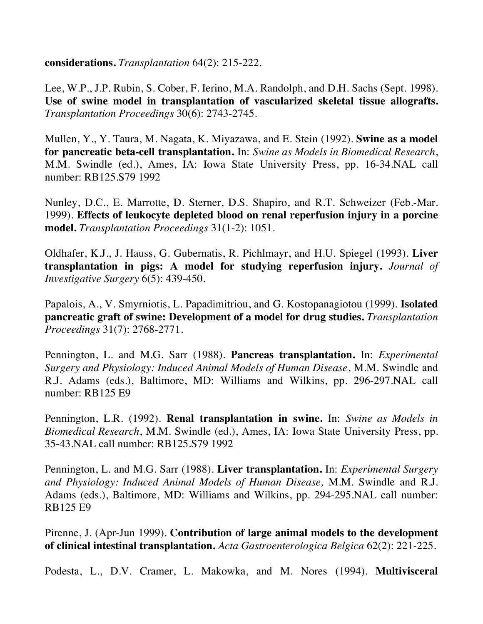**considerations.** *Transplantation* 64(2): 215-222.

Lee, W.P., J.P. Rubin, S. Cober, F. Ierino, M.A. Randolph, and D.H. Sachs (Sept. 1998). **Use of swine model in transplantation of vascularized skeletal tissue allografts.** *Transplantation Proceedings* 30(6): 2743-2745.

Mullen, Y., Y. Taura, M. Nagata, K. Miyazawa, and E. Stein (1992). **Swine as a model for pancreatic beta-cell transplantation.** In: *Swine as Models in Biomedical Research*, M.M. Swindle (ed.), Ames, IA: Iowa State University Press, pp. 16-34.NAL call number: RB125.S79 1992

Nunley, D.C., E. Marrotte, D. Sterner, D.S. Shapiro, and R.T. Schweizer (Feb.-Mar. 1999). **Effects of leukocyte depleted blood on renal reperfusion injury in a porcine model.** *Transplantation Proceedings* 31(1-2): 1051.

Oldhafer, K.J., J. Hauss, G. Gubernatis, R. Pichlmayr, and H.U. Spiegel (1993). **Liver transplantation in pigs: A model for studying reperfusion injury.** *Journal of Investigative Surgery* 6(5): 439-450.

Papalois, A., V. Smyrniotis, L. Papadimitriou, and G. Kostopanagiotou (1999). **Isolated pancreatic graft of swine: Development of a model for drug studies.** *Transplantation Proceedings* 31(7): 2768-2771.

Pennington, L. and M.G. Sarr (1988). **Pancreas transplantation.** In: *Experimental Surgery and Physiology: Induced Animal Models of Human Disease*, M.M. Swindle and R.J. Adams (eds.), Baltimore, MD: Williams and Wilkins, pp. 296-297.NAL call number: RB125 E9

Pennington, L.R. (1992). **Renal transplantation in swine.** In: *Swine as Models in Biomedical Research*, M.M. Swindle (ed.), Ames, IA: Iowa State University Press, pp. 35-43.NAL call number: RB125.S79 1992

Pennington, L. and M.G. Sarr (1988). **Liver transplantation.** In: *Experimental Surgery and Physiology: Induced Animal Models of Human Disease,* M.M. Swindle and R.J. Adams (eds.), Baltimore, MD: Williams and Wilkins, pp. 294-295.NAL call number: RB125 E9

Pirenne, J. (Apr-Jun 1999). **Contribution of large animal models to the development of clinical intestinal transplantation.** *Acta Gastroenterologica Belgica* 62(2): 221-225.

Podesta, L., D.V. Cramer, L. Makowka, and M. Nores (1994). **Multivisceral**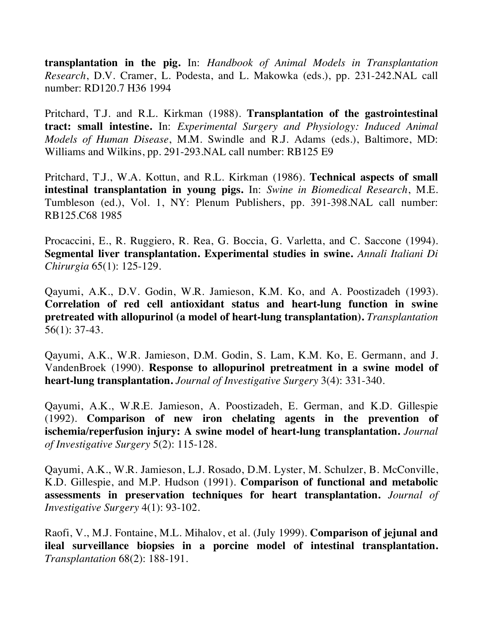**transplantation in the pig.** In: *Handbook of Animal Models in Transplantation Research*, D.V. Cramer, L. Podesta, and L. Makowka (eds.), pp. 231-242.NAL call number: RD120.7 H36 1994

Pritchard, T.J. and R.L. Kirkman (1988). **Transplantation of the gastrointestinal tract: small intestine.** In: *Experimental Surgery and Physiology: Induced Animal Models of Human Disease*, M.M. Swindle and R.J. Adams (eds.), Baltimore, MD: Williams and Wilkins, pp. 291-293.NAL call number: RB125 E9

Pritchard, T.J., W.A. Kottun, and R.L. Kirkman (1986). **Technical aspects of small intestinal transplantation in young pigs.** In: *Swine in Biomedical Research*, M.E. Tumbleson (ed.), Vol. 1, NY: Plenum Publishers, pp. 391-398.NAL call number: RB125.C68 1985

Procaccini, E., R. Ruggiero, R. Rea, G. Boccia, G. Varletta, and C. Saccone (1994). **Segmental liver transplantation. Experimental studies in swine.** *Annali Italiani Di Chirurgia* 65(1): 125-129.

Qayumi, A.K., D.V. Godin, W.R. Jamieson, K.M. Ko, and A. Poostizadeh (1993). **Correlation of red cell antioxidant status and heart-lung function in swine pretreated with allopurinol (a model of heart-lung transplantation).** *Transplantation* 56(1): 37-43.

Qayumi, A.K., W.R. Jamieson, D.M. Godin, S. Lam, K.M. Ko, E. Germann, and J. VandenBroek (1990). **Response to allopurinol pretreatment in a swine model of heart-lung transplantation.** *Journal of Investigative Surgery* 3(4): 331-340.

Qayumi, A.K., W.R.E. Jamieson, A. Poostizadeh, E. German, and K.D. Gillespie (1992). **Comparison of new iron chelating agents in the prevention of ischemia/reperfusion injury: A swine model of heart-lung transplantation.** *Journal of Investigative Surgery* 5(2): 115-128.

Qayumi, A.K., W.R. Jamieson, L.J. Rosado, D.M. Lyster, M. Schulzer, B. McConville, K.D. Gillespie, and M.P. Hudson (1991). **Comparison of functional and metabolic assessments in preservation techniques for heart transplantation.** *Journal of Investigative Surgery* 4(1): 93-102.

Raofi, V., M.J. Fontaine, M.L. Mihalov, et al. (July 1999). **Comparison of jejunal and ileal surveillance biopsies in a porcine model of intestinal transplantation.** *Transplantation* 68(2): 188-191.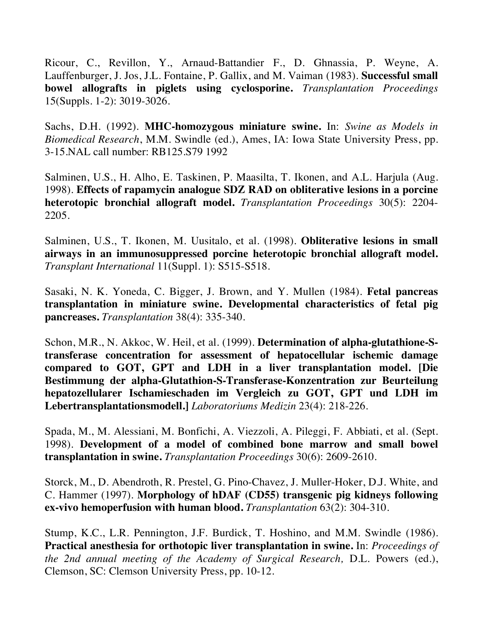Ricour, C., Revillon, Y., Arnaud-Battandier F., D. Ghnassia, P. Weyne, A. Lauffenburger, J. Jos, J.L. Fontaine, P. Gallix, and M. Vaiman (1983). **Successful small bowel allografts in piglets using cyclosporine.** *Transplantation Proceedings* 15(Suppls. 1-2): 3019-3026.

Sachs, D.H. (1992). **MHC-homozygous miniature swine.** In: *Swine as Models in Biomedical Research*, M.M. Swindle (ed.), Ames, IA: Iowa State University Press, pp. 3-15.NAL call number: RB125.S79 1992

Salminen, U.S., H. Alho, E. Taskinen, P. Maasilta, T. Ikonen, and A.L. Harjula (Aug. 1998). **Effects of rapamycin analogue SDZ RAD on obliterative lesions in a porcine heterotopic bronchial allograft model.** *Transplantation Proceedings* 30(5): 2204- 2205.

Salminen, U.S., T. Ikonen, M. Uusitalo, et al. (1998). **Obliterative lesions in small airways in an immunosuppressed porcine heterotopic bronchial allograft model.** *Transplant International* 11(Suppl. 1): S515-S518.

Sasaki, N. K. Yoneda, C. Bigger, J. Brown, and Y. Mullen (1984). **Fetal pancreas transplantation in miniature swine. Developmental characteristics of fetal pig pancreases.** *Transplantation* 38(4): 335-340.

Schon, M.R., N. Akkoc, W. Heil, et al. (1999). **Determination of alpha-glutathione-Stransferase concentration for assessment of hepatocellular ischemic damage compared to GOT, GPT and LDH in a liver transplantation model. [Die Bestimmung der alpha-Glutathion-S-Transferase-Konzentration zur Beurteilung hepatozellularer Ischamieschaden im Vergleich zu GOT, GPT und LDH im Lebertransplantationsmodell.]** *Laboratoriums Medizin* 23(4): 218-226.

Spada, M., M. Alessiani, M. Bonfichi, A. Viezzoli, A. Pileggi, F. Abbiati, et al. (Sept. 1998). **Development of a model of combined bone marrow and small bowel transplantation in swine.** *Transplantation Proceedings* 30(6): 2609-2610.

Storck, M., D. Abendroth, R. Prestel, G. Pino-Chavez, J. Muller-Hoker, D.J. White, and C. Hammer (1997). **Morphology of hDAF (CD55) transgenic pig kidneys following ex-vivo hemoperfusion with human blood.** *Transplantation* 63(2): 304-310.

Stump, K.C., L.R. Pennington, J.F. Burdick, T. Hoshino, and M.M. Swindle (1986). **Practical anesthesia for orthotopic liver transplantation in swine.** In: *Proceedings of the 2nd annual meeting of the Academy of Surgical Research,* D.L. Powers (ed.), Clemson, SC: Clemson University Press, pp. 10-12.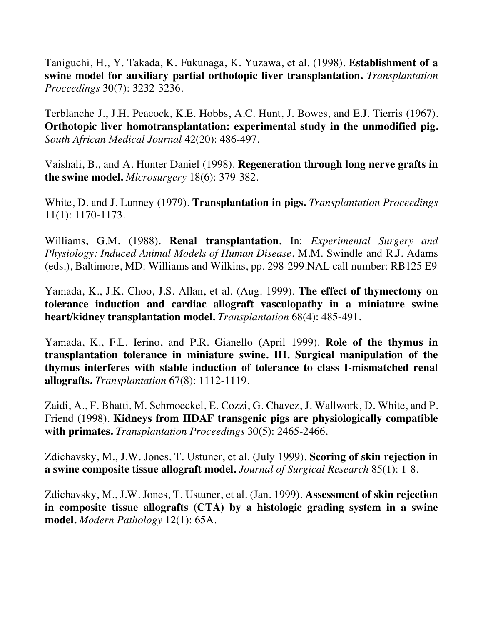Taniguchi, H., Y. Takada, K. Fukunaga, K. Yuzawa, et al. (1998). **Establishment of a swine model for auxiliary partial orthotopic liver transplantation.** *Transplantation Proceedings* 30(7): 3232-3236.

Terblanche J., J.H. Peacock, K.E. Hobbs, A.C. Hunt, J. Bowes, and E.J. Tierris (1967). **Orthotopic liver homotransplantation: experimental study in the unmodified pig.**  *South African Medical Journal* 42(20): 486-497.

Vaishali, B., and A. Hunter Daniel (1998). **Regeneration through long nerve grafts in the swine model.** *Microsurgery* 18(6): 379-382.

White, D. and J. Lunney (1979). **Transplantation in pigs.** *Transplantation Proceedings* 11(1): 1170-1173.

Williams, G.M. (1988). **Renal transplantation.** In: *Experimental Surgery and Physiology: Induced Animal Models of Human Disease*, M.M. Swindle and R.J. Adams (eds.), Baltimore, MD: Williams and Wilkins, pp. 298-299.NAL call number: RB125 E9

Yamada, K., J.K. Choo, J.S. Allan, et al. (Aug. 1999). **The effect of thymectomy on tolerance induction and cardiac allograft vasculopathy in a miniature swine heart/kidney transplantation model.** *Transplantation* 68(4): 485-491.

Yamada, K., F.L. Ierino, and P.R. Gianello (April 1999). **Role of the thymus in transplantation tolerance in miniature swine. III. Surgical manipulation of the thymus interferes with stable induction of tolerance to class I-mismatched renal allografts.** *Transplantation* 67(8): 1112-1119.

Zaidi, A., F. Bhatti, M. Schmoeckel, E. Cozzi, G. Chavez, J. Wallwork, D. White, and P. Friend (1998). **Kidneys from HDAF transgenic pigs are physiologically compatible with primates.** *Transplantation Proceedings* 30(5): 2465-2466.

Zdichavsky, M., J.W. Jones, T. Ustuner, et al. (July 1999). **Scoring of skin rejection in a swine composite tissue allograft model.** *Journal of Surgical Research* 85(1): 1-8.

Zdichavsky, M., J.W. Jones, T. Ustuner, et al. (Jan. 1999). **Assessment of skin rejection in composite tissue allografts (CTA) by a histologic grading system in a swine model.** *Modern Pathology* 12(1): 65A.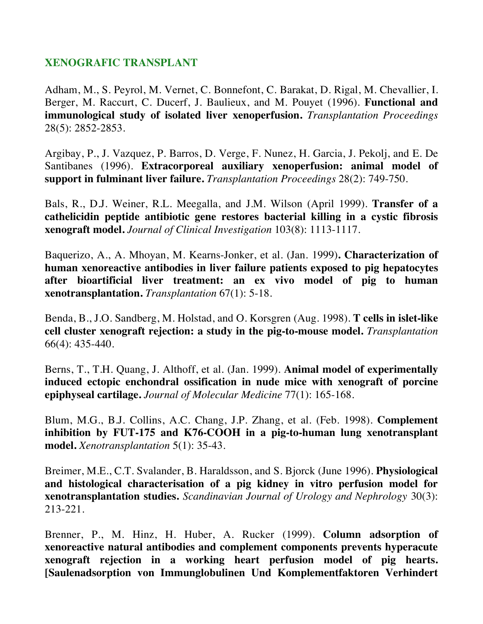## **XENOGRAFIC TRANSPLANT**

Adham, M., S. Peyrol, M. Vernet, C. Bonnefont, C. Barakat, D. Rigal, M. Chevallier, I. Berger, M. Raccurt, C. Ducerf, J. Baulieux, and M. Pouyet (1996). **Functional and immunological study of isolated liver xenoperfusion.** *Transplantation Proceedings* 28(5): 2852-2853.

Argibay, P., J. Vazquez, P. Barros, D. Verge, F. Nunez, H. Garcia, J. Pekolj, and E. De Santibanes (1996). **Extracorporeal auxiliary xenoperfusion: animal model of support in fulminant liver failure.** *Transplantation Proceedings* 28(2): 749-750.

Bals, R., D.J. Weiner, R.L. Meegalla, and J.M. Wilson (April 1999). **Transfer of a cathelicidin peptide antibiotic gene restores bacterial killing in a cystic fibrosis xenograft model.** *Journal of Clinical Investigation* 103(8): 1113-1117.

Baquerizo, A., A. Mhoyan, M. Kearns-Jonker, et al. (Jan. 1999)**. Characterization of human xenoreactive antibodies in liver failure patients exposed to pig hepatocytes after bioartificial liver treatment: an ex vivo model of pig to human xenotransplantation.** *Transplantation* 67(1): 5-18.

Benda, B., J.O. Sandberg, M. Holstad, and O. Korsgren (Aug. 1998). **T cells in islet-like cell cluster xenograft rejection: a study in the pig-to-mouse model.** *Transplantation* 66(4): 435-440.

Berns, T., T.H. Quang, J. Althoff, et al. (Jan. 1999). **Animal model of experimentally induced ectopic enchondral ossification in nude mice with xenograft of porcine epiphyseal cartilage.** *Journal of Molecular Medicine* 77(1): 165-168.

Blum, M.G., B.J. Collins, A.C. Chang, J.P. Zhang, et al. (Feb. 1998). **Complement inhibition by FUT-175 and K76-COOH in a pig-to-human lung xenotransplant model.** *Xenotransplantation* 5(1): 35-43.

Breimer, M.E., C.T. Svalander, B. Haraldsson, and S. Bjorck (June 1996). **Physiological and histological characterisation of a pig kidney in vitro perfusion model for xenotransplantation studies.** *Scandinavian Journal of Urology and Nephrology* 30(3): 213-221.

Brenner, P., M. Hinz, H. Huber, A. Rucker (1999). **Column adsorption of xenoreactive natural antibodies and complement components prevents hyperacute xenograft rejection in a working heart perfusion model of pig hearts. [Saulenadsorption von Immunglobulinen Und Komplementfaktoren Verhindert**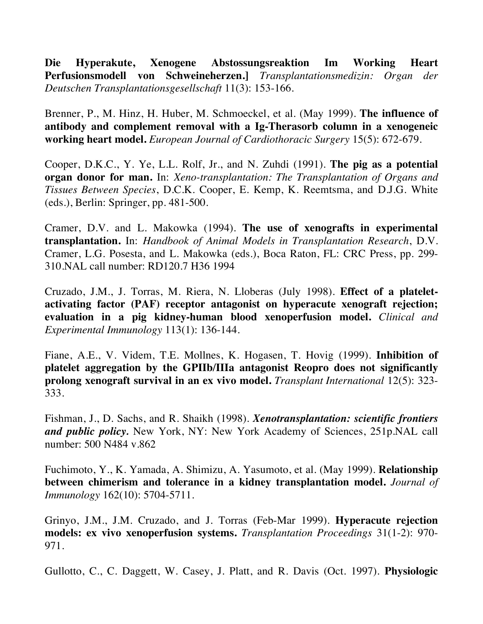**Die Hyperakute, Xenogene Abstossungsreaktion Im Working Heart Perfusionsmodell von Schweineherzen.]** *Transplantationsmedizin: Organ der Deutschen Transplantationsgesellschaft* 11(3): 153-166.

Brenner, P., M. Hinz, H. Huber, M. Schmoeckel, et al. (May 1999). **The influence of antibody and complement removal with a Ig-Therasorb column in a xenogeneic working heart model.** *European Journal of Cardiothoracic Surgery* 15(5): 672-679.

Cooper, D.K.C., Y. Ye, L.L. Rolf, Jr., and N. Zuhdi (1991). **The pig as a potential organ donor for man.** In: *Xeno-transplantation: The Transplantation of Organs and Tissues Between Species*, D.C.K. Cooper, E. Kemp, K. Reemtsma, and D.J.G. White (eds.), Berlin: Springer, pp. 481-500.

Cramer, D.V. and L. Makowka (1994). **The use of xenografts in experimental transplantation.** In: *Handbook of Animal Models in Transplantation Research*, D.V. Cramer, L.G. Posesta, and L. Makowka (eds.), Boca Raton, FL: CRC Press, pp. 299- 310.NAL call number: RD120.7 H36 1994

Cruzado, J.M., J. Torras, M. Riera, N. Lloberas (July 1998). **Effect of a plateletactivating factor (PAF) receptor antagonist on hyperacute xenograft rejection; evaluation in a pig kidney-human blood xenoperfusion model.** *Clinical and Experimental Immunology* 113(1): 136-144.

Fiane, A.E., V. Videm, T.E. Mollnes, K. Hogasen, T. Hovig (1999). **Inhibition of platelet aggregation by the GPIIb/IIIa antagonist Reopro does not significantly prolong xenograft survival in an ex vivo model.** *Transplant International* 12(5): 323- 333.

Fishman, J., D. Sachs, and R. Shaikh (1998). *Xenotransplantation: scientific frontiers and public policy.* New York, NY: New York Academy of Sciences, 251p.NAL call number: 500 N484 v.862

Fuchimoto, Y., K. Yamada, A. Shimizu, A. Yasumoto, et al. (May 1999). **Relationship between chimerism and tolerance in a kidney transplantation model.** *Journal of Immunology* 162(10): 5704-5711.

Grinyo, J.M., J.M. Cruzado, and J. Torras (Feb-Mar 1999). **Hyperacute rejection models: ex vivo xenoperfusion systems.** *Transplantation Proceedings* 31(1-2): 970- 971.

Gullotto, C., C. Daggett, W. Casey, J. Platt, and R. Davis (Oct. 1997). **Physiologic**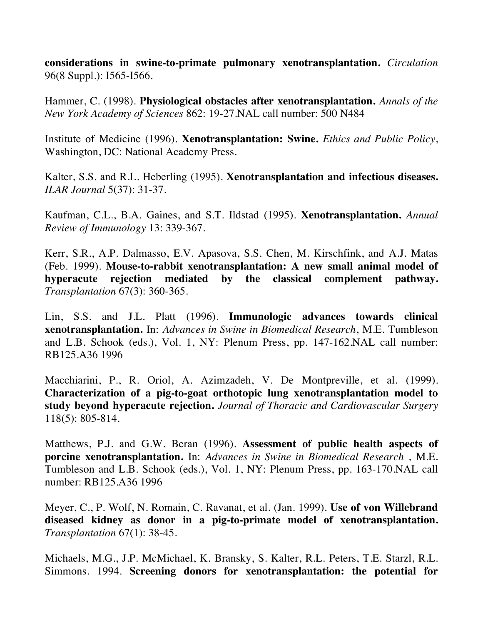**considerations in swine-to-primate pulmonary xenotransplantation.** *Circulation* 96(8 Suppl.): I565-I566.

Hammer, C. (1998). **Physiological obstacles after xenotransplantation.** *Annals of the New York Academy of Sciences* 862: 19-27.NAL call number: 500 N484

Institute of Medicine (1996). **Xenotransplantation: Swine.** *Ethics and Public Policy*, Washington, DC: National Academy Press.

Kalter, S.S. and R.L. Heberling (1995). **Xenotransplantation and infectious diseases.**  *ILAR Journal* 5(37): 31-37.

Kaufman, C.L., B.A. Gaines, and S.T. Ildstad (1995). **Xenotransplantation.** *Annual Review of Immunology* 13: 339-367.

Kerr, S.R., A.P. Dalmasso, E.V. Apasova, S.S. Chen, M. Kirschfink, and A.J. Matas (Feb. 1999). **Mouse-to-rabbit xenotransplantation: A new small animal model of hyperacute rejection mediated by the classical complement pathway.** *Transplantation* 67(3): 360-365.

Lin, S.S. and J.L. Platt (1996). **Immunologic advances towards clinical xenotransplantation.** In: *Advances in Swine in Biomedical Research*, M.E. Tumbleson and L.B. Schook (eds.), Vol. 1, NY: Plenum Press, pp. 147-162.NAL call number: RB125.A36 1996

Macchiarini, P., R. Oriol, A. Azimzadeh, V. De Montpreville, et al. (1999). **Characterization of a pig-to-goat orthotopic lung xenotransplantation model to study beyond hyperacute rejection.** *Journal of Thoracic and Cardiovascular Surgery* 118(5): 805-814.

Matthews, P.J. and G.W. Beran (1996). **Assessment of public health aspects of porcine xenotransplantation.** In: *Advances in Swine in Biomedical Research* , M.E. Tumbleson and L.B. Schook (eds.), Vol. 1, NY: Plenum Press, pp. 163-170.NAL call number: RB125.A36 1996

Meyer, C., P. Wolf, N. Romain, C. Ravanat, et al. (Jan. 1999). **Use of von Willebrand diseased kidney as donor in a pig-to-primate model of xenotransplantation.** *Transplantation* 67(1): 38-45.

Michaels, M.G., J.P. McMichael, K. Bransky, S. Kalter, R.L. Peters, T.E. Starzl, R.L. Simmons. 1994. **Screening donors for xenotransplantation: the potential for**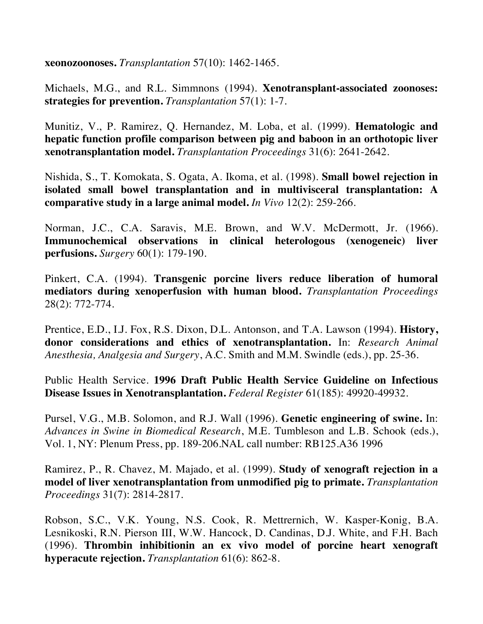**xeonozoonoses.** *Transplantation* 57(10): 1462-1465.

Michaels, M.G., and R.L. Simmnons (1994). **Xenotransplant-associated zoonoses: strategies for prevention.** *Transplantation* 57(1): 1-7.

Munitiz, V., P. Ramirez, Q. Hernandez, M. Loba, et al. (1999). **Hematologic and hepatic function profile comparison between pig and baboon in an orthotopic liver xenotransplantation model.** *Transplantation Proceedings* 31(6): 2641-2642.

Nishida, S., T. Komokata, S. Ogata, A. Ikoma, et al. (1998). **Small bowel rejection in isolated small bowel transplantation and in multivisceral transplantation: A comparative study in a large animal model.** *In Vivo* 12(2): 259-266.

Norman, J.C., C.A. Saravis, M.E. Brown, and W.V. McDermott, Jr. (1966). **Immunochemical observations in clinical heterologous (xenogeneic) liver perfusions.** *Surgery* 60(1): 179-190.

Pinkert, C.A. (1994). **Transgenic porcine livers reduce liberation of humoral mediators during xenoperfusion with human blood.** *Transplantation Proceedings* 28(2): 772-774.

Prentice, E.D., I.J. Fox, R.S. Dixon, D.L. Antonson, and T.A. Lawson (1994). **History, donor considerations and ethics of xenotransplantation.** In: *Research Animal Anesthesia, Analgesia and Surgery*, A.C. Smith and M.M. Swindle (eds.), pp. 25-36.

Public Health Service. **1996 Draft Public Health Service Guideline on Infectious Disease Issues in Xenotransplantation.** *Federal Register* 61(185): 49920-49932.

Pursel, V.G., M.B. Solomon, and R.J. Wall (1996). **Genetic engineering of swine.** In: *Advances in Swine in Biomedical Research*, M.E. Tumbleson and L.B. Schook (eds.), Vol. 1, NY: Plenum Press, pp. 189-206.NAL call number: RB125.A36 1996

Ramirez, P., R. Chavez, M. Majado, et al. (1999). **Study of xenograft rejection in a model of liver xenotransplantation from unmodified pig to primate.** *Transplantation Proceedings* 31(7): 2814-2817.

Robson, S.C., V.K. Young, N.S. Cook, R. Mettrernich, W. Kasper-Konig, B.A. Lesnikoski, R.N. Pierson III, W.W. Hancock, D. Candinas, D.J. White, and F.H. Bach (1996). **Thrombin inhibitionin an ex vivo model of porcine heart xenograft hyperacute rejection.** *Transplantation* 61(6): 862-8.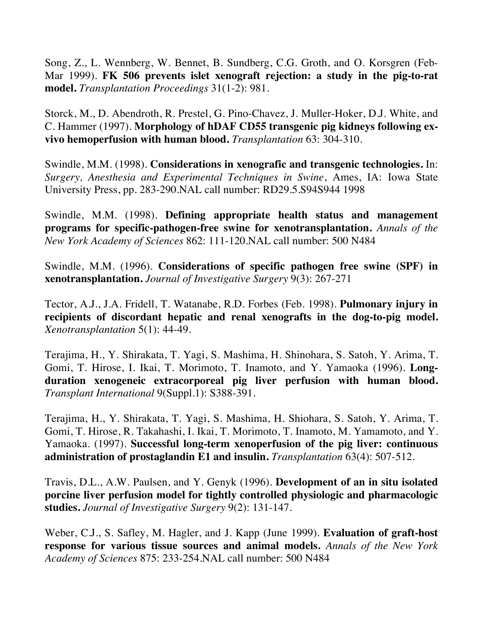Song, Z., L. Wennberg, W. Bennet, B. Sundberg, C.G. Groth, and O. Korsgren (Feb-Mar 1999). **FK 506 prevents islet xenograft rejection: a study in the pig-to-rat model.** *Transplantation Proceedings* 31(1-2): 981.

Storck, M., D. Abendroth, R. Prestel, G. Pino-Chavez, J. Muller-Hoker, D.J. White, and C. Hammer (1997). **Morphology of hDAF CD55 transgenic pig kidneys following exvivo hemoperfusion with human blood.** *Transplantation* 63: 304-310.

Swindle, M.M. (1998). **Considerations in xenografic and transgenic technologies.** In: *Surgery, Anesthesia and Experimental Techniques in Swine*, Ames, IA: Iowa State University Press, pp. 283-290.NAL call number: RD29.5.S94S944 1998

Swindle, M.M. (1998). **Defining appropriate health status and management programs for specific-pathogen-free swine for xenotransplantation.** *Annals of the New York Academy of Sciences* 862: 111-120.NAL call number: 500 N484

Swindle, M.M. (1996). **Considerations of specific pathogen free swine (SPF) in xenotransplantation.** *Journal of Investigative Surgery* 9(3): 267-271

Tector, A.J., J.A. Fridell, T. Watanabe, R.D. Forbes (Feb. 1998). **Pulmonary injury in recipients of discordant hepatic and renal xenografts in the dog-to-pig model.** *Xenotransplantation* 5(1): 44-49.

Terajima, H., Y. Shirakata, T. Yagi, S. Mashima, H. Shinohara, S. Satoh, Y. Arima, T. Gomi, T. Hirose, I. Ikai, T. Morimoto, T. Inamoto, and Y. Yamaoka (1996). **Longduration xenogeneic extracorporeal pig liver perfusion with human blood.**  *Transplant International* 9(Suppl.1): S388-391.

Terajima, H., Y. Shirakata, T. Yagi, S. Mashima, H. Shiohara, S. Satoh, Y. Arima, T. Gomi, T. Hirose, R. Takahashi, I. Ikai, T. Morimoto, T. Inamoto, M. Yamamoto, and Y. Yamaoka. (1997). **Successful long-term xenoperfusion of the pig liver: continuous administration of prostaglandin E1 and insulin.** *Transplantation* 63(4): 507-512.

Travis, D.L., A.W. Paulsen, and Y. Genyk (1996). **Development of an in situ isolated porcine liver perfusion model for tightly controlled physiologic and pharmacologic studies.** *Journal of Investigative Surgery* 9(2): 131-147.

Weber, C.J., S. Safley, M. Hagler, and J. Kapp (June 1999). **Evaluation of graft-host response for various tissue sources and animal models.** *Annals of the New York Academy of Sciences* 875: 233-254.NAL call number: 500 N484